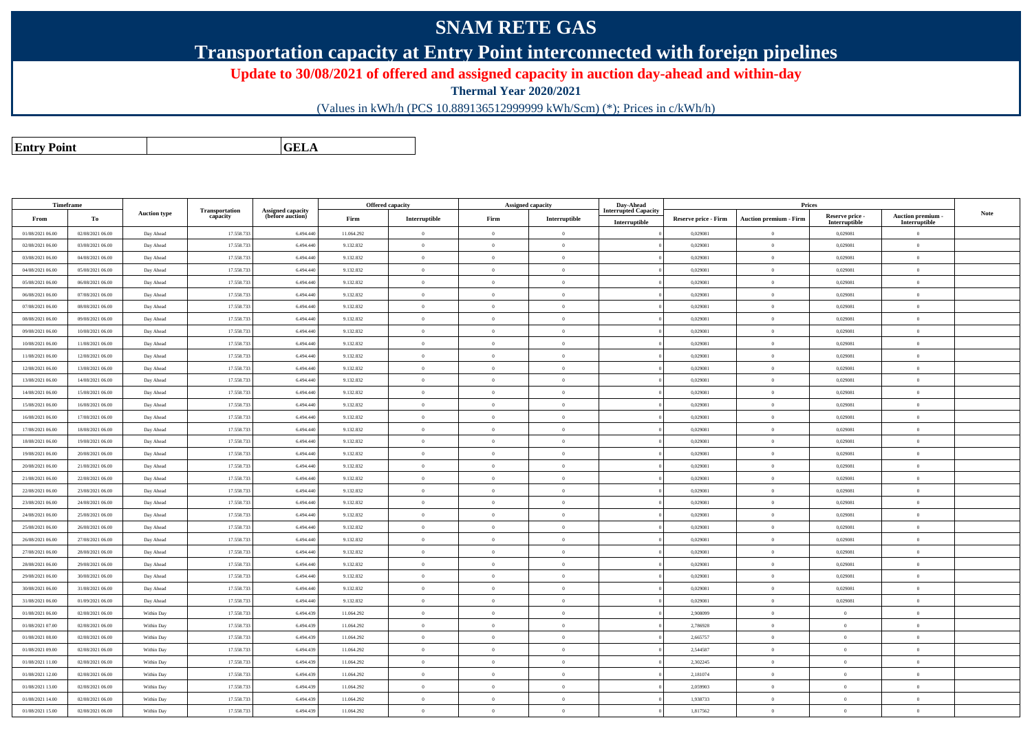## **SNAM RETE GAS**

**Transportation capacity at Entry Point interconnected with foreign pipelines**

**Update to 30/08/2021 of offered and assigned capacity in auction day-ahead and within-day**

**Thermal Year 2020/2021**

(Values in kWh/h (PCS 10.889136512999999 kWh/Scm) (\*); Prices in c/kWh/h)

**Entry PointGELA**

| Timeframe        |                  |                     |                            |                                              |            | <b>Offered capacity</b> |                | <b>Assigned capacity</b> | Day-Ahead                                    |                      | Prices                        |                                  |                                  |             |
|------------------|------------------|---------------------|----------------------------|----------------------------------------------|------------|-------------------------|----------------|--------------------------|----------------------------------------------|----------------------|-------------------------------|----------------------------------|----------------------------------|-------------|
| From             | To               | <b>Auction type</b> | Transportation<br>capacity | <b>Assigned capacity</b><br>(before auction) | Firm       | Interruptible           | Firm           | Interruptible            | <b>Interrupted Capacity</b><br>Interruptible | Reserve price - Firm | <b>Auction premium - Firm</b> | Reserve price -<br>Interruptible | Auction premium<br>Interruptible | <b>Note</b> |
| 01/08/2021 06:00 | 02/08/2021 06:00 | Day Ahead           | 17.558.733                 | 6.494.44                                     | 11.064.292 | $\bf{0}$                | $\overline{0}$ | $\overline{0}$           |                                              | 0,029081             | $\overline{0}$                | 0,029081                         | $\overline{0}$                   |             |
| 02/08/2021 06:00 | 03/08/2021 06:00 | Day Ahead           | 17.558.733                 | 6.494.440                                    | 9.132.832  | $\overline{0}$          | $\overline{0}$ | $\overline{0}$           |                                              | 0,029081             | $\overline{0}$                | 0,029081                         | $\overline{0}$                   |             |
| 03/08/2021 06:00 | 04/08/2021 06:00 | Day Ahead           | 17.558.733                 | 6.494.440                                    | 9.132.832  | $\overline{0}$          | $\overline{0}$ | $\overline{0}$           |                                              | 0,029081             | $\theta$                      | 0,029081                         | $\overline{0}$                   |             |
| 04/08/2021 06:00 | 05/08/2021 06:00 | Day Ahead           | 17.558.733                 | 6.494.440                                    | 9.132.832  | $\overline{0}$          | $\overline{0}$ | $\overline{0}$           |                                              | 0,029081             | $\overline{0}$                | 0,029081                         | $\overline{0}$                   |             |
| 05/08/2021 06:00 | 06/08/2021 06:00 | Day Ahead           | 17.558.733                 | 6.494.440                                    | 9.132.832  | $\overline{0}$          | $\overline{0}$ | $\overline{0}$           |                                              | 0,029081             | $\overline{0}$                | 0,029081                         | $\overline{0}$                   |             |
| 06/08/2021 06:00 | 07/08/2021 06:00 | Day Ahead           | 17.558.733                 | 6.494.440                                    | 9.132.832  | $\bf{0}$                | $\overline{0}$ | $\overline{0}$           |                                              | 0,029081             | $\overline{0}$                | 0,029081                         | $\overline{0}$                   |             |
| 07/08/2021 06:00 | 08/08/2021 06:00 | Day Ahead           | 17.558.733                 | 6.494.440                                    | 9.132.832  | $\overline{0}$          | $\overline{0}$ | $\overline{0}$           |                                              | 0,029081             | $\theta$                      | 0,029081                         | $\overline{0}$                   |             |
| 08/08/2021 06:00 | 09/08/2021 06:00 | Day Ahead           | 17.558.733                 | 6.494.440                                    | 9.132.832  | $\bf{0}$                | $\overline{0}$ | $\overline{0}$           |                                              | 0,029081             | $\overline{0}$                | 0,029081                         | $\overline{0}$                   |             |
| 09/08/2021 06:00 | 10/08/2021 06:00 | Day Ahead           | 17.558.733                 | 6.494.440                                    | 9.132.832  | $\overline{0}$          | $\overline{0}$ | $\theta$                 |                                              | 0,029081             | $\theta$                      | 0,029081                         | $\overline{0}$                   |             |
| 10/08/2021 06:00 | 11/08/2021 06:00 | Day Ahead           | 17.558.733                 | 6.494.440                                    | 9.132.832  | $\overline{0}$          | $\overline{0}$ | $\overline{0}$           |                                              | 0,029081             | $\overline{0}$                | 0,029081                         | $\overline{0}$                   |             |
| 11/08/2021 06:00 | 12/08/2021 06:00 | Day Ahead           | 17.558.733                 | 6.494.440                                    | 9.132.832  | $\overline{0}$          | $\overline{0}$ | $\overline{0}$           |                                              | 0,029081             | $\overline{0}$                | 0,029081                         | $\overline{0}$                   |             |
| 12/08/2021 06:00 | 13/08/2021 06:00 | Day Ahead           | 17.558.733                 | 6.494.440                                    | 9.132.832  | $\theta$                | $\Omega$       | $\overline{0}$           |                                              | 0,029081             | $\theta$                      | 0,029081                         | $\overline{0}$                   |             |
| 13/08/2021 06:00 | 14/08/2021 06:00 | Day Ahead           | 17.558.733                 | 6.494.440                                    | 9.132.832  | $\overline{0}$          | $\overline{0}$ | $\overline{0}$           |                                              | 0,029081             | $\theta$                      | 0,029081                         | $\overline{0}$                   |             |
| 14/08/2021 06:00 | 15/08/2021 06:00 | Day Ahead           | 17.558.733                 | 6.494.440                                    | 9.132.832  | $\overline{0}$          | $\overline{0}$ | $\overline{0}$           |                                              | 0,029081             | $\overline{0}$                | 0,029081                         | $\overline{0}$                   |             |
| 15/08/2021 06:00 | 16/08/2021 06:00 | Day Ahead           | 17.558.733                 | 6.494.440                                    | 9.132.832  | $\bf{0}$                | $\overline{0}$ | $\overline{0}$           |                                              | 0,029081             | $\overline{0}$                | 0,029081                         | $\overline{0}$                   |             |
| 16/08/2021 06:00 | 17/08/2021 06:00 | Day Ahead           | 17.558.733                 | 6.494.440                                    | 9.132.832  | $\overline{0}$          | $\overline{0}$ | $\overline{0}$           |                                              | 0,029081             | $\mathbf{0}$                  | 0,029081                         | $\overline{0}$                   |             |
| 17/08/2021 06:00 | 18/08/2021 06:00 | Day Ahead           | 17.558.733                 | 6.494.440                                    | 9.132.832  | $\overline{0}$          | $\overline{0}$ | $\overline{0}$           |                                              | 0,029081             | $\overline{0}$                | 0,029081                         | $\overline{0}$                   |             |
| 18/08/2021 06:00 | 19/08/2021 06:00 | Day Ahead           | 17.558.733                 | 6.494.440                                    | 9.132.832  | $\,$ 0 $\,$             | $\overline{0}$ | $\overline{0}$           |                                              | 0,029081             | $\bf{0}$                      | 0,029081                         | $\overline{0}$                   |             |
| 19/08/2021 06:00 | 20/08/2021 06:00 | Day Ahead           | 17.558.733                 | 6.494.440                                    | 9.132.832  | $\overline{0}$          | $\overline{0}$ | $\overline{0}$           |                                              | 0,029081             | $\theta$                      | 0,029081                         | $\overline{0}$                   |             |
| 20/08/2021 06:00 | 21/08/2021 06:00 | Day Ahead           | 17.558.733                 | 6.494.440                                    | 9.132.832  | $\overline{0}$          | $\overline{0}$ | $\overline{0}$           |                                              | 0,029081             | $\theta$                      | 0,029081                         | $\overline{0}$                   |             |
| 21/08/2021 06:00 | 22/08/2021 06:00 | Day Ahead           | 17.558.733                 | 6.494.440                                    | 9.132.832  | $\overline{0}$          | $\overline{0}$ | $\overline{0}$           |                                              | 0,029081             | $\overline{0}$                | 0,029081                         | $\overline{0}$                   |             |
| 22/08/2021 06:00 | 23/08/2021 06:00 | Day Ahead           | 17.558.733                 | 6.494.440                                    | 9.132.832  | $\bf{0}$                | $\overline{0}$ | $\overline{0}$           |                                              | 0,029081             | $\bf{0}$                      | 0,029081                         | $\overline{0}$                   |             |
| 23/08/2021 06:00 | 24/08/2021 06:00 | Day Ahead           | 17.558.733                 | 6.494.440                                    | 9.132.832  | $\overline{0}$          | $\overline{0}$ | $\overline{0}$           |                                              | 0,029081             | $\theta$                      | 0,029081                         | $\overline{0}$                   |             |
| 24/08/2021 06:00 | 25/08/2021 06:00 | Day Ahead           | 17.558.733                 | 6.494.440                                    | 9.132.832  | $\overline{0}$          | $\overline{0}$ | $\overline{0}$           |                                              | 0,029081             | $\bf{0}$                      | 0,029081                         | $\overline{0}$                   |             |
| 25/08/2021 06:00 | 26/08/2021 06:00 | Day Ahead           | 17.558.733                 | 6.494.440                                    | 9.132.832  | $\overline{0}$          | $\overline{0}$ | $\overline{0}$           |                                              | 0,029081             | $\theta$                      | 0,029081                         | $\overline{0}$                   |             |
| 26/08/2021 06:00 | 27/08/2021 06:00 | Day Ahead           | 17.558.733                 | 6.494.440                                    | 9.132.832  | $\bf{0}$                | $\overline{0}$ | $\overline{0}$           |                                              | 0,029081             | $\overline{0}$                | 0,029081                         | $\overline{0}$                   |             |
| 27/08/2021 06:00 | 28/08/2021 06:00 | Day Ahead           | 17.558.733                 | 6.494.440                                    | 9.132.832  | $\overline{0}$          | $\overline{0}$ | $\overline{0}$           |                                              | 0,029081             | $\overline{0}$                | 0,029081                         | $\overline{0}$                   |             |
| 28/08/2021 06:00 | 29/08/2021 06:00 | Day Ahead           | 17.558.733                 | 6.494.440                                    | 9.132.832  | $\overline{0}$          | $\overline{0}$ | $\overline{0}$           |                                              | 0,029081             | $\bf{0}$                      | 0,029081                         | $\overline{0}$                   |             |
| 29/08/2021 06:00 | 30/08/2021 06:00 | Day Ahead           | 17.558.733                 | 6.494.440                                    | 9.132.832  | $\overline{0}$          | $\overline{0}$ | $\theta$                 |                                              | 0,029081             | $\theta$                      | 0,029081                         | $\overline{0}$                   |             |
| 30/08/2021 06:00 | 31/08/2021 06:00 | Day Ahead           | 17.558.733                 | 6.494.440                                    | 9.132.832  | $\overline{0}$          | $\overline{0}$ | $\overline{0}$           |                                              | 0,029081             | $\overline{0}$                | 0,029081                         | $\overline{0}$                   |             |
| 31/08/2021 06:00 | 01/09/2021 06:00 | Day Ahead           | 17.558.733                 | 6.494.440                                    | 9.132.832  | $\overline{0}$          | $\overline{0}$ | $\overline{0}$           |                                              | 0,029081             | $\theta$                      | 0,029081                         | $\overline{0}$                   |             |
| 01/08/2021 06:00 | 02/08/2021 06:00 | Within Day          | 17.558.733                 | 6.494.439                                    | 11.064.292 | $\overline{0}$          | $\overline{0}$ | $\overline{0}$           |                                              | 2,908099             | $\overline{0}$                | $\overline{0}$                   | $\overline{0}$                   |             |
| 01/08/2021 07:00 | 02/08/2021 06:00 | Within Day          | 17.558.733                 | 6.494.439                                    | 11.064.292 | $\overline{0}$          | $\overline{0}$ | $\overline{0}$           |                                              | 2,786928             | $\theta$                      | $\overline{0}$                   | $\overline{0}$                   |             |
| 01/08/2021 08:00 | 02/08/2021 06:00 | Within Day          | 17.558.733                 | 6.494.439                                    | 11.064.292 | $\overline{0}$          | $\overline{0}$ | $\overline{0}$           |                                              | 2,665757             | $\bf{0}$                      | $\mathbf{0}$                     | $\overline{0}$                   |             |
| 01/08/2021 09:00 | 02/08/2021 06:00 | Within Day          | 17.558.733                 | 6.494.439                                    | 11.064.292 | $\overline{0}$          | $\overline{0}$ | $\theta$                 |                                              | 2,544587             | $\theta$                      | $\overline{0}$                   | $\overline{0}$                   |             |
| 01/08/2021 11:00 | 02/08/2021 06:00 | Within Day          | 17.558.733                 | 6.494.439                                    | 11.064.292 | $\overline{0}$          | $\overline{0}$ | $\overline{0}$           |                                              | 2,302245             | $\overline{0}$                | $\overline{0}$                   | $\overline{0}$                   |             |
| 01/08/2021 12:00 | 02/08/2021 06:00 | Within Day          | 17.558.733                 | 6.494.439                                    | 11.064.292 | $\mathbf{0}$            | $\overline{0}$ | $\Omega$                 |                                              | 2,181074             | $\overline{0}$                | $\overline{0}$                   | $\overline{0}$                   |             |
| 01/08/2021 13:00 | 02/08/2021 06:00 | Within Day          | 17.558.733                 | 6.494.439                                    | 11.064.292 | $\overline{0}$          | $\overline{0}$ | $\overline{0}$           |                                              | 2,059903             | $\overline{0}$                | $\overline{0}$                   | $\overline{0}$                   |             |
| 01/08/2021 14:00 | 02/08/2021 06:00 | Within Day          | 17.558.733                 | 6.494.439                                    | 11.064.292 | $\bf{0}$                | $\overline{0}$ | $\overline{0}$           |                                              | 1,938733             | $\theta$                      | $\overline{0}$                   | $\overline{0}$                   |             |
| 01/08/2021 15:00 | 02/08/2021 06:00 | Within Day          | 17.558.733                 | 6.494.439                                    | 11.064.292 | $\bf{0}$                | $\overline{0}$ | $\overline{0}$           |                                              | 1,817562             | $\theta$                      | $\overline{0}$                   | $\overline{0}$                   |             |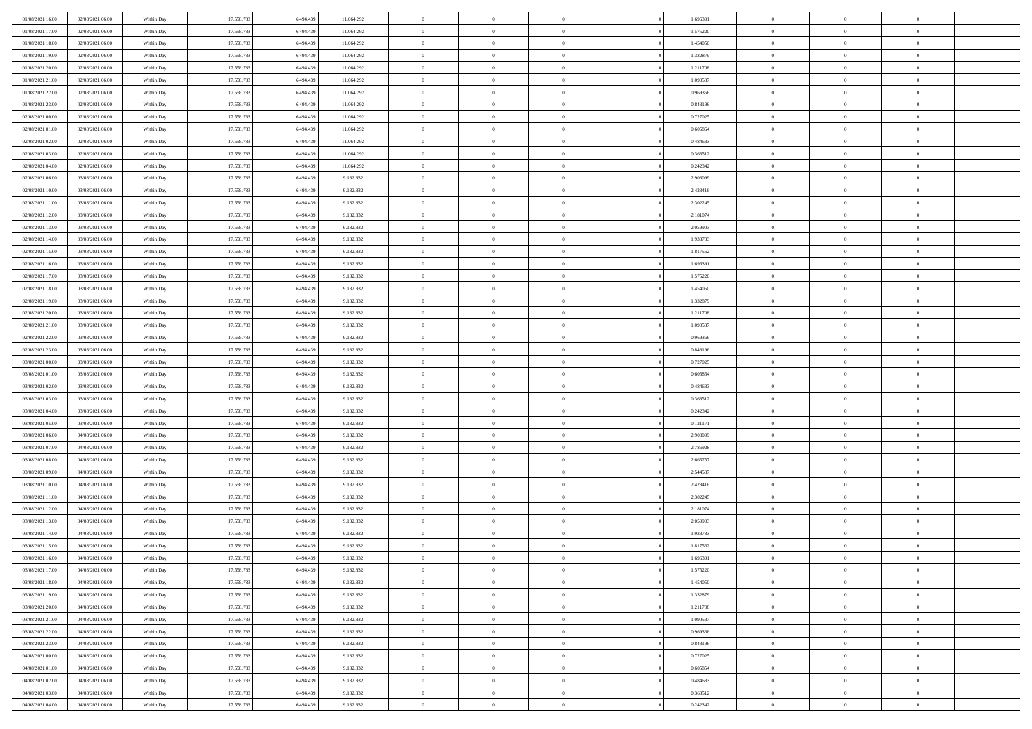| 01/08/2021 16:00 | 02/08/2021 06:00 | Within Day | 17.558.733 | 6.494.439 | 11.064.292 | $\,$ 0         | $\bf{0}$       | $\overline{0}$ |          | 1,696391 | $\bf{0}$       | $\overline{0}$ | $\,0\,$        |  |
|------------------|------------------|------------|------------|-----------|------------|----------------|----------------|----------------|----------|----------|----------------|----------------|----------------|--|
| 01/08/2021 17:00 | 02/08/2021 06:00 | Within Day | 17.558.733 | 6,494,439 | 11.064.292 | $\overline{0}$ | $\overline{0}$ | $\overline{0}$ |          | 1,575220 | $\overline{0}$ | $\overline{0}$ | $\theta$       |  |
| 01/08/2021 18:00 | 02/08/2021 06:00 | Within Dav | 17.558.733 | 6.494.439 | 11.064.292 | $\mathbf{0}$   | $\overline{0}$ | $\overline{0}$ |          | 1,454050 | $\mathbf{0}$   | $\overline{0}$ | $\overline{0}$ |  |
| 01/08/2021 19:00 | 02/08/2021 06:00 | Within Day | 17.558.733 | 6.494.439 | 11.064.292 | $\bf{0}$       | $\overline{0}$ | $\bf{0}$       |          | 1,332879 | $\bf{0}$       | $\overline{0}$ | $\bf{0}$       |  |
| 01/08/2021 20:00 | 02/08/2021 06:00 | Within Day | 17.558.733 | 6,494,439 | 11.064.292 | $\bf{0}$       | $\bf{0}$       | $\overline{0}$ |          | 1,211708 | $\bf{0}$       | $\bf{0}$       | $\,0\,$        |  |
| 01/08/2021 21:00 | 02/08/2021 06:00 | Within Dav | 17.558.733 | 6.494.439 | 11.064.292 | $\mathbf{0}$   | $\overline{0}$ | $\overline{0}$ |          | 1,090537 | $\mathbf{0}$   | $\overline{0}$ | $\overline{0}$ |  |
| 01/08/2021 22:00 | 02/08/2021 06:00 | Within Day | 17.558.733 | 6.494.439 | 11.064.292 | $\bf{0}$       | $\bf{0}$       | $\overline{0}$ |          | 0,969366 | $\bf{0}$       | $\overline{0}$ | $\,0\,$        |  |
| 01/08/2021 23:00 | 02/08/2021 06:00 | Within Day | 17.558.733 | 6,494,439 | 11.064.292 | $\overline{0}$ | $\overline{0}$ | $\overline{0}$ |          | 0,848196 | $\,$ 0 $\,$    | $\overline{0}$ | $\theta$       |  |
| 02/08/2021 00:00 | 02/08/2021 06:00 | Within Day | 17.558.733 | 6.494.439 | 11.064.292 | $\mathbf{0}$   | $\overline{0}$ | $\overline{0}$ |          | 0,727025 | $\mathbf{0}$   | $\overline{0}$ | $\overline{0}$ |  |
| 02/08/2021 01:00 | 02/08/2021 06:00 | Within Day | 17.558.733 | 6.494.439 | 11.064.292 | $\bf{0}$       | $\bf{0}$       | $\overline{0}$ |          | 0,605854 | $\bf{0}$       | $\overline{0}$ | $\,0\,$        |  |
| 02/08/2021 02:00 | 02/08/2021 06:00 | Within Day | 17.558.733 | 6,494,439 | 11.064.292 | $\overline{0}$ | $\overline{0}$ | $\overline{0}$ |          | 0.484683 | $\bf{0}$       | $\overline{0}$ | $\theta$       |  |
| 02/08/2021 03:00 | 02/08/2021 06:00 | Within Dav | 17.558.733 | 6.494.439 | 11.064.292 | $\mathbf{0}$   | $\overline{0}$ | $\overline{0}$ |          | 0,363512 | $\mathbf{0}$   | $\overline{0}$ | $\overline{0}$ |  |
| 02/08/2021 04:00 | 02/08/2021 06:00 | Within Day | 17.558.733 | 6.494.439 | 11.064.292 | $\bf{0}$       | $\overline{0}$ | $\bf{0}$       |          | 0,242342 | $\bf{0}$       | $\overline{0}$ | $\overline{0}$ |  |
| 02/08/2021 06:00 | 03/08/2021 06:00 | Within Day | 17.558.733 | 6,494,439 | 9.132.832  | $\bf{0}$       | $\overline{0}$ | $\overline{0}$ |          | 2,908099 | $\bf{0}$       | $\theta$       | $\,0\,$        |  |
| 02/08/2021 10:00 | 03/08/2021 06:00 | Within Dav | 17.558.733 | 6.494.439 | 9.132.832  | $\mathbf{0}$   | $\overline{0}$ | $\overline{0}$ |          | 2,423416 | $\mathbf{0}$   | $\overline{0}$ | $\overline{0}$ |  |
| 02/08/2021 11:00 | 03/08/2021 06:00 | Within Day | 17.558.733 | 6.494.439 | 9.132.832  | $\bf{0}$       | $\bf{0}$       | $\overline{0}$ |          | 2,302245 | $\bf{0}$       | $\overline{0}$ | $\,0\,$        |  |
| 02/08/2021 12:00 | 03/08/2021 06:00 | Within Day | 17.558.733 | 6,494,439 | 9.132.832  | $\overline{0}$ | $\overline{0}$ | $\overline{0}$ |          | 2,181074 | $\,$ 0 $\,$    | $\overline{0}$ | $\theta$       |  |
| 02/08/2021 13:00 | 03/08/2021 06:00 | Within Day | 17.558.733 | 6.494.439 | 9.132.832  | $\mathbf{0}$   | $\overline{0}$ | $\overline{0}$ |          | 2,059903 | $\mathbf{0}$   | $\overline{0}$ | $\overline{0}$ |  |
| 02/08/2021 14:00 | 03/08/2021 06:00 | Within Day | 17.558.733 | 6.494.439 | 9.132.832  | $\bf{0}$       | $\bf{0}$       | $\overline{0}$ |          | 1,938733 | $\bf{0}$       | $\overline{0}$ | $\,0\,$        |  |
| 02/08/2021 15:00 | 03/08/2021 06:00 | Within Day | 17.558.733 | 6.494.439 | 9.132.832  | $\overline{0}$ | $\overline{0}$ | $\overline{0}$ |          | 1,817562 | $\bf{0}$       | $\overline{0}$ | $\overline{0}$ |  |
| 02/08/2021 16:00 | 03/08/2021 06:00 | Within Dav | 17.558.733 | 6.494.439 | 9.132.832  | $\mathbf{0}$   | $\overline{0}$ | $\overline{0}$ |          | 1,696391 | $\mathbf{0}$   | $\overline{0}$ | $\overline{0}$ |  |
| 02/08/2021 17:00 | 03/08/2021 06:00 | Within Day | 17.558.733 | 6.494.439 | 9.132.832  | $\bf{0}$       | $\overline{0}$ | $\bf{0}$       |          | 1,575220 | $\bf{0}$       | $\overline{0}$ | $\bf{0}$       |  |
| 02/08/2021 18:00 | 03/08/2021 06:00 | Within Day | 17.558.733 | 6,494,439 | 9.132.832  | $\bf{0}$       | $\bf{0}$       | $\overline{0}$ |          | 1,454050 | $\bf{0}$       | $\bf{0}$       | $\,0\,$        |  |
| 02/08/2021 19:00 | 03/08/2021 06:00 | Within Dav | 17.558.733 | 6.494.439 | 9.132.832  | $\mathbf{0}$   | $\overline{0}$ | $\overline{0}$ |          | 1,332879 | $\mathbf{0}$   | $\overline{0}$ | $\overline{0}$ |  |
| 02/08/2021 20:00 | 03/08/2021 06:00 | Within Day | 17.558.733 | 6.494.439 | 9.132.832  | $\bf{0}$       | $\bf{0}$       | $\overline{0}$ |          | 1,211708 | $\bf{0}$       | $\overline{0}$ | $\,0\,$        |  |
| 02/08/2021 21:00 | 03/08/2021 06:00 | Within Day | 17.558.733 | 6.494.439 | 9.132.832  | $\overline{0}$ | $\overline{0}$ | $\overline{0}$ |          | 1,090537 | $\bf{0}$       | $\overline{0}$ | $\overline{0}$ |  |
| 02/08/2021 22:00 | 03/08/2021 06:00 | Within Day | 17.558.733 | 6.494.439 | 9.132.832  | $\mathbf{0}$   | $\overline{0}$ | $\overline{0}$ |          | 0,969366 | $\mathbf{0}$   | $\overline{0}$ | $\overline{0}$ |  |
| 02/08/2021 23:00 | 03/08/2021 06:00 | Within Day | 17.558.733 | 6.494.439 | 9.132.832  | $\bf{0}$       | $\bf{0}$       | $\overline{0}$ |          | 0,848196 | $\bf{0}$       | $\overline{0}$ | $\,0\,$        |  |
| 03/08/2021 00:00 | 03/08/2021 06:00 | Within Day | 17.558.733 | 6,494,439 | 9.132.832  | $\bf{0}$       | $\overline{0}$ | $\overline{0}$ |          | 0,727025 | $\bf{0}$       | $\bf{0}$       | $\overline{0}$ |  |
| 03/08/2021 01:00 | 03/08/2021 06:00 | Within Dav | 17.558.733 | 6.494.439 | 9.132.832  | $\mathbf{0}$   | $\overline{0}$ | $\overline{0}$ |          | 0,605854 | $\mathbf{0}$   | $\overline{0}$ | $\overline{0}$ |  |
| 03/08/2021 02:00 | 03/08/2021 06:00 | Within Day | 17.558.733 | 6.494.439 | 9.132.832  | $\bf{0}$       | $\overline{0}$ | $\overline{0}$ |          | 0,484683 | $\,$ 0         | $\overline{0}$ | $\theta$       |  |
| 03/08/2021 03:00 | 03/08/2021 06:00 | Within Day | 17.558.733 | 6.494.439 | 9.132.832  | $\bf{0}$       | $\overline{0}$ | $\overline{0}$ |          | 0,363512 | $\bf{0}$       | $\mathbf{0}$   | $\overline{0}$ |  |
| 03/08/2021 04:00 | 03/08/2021 06:00 | Within Dav | 17.558.733 | 6.494.439 | 9.132.832  | $\mathbf{0}$   | $\overline{0}$ | $\overline{0}$ |          | 0,242342 | $\mathbf{0}$   | $\overline{0}$ | $\overline{0}$ |  |
| 03/08/2021 05:00 | 03/08/2021 06:00 | Within Day | 17.558.733 | 6.494.439 | 9.132.832  | $\bf{0}$       | $\overline{0}$ | $\overline{0}$ |          | 0,121171 | $\,$ 0         | $\overline{0}$ | $\theta$       |  |
| 03/08/2021 06:00 | 04/08/2021 06:00 | Within Day | 17.558.733 | 6.494.439 | 9.132.832  | $\overline{0}$ | $\overline{0}$ | $\overline{0}$ |          | 2,908099 | $\bf{0}$       | $\overline{0}$ | $\overline{0}$ |  |
| 03/08/2021 07:00 | 04/08/2021 06:00 | Within Day | 17.558.733 | 6.494.439 | 9.132.832  | $\mathbf{0}$   | $\overline{0}$ | $\overline{0}$ |          | 2,786928 | $\mathbf{0}$   | $\overline{0}$ | $\overline{0}$ |  |
| 03/08/2021 08:00 | 04/08/2021 06:00 | Within Day | 17.558.733 | 6.494.439 | 9.132.832  | $\bf{0}$       | $\overline{0}$ | $\overline{0}$ |          | 2,665757 | $\,$ 0         | $\overline{0}$ | $\theta$       |  |
| 03/08/2021 09:00 | 04/08/2021 06:00 | Within Day | 17.558.733 | 6,494,439 | 9.132.832  | $\bf{0}$       | $\overline{0}$ | $\overline{0}$ |          | 2,544587 | $\bf{0}$       | $\mathbf{0}$   | $\overline{0}$ |  |
| 03/08/2021 10:00 | 04/08/2021 06:00 | Within Dav | 17.558.733 | 6.494.439 | 9.132.832  | $\mathbf{0}$   | $\overline{0}$ | $\overline{0}$ |          | 2,423416 | $\mathbf{0}$   | $\overline{0}$ | $\overline{0}$ |  |
| 03/08/2021 11:00 | 04/08/2021 06:00 | Within Day | 17.558.733 | 6.494.439 | 9.132.832  | $\bf{0}$       | $\overline{0}$ | $\theta$       |          | 2,302245 | $\,$ 0         | $\overline{0}$ | $\theta$       |  |
| 03/08/2021 12:00 | 04/08/2021 06:00 | Within Day | 17.558.733 | 6.494.439 | 9.132.832  | $\bf{0}$       | $\overline{0}$ | $\overline{0}$ |          | 2,181074 | $\bf{0}$       | $\overline{0}$ | $\overline{0}$ |  |
| 03/08/2021 13:00 | 04/08/2021 06:00 | Within Dav | 17.558.733 | 6.494.439 | 9.132.832  | $\mathbf{0}$   | $\overline{0}$ | $\overline{0}$ |          | 2,059903 | $\mathbf{0}$   | $\overline{0}$ | $\overline{0}$ |  |
| 03/08/2021 14:00 | 04/08/2021 06:00 | Within Day | 17.558.733 | 6.494.439 | 9.132.832  | $\bf{0}$       | $\overline{0}$ | $\theta$       |          | 1,938733 | $\,$ 0         | $\overline{0}$ | $\theta$       |  |
| 03/08/2021 15:00 | 04/08/2021 06:00 | Within Day | 17.558.733 | 6.494.439 | 9.132.832  | $\bf{0}$       | $\overline{0}$ | $\overline{0}$ |          | 1,817562 | $\,$ 0 $\,$    | $\overline{0}$ | $\overline{0}$ |  |
| 03/08/2021 16:00 | 04/08/2021 06:00 | Within Day | 17.558.733 | 6.494.439 | 9.132.832  | $\bf{0}$       | $\overline{0}$ | $\Omega$       |          | 1,696391 | $\overline{0}$ | $\theta$       | $\theta$       |  |
| 03/08/2021 17:00 | 04/08/2021 06:00 | Within Day | 17.558.733 | 6.494.439 | 9.132.832  | $\,0\,$        | $\overline{0}$ | $\theta$       |          | 1,575220 | $\,$ 0 $\,$    | $\bf{0}$       | $\theta$       |  |
| 03/08/2021 18:00 | 04/08/2021 06:00 | Within Day | 17.558.733 | 6.494.439 | 9.132.832  | $\overline{0}$ | $\overline{0}$ | $\overline{0}$ |          | 1,454050 | $\overline{0}$ | $\overline{0}$ | $\overline{0}$ |  |
| 03/08/2021 19:00 | 04/08/2021 06:00 | Within Day | 17.558.733 | 6.494.439 | 9.132.832  | $\bf{0}$       | $\overline{0}$ | $\overline{0}$ |          | 1,332879 | $\overline{0}$ | $\bf{0}$       | $\mathbf{0}$   |  |
| 03/08/2021 20:00 | 04/08/2021 06:00 | Within Day | 17.558.733 | 6.494.439 | 9.132.832  | $\bf{0}$       | $\overline{0}$ | $\overline{0}$ | $\theta$ | 1,211708 | $\,$ 0 $\,$    | $\bf{0}$       | $\,$ 0 $\,$    |  |
| 03/08/2021 21:00 | 04/08/2021 06:00 | Within Day | 17.558.733 | 6.494.439 | 9.132.832  | $\bf{0}$       | $\overline{0}$ | $\overline{0}$ |          | 1,090537 | $\,$ 0 $\,$    | $\overline{0}$ | $\overline{0}$ |  |
| 03/08/2021 22:00 | 04/08/2021 06:00 | Within Day | 17.558.733 | 6.494.439 | 9.132.832  | $\bf{0}$       | $\overline{0}$ | $\overline{0}$ |          | 0,969366 | $\mathbf{0}$   | $\overline{0}$ | $\overline{0}$ |  |
| 03/08/2021 23:00 | 04/08/2021 06:00 | Within Day | 17.558.733 | 6.494.439 | 9.132.832  | $\,0\,$        | $\overline{0}$ | $\overline{0}$ | $\theta$ | 0,848196 | $\,$ 0 $\,$    | $\overline{0}$ | $\overline{0}$ |  |
| 04/08/2021 00:00 | 04/08/2021 06:00 | Within Day | 17.558.733 | 6.494.439 | 9.132.832  | $\bf{0}$       | $\overline{0}$ | $\overline{0}$ |          | 0,727025 | $\overline{0}$ | $\overline{0}$ | $\overline{0}$ |  |
| 04/08/2021 01:00 | 04/08/2021 06:00 | Within Day | 17.558.733 | 6.494.439 | 9.132.832  | $\bf{0}$       | $\overline{0}$ | $\overline{0}$ |          | 0,605854 | $\mathbf{0}$   | $\overline{0}$ | $\overline{0}$ |  |
| 04/08/2021 02:00 | 04/08/2021 06:00 | Within Day | 17.558.733 | 6.494.439 | 9.132.832  | $\,0\,$        | $\overline{0}$ | $\overline{0}$ |          | 0,484683 | $\,$ 0 $\,$    | $\mathbf{0}$   | $\overline{0}$ |  |
| 04/08/2021 03:00 | 04/08/2021 06:00 | Within Day | 17.558.733 | 6.494.439 | 9.132.832  | $\bf{0}$       | $\overline{0}$ | $\overline{0}$ |          | 0,363512 | $\bf{0}$       | $\mathbf{0}$   | $\overline{0}$ |  |
| 04/08/2021 04:00 | 04/08/2021 06:00 | Within Day | 17.558.733 | 6.494.439 | 9.132.832  | $\bf{0}$       | $\overline{0}$ | $\overline{0}$ |          | 0,242342 | $\mathbf{0}$   | $\overline{0}$ | $\overline{0}$ |  |
|                  |                  |            |            |           |            |                |                |                |          |          |                |                |                |  |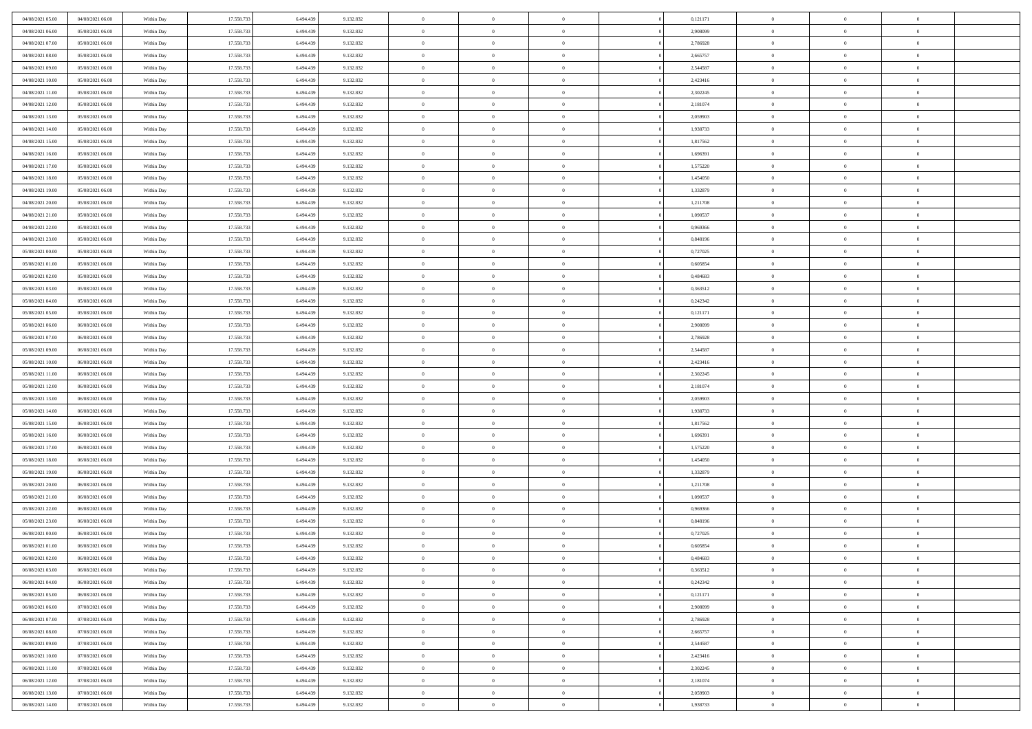| 04/08/2021 05:00                     | 04/08/2021 06:00                     | Within Day               | 17.558.733               | 6.494.439              | 9.132.832              | $\bf{0}$                   | $\overline{0}$             | $\Omega$                   | 0,121171             | $\theta$                 | $\overline{0}$ | $\overline{0}$       |  |
|--------------------------------------|--------------------------------------|--------------------------|--------------------------|------------------------|------------------------|----------------------------|----------------------------|----------------------------|----------------------|--------------------------|----------------|----------------------|--|
| 04/08/2021 06:00                     | 05/08/2021 06:00                     | Within Day               | 17.558.733               | 6.494.439              | 9.132.832              | $\overline{0}$             | $\overline{0}$             | $\overline{0}$             | 2,908099             | $\theta$                 | $\bf{0}$       | $\theta$             |  |
| 04/08/2021 07:00                     | 05/08/2021 06:00                     | Within Day               | 17.558.733               | 6.494.439              | 9.132.832              | $\,$ 0                     | $\overline{0}$             | $\bf{0}$                   | 2,786928             | $\,0\,$                  | $\overline{0}$ | $\,$ 0 $\,$          |  |
| 04/08/2021 08:00                     | 05/08/2021 06:00                     | Within Day               | 17.558.733               | 6,494,439              | 9.132.832              | $\bf{0}$                   | $\overline{0}$             | $\Omega$                   | 2,665757             | $\overline{0}$           | $\theta$       | $\theta$             |  |
| 04/08/2021 09:00                     | 05/08/2021 06:00                     | Within Dav               | 17.558.733               | 6.494.439              | 9.132.832              | $\mathbf{0}$               | $\overline{0}$             | $\overline{0}$             | 2,544587             | $\mathbf{0}$             | $\bf{0}$       | $\overline{0}$       |  |
| 04/08/2021 10:00                     | 05/08/2021 06:00                     | Within Day               | 17.558.733               | 6.494.439              | 9.132.832              | $\bf{0}$                   | $\overline{0}$             | $\bf{0}$                   | 2,423416             | $\,0\,$                  | $\overline{0}$ | $\,$ 0 $\,$          |  |
| 04/08/2021 11:00                     | 05/08/2021 06:00                     | Within Day               | 17.558.733               | 6.494.439              | 9.132.832              | $\bf{0}$                   | $\overline{0}$             | $\overline{0}$             | 2,302245             | $\bf{0}$                 | $\overline{0}$ | $\theta$             |  |
| 04/08/2021 12:00                     | 05/08/2021 06:00                     | Within Dav               | 17.558.733               | 6.494.439              | 9.132.832              | $\overline{0}$             | $\overline{0}$             | $\overline{0}$             | 2,181074             | $\mathbf{0}$             | $\overline{0}$ | $\theta$             |  |
| 04/08/2021 13:00                     | 05/08/2021 06:00                     |                          | 17.558.733               | 6.494.439              | 9.132.832              | $\bf{0}$                   | $\overline{0}$             |                            | 2,059903             | $\,0\,$                  | $\overline{0}$ | $\,$ 0 $\,$          |  |
|                                      | 05/08/2021 06:00                     | Within Day               |                          | 6,494,439              |                        | $\bf{0}$                   | $\overline{0}$             | $\bf{0}$<br>$\overline{0}$ | 1.938733             | $\theta$                 | $\overline{0}$ | $\overline{0}$       |  |
| 04/08/2021 14:00<br>04/08/2021 15:00 |                                      | Within Day               | 17.558.733<br>17.558.733 |                        | 9.132.832              | $\overline{0}$             |                            |                            |                      |                          |                | $\theta$             |  |
|                                      | 05/08/2021 06:00                     | Within Dav               |                          | 6.494.439              | 9.132.832              |                            | $\overline{0}$             | $\overline{0}$             | 1,817562             | $\mathbf{0}$             | $\bf{0}$       |                      |  |
| 04/08/2021 16:00                     | 05/08/2021 06:00                     | Within Day               | 17.558.733               | 6.494.439              | 9.132.832              | $\bf{0}$                   | $\overline{0}$             | $\bf{0}$                   | 1,696391             | $\,0\,$                  | $\overline{0}$ | $\,$ 0 $\,$          |  |
| 04/08/2021 17:00                     | 05/08/2021 06:00                     | Within Day               | 17.558.733               | 6,494,439              | 9.132.832              | $\bf{0}$                   | $\overline{0}$             | $\Omega$                   | 1,575220             | $\theta$                 | $\theta$       | $\theta$             |  |
| 04/08/2021 18:00                     | 05/08/2021 06:00                     | Within Dav               | 17.558.733               | 6.494.439              | 9.132.832              | $\overline{0}$             | $\overline{0}$             | $\overline{0}$             | 1,454050             | $\mathbf{0}$             | $\overline{0}$ | $\overline{0}$       |  |
| 04/08/2021 19:00                     | 05/08/2021 06:00                     | Within Day               | 17.558.733               | 6.494.439              | 9.132.832              | $\bf{0}$                   | $\overline{0}$             | $\bf{0}$                   | 1,332879             | $\,0\,$                  | $\overline{0}$ | $\,$ 0 $\,$          |  |
| 04/08/2021 20:00                     | 05/08/2021 06:00                     | Within Day               | 17.558.733               | 6.494.439              | 9.132.832              | $\bf{0}$                   | $\overline{0}$             | $\overline{0}$             | 1,211708             | $\theta$                 | $\overline{0}$ | $\overline{0}$       |  |
| 04/08/2021 21:00                     | 05/08/2021 06:00                     | Within Dav               | 17.558.733               | 6.494.439              | 9.132.832              | $\overline{0}$             | $\overline{0}$             | $\overline{0}$             | 1,090537             | $\overline{0}$           | $\overline{0}$ | $\theta$             |  |
| 04/08/2021 22:00                     | 05/08/2021 06:00                     | Within Day               | 17.558.733               | 6.494.439              | 9.132.832              | $\bf{0}$                   | $\overline{0}$             | $\bf{0}$                   | 0,969366             | $\,0\,$                  | $\overline{0}$ | $\,$ 0 $\,$          |  |
| 04/08/2021 23:00                     | 05/08/2021 06:00                     | Within Day               | 17.558.733               | 6,494,439              | 9.132.832              | $\bf{0}$                   | $\overline{0}$             | $\overline{0}$             | 0.848196             | $\theta$                 | $\theta$       | $\overline{0}$       |  |
| 05/08/2021 00:00                     | 05/08/2021 06:00                     | Within Dav               | 17.558.733               | 6.494.439              | 9.132.832              | $\overline{0}$             | $\overline{0}$             | $\overline{0}$             | 0,727025             | $\overline{0}$           | $\overline{0}$ | $\theta$             |  |
| 05/08/2021 01:00                     | 05/08/2021 06:00                     | Within Day               | 17.558.733               | 6.494.439              | 9.132.832              | $\bf{0}$                   | $\overline{0}$             | $\bf{0}$                   | 0,605854             | $\,0\,$                  | $\overline{0}$ | $\,$ 0 $\,$          |  |
| 05/08/2021 02:00                     | 05/08/2021 06:00                     | Within Day               | 17.558.733               | 6,494,439              | 9.132.832              | $\bf{0}$                   | $\overline{0}$             | $\Omega$                   | 0.484683             | $\overline{0}$           | $\theta$       | $\theta$             |  |
| 05/08/2021 03:00                     | 05/08/2021 06:00                     | Within Dav               | 17.558.733               | 6.494.439              | 9.132.832              | $\overline{0}$             | $\overline{0}$             | $\overline{0}$             | 0,363512             | $\overline{0}$           | $\overline{0}$ | $\overline{0}$       |  |
| 05/08/2021 04:00                     | 05/08/2021 06:00                     | Within Day               | 17.558.733               | 6.494.439              | 9.132.832              | $\bf{0}$                   | $\overline{0}$             | $\bf{0}$                   | 0,242342             | $\,0\,$                  | $\overline{0}$ | $\,$ 0 $\,$          |  |
| 05/08/2021 05:00                     | 05/08/2021 06:00                     | Within Day               | 17.558.733               | 6.494.439              | 9.132.832              | $\bf{0}$                   | $\overline{0}$             | $\overline{0}$             | 0,121171             | $\bf{0}$                 | $\overline{0}$ | $\overline{0}$       |  |
| 05/08/2021 06:00                     | 06/08/2021 06:00                     | Within Day               | 17.558.733               | 6.494.439              | 9.132.832              | $\overline{0}$             | $\overline{0}$             | $\overline{0}$             | 2,908099             | $\overline{0}$           | $\overline{0}$ | $\theta$             |  |
| 05/08/2021 07:00                     | 06/08/2021 06:00                     | Within Day               | 17.558.733               | 6.494.439              | 9.132.832              | $\bf{0}$                   | $\overline{0}$             | $\bf{0}$                   | 2,786928             | $\,0\,$                  | $\overline{0}$ | $\,$ 0 $\,$          |  |
| 05/08/2021 09:00                     | 06/08/2021 06:00                     | Within Day               | 17.558.733               | 6,494,439              | 9.132.832              | $\bf{0}$                   | $\overline{0}$             | $\overline{0}$             | 2.544587             | $\theta$                 | $\theta$       | $\overline{0}$       |  |
| 05/08/2021 10:00                     | 06/08/2021 06:00                     | Within Dav               | 17.558.733               | 6.494.439              | 9.132.832              | $\overline{0}$             | $\overline{0}$             | $\overline{0}$             | 2,423416             | $\overline{0}$           | $\bf{0}$       | $\overline{0}$       |  |
| 05/08/2021 11:00                     | 06/08/2021 06:00                     | Within Day               | 17.558.733               | 6.494.439              | 9.132.832              | $\bf{0}$                   | $\overline{0}$             | $\bf{0}$                   | 2,302245             | $\,0\,$                  | $\overline{0}$ | $\,$ 0 $\,$          |  |
| 05/08/2021 12:00                     | 06/08/2021 06:00                     | Within Day               | 17.558.733               | 6.494.439              | 9.132.832              | $\bf{0}$                   | $\overline{0}$             | $\overline{0}$             | 2,181074             | $\bf{0}$                 | $\overline{0}$ | $\theta$             |  |
| 05/08/2021 13:00                     | 06/08/2021 06:00                     | Within Dav               | 17.558.733               | 6.494.439              | 9.132.832              | $\overline{0}$             | $\overline{0}$             | $\overline{0}$             | 2,059903             | $\overline{0}$           | $\overline{0}$ | $\overline{0}$       |  |
| 05/08/2021 14:00                     | 06/08/2021 06:00                     | Within Day               | 17.558.733               | 6.494.439              | 9.132.832              | $\bf{0}$                   | $\overline{0}$             | $\bf{0}$                   | 1,938733             | $\,0\,$                  | $\overline{0}$ | $\,$ 0 $\,$          |  |
| 05/08/2021 15:00                     | 06/08/2021 06:00                     | Within Day               | 17.558.733               | 6.494.439              | 9.132.832              | $\bf{0}$                   | $\overline{0}$             | $\bf{0}$                   | 1,817562             | $\bf{0}$                 | $\overline{0}$ | $\bf{0}$             |  |
| 05/08/2021 16:00                     | 06/08/2021 06:00                     | Within Dav               | 17.558.733               | 6.494.439              | 9.132.832              | $\overline{0}$             | $\overline{0}$             | $\overline{0}$             | 1,696391             | $\mathbf{0}$             | $\overline{0}$ | $\theta$             |  |
| 05/08/2021 17:00                     | 06/08/2021 06:00                     | Within Day               | 17.558.733               | 6.494.439              | 9.132.832              | $\bf{0}$                   | $\overline{0}$             | $\bf{0}$                   | 1,575220             | $\,0\,$                  | $\overline{0}$ | $\,$ 0 $\,$          |  |
| 05/08/2021 18:00                     | 06/08/2021 06:00                     | Within Day               | 17.558.733               | 6.494.439              | 9.132.832              | $\bf{0}$                   | $\bf{0}$                   | $\overline{0}$             | 1,454050             | $\bf{0}$                 | $\overline{0}$ | $\theta$             |  |
| 05/08/2021 19:00                     | 06/08/2021 06:00                     | Within Dav               | 17.558.733               | 6.494.439              | 9.132.832              | $\overline{0}$             | $\overline{0}$             | $\overline{0}$             | 1,332879             | $\mathbf{0}$             | $\bf{0}$       | $\overline{0}$       |  |
| 05/08/2021 20:00                     | 06/08/2021 06:00                     | Within Day               | 17.558.733               | 6.494.439              | 9.132.832              | $\bf{0}$                   | $\overline{0}$             | $\bf{0}$                   | 1,211708             | $\,0\,$                  | $\overline{0}$ | $\,$ 0 $\,$          |  |
|                                      |                                      |                          |                          |                        |                        |                            |                            | $\overline{0}$             |                      |                          | $\overline{0}$ | $\theta$             |  |
| 05/08/2021 21:00<br>05/08/2021 22:00 | 06/08/2021 06:00<br>06/08/2021 06:00 | Within Day<br>Within Dav | 17.558.733<br>17.558.733 | 6.494.439<br>6.494.439 | 9.132.832<br>9.132.832 | $\bf{0}$<br>$\overline{0}$ | $\bf{0}$<br>$\overline{0}$ | $\overline{0}$             | 1,090537<br>0,969366 | $\bf{0}$<br>$\mathbf{0}$ | $\overline{0}$ | $\theta$             |  |
|                                      |                                      |                          |                          |                        |                        | $\bf{0}$                   | $\overline{0}$             |                            |                      | $\,0\,$                  | $\overline{0}$ | $\theta$             |  |
| 05/08/2021 23:00                     | 06/08/2021 06:00                     | Within Day               | 17.558.733               | 6.494.439              | 9.132.832              |                            |                            | $\bf{0}$                   | 0,848196             |                          |                |                      |  |
| 06/08/2021 00:00                     | 06/08/2021 06:00                     | Within Day               | 17.558.733               | 6.494.439              | 9.132.832              | $\bf{0}$<br>$\mathbf{0}$   | $\bf{0}$                   | $\bf{0}$                   | 0,727025             | $\bf{0}$<br>$\theta$     | $\overline{0}$ | $\bf{0}$<br>$\theta$ |  |
| 06/08/2021 01:00                     | 06/08/2021 06:00                     | Within Dav               | 17.558.733               | 6.494.439              | 9.132.832              |                            | $\overline{0}$             | $\overline{0}$             | 0,605854             |                          | $\bf{0}$       |                      |  |
| 06/08/2021 02:00                     | 06/08/2021 06:00                     | Within Day               | 17.558.733               | 6.494.439              | 9.132.832              | $\bf{0}$                   | $\overline{0}$             | $\overline{0}$             | 0,484683             | $\bf{0}$                 | $\overline{0}$ | $\theta$             |  |
| 06/08/2021 03:00                     | 06/08/2021 06:00                     | Within Day               | 17.558.733               | 6.494.439              | 9.132.832              | $\bf{0}$                   | $\bf{0}$                   | $\bf{0}$                   | 0,363512             | $\bf{0}$                 | $\overline{0}$ | $\bf{0}$             |  |
| 06/08/2021 04:00                     | 06/08/2021 06:00                     | Within Day               | 17.558.733               | 6.494.439              | 9.132.832              | $\overline{0}$             | $\overline{0}$             | $\overline{0}$             | 0,242342             | $\overline{0}$           | $\overline{0}$ | $\overline{0}$       |  |
| 06/08/2021 05:00                     | 06/08/2021 06:00                     | Within Day               | 17.558.733               | 6.494.439              | 9.132.832              | $\,$ 0 $\,$                | $\overline{0}$             | $\overline{0}$             | 0,121171             | $\,$ 0 $\,$              | $\,$ 0 $\,$    | $\,0\,$              |  |
| 06/08/2021 06:00                     | 07/08/2021 06:00                     | Within Day               | 17.558.733               | 6.494.439              | 9.132.832              | $\bf{0}$                   | $\bf{0}$                   | $\overline{0}$             | 2,908099             | $\mathbf{0}$             | $\overline{0}$ | $\bf{0}$             |  |
| 06/08/2021 07:00                     | 07/08/2021 06:00                     | Within Day               | 17.558.733               | 6.494.439              | 9.132.832              | $\,$ 0 $\,$                | $\overline{0}$             | $\overline{0}$             | 2,786928             | $\mathbf{0}$             | $\bf{0}$       | $\overline{0}$       |  |
| 06/08/2021 08:00                     | 07/08/2021 06:00                     | Within Day               | 17.558.733               | 6.494.439              | 9.132.832              | $\,$ 0 $\,$                | $\overline{0}$             | $\overline{0}$             | 2,665757             | $\,$ 0 $\,$              | $\bf{0}$       | $\,$ 0               |  |
| 06/08/2021 09:00                     | 07/08/2021 06:00                     | Within Day               | 17.558.733               | 6.494.439              | 9.132.832              | $\bf{0}$                   | $\overline{0}$             | $\overline{0}$             | 2,544587             | $\overline{0}$           | $\overline{0}$ | $\bf{0}$             |  |
| 06/08/2021 10:00                     | 07/08/2021 06:00                     | Within Day               | 17.558.733               | 6.494.439              | 9.132.832              | $\,$ 0 $\,$                | $\overline{0}$             | $\overline{0}$             | 2,423416             | $\overline{0}$           | $\bf{0}$       | $\overline{0}$       |  |
| 06/08/2021 11:00                     | 07/08/2021 06:00                     | Within Day               | 17.558.733               | 6.494.439              | 9.132.832              | $\,$ 0 $\,$                | $\overline{0}$             | $\overline{0}$             | 2,302245             | $\,$ 0 $\,$              | $\,$ 0 $\,$    | $\,$ 0               |  |
| 06/08/2021 12:00                     | 07/08/2021 06:00                     | Within Day               | 17.558.733               | 6.494.439              | 9.132.832              | $\bf{0}$                   | $\bf{0}$                   | $\overline{0}$             | 2,181074             | $\mathbf{0}$             | $\overline{0}$ | $\bf{0}$             |  |
| 06/08/2021 13:00                     | 07/08/2021 06:00                     | Within Day               | 17.558.733               | 6.494.439              | 9.132.832              | $\overline{0}$             | $\overline{0}$             | $\overline{0}$             | 2,059903             | $\overline{0}$           | $\overline{0}$ | $\overline{0}$       |  |
| 06/08/2021 14:00                     | 07/08/2021 06:00                     | Within Day               | 17.558.733               | 6.494.439              | 9.132.832              | $\,0\,$                    | $\overline{0}$             | $\overline{0}$             | 1,938733             | $\,0\,$                  | $\overline{0}$ | $\,0\,$              |  |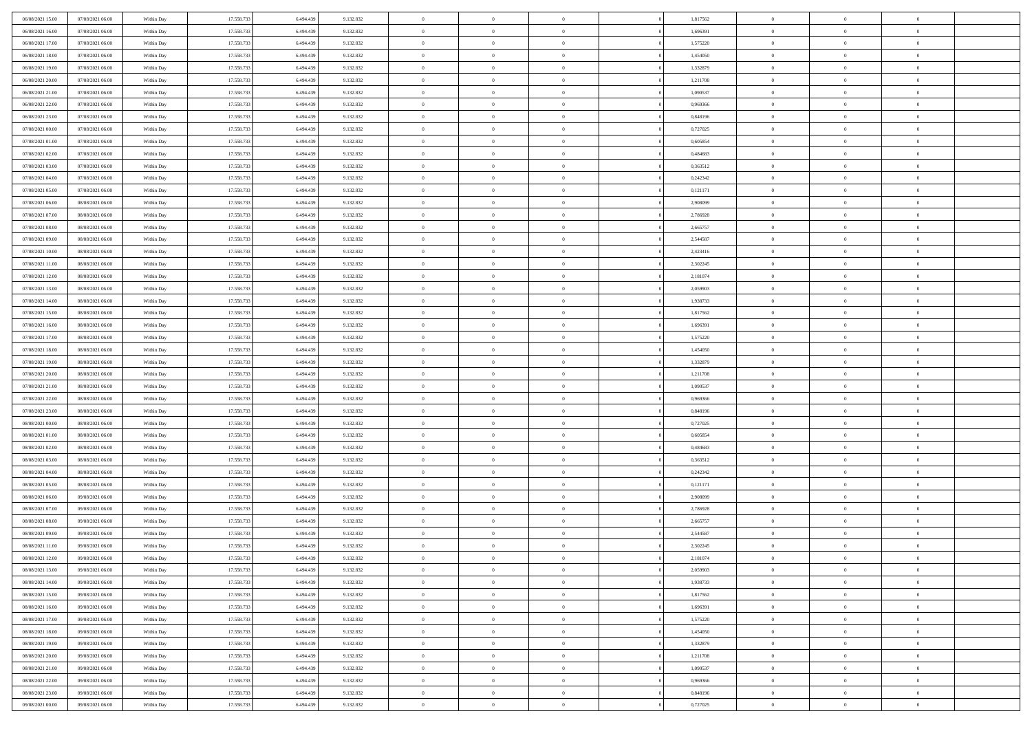| 06/08/2021 15:00 | 07/08/2021 06:00 | Within Day               | 17.558.733 | 6.494.439 | 9.132.832              | $\bf{0}$       | $\bf{0}$       | $\overline{0}$ |          | 1,817562 | $\bf{0}$       | $\overline{0}$ | $\,0\,$        |  |
|------------------|------------------|--------------------------|------------|-----------|------------------------|----------------|----------------|----------------|----------|----------|----------------|----------------|----------------|--|
| 06/08/2021 16:00 | 07/08/2021 06:00 | Within Day               | 17.558.733 | 6,494,439 | 9.132.832              | $\overline{0}$ | $\overline{0}$ | $\overline{0}$ |          | 1,696391 | $\overline{0}$ | $\overline{0}$ | $\theta$       |  |
| 06/08/2021 17:00 | 07/08/2021 06:00 | Within Dav               | 17.558.733 | 6.494.439 | 9.132.832              | $\mathbf{0}$   | $\overline{0}$ | $\overline{0}$ |          | 1,575220 | $\mathbf{0}$   | $\overline{0}$ | $\overline{0}$ |  |
| 06/08/2021 18:00 | 07/08/2021 06:00 | Within Day               | 17.558.733 | 6.494.439 | 9.132.832              | $\bf{0}$       | $\overline{0}$ | $\bf{0}$       |          | 1,454050 | $\bf{0}$       | $\overline{0}$ | $\bf{0}$       |  |
| 06/08/2021 19:00 | 07/08/2021 06:00 | Within Day               | 17.558.733 | 6,494,439 | 9.132.832              | $\bf{0}$       | $\bf{0}$       | $\overline{0}$ |          | 1,332879 | $\bf{0}$       | $\bf{0}$       | $\,0\,$        |  |
| 06/08/2021 20:00 | 07/08/2021 06:00 | Within Dav               | 17.558.733 | 6.494.439 | 9.132.832              | $\mathbf{0}$   | $\overline{0}$ | $\overline{0}$ |          | 1,211708 | $\mathbf{0}$   | $\overline{0}$ | $\overline{0}$ |  |
|                  |                  |                          |            |           |                        |                |                |                |          |          |                |                |                |  |
| 06/08/2021 21:00 | 07/08/2021 06:00 | Within Day               | 17.558.733 | 6.494.439 | 9.132.832              | $\bf{0}$       | $\bf{0}$       | $\overline{0}$ |          | 1,090537 | $\bf{0}$       | $\overline{0}$ | $\,0\,$        |  |
| 06/08/2021 22:00 | 07/08/2021 06:00 | Within Day               | 17.558.733 | 6,494,439 | 9.132.832              | $\overline{0}$ | $\overline{0}$ | $\overline{0}$ |          | 0.969366 | $\,$ 0 $\,$    | $\overline{0}$ | $\theta$       |  |
| 06/08/2021 23:00 | 07/08/2021 06:00 | Within Day               | 17.558.733 | 6.494.439 | 9.132.832              | $\mathbf{0}$   | $\overline{0}$ | $\overline{0}$ |          | 0,848196 | $\mathbf{0}$   | $\overline{0}$ | $\overline{0}$ |  |
| 07/08/2021 00:00 | 07/08/2021 06:00 | Within Day               | 17.558.733 | 6.494.439 | 9.132.832              | $\bf{0}$       | $\bf{0}$       | $\overline{0}$ |          | 0,727025 | $\bf{0}$       | $\overline{0}$ | $\,0\,$        |  |
| 07/08/2021 01:00 | 07/08/2021 06:00 | Within Day               | 17.558.733 | 6,494,439 | 9.132.832              | $\overline{0}$ | $\overline{0}$ | $\overline{0}$ |          | 0.605854 | $\bf{0}$       | $\overline{0}$ | $\theta$       |  |
| 07/08/2021 02:00 | 07/08/2021 06:00 | Within Dav               | 17.558.733 | 6.494.439 | 9.132.832              | $\mathbf{0}$   | $\overline{0}$ | $\overline{0}$ |          | 0,484683 | $\mathbf{0}$   | $\overline{0}$ | $\overline{0}$ |  |
| 07/08/2021 03:00 | 07/08/2021 06:00 | Within Day               | 17.558.733 | 6.494.439 | 9.132.832              | $\bf{0}$       | $\overline{0}$ | $\bf{0}$       |          | 0,363512 | $\bf{0}$       | $\overline{0}$ | $\overline{0}$ |  |
| 07/08/2021 04:00 | 07/08/2021 06:00 | Within Day               | 17.558.733 | 6.494.439 | 9.132.832              | $\bf{0}$       | $\overline{0}$ | $\overline{0}$ |          | 0,242342 | $\bf{0}$       | $\mathbf{0}$   | $\,0\,$        |  |
| 07/08/2021 05:00 | 07/08/2021 06:00 | Within Dav               | 17.558.733 | 6.494.439 | 9.132.832              | $\mathbf{0}$   | $\overline{0}$ | $\overline{0}$ |          | 0,121171 | $\mathbf{0}$   | $\overline{0}$ | $\overline{0}$ |  |
| 07/08/2021 06:00 | 08/08/2021 06:00 | Within Day               | 17.558.733 | 6.494.439 | 9.132.832              | $\bf{0}$       | $\bf{0}$       | $\overline{0}$ |          | 2,908099 | $\bf{0}$       | $\overline{0}$ | $\bf{0}$       |  |
| 07/08/2021 07:00 | 08/08/2021 06:00 | Within Day               | 17.558.733 | 6,494,439 | 9.132.832              | $\overline{0}$ | $\overline{0}$ | $\overline{0}$ |          | 2,786928 | $\bf{0}$       | $\overline{0}$ | $\theta$       |  |
| 07/08/2021 08:00 | 08/08/2021 06:00 | Within Day               | 17.558.733 | 6.494.439 | 9.132.832              | $\mathbf{0}$   | $\overline{0}$ | $\overline{0}$ |          | 2,665757 | $\mathbf{0}$   | $\overline{0}$ | $\overline{0}$ |  |
| 07/08/2021 09:00 | 08/08/2021 06:00 | Within Day               | 17.558.733 | 6.494.439 | 9.132.832              | $\bf{0}$       | $\bf{0}$       | $\overline{0}$ |          | 2,544587 | $\bf{0}$       | $\overline{0}$ | $\,0\,$        |  |
| 07/08/2021 10:00 | 08/08/2021 06:00 | Within Day               | 17.558.733 | 6.494.439 | 9.132.832              | $\overline{0}$ | $\overline{0}$ | $\overline{0}$ |          | 2,423416 | $\bf{0}$       | $\overline{0}$ | $\overline{0}$ |  |
| 07/08/2021 11:00 | 08/08/2021 06:00 | Within Dav               | 17.558.733 | 6.494.439 | 9.132.832              | $\mathbf{0}$   | $\overline{0}$ | $\overline{0}$ |          | 2,302245 | $\mathbf{0}$   | $\overline{0}$ | $\overline{0}$ |  |
| 07/08/2021 12:00 | 08/08/2021 06:00 | Within Day               | 17.558.733 | 6.494.439 | 9.132.832              | $\bf{0}$       | $\overline{0}$ | $\bf{0}$       |          | 2,181074 | $\bf{0}$       | $\overline{0}$ | $\bf{0}$       |  |
| 07/08/2021 13:00 | 08/08/2021 06:00 | Within Day               | 17.558.733 | 6,494,439 | 9.132.832              | $\bf{0}$       | $\bf{0}$       | $\overline{0}$ |          | 2,059903 | $\bf{0}$       | $\bf{0}$       | $\,0\,$        |  |
| 07/08/2021 14:00 | 08/08/2021 06:00 | Within Dav               | 17.558.733 | 6.494.439 | 9.132.832              | $\mathbf{0}$   | $\overline{0}$ | $\overline{0}$ |          | 1,938733 | $\mathbf{0}$   | $\overline{0}$ | $\overline{0}$ |  |
| 07/08/2021 15:00 | 08/08/2021 06:00 | Within Day               | 17.558.733 | 6.494.439 | 9.132.832              | $\bf{0}$       | $\bf{0}$       | $\overline{0}$ |          | 1,817562 | $\bf{0}$       | $\overline{0}$ | $\,0\,$        |  |
| 07/08/2021 16:00 | 08/08/2021 06:00 | Within Day               | 17.558.733 | 6,494,439 | 9.132.832              | $\overline{0}$ | $\overline{0}$ | $\overline{0}$ |          | 1,696391 | $\bf{0}$       | $\overline{0}$ | $\overline{0}$ |  |
| 07/08/2021 17:00 | 08/08/2021 06:00 | Within Day               | 17.558.733 | 6.494.439 | 9.132.832              | $\mathbf{0}$   | $\overline{0}$ | $\overline{0}$ |          | 1,575220 | $\mathbf{0}$   | $\overline{0}$ | $\overline{0}$ |  |
| 07/08/2021 18:00 | 08/08/2021 06:00 | Within Day               | 17.558.733 | 6.494.439 | 9.132.832              | $\bf{0}$       | $\bf{0}$       | $\overline{0}$ |          | 1,454050 | $\bf{0}$       | $\overline{0}$ | $\,0\,$        |  |
| 07/08/2021 19:00 | 08/08/2021 06:00 |                          | 17.558.733 | 6,494,439 |                        | $\bf{0}$       | $\bf{0}$       | $\overline{0}$ |          | 1,332879 | $\bf{0}$       | $\bf{0}$       | $\overline{0}$ |  |
| 07/08/2021 20:00 | 08/08/2021 06:00 | Within Day<br>Within Dav | 17.558.733 | 6.494.439 | 9.132.832<br>9.132.832 | $\mathbf{0}$   | $\overline{0}$ | $\overline{0}$ |          | 1,211708 | $\mathbf{0}$   | $\overline{0}$ | $\overline{0}$ |  |
|                  |                  |                          |            |           |                        |                |                |                |          |          |                |                |                |  |
| 07/08/2021 21:00 | 08/08/2021 06:00 | Within Day               | 17.558.733 | 6.494.439 | 9.132.832              | $\bf{0}$       | $\overline{0}$ | $\theta$       |          | 1,090537 | $\,$ 0         | $\overline{0}$ | $\theta$       |  |
| 07/08/2021 22:00 | 08/08/2021 06:00 | Within Day               | 17.558.733 | 6.494.439 | 9.132.832              | $\bf{0}$       | $\bf{0}$       | $\overline{0}$ |          | 0,969366 | $\bf{0}$       | $\mathbf{0}$   | $\overline{0}$ |  |
| 07/08/2021 23:00 | 08/08/2021 06:00 | Within Dav               | 17.558.733 | 6.494.439 | 9.132.832              | $\mathbf{0}$   | $\overline{0}$ | $\overline{0}$ |          | 0,848196 | $\mathbf{0}$   | $\overline{0}$ | $\overline{0}$ |  |
| 08/08/2021 00:00 | 08/08/2021 06:00 | Within Day               | 17.558.733 | 6.494.439 | 9.132.832              | $\bf{0}$       | $\overline{0}$ | $\theta$       |          | 0,727025 | $\,$ 0         | $\overline{0}$ | $\theta$       |  |
| 08/08/2021 01:00 | 08/08/2021 06:00 | Within Day               | 17.558.733 | 6,494,439 | 9.132.832              | $\overline{0}$ | $\overline{0}$ | $\overline{0}$ |          | 0.605854 | $\bf{0}$       | $\overline{0}$ | $\overline{0}$ |  |
| 08/08/2021 02:00 | 08/08/2021 06:00 | Within Day               | 17.558.733 | 6.494.439 | 9.132.832              | $\mathbf{0}$   | $\overline{0}$ | $\overline{0}$ |          | 0,484683 | $\mathbf{0}$   | $\overline{0}$ | $\overline{0}$ |  |
| 08/08/2021 03:00 | 08/08/2021 06:00 | Within Day               | 17.558.733 | 6.494.439 | 9.132.832              | $\bf{0}$       | $\overline{0}$ | $\theta$       |          | 0,363512 | $\,$ 0         | $\overline{0}$ | $\theta$       |  |
| 08/08/2021 04:00 | 08/08/2021 06:00 | Within Day               | 17.558.733 | 6,494,439 | 9.132.832              | $\bf{0}$       | $\overline{0}$ | $\overline{0}$ |          | 0,242342 | $\bf{0}$       | $\mathbf{0}$   | $\bf{0}$       |  |
| 08/08/2021 05:00 | 08/08/2021 06:00 | Within Dav               | 17.558.733 | 6.494.439 | 9.132.832              | $\mathbf{0}$   | $\overline{0}$ | $\overline{0}$ |          | 0,121171 | $\mathbf{0}$   | $\overline{0}$ | $\overline{0}$ |  |
| 08/08/2021 06:00 | 09/08/2021 06:00 | Within Day               | 17.558.733 | 6.494.439 | 9.132.832              | $\,0\,$        | $\overline{0}$ | $\theta$       |          | 2,908099 | $\,$ 0         | $\overline{0}$ | $\theta$       |  |
| 08/08/2021 07:00 | 09/08/2021 06:00 | Within Day               | 17.558.733 | 6.494.439 | 9.132.832              | $\bf{0}$       | $\bf{0}$       | $\overline{0}$ |          | 2,786928 | $\bf{0}$       | $\overline{0}$ | $\bf{0}$       |  |
| 08/08/2021 08:00 | 09/08/2021 06:00 | Within Dav               | 17.558.733 | 6.494.439 | 9.132.832              | $\mathbf{0}$   | $\overline{0}$ | $\overline{0}$ |          | 2,665757 | $\mathbf{0}$   | $\overline{0}$ | $\overline{0}$ |  |
| 08/08/2021 09:00 | 09/08/2021 06:00 | Within Day               | 17.558.733 | 6.494.439 | 9.132.832              | $\bf{0}$       | $\overline{0}$ | $\theta$       |          | 2,544587 | $\,$ 0         | $\overline{0}$ | $\theta$       |  |
| 08/08/2021 11:00 | 09/08/2021 06:00 | Within Day               | 17.558.733 | 6.494.439 | 9.132.832              | $\bf{0}$       | $\overline{0}$ | $\overline{0}$ |          | 2,302245 | $\,$ 0 $\,$    | $\overline{0}$ | $\bf{0}$       |  |
| 08/08/2021 12:00 | 09/08/2021 06:00 | Within Day               | 17.558.733 | 6.494.439 | 9.132.832              | $\bf{0}$       | $\overline{0}$ | $\Omega$       |          | 2,181074 | $\overline{0}$ | $\theta$       | $\theta$       |  |
| 08/08/2021 13:00 | 09/08/2021 06:00 | Within Day               | 17.558.733 | 6.494.439 | 9.132.832              | $\,0\,$        | $\overline{0}$ | $\theta$       |          | 2,059903 | $\,$ 0 $\,$    | $\bf{0}$       | $\theta$       |  |
| 08/08/2021 14:00 | 09/08/2021 06:00 | Within Day               | 17.558.733 | 6.494.439 | 9.132.832              | $\overline{0}$ | $\overline{0}$ | $\overline{0}$ |          | 1,938733 | $\overline{0}$ | $\overline{0}$ | $\overline{0}$ |  |
| 08/08/2021 15:00 | 09/08/2021 06:00 | Within Day               | 17.558.733 | 6.494.439 | 9.132.832              | $\bf{0}$       | $\overline{0}$ | $\overline{0}$ |          | 1,817562 | $\overline{0}$ | $\bf{0}$       | $\mathbf{0}$   |  |
| 08/08/2021 16:00 | 09/08/2021 06:00 | Within Day               | 17.558.733 | 6.494.439 | 9.132.832              | $\bf{0}$       | $\overline{0}$ | $\overline{0}$ | $\theta$ | 1,696391 | $\,$ 0 $\,$    | $\bf{0}$       | $\,$ 0 $\,$    |  |
| 08/08/2021 17:00 | 09/08/2021 06:00 | Within Day               | 17.558.733 | 6.494.439 | 9.132.832              | $\bf{0}$       | $\overline{0}$ | $\overline{0}$ |          | 1,575220 | $\,$ 0 $\,$    | $\overline{0}$ | $\overline{0}$ |  |
| 08/08/2021 18:00 | 09/08/2021 06:00 | Within Day               | 17.558.733 | 6.494.439 | 9.132.832              | $\bf{0}$       | $\overline{0}$ | $\overline{0}$ |          | 1,454050 | $\mathbf{0}$   | $\overline{0}$ | $\overline{0}$ |  |
| 08/08/2021 19:00 | 09/08/2021 06:00 | Within Day               | 17.558.733 | 6.494.439 | 9.132.832              | $\,0\,$        | $\overline{0}$ | $\overline{0}$ | $\theta$ | 1,332879 | $\,$ 0 $\,$    | $\overline{0}$ | $\overline{0}$ |  |
| 08/08/2021 20:00 | 09/08/2021 06:00 | Within Day               | 17.558.733 | 6.494.439 | 9.132.832              | $\bf{0}$       | $\overline{0}$ | $\overline{0}$ |          | 1,211708 | $\overline{0}$ | $\overline{0}$ | $\overline{0}$ |  |
| 08/08/2021 21:00 | 09/08/2021 06:00 | Within Day               | 17.558.733 | 6.494.439 | 9.132.832              | $\bf{0}$       | $\overline{0}$ | $\overline{0}$ |          | 1,090537 | $\mathbf{0}$   | $\overline{0}$ | $\overline{0}$ |  |
| 08/08/2021 22:00 | 09/08/2021 06:00 | Within Day               | 17.558.733 | 6.494.439 | 9.132.832              | $\,0\,$        | $\overline{0}$ | $\overline{0}$ |          | 0,969366 | $\,$ 0 $\,$    | $\mathbf{0}$   | $\overline{0}$ |  |
| 08/08/2021 23:00 | 09/08/2021 06:00 | Within Day               | 17.558.733 | 6.494.439 | 9.132.832              | $\bf{0}$       | $\overline{0}$ | $\overline{0}$ |          | 0.848196 | $\bf{0}$       | $\mathbf{0}$   | $\overline{0}$ |  |
| 09/08/2021 00:00 | 09/08/2021 06:00 | Within Day               | 17.558.733 | 6.494.439 | 9.132.832              | $\bf{0}$       | $\overline{0}$ | $\overline{0}$ |          | 0,727025 | $\mathbf{0}$   | $\overline{0}$ | $\overline{0}$ |  |
|                  |                  |                          |            |           |                        |                |                |                |          |          |                |                |                |  |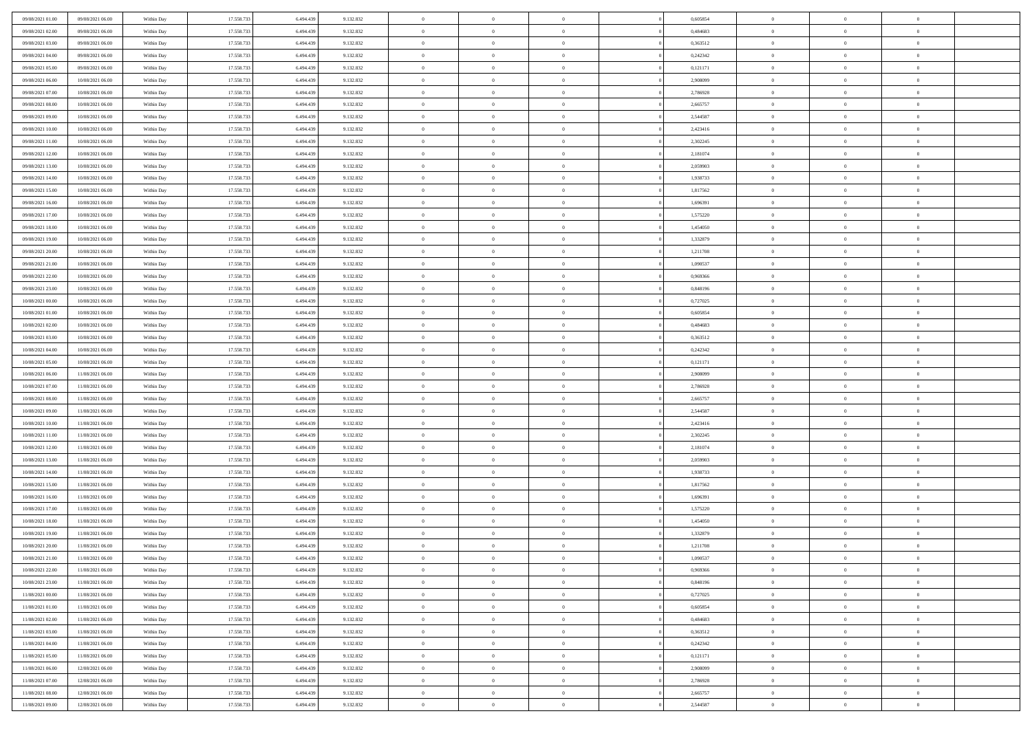| 09/08/2021 01:00<br>09/08/2021 06:00                     | Within Day | 17.558.733               | 6.494.439              | 9.132.832 | $\overline{0}$ | $\overline{0}$ | $\Omega$             | 0,605854 | $\bf{0}$       | $\mathbf{0}$   | $\bf{0}$       |  |
|----------------------------------------------------------|------------|--------------------------|------------------------|-----------|----------------|----------------|----------------------|----------|----------------|----------------|----------------|--|
| 09/08/2021 02:00<br>09/08/2021 06:00                     | Within Day | 17.558.733               | 6.494.439              | 9.132.832 | $\mathbf{0}$   | $\overline{0}$ | $\overline{0}$       | 0,484683 | $\overline{0}$ | $\overline{0}$ | $\theta$       |  |
| 09/08/2021 03:00<br>09/08/2021 06:00                     | Within Day | 17.558.733               | 6.494.439              | 9.132.832 | $\,$ 0         | $\overline{0}$ | $\bf{0}$             | 0,363512 | $\,$ 0         | $\overline{0}$ | $\,$ 0 $\,$    |  |
| 09/08/2021 04:00<br>09/08/2021 06:00                     | Within Day | 17.558.733               | 6,494,439              | 9.132.832 | $\bf{0}$       | $\overline{0}$ | $\Omega$             | 0,242342 | $\bf{0}$       | $\mathbf{0}$   | $\theta$       |  |
| 09/08/2021 05:00<br>09/08/2021 06:00                     | Within Day | 17.558.733               | 6.494.439              | 9.132.832 | $\bf{0}$       | $\overline{0}$ | $\overline{0}$       | 0,121171 | $\mathbf{0}$   | $\overline{0}$ | $\overline{0}$ |  |
| 09/08/2021 06:00<br>10/08/2021 06:00                     | Within Day | 17.558.733               | 6.494.439              | 9.132.832 | $\bf{0}$       | $\overline{0}$ | $\bf{0}$             | 2,908099 | $\,$ 0         | $\overline{0}$ | $\,$ 0 $\,$    |  |
| 09/08/2021 07:00<br>10/08/2021 06:00                     | Within Day | 17.558.733               | 6.494.439              | 9.132.832 | $\bf{0}$       | $\overline{0}$ | $\Omega$             | 2,786928 | $\theta$       | $\mathbf{0}$   | $\theta$       |  |
| 09/08/2021 08:00<br>10/08/2021 06:00                     | Within Day | 17.558.733               | 6.494.439              | 9.132.832 | $\overline{0}$ | $\overline{0}$ | $\overline{0}$       | 2,665757 | $\mathbf{0}$   | $\overline{0}$ | $\overline{0}$ |  |
|                                                          |            |                          |                        |           | $\bf{0}$       | $\overline{0}$ |                      |          | $\,$ 0         | $\overline{0}$ | $\,$ 0 $\,$    |  |
| 09/08/2021 09:00<br>10/08/2021 06:00<br>09/08/2021 10:00 | Within Day | 17.558.733<br>17.558.733 | 6.494.439<br>6,494,439 | 9.132.832 | $\bf{0}$       | $\overline{0}$ | $\bf{0}$<br>$\Omega$ | 2,544587 | $\theta$       | $\mathbf{0}$   | $\theta$       |  |
| 10/08/2021 06:00                                         | Within Day | 17.558.733               |                        | 9.132.832 | $\overline{0}$ |                |                      | 2,423416 | $\overline{0}$ |                | $\overline{0}$ |  |
| 09/08/2021 11:00<br>10/08/2021 06:00                     | Within Day |                          | 6.494.439              | 9.132.832 |                | $\overline{0}$ | $\overline{0}$       | 2,302245 |                | $\overline{0}$ |                |  |
| 09/08/2021 12:00<br>10/08/2021 06:00                     | Within Day | 17.558.733               | 6.494.439              | 9.132.832 | $\bf{0}$       | $\overline{0}$ | $\bf{0}$             | 2,181074 | $\,$ 0         | $\overline{0}$ | $\,$ 0 $\,$    |  |
| 09/08/2021 13:00<br>10/08/2021 06:00                     | Within Day | 17.558.733               | 6,494,439              | 9.132.832 | $\bf{0}$       | $\overline{0}$ | $\Omega$             | 2.059903 | $\overline{0}$ | $\mathbf{0}$   | $\theta$       |  |
| 09/08/2021 14:00<br>10/08/2021 06:00                     | Within Dav | 17.558.733               | 6.494.439              | 9.132.832 | $\overline{0}$ | $\overline{0}$ | $\overline{0}$       | 1,938733 | $\mathbf{0}$   | $\overline{0}$ | $\overline{0}$ |  |
| 09/08/2021 15:00<br>10/08/2021 06:00                     | Within Day | 17.558.733               | 6.494.439              | 9.132.832 | $\bf{0}$       | $\overline{0}$ | $\bf{0}$             | 1,817562 | $\,$ 0         | $\overline{0}$ | $\,$ 0 $\,$    |  |
| 09/08/2021 16:00<br>10/08/2021 06:00                     | Within Day | 17.558.733               | 6.494.439              | 9.132.832 | $\bf{0}$       | $\overline{0}$ | $\overline{0}$       | 1,696391 | $\theta$       | $\mathbf{0}$   | $\bf{0}$       |  |
| 09/08/2021 17:00<br>10/08/2021 06:00                     | Within Day | 17.558.733               | 6.494.439              | 9.132.832 | $\overline{0}$ | $\overline{0}$ | $\overline{0}$       | 1,575220 | $\mathbf{0}$   | $\overline{0}$ | $\overline{0}$ |  |
| 09/08/2021 18:00<br>10/08/2021 06:00                     | Within Day | 17.558.733               | 6.494.439              | 9.132.832 | $\bf{0}$       | $\overline{0}$ | $\bf{0}$             | 1,454050 | $\,$ 0         | $\overline{0}$ | $\,$ 0 $\,$    |  |
| 09/08/2021 19:00<br>10/08/2021 06:00                     | Within Day | 17.558.733               | 6.494.439              | 9.132.832 | $\bf{0}$       | $\overline{0}$ | $\Omega$             | 1,332879 | $\theta$       | $\mathbf{0}$   | $\theta$       |  |
| 09/08/2021 20:00<br>10/08/2021 06:00                     | Within Day | 17.558.733               | 6.494.439              | 9.132.832 | $\overline{0}$ | $\overline{0}$ | $\overline{0}$       | 1,211708 | $\mathbf{0}$   | $\overline{0}$ | $\overline{0}$ |  |
| 09/08/2021 21:00<br>10/08/2021 06:00                     | Within Day | 17.558.733               | 6.494.439              | 9.132.832 | $\bf{0}$       | $\overline{0}$ | $\bf{0}$             | 1,090537 | $\,$ 0         | $\overline{0}$ | $\,$ 0 $\,$    |  |
| 09/08/2021 22.00<br>10/08/2021 06:00                     | Within Day | 17.558.733               | 6,494,439              | 9.132.832 | $\bf{0}$       | $\overline{0}$ | $\Omega$             | 0.969366 | $\bf{0}$       | $\theta$       | $\theta$       |  |
| 09/08/2021 23:00<br>10/08/2021 06:00                     | Within Day | 17.558.733               | 6.494.439              | 9.132.832 | $\overline{0}$ | $\overline{0}$ | $\overline{0}$       | 0,848196 | $\mathbf{0}$   | $\overline{0}$ | $\overline{0}$ |  |
| 10/08/2021 00:00<br>10/08/2021 06:00                     | Within Day | 17.558.733               | 6.494.439              | 9.132.832 | $\bf{0}$       | $\overline{0}$ | $\bf{0}$             | 0,727025 | $\,$ 0         | $\overline{0}$ | $\,$ 0 $\,$    |  |
| 10/08/2021 01:00<br>10/08/2021 06:00                     | Within Day | 17.558.733               | 6.494.439              | 9.132.832 | $\bf{0}$       | $\overline{0}$ | $\overline{0}$       | 0.605854 | $\bf{0}$       | $\bf{0}$       | $\theta$       |  |
| 10/08/2021 02:00<br>10/08/2021 06:00                     | Within Day | 17.558.733               | 6.494.439              | 9.132.832 | $\overline{0}$ | $\overline{0}$ | $\overline{0}$       | 0,484683 | $\mathbf{0}$   | $\overline{0}$ | $\overline{0}$ |  |
| 10/08/2021 03:00<br>10/08/2021 06:00                     | Within Day | 17.558.733               | 6.494.439              | 9.132.832 | $\bf{0}$       | $\overline{0}$ | $\bf{0}$             | 0,363512 | $\,$ 0         | $\overline{0}$ | $\,$ 0 $\,$    |  |
| 10/08/2021 04:00<br>10/08/2021 06:00                     | Within Day | 17.558.733               | 6,494,439              | 9.132.832 | $\bf{0}$       | $\overline{0}$ | $\Omega$             | 0.242342 | $\theta$       | $\mathbf{0}$   | $\theta$       |  |
| 10/08/2021 05:00<br>10/08/2021 06:00                     | Within Day | 17.558.733               | 6.494.439              | 9.132.832 | $\overline{0}$ | $\overline{0}$ | $\overline{0}$       | 0,121171 | $\mathbf{0}$   | $\overline{0}$ | $\overline{0}$ |  |
| 10/08/2021 06:00<br>11/08/2021 06:00                     | Within Day | 17.558.733               | 6.494.439              | 9.132.832 | $\bf{0}$       | $\overline{0}$ | $\bf{0}$             | 2,908099 | $\,$ 0         | $\overline{0}$ | $\,$ 0 $\,$    |  |
| 10/08/2021 07:00<br>11/08/2021 06:00                     | Within Day | 17.558.733               | 6.494.439              | 9.132.832 | $\,$ 0         | $\bf{0}$       | $\overline{0}$       | 2,786928 | $\bf{0}$       | $\overline{0}$ | $\,0\,$        |  |
| 10/08/2021 08:00<br>11/08/2021 06:00                     | Within Dav | 17.558.733               | 6.494.439              | 9.132.832 | $\overline{0}$ | $\overline{0}$ | $\overline{0}$       | 2,665757 | $\mathbf{0}$   | $\overline{0}$ | $\overline{0}$ |  |
| 10/08/2021 09:00<br>11/08/2021 06:00                     | Within Day | 17.558.733               | 6.494.439              | 9.132.832 | $\bf{0}$       | $\overline{0}$ | $\bf{0}$             | 2,544587 | $\,$ 0         | $\overline{0}$ | $\,$ 0 $\,$    |  |
| 10/08/2021 10:00<br>11/08/2021 06:00                     | Within Day | 17.558.733               | 6.494.439              | 9.132.832 | $\bf{0}$       | $\bf{0}$       | $\bf{0}$             | 2,423416 | $\bf{0}$       | $\overline{0}$ | $\,0\,$        |  |
| 10/08/2021 11:00<br>11/08/2021 06:00                     | Within Day | 17.558.733               | 6.494.439              | 9.132.832 | $\overline{0}$ | $\overline{0}$ | $\overline{0}$       | 2,302245 | $\overline{0}$ | $\overline{0}$ | $\overline{0}$ |  |
| 10/08/2021 12:00<br>11/08/2021 06:00                     | Within Day | 17.558.733               | 6.494.439              | 9.132.832 | $\bf{0}$       | $\overline{0}$ | $\bf{0}$             | 2,181074 | $\,$ 0         | $\overline{0}$ | $\,$ 0 $\,$    |  |
| 10/08/2021 13:00<br>11/08/2021 06:00                     | Within Day | 17.558.733               | 6.494.439              | 9.132.832 | $\bf{0}$       | $\overline{0}$ | $\overline{0}$       | 2,059903 | $\bf{0}$       | $\overline{0}$ | $\,0\,$        |  |
| 10/08/2021 14:00<br>11/08/2021 06:00                     | Within Day | 17.558.733               | 6.494.439              | 9.132.832 | $\overline{0}$ | $\overline{0}$ | $\overline{0}$       | 1,938733 | $\mathbf{0}$   | $\overline{0}$ | $\overline{0}$ |  |
| 10/08/2021 15:00<br>11/08/2021 06:00                     | Within Day | 17.558.733               | 6.494.439              | 9.132.832 | $\bf{0}$       | $\overline{0}$ | $\bf{0}$             | 1,817562 | $\,$ 0         | $\overline{0}$ | $\,$ 0 $\,$    |  |
| 10/08/2021 16:00<br>11/08/2021 06:00                     | Within Day | 17.558.733               | 6.494.439              | 9.132.832 | $\bf{0}$       | $\overline{0}$ | $\overline{0}$       | 1,696391 | $\bf{0}$       | $\overline{0}$ | $\,0\,$        |  |
| 10/08/2021 17:00<br>11/08/2021 06:00                     | Within Dav | 17.558.733               | 6.494.439              | 9.132.832 | $\overline{0}$ | $\overline{0}$ | $\overline{0}$       | 1,575220 | $\overline{0}$ | $\overline{0}$ | $\overline{0}$ |  |
| 10/08/2021 18:00<br>11/08/2021 06:00                     | Within Day | 17.558.733               | 6.494.439              | 9.132.832 | $\bf{0}$       | $\overline{0}$ | $\bf{0}$             | 1,454050 | $\,$ 0         | $\overline{0}$ | $\,$ 0 $\,$    |  |
| 10/08/2021 19:00<br>11/08/2021 06:00                     | Within Day | 17.558.733               | 6.494.439              | 9.132.832 | $\bf{0}$       | $\overline{0}$ | $\bf{0}$             | 1,332879 | $\bf{0}$       | $\overline{0}$ | $\,0\,$        |  |
| 10/08/2021 20:00<br>11/08/2021 06:00                     | Within Dav | 17.558.733               | 6.494.439              | 9.132.832 | $\mathbf{0}$   | $\overline{0}$ | $\overline{0}$       | 1,211708 | $\overline{0}$ | $\overline{0}$ | $\overline{0}$ |  |
| 10/08/2021 21:00<br>11/08/2021 06:00                     | Within Day | 17.558.733               | 6.494.439              | 9.132.832 | $\bf{0}$       | $\overline{0}$ | $\theta$             | 1,090537 | $\overline{0}$ | $\theta$       | $\theta$       |  |
| 10/08/2021 22:00<br>11/08/2021 06:00                     | Within Day | 17.558.733               | 6.494.439              | 9.132.832 | $\bf{0}$       | $\overline{0}$ | $\bf{0}$             | 0,969366 | $\bf{0}$       | $\overline{0}$ | $\bf{0}$       |  |
| 10/08/2021 23:00<br>11/08/2021 06:00                     | Within Day | 17.558.733               | 6.494.439              | 9.132.832 | $\overline{0}$ | $\overline{0}$ | $\overline{0}$       | 0,848196 | $\overline{0}$ | $\overline{0}$ | $\overline{0}$ |  |
| 11/08/2021 00:00<br>11/08/2021 06:00                     | Within Day | 17.558.733               | 6.494.439              | 9.132.832 | $\,$ 0 $\,$    | $\overline{0}$ | $\overline{0}$       | 0,727025 | $\mathbf{0}$   | $\,$ 0 $\,$    | $\,$ 0 $\,$    |  |
| 11/08/2021 01:00<br>11/08/2021 06:00                     | Within Day | 17.558.733               | 6.494.439              | 9.132.832 | $\bf{0}$       | $\overline{0}$ | $\overline{0}$       | 0,605854 | $\bf{0}$       | $\overline{0}$ | $\bf{0}$       |  |
| 11/08/2021 02:00<br>11/08/2021 06:00                     | Within Day | 17.558.733               | 6.494.439              | 9.132.832 | $\bf{0}$       | $\overline{0}$ | $\overline{0}$       | 0,484683 | $\overline{0}$ | $\bf{0}$       | $\overline{0}$ |  |
|                                                          |            |                          |                        |           | $\,$ 0 $\,$    |                |                      |          | $\,$ 0 $\,$    | $\overline{0}$ | $\,$ 0 $\,$    |  |
| 11/08/2021 03:00<br>11/08/2021 06:00                     | Within Day | 17.558.733               | 6.494.439              | 9.132.832 |                | $\overline{0}$ | $\overline{0}$       | 0,363512 |                |                |                |  |
| 11/08/2021 04:00<br>11/08/2021 06:00                     | Within Day | 17.558.733               | 6.494.439              | 9.132.832 | $\overline{0}$ | $\overline{0}$ | $\overline{0}$       | 0,242342 | $\bf{0}$       | $\overline{0}$ | $\overline{0}$ |  |
| 11/08/2021 05:00<br>11/08/2021 06:00                     | Within Day | 17.558.733               | 6.494.439              | 9.132.832 | $\overline{0}$ | $\overline{0}$ | $\overline{0}$       | 0,121171 | $\overline{0}$ | $\bf{0}$       | $\overline{0}$ |  |
| 11/08/2021 06:00<br>12/08/2021 06:00                     | Within Day | 17.558.733               | 6.494.439              | 9.132.832 | $\,$ 0 $\,$    | $\overline{0}$ | $\overline{0}$       | 2,908099 | $\mathbf{0}$   | $\,$ 0 $\,$    | $\,$ 0 $\,$    |  |
| 11/08/2021 07:00<br>12/08/2021 06:00                     | Within Day | 17.558.733               | 6.494.439              | 9.132.832 | $\bf{0}$       | $\overline{0}$ | $\overline{0}$       | 2,786928 | $\bf{0}$       | $\overline{0}$ | $\bf{0}$       |  |
| 11/08/2021 08:00<br>12/08/2021 06:00                     | Within Day | 17.558.733               | 6.494.439              | 9.132.832 | $\bf{0}$       | $\overline{0}$ | $\overline{0}$       | 2,665757 | $\mathbf{0}$   | $\bf{0}$       | $\overline{0}$ |  |
| 11/08/2021 09:00<br>12/08/2021 06:00                     | Within Day | 17.558.733               | 6.494.439              | 9.132.832 | $\,0\,$        | $\overline{0}$ | $\overline{0}$       | 2,544587 | $\,$ 0         | $\overline{0}$ | $\,$ 0 $\,$    |  |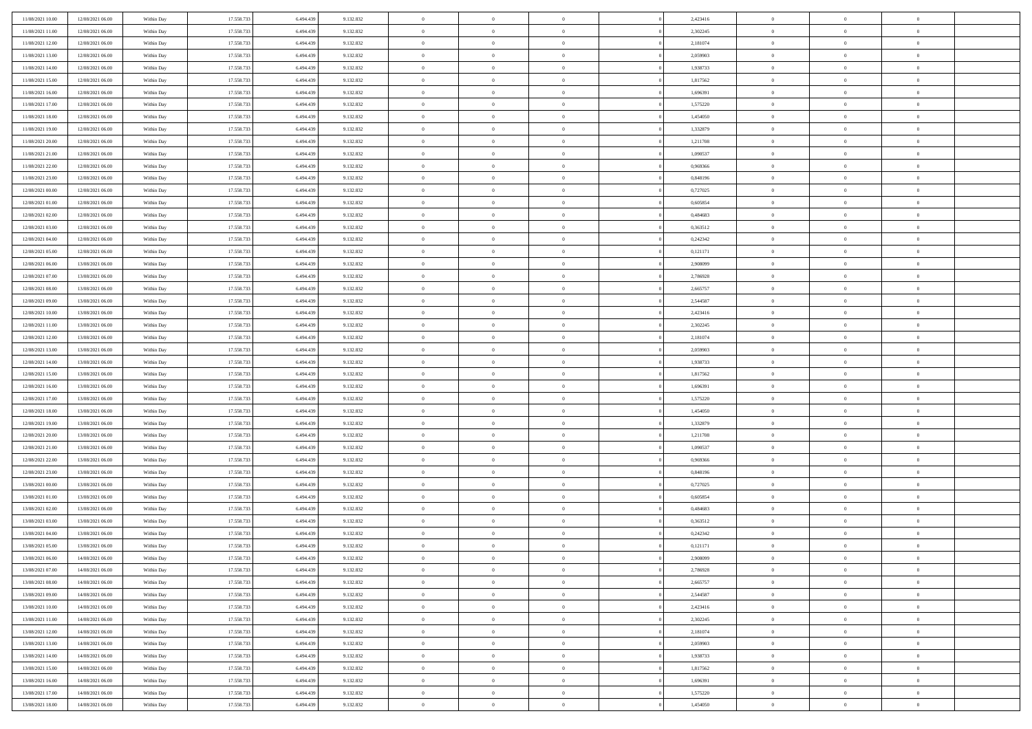| 11/08/2021 10:00 | 12/08/2021 06:00 | Within Day | 17.558.733 | 6.494.43  | 9.132.832 | $\bf{0}$       | $\overline{0}$ | $\overline{0}$ | 2,423416 | $\bf{0}$       | $\overline{0}$ | $\bf{0}$       |  |
|------------------|------------------|------------|------------|-----------|-----------|----------------|----------------|----------------|----------|----------------|----------------|----------------|--|
| 11/08/2021 11:00 | 12/08/2021 06:00 | Within Day | 17.558.733 | 6,494.43  | 9.132.832 | $\overline{0}$ | $\overline{0}$ | $\Omega$       | 2,302245 | $\overline{0}$ | $\theta$       | $\theta$       |  |
| 11/08/2021 12:00 | 12/08/2021 06:00 | Within Day | 17.558.733 | 6.494.439 | 9.132.832 | $\overline{0}$ | $\overline{0}$ | $\overline{0}$ | 2,181074 | $\mathbf{0}$   | $\overline{0}$ | $\theta$       |  |
| 11/08/2021 13:00 | 12/08/2021 06:00 | Within Day | 17.558.733 | 6.494.439 | 9.132.832 | $\bf{0}$       | $\overline{0}$ | $\overline{0}$ | 2,059903 | $\mathbf{0}$   | $\overline{0}$ | $\bf{0}$       |  |
| 11/08/2021 14:00 | 12/08/2021 06:00 | Within Day | 17.558.733 | 6.494.439 | 9.132.832 | $\bf{0}$       | $\overline{0}$ | $\overline{0}$ | 1,938733 | $\bf{0}$       | $\overline{0}$ | $\bf{0}$       |  |
|                  |                  |            |            |           |           | $\overline{0}$ |                |                |          |                |                | $\theta$       |  |
| 11/08/2021 15:00 | 12/08/2021 06:00 | Within Day | 17.558.733 | 6.494.439 | 9.132.832 |                | $\overline{0}$ | $\overline{0}$ | 1,817562 | $\mathbf{0}$   | $\overline{0}$ |                |  |
| 11/08/2021 16:00 | 12/08/2021 06:00 | Within Day | 17.558.733 | 6.494.439 | 9.132.832 | $\bf{0}$       | $\overline{0}$ | $\overline{0}$ | 1,696391 | $\bf{0}$       | $\overline{0}$ | $\bf{0}$       |  |
| 11/08/2021 17:00 | 12/08/2021 06:00 | Within Day | 17.558.733 | 6.494.43  | 9.132.832 | $\overline{0}$ | $\overline{0}$ | $\overline{0}$ | 1,575220 | $\mathbf{0}$   | $\theta$       | $\theta$       |  |
| 11/08/2021 18:00 | 12/08/2021 06:00 | Within Day | 17.558.733 | 6.494.439 | 9.132.832 | $\overline{0}$ | $\overline{0}$ | $\overline{0}$ | 1,454050 | $\mathbf{0}$   | $\overline{0}$ | $\theta$       |  |
| 11/08/2021 19:00 | 12/08/2021 06:00 | Within Day | 17.558.733 | 6.494.439 | 9.132.832 | $\bf{0}$       | $\bf{0}$       | $\Omega$       | 1,332879 | $\bf{0}$       | $\overline{0}$ | $\bf{0}$       |  |
| 11/08/2021 20:00 | 12/08/2021 06:00 | Within Day | 17.558.733 | 6.494.439 | 9.132.832 | $\bf{0}$       | $\overline{0}$ | $\overline{0}$ | 1,211708 | $\mathbf{0}$   | $\theta$       | $\overline{0}$ |  |
| 11/08/2021 21:00 | 12/08/2021 06:00 | Within Day | 17.558.733 | 6.494.439 | 9.132.832 | $\overline{0}$ | $\overline{0}$ | $\overline{0}$ | 1,090537 | $\mathbf{0}$   | $\overline{0}$ | $\theta$       |  |
| 11/08/2021 22:00 | 12/08/2021 06:00 | Within Day | 17.558.733 | 6.494.439 | 9.132.832 | $\bf{0}$       | $\overline{0}$ | $\overline{0}$ | 0,969366 | $\mathbf{0}$   | $\overline{0}$ | $\bf{0}$       |  |
| 11/08/2021 23:00 | 12/08/2021 06:00 | Within Day | 17.558.733 | 6.494.439 | 9.132.832 | $\bf{0}$       | $\overline{0}$ | $\overline{0}$ | 0,848196 | $\bf{0}$       | $\theta$       | $\bf{0}$       |  |
| 12/08/2021 00:00 | 12/08/2021 06:00 | Within Day | 17.558.733 | 6.494.439 | 9.132.832 | $\overline{0}$ | $\overline{0}$ | $\overline{0}$ | 0,727025 | $\mathbf{0}$   | $\overline{0}$ | $\theta$       |  |
| 12/08/2021 01:00 | 12/08/2021 06:00 | Within Day | 17.558.733 | 6.494.439 | 9.132.832 | $\bf{0}$       | $\overline{0}$ | $\Omega$       | 0,605854 | $\bf{0}$       | $\overline{0}$ | $\bf{0}$       |  |
| 12/08/2021 02:00 | 12/08/2021 06:00 | Within Day | 17.558.733 | 6.494.43  | 9.132.832 | $\,$ 0 $\,$    | $\overline{0}$ | $\overline{0}$ | 0.484683 | $\mathbf{0}$   | $\theta$       | $\theta$       |  |
| 12/08/2021 03:00 | 12/08/2021 06:00 | Within Day | 17.558.733 | 6.494.439 | 9.132.832 | $\overline{0}$ | $\overline{0}$ | $\overline{0}$ | 0,363512 | $\mathbf{0}$   | $\overline{0}$ | $\theta$       |  |
| 12/08/2021 04:00 | 12/08/2021 06:00 | Within Day | 17.558.733 | 6.494.439 | 9.132.832 | $\bf{0}$       | $\overline{0}$ | $\Omega$       | 0,242342 | $\bf{0}$       | $\overline{0}$ | $\bf{0}$       |  |
| 12/08/2021 05:00 | 12/08/2021 06:00 | Within Day | 17.558.733 | 6.494.439 | 9.132.832 | $\bf{0}$       | $\overline{0}$ | $\overline{0}$ | 0,121171 | $\mathbf{0}$   | $\mathbf{0}$   | $\overline{0}$ |  |
| 12/08/2021 06:00 | 13/08/2021 06:00 | Within Day | 17.558.733 | 6.494.439 | 9.132.832 | $\overline{0}$ | $\overline{0}$ | $\overline{0}$ | 2,908099 | $\mathbf{0}$   | $\overline{0}$ | $\theta$       |  |
| 12/08/2021 07:00 | 13/08/2021 06:00 | Within Day | 17.558.733 | 6.494.439 | 9.132.832 | $\bf{0}$       | $\overline{0}$ | $\overline{0}$ | 2,786928 | $\mathbf{0}$   | $\overline{0}$ | $\bf{0}$       |  |
| 12/08/2021 08:00 | 13/08/2021 06:00 | Within Day | 17.558.733 | 6.494.439 | 9.132.832 | $\bf{0}$       | $\overline{0}$ | $\overline{0}$ | 2,665757 | $\,$ 0 $\,$    | $\overline{0}$ | $\bf{0}$       |  |
| 12/08/2021 09:00 | 13/08/2021 06:00 | Within Day | 17.558.733 | 6.494.439 | 9.132.832 | $\overline{0}$ | $\overline{0}$ | $\overline{0}$ | 2,544587 | $\mathbf{0}$   | $\overline{0}$ | $\theta$       |  |
| 12/08/2021 10:00 | 13/08/2021 06:00 | Within Day | 17.558.733 | 6.494.439 | 9.132.832 | $\bf{0}$       | $\overline{0}$ | $\overline{0}$ | 2,423416 | $\bf{0}$       | $\overline{0}$ | $\bf{0}$       |  |
| 12/08/2021 11:00 | 13/08/2021 06:00 |            | 17.558.733 | 6.494.43  | 9.132.832 | $\,$ 0 $\,$    | $\overline{0}$ | $\overline{0}$ | 2,302245 | $\mathbf{0}$   | $\overline{0}$ | $\overline{0}$ |  |
| 12/08/2021 12:00 | 13/08/2021 06:00 | Within Day | 17.558.733 | 6.494.439 | 9.132.832 | $\overline{0}$ | $\overline{0}$ | $\overline{0}$ | 2,181074 | $\mathbf{0}$   | $\overline{0}$ | $\theta$       |  |
|                  |                  | Within Day |            |           |           |                |                | $\Omega$       |          |                | $\overline{0}$ |                |  |
| 12/08/2021 13:00 | 13/08/2021 06:00 | Within Day | 17.558.733 | 6.494.439 | 9.132.832 | $\bf{0}$       | $\overline{0}$ |                | 2,059903 | $\mathbf{0}$   |                | $\bf{0}$       |  |
| 12/08/2021 14:00 | 13/08/2021 06:00 | Within Day | 17.558.733 | 6.494.439 | 9.132.832 | $\bf{0}$       | $\overline{0}$ | $\overline{0}$ | 1,938733 | $\mathbf{0}$   | $\theta$       | $\overline{0}$ |  |
| 12/08/2021 15:00 | 13/08/2021 06:00 | Within Day | 17.558.733 | 6.494.439 | 9.132.832 | $\overline{0}$ | $\overline{0}$ | $\overline{0}$ | 1,817562 | $\mathbf{0}$   | $\overline{0}$ | $\theta$       |  |
| 12/08/2021 16:00 | 13/08/2021 06:00 | Within Day | 17.558.733 | 6.494.439 | 9.132.832 | $\,$ 0         | $\overline{0}$ | $\overline{0}$ | 1,696391 | $\,$ 0 $\,$    | $\overline{0}$ | $\,0\,$        |  |
| 12/08/2021 17:00 | 13/08/2021 06:00 | Within Day | 17.558.733 | 6.494.439 | 9.132.832 | $\bf{0}$       | $\overline{0}$ | $\overline{0}$ | 1,575220 | $\bf{0}$       | $\theta$       | $\overline{0}$ |  |
| 12/08/2021 18:00 | 13/08/2021 06:00 | Within Day | 17.558.733 | 6.494.439 | 9.132.832 | $\overline{0}$ | $\overline{0}$ | $\overline{0}$ | 1,454050 | $\mathbf{0}$   | $\overline{0}$ | $\theta$       |  |
| 12/08/2021 19:00 | 13/08/2021 06:00 | Within Day | 17.558.733 | 6.494.439 | 9.132.832 | $\,$ 0         | $\overline{0}$ | $\theta$       | 1,332879 | $\,$ 0         | $\overline{0}$ | $\mathbf{0}$   |  |
| 12/08/2021 20:00 | 13/08/2021 06:00 | Within Day | 17.558.733 | 6.494.439 | 9.132.832 | $\bf{0}$       | $\overline{0}$ | $\overline{0}$ | 1,211708 | $\mathbf{0}$   | $\overline{0}$ | $\overline{0}$ |  |
| 12/08/2021 21:00 | 13/08/2021 06:00 | Within Day | 17.558.733 | 6.494.439 | 9.132.832 | $\overline{0}$ | $\overline{0}$ | $\overline{0}$ | 1,090537 | $\mathbf{0}$   | $\overline{0}$ | $\theta$       |  |
| 12/08/2021 22:00 | 13/08/2021 06:00 | Within Day | 17.558.733 | 6.494.439 | 9.132.832 | $\,$ 0         | $\overline{0}$ | $\overline{0}$ | 0,969366 | $\,$ 0 $\,$    | $\overline{0}$ | $\mathbf{0}$   |  |
| 12/08/2021 23:00 | 13/08/2021 06:00 | Within Day | 17.558.733 | 6.494.439 | 9.132.832 | $\bf{0}$       | $\overline{0}$ | $\overline{0}$ | 0,848196 | $\mathbf{0}$   | $\theta$       | $\overline{0}$ |  |
| 13/08/2021 00:00 | 13/08/2021 06:00 | Within Day | 17.558.733 | 6.494.439 | 9.132.832 | $\overline{0}$ | $\overline{0}$ | $\overline{0}$ | 0,727025 | $\mathbf{0}$   | $\overline{0}$ | $\theta$       |  |
| 13/08/2021 01:00 | 13/08/2021 06:00 | Within Day | 17.558.733 | 6.494.439 | 9.132.832 | $\,$ 0         | $\overline{0}$ | $\overline{0}$ | 0,605854 | $\,$ 0 $\,$    | $\overline{0}$ | $\,0\,$        |  |
| 13/08/2021 02:00 | 13/08/2021 06:00 | Within Day | 17.558.733 | 6.494.439 | 9.132.832 | $\bf{0}$       | $\,$ 0 $\,$    | $\overline{0}$ | 0.484683 | $\,$ 0 $\,$    | $\overline{0}$ | $\overline{0}$ |  |
| 13/08/2021 03:00 | 13/08/2021 06:00 | Within Day | 17.558.733 | 6.494.439 | 9.132.832 | $\overline{0}$ | $\overline{0}$ | $\overline{0}$ | 0,363512 | $\mathbf{0}$   | $\overline{0}$ | $\theta$       |  |
| 13/08/2021 04:00 | 13/08/2021 06:00 | Within Day | 17.558.733 | 6.494.439 | 9.132.832 | $\overline{0}$ | $\overline{0}$ | $\overline{0}$ | 0,242342 | $\,$ 0         | $\overline{0}$ | $\mathbf{0}$   |  |
| 13/08/2021 05:00 | 13/08/2021 06:00 | Within Day | 17.558.733 | 6.494.43  | 9.132.832 | $\bf{0}$       | $\overline{0}$ | $\overline{0}$ | 0,121171 | $\mathbf{0}$   | $\overline{0}$ | $\overline{0}$ |  |
| 13/08/2021 06:00 | 14/08/2021 06:00 | Within Day | 17.558.733 | 6.494.439 | 9.132.832 | $\overline{0}$ | $\theta$       |                | 2,908099 | $\overline{0}$ | $\Omega$       | $\overline{0}$ |  |
| 13/08/2021 07:00 | 14/08/2021 06:00 | Within Day | 17.558.733 | 6.494.439 | 9.132.832 | $\,$ 0 $\,$    | $\overline{0}$ | $\overline{0}$ | 2,786928 | $\,$ 0 $\,$    | $\bf{0}$       | $\mathbf{0}$   |  |
| 13/08/2021 08:00 | 14/08/2021 06:00 | Within Day | 17.558.733 | 6.494.43  | 9.132.832 | $\mathbf{0}$   | $\,$ 0 $\,$    | $\overline{0}$ | 2,665757 | $\,$ 0 $\,$    | $\overline{0}$ | $\overline{0}$ |  |
| 13/08/2021 09:00 | 14/08/2021 06:00 | Within Day | 17.558.733 | 6.494.439 | 9.132.832 | $\mathbf{0}$   | $\overline{0}$ | $\overline{0}$ | 2,544587 | $\mathbf{0}$   | $\bf{0}$       | $\overline{0}$ |  |
| 13/08/2021 10:00 | 14/08/2021 06:00 | Within Day | 17.558.733 | 6.494.439 | 9.132.832 | $\,$ 0 $\,$    | $\overline{0}$ | $\overline{0}$ | 2,423416 | $\,$ 0 $\,$    | $\bf{0}$       | $\theta$       |  |
| 13/08/2021 11:00 | 14/08/2021 06:00 | Within Day | 17.558.733 | 6.494.439 | 9.132.832 | $\,$ 0 $\,$    | $\,$ 0 $\,$    | $\overline{0}$ | 2,302245 | $\,$ 0 $\,$    | $\overline{0}$ | $\overline{0}$ |  |
| 13/08/2021 12:00 | 14/08/2021 06:00 | Within Day | 17.558.733 | 6.494.439 | 9.132.832 | $\mathbf{0}$   | $\overline{0}$ | $\overline{0}$ | 2,181074 | $\mathbf{0}$   | $\bf{0}$       | $\overline{0}$ |  |
| 13/08/2021 13:00 | 14/08/2021 06:00 | Within Day | 17.558.733 | 6.494.439 | 9.132.832 | $\,$ 0 $\,$    | $\overline{0}$ | $\overline{0}$ | 2,059903 | $\,$ 0 $\,$    | $\mathbf{0}$   | $\theta$       |  |
| 13/08/2021 14:00 | 14/08/2021 06:00 | Within Day | 17.558.733 | 6.494.439 | 9.132.832 | $\mathbf{0}$   | $\overline{0}$ | $\overline{0}$ | 1,938733 | $\,$ 0 $\,$    | $\overline{0}$ | $\overline{0}$ |  |
| 13/08/2021 15:00 | 14/08/2021 06:00 | Within Day | 17.558.733 | 6.494.439 | 9.132.832 | $\mathbf{0}$   | $\overline{0}$ | $\overline{0}$ | 1,817562 | $\mathbf{0}$   | $\bf{0}$       | $\overline{0}$ |  |
| 13/08/2021 16:00 | 14/08/2021 06:00 | Within Day | 17.558.733 | 6.494.439 | 9.132.832 | $\,$ 0 $\,$    | $\overline{0}$ | $\overline{0}$ | 1,696391 | $\,$ 0 $\,$    | $\overline{0}$ | $\theta$       |  |
| 13/08/2021 17:00 | 14/08/2021 06:00 | Within Day | 17.558.733 | 6.494.439 | 9.132.832 | $\mathbf{0}$   | $\overline{0}$ | $\overline{0}$ | 1,575220 | $\,$ 0 $\,$    | $\overline{0}$ | $\overline{0}$ |  |
| 13/08/2021 18:00 | 14/08/2021 06:00 | Within Day | 17.558.733 | 6.494.439 | 9.132.832 | $\mathbf{0}$   | $\overline{0}$ | $\overline{0}$ | 1,454050 | $\mathbf{0}$   | $\overline{0}$ | $\overline{0}$ |  |
|                  |                  |            |            |           |           |                |                |                |          |                |                |                |  |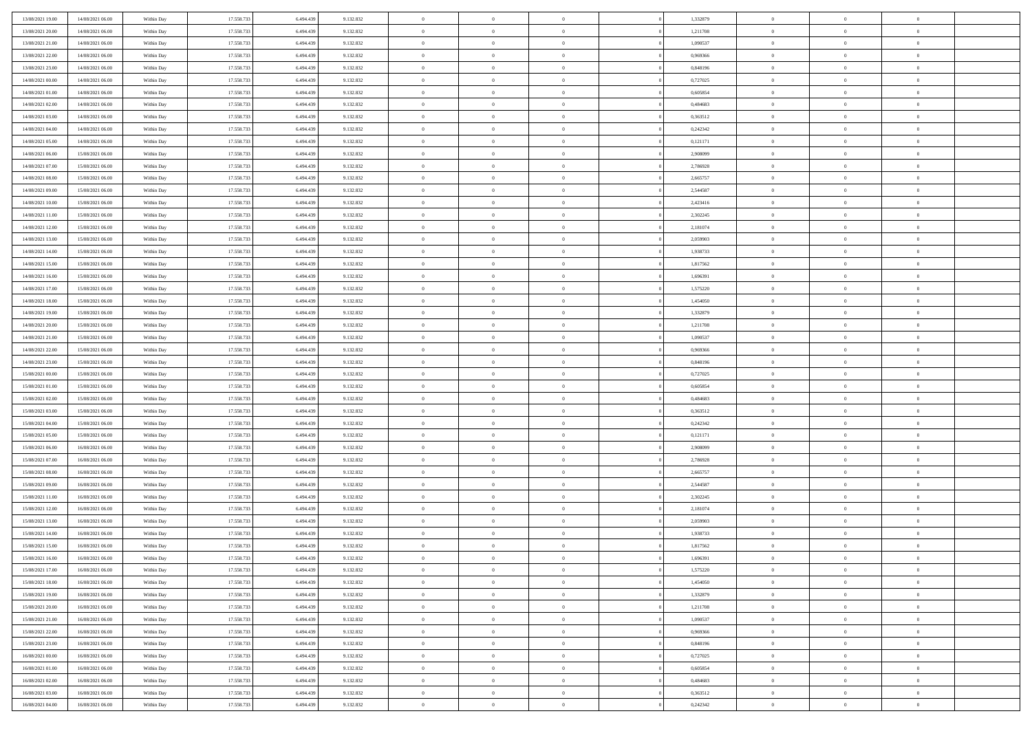| 13/08/2021 19:00 | 14/08/2021 06:00 | Within Day | 17.558.733 | 6.494.43  | 9.132.832 | $\bf{0}$       | $\overline{0}$ | $\overline{0}$ | 1,332879 | $\bf{0}$       | $\overline{0}$ | $\bf{0}$       |  |
|------------------|------------------|------------|------------|-----------|-----------|----------------|----------------|----------------|----------|----------------|----------------|----------------|--|
| 13/08/2021 20:00 | 14/08/2021 06:00 | Within Day | 17.558.733 | 6.494.43  | 9.132.832 | $\overline{0}$ | $\overline{0}$ | $\overline{0}$ | 1,211708 | $\mathbf{0}$   | $\bf{0}$       | $\theta$       |  |
| 13/08/2021 21:00 | 14/08/2021 06:00 | Within Day | 17.558.733 | 6.494.439 | 9.132.832 | $\overline{0}$ | $\overline{0}$ | $\overline{0}$ | 1,090537 | $\,$ 0 $\,$    | $\overline{0}$ | $\,0\,$        |  |
| 13/08/2021 22:00 | 14/08/2021 06:00 | Within Day | 17.558.733 | 6.494.439 | 9.132.832 | $\overline{0}$ | $\overline{0}$ | $\Omega$       | 0.969366 | $\overline{0}$ | $\theta$       | $\overline{0}$ |  |
| 13/08/2021 23:00 | 14/08/2021 06:00 | Within Day | 17.558.733 | 6.494.439 | 9.132.832 | $\mathbf{0}$   | $\overline{0}$ | $\overline{0}$ | 0,848196 | $\mathbf{0}$   | $\bf{0}$       | $\overline{0}$ |  |
| 14/08/2021 00:00 | 14/08/2021 06:00 | Within Day | 17.558.733 | 6.494.439 | 9.132.832 | $\overline{0}$ | $\overline{0}$ | $\overline{0}$ | 0,727025 | $\,$ 0 $\,$    | $\overline{0}$ | $\,0\,$        |  |
| 14/08/2021 01:00 | 14/08/2021 06:00 | Within Day | 17.558.733 | 6.494.439 | 9.132.832 | $\bf{0}$       | $\overline{0}$ | $\Omega$       | 0.605854 | $\bf{0}$       | $\theta$       | $\overline{0}$ |  |
| 14/08/2021 02:00 | 14/08/2021 06:00 | Within Day | 17.558.733 | 6.494.439 | 9.132.832 | $\overline{0}$ | $\overline{0}$ | $\overline{0}$ | 0,484683 | $\mathbf{0}$   | $\bf{0}$       | $\theta$       |  |
| 14/08/2021 03:00 | 14/08/2021 06:00 | Within Day | 17.558.733 | 6.494.439 | 9.132.832 | $\,$ 0         | $\overline{0}$ | $\overline{0}$ | 0,363512 | $\,$ 0 $\,$    | $\overline{0}$ | $\,0\,$        |  |
| 14/08/2021 04:00 | 14/08/2021 06:00 | Within Day | 17.558.733 | 6.494.439 | 9.132.832 | $\overline{0}$ | $\overline{0}$ | $\Omega$       | 0,242342 | $\overline{0}$ | $\theta$       | $\overline{0}$ |  |
| 14/08/2021 05:00 | 14/08/2021 06:00 | Within Day | 17.558.733 | 6.494.439 | 9.132.832 | $\mathbf{0}$   | $\overline{0}$ | $\overline{0}$ | 0,121171 | $\mathbf{0}$   | $\bf{0}$       | $\theta$       |  |
| 14/08/2021 06:00 | 15/08/2021 06:00 | Within Day | 17.558.733 | 6.494.439 | 9.132.832 | $\,$ 0         | $\overline{0}$ | $\overline{0}$ | 2,908099 | $\,$ 0 $\,$    | $\overline{0}$ | $\,0\,$        |  |
| 14/08/2021 07:00 | 15/08/2021 06:00 | Within Day | 17.558.733 | 6.494.439 | 9.132.832 | $\overline{0}$ | $\overline{0}$ | $\Omega$       | 2,786928 | $\overline{0}$ | $\theta$       | $\overline{0}$ |  |
| 14/08/2021 08:00 | 15/08/2021 06:00 | Within Day | 17.558.733 | 6.494.439 | 9.132.832 | $\mathbf{0}$   | $\overline{0}$ | $\overline{0}$ | 2,665757 | $\mathbf{0}$   | $\bf{0}$       | $\theta$       |  |
| 14/08/2021 09:00 | 15/08/2021 06:00 | Within Day | 17.558.733 | 6.494.439 | 9.132.832 | $\,$ 0         | $\,$ 0 $\,$    | $\overline{0}$ | 2,544587 | $\,$ 0 $\,$    | $\overline{0}$ | $\,0\,$        |  |
| 14/08/2021 10:00 | 15/08/2021 06:00 | Within Day | 17.558.733 | 6.494.439 | 9.132.832 | $\bf{0}$       | $\overline{0}$ | $\Omega$       | 2,423416 | $\bf{0}$       | $\theta$       | $\bf{0}$       |  |
| 14/08/2021 11:00 | 15/08/2021 06:00 | Within Day | 17.558.733 | 6.494.439 | 9.132.832 | $\mathbf{0}$   | $\overline{0}$ | $\overline{0}$ | 2,302245 | $\mathbf{0}$   | $\bf{0}$       | $\theta$       |  |
| 14/08/2021 12:00 | 15/08/2021 06:00 | Within Day | 17.558.733 | 6.494.439 | 9.132.832 | $\overline{0}$ | $\overline{0}$ | $\overline{0}$ | 2,181074 | $\,$ 0 $\,$    | $\overline{0}$ | $\,0\,$        |  |
| 14/08/2021 13:00 | 15/08/2021 06:00 | Within Day | 17.558.733 | 6.494.439 | 9.132.832 | $\overline{0}$ | $\overline{0}$ | $\Omega$       | 2.059903 | $\overline{0}$ | $\theta$       | $\overline{0}$ |  |
| 14/08/2021 14:00 | 15/08/2021 06:00 | Within Day | 17.558.733 | 6.494.439 | 9.132.832 | $\overline{0}$ | $\overline{0}$ | $\overline{0}$ | 1,938733 | $\overline{0}$ | $\bf{0}$       | $\theta$       |  |
| 14/08/2021 15:00 | 15/08/2021 06:00 | Within Day | 17.558.733 | 6.494.439 | 9.132.832 | $\,$ 0         | $\overline{0}$ | $\overline{0}$ | 1,817562 | $\,$ 0 $\,$    | $\overline{0}$ | $\,$ 0 $\,$    |  |
| 14/08/2021 16:00 | 15/08/2021 06:00 | Within Day | 17.558.733 | 6.494.439 | 9.132.832 | $\overline{0}$ | $\overline{0}$ | $\Omega$       | 1,696391 | $\overline{0}$ | $\theta$       | $\overline{0}$ |  |
| 14/08/2021 17:00 | 15/08/2021 06:00 | Within Day | 17.558.733 | 6.494.439 | 9.132.832 | $\mathbf{0}$   | $\overline{0}$ | $\overline{0}$ | 1,575220 | $\mathbf{0}$   | $\bf{0}$       | $\theta$       |  |
| 14/08/2021 18:00 | 15/08/2021 06:00 | Within Day | 17.558.733 | 6.494.439 | 9.132.832 | $\overline{0}$ | $\overline{0}$ | $\overline{0}$ | 1,454050 | $\,$ 0 $\,$    | $\overline{0}$ | $\,$ 0 $\,$    |  |
| 14/08/2021 19:00 | 15/08/2021 06:00 | Within Day | 17.558.733 | 6.494.439 | 9.132.832 | $\bf{0}$       | $\overline{0}$ | $\Omega$       | 1,332879 | $\bf{0}$       | $\theta$       | $\bf{0}$       |  |
| 14/08/2021 20:00 | 15/08/2021 06:00 | Within Day | 17.558.733 | 6.494.439 | 9.132.832 | $\overline{0}$ | $\overline{0}$ | $\overline{0}$ | 1,211708 | $\overline{0}$ | $\bf{0}$       | $\theta$       |  |
| 14/08/2021 21:00 | 15/08/2021 06:00 | Within Day | 17.558.733 | 6.494.439 | 9.132.832 | $\,$ 0         | $\overline{0}$ | $\overline{0}$ | 1,090537 | $\,$ 0 $\,$    | $\overline{0}$ | $\,$ 0 $\,$    |  |
| 14/08/2021 22.00 | 15/08/2021 06:00 | Within Day | 17.558.733 | 6.494.439 | 9.132.832 | $\overline{0}$ | $\overline{0}$ | $\Omega$       | 0.969366 | $\overline{0}$ | $\theta$       | $\overline{0}$ |  |
| 14/08/2021 23:00 | 15/08/2021 06:00 | Within Day | 17.558.733 | 6.494.439 | 9.132.832 | $\mathbf{0}$   | $\overline{0}$ | $\overline{0}$ | 0,848196 | $\mathbf{0}$   | $\bf{0}$       | $\overline{0}$ |  |
| 15/08/2021 00:00 | 15/08/2021 06:00 | Within Day | 17.558.733 | 6.494.439 | 9.132.832 | $\,$ 0         | $\overline{0}$ | $\overline{0}$ | 0,727025 | $\,$ 0 $\,$    | $\overline{0}$ | $\,$ 0 $\,$    |  |
| 15/08/2021 01:00 | 15/08/2021 06:00 | Within Day | 17.558.733 | 6.494.43  | 9.132.832 | $\bf{0}$       | $\overline{0}$ | $\Omega$       | 0,605854 | $\bf{0}$       | $\overline{0}$ | $\bf{0}$       |  |
| 15/08/2021 02:00 | 15/08/2021 06:00 | Within Day | 17.558.733 | 6.494.439 | 9.132.832 | $\overline{0}$ | $\overline{0}$ | $\overline{0}$ | 0,484683 | $\mathbf{0}$   | $\bf{0}$       | $\theta$       |  |
| 15/08/2021 03:00 | 15/08/2021 06:00 | Within Day | 17.558.733 | 6.494.439 | 9.132.832 | $\,$ 0         | $\overline{0}$ | $\overline{0}$ | 0,363512 | $\,$ 0 $\,$    | $\overline{0}$ | $\,0\,$        |  |
| 15/08/2021 04:00 | 15/08/2021 06:00 | Within Day | 17.558.733 | 6.494.439 | 9.132.832 | $\bf{0}$       | $\overline{0}$ | $\overline{0}$ | 0,242342 | $\mathbf{0}$   | $\overline{0}$ | $\bf{0}$       |  |
| 15/08/2021 05:00 | 15/08/2021 06:00 | Within Day | 17.558.733 | 6.494.439 | 9.132.832 | $\mathbf{0}$   | $\overline{0}$ | $\overline{0}$ | 0,121171 | $\overline{0}$ | $\bf{0}$       | $\theta$       |  |
| 15/08/2021 06:00 | 16/08/2021 06:00 | Within Day | 17.558.733 | 6.494.439 | 9.132.832 | $\overline{0}$ | $\overline{0}$ | $\overline{0}$ | 2,908099 | $\,$ 0 $\,$    | $\overline{0}$ | $\,0\,$        |  |
| 15/08/2021 07:00 | 16/08/2021 06:00 | Within Day | 17.558.733 | 6.494.439 | 9.132.832 | $\bf{0}$       | $\overline{0}$ | $\Omega$       | 2,786928 | $\bf{0}$       | $\theta$       | $\bf{0}$       |  |
| 15/08/2021 08:00 | 16/08/2021 06:00 | Within Day | 17.558.733 | 6.494.439 | 9.132.832 | $\mathbf{0}$   | $\overline{0}$ | $\overline{0}$ | 2,665757 | $\mathbf{0}$   | $\bf{0}$       | $\overline{0}$ |  |
| 15/08/2021 09:00 | 16/08/2021 06:00 | Within Day | 17.558.733 | 6.494.439 | 9.132.832 | $\,$ 0         | $\overline{0}$ | $\overline{0}$ | 2,544587 | $\,$ 0 $\,$    | $\overline{0}$ | $\,0\,$        |  |
| 15/08/2021 11:00 | 16/08/2021 06:00 | Within Day | 17.558.733 | 6.494.439 | 9.132.832 | $\bf{0}$       | $\overline{0}$ | $\Omega$       | 2,302245 | $\bf{0}$       | $\overline{0}$ | $\bf{0}$       |  |
| 15/08/2021 12:00 | 16/08/2021 06:00 | Within Day | 17.558.733 | 6.494.439 | 9.132.832 | $\mathbf{0}$   | $\overline{0}$ | $\overline{0}$ | 2,181074 | $\overline{0}$ | $\overline{0}$ | $\theta$       |  |
| 15/08/2021 13:00 | 16/08/2021 06:00 | Within Day | 17.558.733 | 6.494.439 | 9.132.832 | $\,$ 0         | $\overline{0}$ | $\overline{0}$ | 2,059903 | $\,$ 0 $\,$    | $\overline{0}$ | $\,0\,$        |  |
| 15/08/2021 14:00 | 16/08/2021 06:00 | Within Day | 17.558.733 | 6.494.43  | 9.132.832 | $\bf{0}$       | $\overline{0}$ | $\overline{0}$ | 1,938733 | $\bf{0}$       | $\overline{0}$ | $\bf{0}$       |  |
| 15/08/2021 15:00 | 16/08/2021 06:00 | Within Day | 17.558.733 | 6.494.439 | 9.132.832 | $\mathbf{0}$   | $\overline{0}$ | $\overline{0}$ | 1,817562 | $\overline{0}$ | $\bf{0}$       | $\theta$       |  |
| 15/08/2021 16:00 | 16/08/2021 06:00 | Within Day | 17.558.733 | 6.494.439 | 9.132.832 | $\theta$       | $\overline{0}$ | $\theta$       | 1,696391 | $\overline{0}$ | $\overline{0}$ | $\overline{0}$ |  |
| 15/08/2021 17:00 | 16/08/2021 06:00 | Within Day | 17.558.733 | 6.494.439 | 9.132.832 | $\bf{0}$       | $\overline{0}$ | $\overline{0}$ | 1,575220 | $\mathbf{0}$   | $\overline{0}$ | $\bf{0}$       |  |
| 15/08/2021 18:00 | 16/08/2021 06:00 | Within Day | 17.558.733 | 6.494.439 | 9.132.832 | $\overline{0}$ | $\overline{0}$ | $\overline{0}$ | 1,454050 | $\,$ 0 $\,$    | $\overline{0}$ | $\overline{0}$ |  |
| 15/08/2021 19:00 | 16/08/2021 06:00 | Within Day | 17.558.733 | 6.494.439 | 9.132.832 | $\,$ 0 $\,$    | $\overline{0}$ | $\overline{0}$ | 1,332879 | $\,$ 0 $\,$    | $\,$ 0 $\,$    | $\theta$       |  |
| 15/08/2021 20:00 | 16/08/2021 06:00 | Within Day | 17.558.733 | 6.494.439 | 9.132.832 | $\bf{0}$       | $\overline{0}$ | $\overline{0}$ | 1,211708 | $\mathbf{0}$   | $\overline{0}$ | $\overline{0}$ |  |
| 15/08/2021 21:00 | 16/08/2021 06:00 | Within Day | 17.558.733 | 6.494.439 | 9.132.832 | $\,$ 0 $\,$    | $\overline{0}$ | $\overline{0}$ | 1,090537 | $\,$ 0 $\,$    | $\bf{0}$       | $\overline{0}$ |  |
| 15/08/2021 22:00 | 16/08/2021 06:00 | Within Day | 17.558.733 | 6.494.439 | 9.132.832 | $\,$ 0 $\,$    | $\overline{0}$ | $\overline{0}$ | 0,969366 | $\,$ 0 $\,$    | $\overline{0}$ | $\theta$       |  |
| 15/08/2021 23:00 | 16/08/2021 06:00 | Within Day | 17.558.733 | 6.494.439 | 9.132.832 | $\mathbf{0}$   | $\overline{0}$ | $\overline{0}$ | 0,848196 | $\mathbf{0}$   | $\overline{0}$ | $\overline{0}$ |  |
| 16/08/2021 00:00 | 16/08/2021 06:00 | Within Day | 17.558.733 | 6.494.439 | 9.132.832 | $\,$ 0 $\,$    | $\overline{0}$ | $\overline{0}$ | 0,727025 | $\,$ 0 $\,$    | $\bf{0}$       | $\overline{0}$ |  |
| 16/08/2021 01:00 | 16/08/2021 06:00 | Within Day | 17.558.733 | 6.494.439 | 9.132.832 | $\,$ 0 $\,$    | $\overline{0}$ | $\overline{0}$ | 0,605854 | $\,$ 0 $\,$    | $\,$ 0         | $\theta$       |  |
| 16/08/2021 02:00 | 16/08/2021 06:00 | Within Day | 17.558.733 | 6.494.439 | 9.132.832 | $\bf{0}$       | $\overline{0}$ | $\overline{0}$ | 0,484683 | $\mathbf{0}$   | $\overline{0}$ | $\overline{0}$ |  |
| 16/08/2021 03:00 | 16/08/2021 06:00 | Within Day | 17.558.733 | 6.494.439 | 9.132.832 | $\mathbf{0}$   | $\overline{0}$ | $\overline{0}$ | 0,363512 | $\mathbf{0}$   | $\bf{0}$       | $\overline{0}$ |  |
| 16/08/2021 04:00 | 16/08/2021 06:00 | Within Day | 17.558.733 | 6.494.439 | 9.132.832 | $\,$ 0         | $\overline{0}$ | $\overline{0}$ | 0,242342 | $\,$ 0 $\,$    | $\overline{0}$ | $\theta$       |  |
|                  |                  |            |            |           |           |                |                |                |          |                |                |                |  |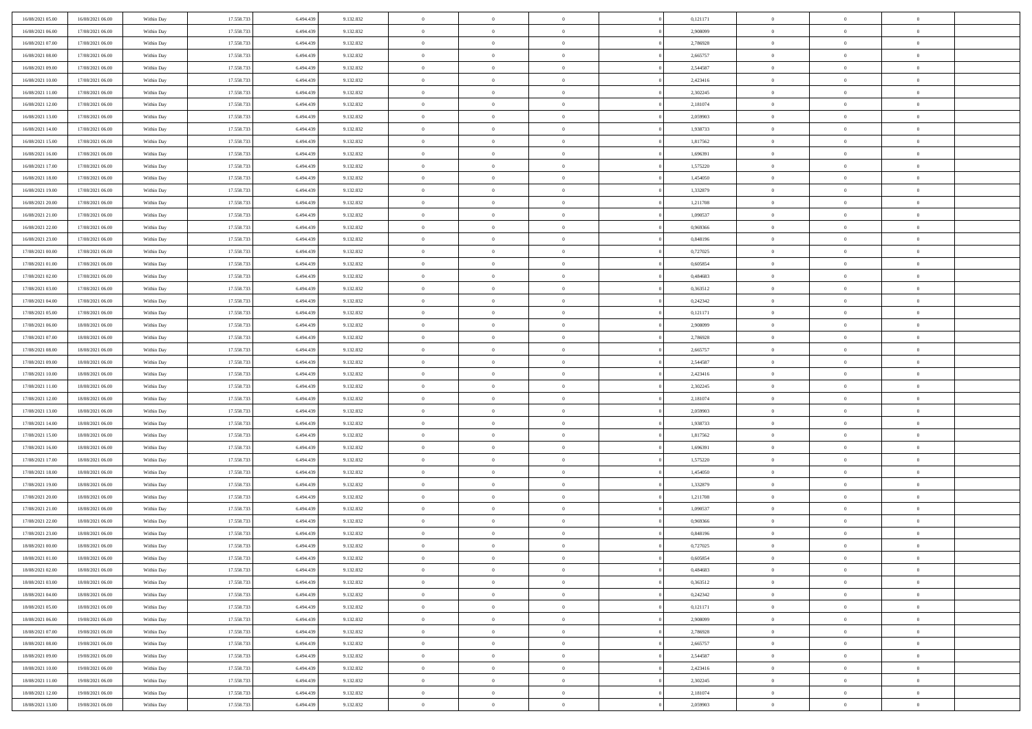| 16/08/2021 05:00 | 16/08/2021 06:00 | Within Day | 17.558.733 | 6.494.43  | 9.132.832 | $\bf{0}$       | $\overline{0}$ | $\overline{0}$ | 0,121171 | $\mathbf{0}$   | $\overline{0}$ | $\bf{0}$       |  |
|------------------|------------------|------------|------------|-----------|-----------|----------------|----------------|----------------|----------|----------------|----------------|----------------|--|
| 16/08/2021 06:00 | 17/08/2021 06:00 | Within Day | 17.558.733 | 6.494.43  | 9.132.832 | $\overline{0}$ | $\overline{0}$ | $\Omega$       | 2,908099 | $\mathbf{0}$   | $\bf{0}$       | $\theta$       |  |
| 16/08/2021 07:00 | 17/08/2021 06:00 | Within Day | 17.558.733 | 6.494.439 | 9.132.832 | $\overline{0}$ | $\overline{0}$ | $\overline{0}$ | 2,786928 | $\,$ 0 $\,$    | $\overline{0}$ | $\,$ 0 $\,$    |  |
| 16/08/2021 08:00 | 17/08/2021 06:00 | Within Day | 17.558.733 | 6.494.439 | 9.132.832 | $\overline{0}$ | $\overline{0}$ | $\Omega$       | 2,665757 | $\overline{0}$ | $\theta$       | $\overline{0}$ |  |
| 16/08/2021 09:00 | 17/08/2021 06:00 | Within Day | 17.558.733 | 6.494.439 | 9.132.832 | $\mathbf{0}$   | $\overline{0}$ | $\overline{0}$ | 2,544587 | $\mathbf{0}$   | $\bf{0}$       | $\overline{0}$ |  |
| 16/08/2021 10:00 | 17/08/2021 06:00 | Within Day | 17.558.733 | 6.494.439 | 9.132.832 | $\,$ 0         | $\overline{0}$ | $\overline{0}$ | 2,423416 | $\,$ 0 $\,$    | $\overline{0}$ | $\,$ 0 $\,$    |  |
| 16/08/2021 11:00 | 17/08/2021 06:00 | Within Day | 17.558.733 | 6.494.439 | 9.132.832 | $\bf{0}$       | $\overline{0}$ | $\Omega$       | 2,302245 | $\bf{0}$       | $\theta$       | $\overline{0}$ |  |
| 16/08/2021 12:00 | 17/08/2021 06:00 | Within Day | 17.558.733 | 6.494.439 | 9.132.832 | $\overline{0}$ | $\overline{0}$ | $\overline{0}$ | 2,181074 | $\mathbf{0}$   | $\bf{0}$       | $\theta$       |  |
| 16/08/2021 13:00 | 17/08/2021 06:00 | Within Day | 17.558.733 | 6.494.439 | 9.132.832 | $\,$ 0         | $\overline{0}$ | $\overline{0}$ | 2,059903 | $\,$ 0 $\,$    | $\overline{0}$ | $\,$ 0 $\,$    |  |
| 16/08/2021 14:00 | 17/08/2021 06:00 | Within Day | 17.558.733 | 6.494.439 | 9.132.832 | $\overline{0}$ | $\overline{0}$ | $\Omega$       | 1,938733 | $\overline{0}$ | $\theta$       | $\overline{0}$ |  |
| 16/08/2021 15:00 | 17/08/2021 06:00 | Within Day | 17.558.733 | 6.494.439 | 9.132.832 | $\mathbf{0}$   | $\overline{0}$ | $\overline{0}$ | 1,817562 | $\mathbf{0}$   | $\bf{0}$       | $\theta$       |  |
| 16/08/2021 16:00 | 17/08/2021 06:00 | Within Day | 17.558.733 | 6.494.439 | 9.132.832 | $\,$ 0         | $\overline{0}$ | $\overline{0}$ | 1,696391 | $\,$ 0 $\,$    | $\overline{0}$ | $\,$ 0 $\,$    |  |
| 16/08/2021 17:00 | 17/08/2021 06:00 | Within Day | 17.558.733 | 6.494.439 | 9.132.832 | $\overline{0}$ | $\overline{0}$ | $\Omega$       | 1,575220 | $\overline{0}$ | $\theta$       | $\overline{0}$ |  |
| 16/08/2021 18:00 | 17/08/2021 06:00 | Within Day | 17.558.733 | 6.494.439 | 9.132.832 | $\mathbf{0}$   | $\overline{0}$ | $\overline{0}$ | 1,454050 | $\mathbf{0}$   | $\bf{0}$       | $\theta$       |  |
| 16/08/2021 19:00 | 17/08/2021 06:00 | Within Day | 17.558.733 | 6.494.439 | 9.132.832 | $\,$ 0         | $\,$ 0 $\,$    | $\overline{0}$ | 1,332879 | $\,$ 0 $\,$    | $\overline{0}$ | $\,$ 0 $\,$    |  |
| 16/08/2021 20:00 | 17/08/2021 06:00 | Within Day | 17.558.733 | 6.494.439 | 9.132.832 | $\bf{0}$       | $\overline{0}$ | $\Omega$       | 1,211708 | $\bf{0}$       | $\theta$       | $\overline{0}$ |  |
| 16/08/2021 21:00 | 17/08/2021 06:00 | Within Day | 17.558.733 | 6.494.439 | 9.132.832 | $\mathbf{0}$   | $\overline{0}$ | $\overline{0}$ | 1,090537 | $\mathbf{0}$   | $\bf{0}$       | $\theta$       |  |
| 16/08/2021 22:00 | 17/08/2021 06:00 | Within Day | 17.558.733 | 6.494.439 | 9.132.832 | $\overline{0}$ | $\overline{0}$ | $\overline{0}$ | 0,969366 | $\,$ 0 $\,$    | $\overline{0}$ | $\,$ 0 $\,$    |  |
| 16/08/2021 23:00 | 17/08/2021 06:00 | Within Day | 17.558.733 | 6.494.439 | 9.132.832 | $\overline{0}$ | $\overline{0}$ | $\Omega$       | 0.848196 | $\overline{0}$ | $\theta$       | $\overline{0}$ |  |
| 17/08/2021 00:00 | 17/08/2021 06:00 | Within Day | 17.558.733 | 6.494.439 | 9.132.832 | $\overline{0}$ | $\overline{0}$ | $\overline{0}$ | 0,727025 | $\mathbf{0}$   | $\bf{0}$       | $\theta$       |  |
| 17/08/2021 01:00 | 17/08/2021 06:00 | Within Day | 17.558.733 | 6.494.439 | 9.132.832 | $\,$ 0         | $\overline{0}$ | $\overline{0}$ | 0,605854 | $\,$ 0 $\,$    | $\overline{0}$ | $\,$ 0 $\,$    |  |
| 17/08/2021 02:00 | 17/08/2021 06:00 | Within Day | 17.558.733 | 6.494.43  | 9.132.832 | $\overline{0}$ | $\overline{0}$ | $\Omega$       | 0.484683 | $\overline{0}$ | $\theta$       | $\overline{0}$ |  |
| 17/08/2021 03:00 | 17/08/2021 06:00 | Within Day | 17.558.733 | 6.494.439 | 9.132.832 | $\mathbf{0}$   | $\overline{0}$ | $\overline{0}$ | 0,363512 | $\mathbf{0}$   | $\bf{0}$       | $\theta$       |  |
| 17/08/2021 04:00 | 17/08/2021 06:00 | Within Day | 17.558.733 | 6.494.439 | 9.132.832 | $\,$ 0         | $\overline{0}$ | $\overline{0}$ | 0,242342 | $\,$ 0 $\,$    | $\overline{0}$ | $\,$ 0 $\,$    |  |
| 17/08/2021 05:00 | 17/08/2021 06:00 | Within Day | 17.558.733 | 6.494.439 | 9.132.832 | $\bf{0}$       | $\overline{0}$ | $\Omega$       | 0,121171 | $\bf{0}$       | $\theta$       | $\bf{0}$       |  |
| 17/08/2021 06:00 | 18/08/2021 06:00 | Within Day | 17.558.733 | 6.494.439 | 9.132.832 | $\overline{0}$ | $\overline{0}$ | $\overline{0}$ | 2,908099 | $\mathbf{0}$   | $\bf{0}$       | $\theta$       |  |
| 17/08/2021 07:00 | 18/08/2021 06:00 | Within Day | 17.558.733 | 6.494.439 | 9.132.832 | $\,$ 0         | $\overline{0}$ | $\overline{0}$ | 2,786928 | $\,$ 0 $\,$    | $\overline{0}$ | $\,$ 0 $\,$    |  |
| 17/08/2021 08:00 | 18/08/2021 06:00 | Within Day | 17.558.733 | 6.494.439 | 9.132.832 | $\overline{0}$ | $\overline{0}$ | $\Omega$       | 2.665757 | $\overline{0}$ | $\theta$       | $\overline{0}$ |  |
| 17/08/2021 09:00 | 18/08/2021 06:00 | Within Day | 17.558.733 | 6.494.439 | 9.132.832 | $\mathbf{0}$   | $\overline{0}$ | $\overline{0}$ | 2,544587 | $\mathbf{0}$   | $\bf{0}$       | $\overline{0}$ |  |
| 17/08/2021 10:00 | 18/08/2021 06:00 | Within Day | 17.558.733 | 6.494.439 | 9.132.832 | $\,$ 0         | $\overline{0}$ | $\overline{0}$ | 2,423416 | $\,$ 0 $\,$    | $\overline{0}$ | $\,$ 0 $\,$    |  |
| 17/08/2021 11:00 | 18/08/2021 06:00 | Within Day | 17.558.733 | 6.494.43  | 9.132.832 | $\bf{0}$       | $\overline{0}$ | $\Omega$       | 2,302245 | $\bf{0}$       | $\overline{0}$ | $\bf{0}$       |  |
| 17/08/2021 12:00 | 18/08/2021 06:00 | Within Day | 17.558.733 | 6.494.439 | 9.132.832 | $\mathbf{0}$   | $\overline{0}$ | $\overline{0}$ | 2,181074 | $\mathbf{0}$   | $\bf{0}$       | $\theta$       |  |
| 17/08/2021 13:00 | 18/08/2021 06:00 | Within Day | 17.558.733 | 6.494.439 | 9.132.832 | $\,$ 0         | $\overline{0}$ | $\overline{0}$ | 2,059903 | $\,$ 0 $\,$    | $\overline{0}$ | $\,$ 0 $\,$    |  |
| 17/08/2021 14:00 | 18/08/2021 06:00 | Within Day | 17.558.733 | 6.494.439 | 9.132.832 | $\bf{0}$       | $\overline{0}$ | $\overline{0}$ | 1,938733 | $\mathbf{0}$   | $\overline{0}$ | $\bf{0}$       |  |
| 17/08/2021 15:00 | 18/08/2021 06:00 | Within Day | 17.558.733 | 6.494.439 | 9.132.832 | $\mathbf{0}$   | $\overline{0}$ | $\overline{0}$ | 1,817562 | $\overline{0}$ | $\bf{0}$       | $\theta$       |  |
| 17/08/2021 16:00 | 18/08/2021 06:00 | Within Day | 17.558.733 | 6.494.439 | 9.132.832 | $\overline{0}$ | $\overline{0}$ | $\overline{0}$ | 1,696391 | $\,$ 0 $\,$    | $\overline{0}$ | $\,$ 0 $\,$    |  |
| 17/08/2021 17:00 | 18/08/2021 06:00 | Within Day | 17.558.733 | 6.494.439 | 9.132.832 | $\bf{0}$       | $\overline{0}$ | $\Omega$       | 1,575220 | $\bf{0}$       | $\theta$       | $\bf{0}$       |  |
| 17/08/2021 18:00 | 18/08/2021 06:00 | Within Day | 17.558.733 | 6.494.439 | 9.132.832 | $\mathbf{0}$   | $\overline{0}$ | $\overline{0}$ | 1,454050 | $\mathbf{0}$   | $\bf{0}$       | $\overline{0}$ |  |
| 17/08/2021 19:00 | 18/08/2021 06:00 | Within Day | 17.558.733 | 6.494.439 | 9.132.832 | $\,$ 0         | $\overline{0}$ | $\overline{0}$ | 1,332879 | $\,$ 0 $\,$    | $\overline{0}$ | $\,$ 0 $\,$    |  |
| 17/08/2021 20:00 | 18/08/2021 06:00 | Within Day | 17.558.733 | 6.494.439 | 9.132.832 | $\bf{0}$       | $\overline{0}$ | $\Omega$       | 1,211708 | $\bf{0}$       | $\overline{0}$ | $\bf{0}$       |  |
| 17/08/2021 21:00 | 18/08/2021 06:00 | Within Day | 17.558.733 | 6.494.439 | 9.132.832 | $\mathbf{0}$   | $\overline{0}$ | $\overline{0}$ | 1,090537 | $\overline{0}$ | $\overline{0}$ | $\theta$       |  |
| 17/08/2021 22:00 | 18/08/2021 06:00 | Within Day | 17.558.733 | 6.494.439 | 9.132.832 | $\,$ 0         | $\overline{0}$ | $\overline{0}$ | 0,969366 | $\,$ 0 $\,$    | $\overline{0}$ | $\,$ 0 $\,$    |  |
| 17/08/2021 23.00 | 18/08/2021 06:00 | Within Day | 17.558.733 | 6.494.43  | 9.132.832 | $\bf{0}$       | $\overline{0}$ | $\overline{0}$ | 0,848196 | $\bf{0}$       | $\overline{0}$ | $\bf{0}$       |  |
| 18/08/2021 00:00 | 18/08/2021 06:00 | Within Day | 17.558.733 | 6.494.439 | 9.132.832 | $\mathbf{0}$   | $\overline{0}$ | $\overline{0}$ | 0,727025 | $\overline{0}$ | $\bf{0}$       | $\theta$       |  |
| 18/08/2021 01:00 | 18/08/2021 06:00 | Within Day | 17.558.733 | 6.494.439 | 9.132.832 | $\theta$       | $\overline{0}$ | $\theta$       | 0,605854 | $\overline{0}$ | $\overline{0}$ | $\overline{0}$ |  |
| 18/08/2021 02:00 | 18/08/2021 06:00 | Within Day | 17.558.733 | 6.494.439 | 9.132.832 | $\bf{0}$       | $\overline{0}$ | $\overline{0}$ | 0,484683 | $\mathbf{0}$   | $\overline{0}$ | $\bf{0}$       |  |
| 18/08/2021 03:00 | 18/08/2021 06:00 | Within Day | 17.558.733 | 6.494.439 | 9.132.832 | $\overline{0}$ | $\overline{0}$ | $\overline{0}$ | 0,363512 | $\,$ 0 $\,$    | $\overline{0}$ | $\overline{0}$ |  |
| 18/08/2021 04:00 | 18/08/2021 06:00 | Within Day | 17.558.733 | 6.494.439 | 9.132.832 | $\,$ 0 $\,$    | $\overline{0}$ | $\overline{0}$ | 0,242342 | $\,$ 0 $\,$    | $\,$ 0 $\,$    | $\theta$       |  |
| 18/08/2021 05:00 | 18/08/2021 06:00 | Within Day | 17.558.733 | 6.494.439 | 9.132.832 | $\mathbf{0}$   | $\overline{0}$ | $\overline{0}$ | 0,121171 | $\mathbf{0}$   | $\overline{0}$ | $\overline{0}$ |  |
| 18/08/2021 06:00 | 19/08/2021 06:00 | Within Day | 17.558.733 | 6.494.439 | 9.132.832 | $\mathbf{0}$   | $\overline{0}$ | $\overline{0}$ | 2,908099 | $\,$ 0 $\,$    | $\bf{0}$       | $\overline{0}$ |  |
| 18/08/2021 07:00 | 19/08/2021 06:00 | Within Day | 17.558.733 | 6.494.439 | 9.132.832 | $\,$ 0 $\,$    | $\overline{0}$ | $\overline{0}$ | 2,786928 | $\,$ 0 $\,$    | $\overline{0}$ | $\theta$       |  |
| 18/08/2021 08:00 | 19/08/2021 06:00 | Within Day | 17.558.733 | 6.494.439 | 9.132.832 | $\mathbf{0}$   | $\overline{0}$ | $\overline{0}$ | 2,665757 | $\mathbf{0}$   | $\overline{0}$ | $\overline{0}$ |  |
| 18/08/2021 09:00 | 19/08/2021 06:00 | Within Day | 17.558.733 | 6.494.439 | 9.132.832 | $\,$ 0 $\,$    | $\overline{0}$ | $\overline{0}$ | 2,544587 | $\,$ 0 $\,$    | $\bf{0}$       | $\overline{0}$ |  |
| 18/08/2021 10:00 | 19/08/2021 06:00 | Within Day | 17.558.733 | 6.494.439 | 9.132.832 | $\,$ 0 $\,$    | $\overline{0}$ | $\overline{0}$ | 2,423416 | $\,$ 0 $\,$    | $\,$ 0         | $\theta$       |  |
| 18/08/2021 11:00 | 19/08/2021 06:00 | Within Day | 17.558.733 | 6.494.439 | 9.132.832 | $\bf{0}$       | $\overline{0}$ | $\overline{0}$ | 2,302245 | $\mathbf{0}$   | $\overline{0}$ | $\overline{0}$ |  |
| 18/08/2021 12:00 | 19/08/2021 06:00 | Within Day | 17.558.733 | 6.494.439 | 9.132.832 | $\mathbf{0}$   | $\overline{0}$ | $\overline{0}$ | 2,181074 | $\mathbf{0}$   | $\bf{0}$       | $\overline{0}$ |  |
| 18/08/2021 13:00 | 19/08/2021 06:00 | Within Day | 17.558.733 | 6.494.439 | 9.132.832 | $\,$ 0         | $\overline{0}$ | $\overline{0}$ | 2,059903 | $\,$ 0 $\,$    | $\overline{0}$ | $\theta$       |  |
|                  |                  |            |            |           |           |                |                |                |          |                |                |                |  |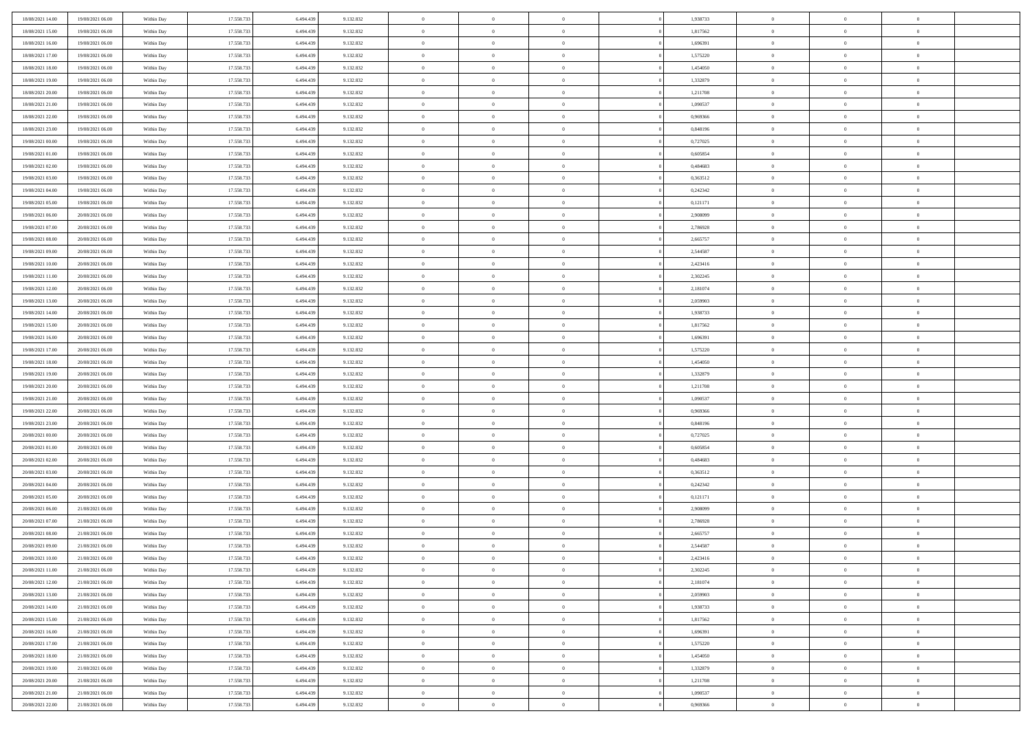| 18/08/2021 14:00 | 19/08/2021 06:00 | Within Day | 17.558.733 | 6.494.439 | 9.132.832 | $\overline{0}$ | $\overline{0}$ | $\Omega$       | 1,938733 | $\bf{0}$       | $\mathbf{0}$   | $\bf{0}$       |  |
|------------------|------------------|------------|------------|-----------|-----------|----------------|----------------|----------------|----------|----------------|----------------|----------------|--|
| 18/08/2021 15:00 | 19/08/2021 06:00 | Within Day | 17.558.733 | 6.494.439 | 9.132.832 | $\mathbf{0}$   | $\overline{0}$ | $\overline{0}$ | 1,817562 | $\overline{0}$ | $\overline{0}$ | $\overline{0}$ |  |
| 18/08/2021 16:00 | 19/08/2021 06:00 | Within Day | 17.558.733 | 6.494.439 | 9.132.832 | $\,$ 0         | $\overline{0}$ | $\bf{0}$       | 1,696391 | $\,$ 0         | $\overline{0}$ | $\,$ 0 $\,$    |  |
| 18/08/2021 17:00 | 19/08/2021 06:00 | Within Day | 17.558.733 | 6,494,439 | 9.132.832 | $\bf{0}$       | $\overline{0}$ | $\Omega$       | 1,575220 | $\bf{0}$       | $\mathbf{0}$   | $\theta$       |  |
| 18/08/2021 18:00 | 19/08/2021 06:00 | Within Day | 17.558.733 | 6.494.439 | 9.132.832 | $\bf{0}$       | $\overline{0}$ | $\overline{0}$ | 1,454050 | $\overline{0}$ | $\overline{0}$ | $\overline{0}$ |  |
| 18/08/2021 19:00 | 19/08/2021 06:00 | Within Day | 17.558.733 | 6.494.439 | 9.132.832 | $\bf{0}$       | $\overline{0}$ | $\bf{0}$       | 1,332879 | $\,$ 0         | $\overline{0}$ | $\,$ 0 $\,$    |  |
| 18/08/2021 20:00 | 19/08/2021 06:00 | Within Day | 17.558.733 | 6.494.439 | 9.132.832 | $\bf{0}$       | $\overline{0}$ | $\overline{0}$ | 1,211708 | $\bf{0}$       | $\mathbf{0}$   | $\theta$       |  |
| 18/08/2021 21:00 | 19/08/2021 06:00 | Within Day | 17.558.733 | 6.494.439 | 9.132.832 | $\overline{0}$ | $\overline{0}$ | $\overline{0}$ | 1,090537 | $\mathbf{0}$   | $\overline{0}$ | $\overline{0}$ |  |
| 18/08/2021 22:00 | 19/08/2021 06:00 | Within Day | 17.558.733 | 6.494.439 | 9.132.832 | $\bf{0}$       | $\overline{0}$ | $\bf{0}$       | 0,969366 | $\,$ 0         | $\overline{0}$ | $\,$ 0 $\,$    |  |
| 18/08/2021 23:00 | 19/08/2021 06:00 | Within Day | 17.558.733 | 6,494,439 | 9.132.832 | $\bf{0}$       | $\overline{0}$ | $\Omega$       | 0.848196 | $\theta$       | $\mathbf{0}$   | $\theta$       |  |
| 19/08/2021 00:00 | 19/08/2021 06:00 | Within Day | 17.558.733 | 6.494.439 | 9.132.832 | $\overline{0}$ | $\overline{0}$ | $\overline{0}$ | 0,727025 | $\mathbf{0}$   | $\overline{0}$ | $\overline{0}$ |  |
| 19/08/2021 01:00 | 19/08/2021 06:00 | Within Day | 17.558.733 | 6.494.439 | 9.132.832 | $\bf{0}$       | $\overline{0}$ | $\bf{0}$       | 0,605854 | $\,$ 0         | $\overline{0}$ | $\,$ 0 $\,$    |  |
| 19/08/2021 02:00 | 19/08/2021 06:00 | Within Day | 17.558.733 | 6,494,439 | 9.132.832 | $\bf{0}$       | $\overline{0}$ | $\Omega$       | 0.484683 | $\overline{0}$ | $\mathbf{0}$   | $\theta$       |  |
| 19/08/2021 03:00 | 19/08/2021 06:00 | Within Day | 17.558.733 | 6.494.439 | 9.132.832 | $\overline{0}$ | $\overline{0}$ | $\overline{0}$ | 0,363512 | $\mathbf{0}$   | $\overline{0}$ | $\overline{0}$ |  |
| 19/08/2021 04:00 | 19/08/2021 06:00 | Within Day | 17.558.733 | 6.494.439 | 9.132.832 | $\bf{0}$       | $\overline{0}$ | $\bf{0}$       | 0,242342 | $\,$ 0         | $\overline{0}$ | $\,$ 0 $\,$    |  |
| 19/08/2021 05:00 | 19/08/2021 06:00 | Within Day | 17.558.733 | 6.494.439 | 9.132.832 | $\bf{0}$       | $\overline{0}$ | $\overline{0}$ | 0,121171 | $\theta$       | $\mathbf{0}$   | $\bf{0}$       |  |
| 19/08/2021 06:00 | 20/08/2021 06:00 | Within Day | 17.558.733 | 6.494.439 | 9.132.832 | $\overline{0}$ | $\overline{0}$ | $\overline{0}$ | 2,908099 | $\mathbf{0}$   | $\overline{0}$ | $\overline{0}$ |  |
| 19/08/2021 07:00 | 20/08/2021 06:00 | Within Day | 17.558.733 | 6.494.439 | 9.132.832 | $\bf{0}$       | $\overline{0}$ | $\bf{0}$       | 2,786928 | $\,$ 0         | $\overline{0}$ | $\,$ 0 $\,$    |  |
| 19/08/2021 08:00 | 20/08/2021 06:00 | Within Day | 17.558.733 | 6.494.439 | 9.132.832 | $\bf{0}$       | $\overline{0}$ | $\Omega$       | 2.665757 | $\theta$       | $\mathbf{0}$   | $\theta$       |  |
| 19/08/2021 09:00 | 20/08/2021 06:00 | Within Day | 17.558.733 | 6.494.439 | 9.132.832 | $\overline{0}$ | $\overline{0}$ | $\overline{0}$ | 2,544587 | $\mathbf{0}$   | $\overline{0}$ | $\overline{0}$ |  |
| 19/08/2021 10:00 | 20/08/2021 06:00 | Within Day | 17.558.733 | 6.494.439 | 9.132.832 | $\bf{0}$       | $\overline{0}$ | $\bf{0}$       | 2,423416 | $\,$ 0         | $\overline{0}$ | $\,$ 0 $\,$    |  |
| 19/08/2021 11:00 | 20/08/2021 06:00 | Within Day | 17.558.733 | 6,494,439 | 9.132.832 | $\bf{0}$       | $\overline{0}$ | $\Omega$       | 2,302245 | $\bf{0}$       | $\mathbf{0}$   | $\theta$       |  |
| 19/08/2021 12:00 | 20/08/2021 06:00 | Within Day | 17.558.733 | 6.494.439 | 9.132.832 | $\overline{0}$ | $\overline{0}$ | $\overline{0}$ | 2,181074 | $\mathbf{0}$   | $\overline{0}$ | $\overline{0}$ |  |
| 19/08/2021 13:00 | 20/08/2021 06:00 | Within Day | 17.558.733 | 6.494.439 | 9.132.832 | $\bf{0}$       | $\overline{0}$ | $\bf{0}$       | 2,059903 | $\,$ 0         | $\overline{0}$ | $\,$ 0 $\,$    |  |
| 19/08/2021 14:00 | 20/08/2021 06:00 | Within Day | 17.558.733 | 6.494.439 | 9.132.832 | $\bf{0}$       | $\overline{0}$ | $\overline{0}$ | 1.938733 | $\bf{0}$       | $\bf{0}$       | $\bf{0}$       |  |
| 19/08/2021 15:00 | 20/08/2021 06:00 | Within Day | 17.558.733 | 6.494.439 | 9.132.832 | $\overline{0}$ | $\overline{0}$ | $\overline{0}$ | 1,817562 | $\mathbf{0}$   | $\overline{0}$ | $\overline{0}$ |  |
| 19/08/2021 16:00 | 20/08/2021 06:00 | Within Day | 17.558.733 | 6.494.439 | 9.132.832 | $\bf{0}$       | $\overline{0}$ | $\bf{0}$       | 1,696391 | $\,$ 0         | $\overline{0}$ | $\,$ 0 $\,$    |  |
| 19/08/2021 17:00 | 20/08/2021 06:00 | Within Day | 17.558.733 | 6,494,439 | 9.132.832 | $\bf{0}$       | $\overline{0}$ | $\Omega$       | 1,575220 | $\theta$       | $\mathbf{0}$   | $\theta$       |  |
| 19/08/2021 18:00 | 20/08/2021 06:00 | Within Day | 17.558.733 | 6.494.439 | 9.132.832 | $\overline{0}$ | $\overline{0}$ | $\overline{0}$ | 1,454050 | $\mathbf{0}$   | $\overline{0}$ | $\overline{0}$ |  |
| 19/08/2021 19:00 | 20/08/2021 06:00 | Within Day | 17.558.733 | 6.494.439 | 9.132.832 | $\bf{0}$       | $\overline{0}$ | $\bf{0}$       | 1,332879 | $\,$ 0         | $\overline{0}$ | $\,$ 0 $\,$    |  |
| 19/08/2021 20:00 | 20/08/2021 06:00 | Within Day | 17.558.733 | 6.494.439 | 9.132.832 | $\bf{0}$       | $\bf{0}$       | $\overline{0}$ | 1,211708 | $\bf{0}$       | $\overline{0}$ | $\,0\,$        |  |
| 19/08/2021 21:00 | 20/08/2021 06:00 | Within Day | 17.558.733 | 6.494.439 | 9.132.832 | $\overline{0}$ | $\overline{0}$ | $\overline{0}$ | 1,090537 | $\mathbf{0}$   | $\overline{0}$ | $\overline{0}$ |  |
| 19/08/2021 22:00 | 20/08/2021 06:00 | Within Day | 17.558.733 | 6.494.439 | 9.132.832 | $\bf{0}$       | $\overline{0}$ | $\bf{0}$       | 0,969366 | $\,$ 0         | $\overline{0}$ | $\,$ 0 $\,$    |  |
| 19/08/2021 23:00 | 20/08/2021 06:00 | Within Day | 17.558.733 | 6.494.439 | 9.132.832 | $\bf{0}$       | $\overline{0}$ | $\bf{0}$       | 0,848196 | $\bf{0}$       | $\overline{0}$ | $\,0\,$        |  |
| 20/08/2021 00:00 | 20/08/2021 06:00 | Within Day | 17.558.733 | 6.494.439 | 9.132.832 | $\overline{0}$ | $\overline{0}$ | $\overline{0}$ | 0,727025 | $\overline{0}$ | $\overline{0}$ | $\overline{0}$ |  |
| 20/08/2021 01:00 | 20/08/2021 06:00 | Within Day | 17.558.733 | 6.494.439 | 9.132.832 | $\bf{0}$       | $\overline{0}$ | $\bf{0}$       | 0,605854 | $\,$ 0         | $\overline{0}$ | $\,$ 0 $\,$    |  |
| 20/08/2021 02:00 | 20/08/2021 06:00 | Within Day | 17.558.733 | 6.494.439 | 9.132.832 | $\bf{0}$       | $\bf{0}$       | $\overline{0}$ | 0,484683 | $\bf{0}$       | $\overline{0}$ | $\,0\,$        |  |
| 20/08/2021 03:00 | 20/08/2021 06:00 | Within Day | 17.558.733 | 6.494.439 | 9.132.832 | $\overline{0}$ | $\overline{0}$ | $\overline{0}$ | 0,363512 | $\mathbf{0}$   | $\overline{0}$ | $\overline{0}$ |  |
| 20/08/2021 04:00 | 20/08/2021 06:00 | Within Day | 17.558.733 | 6.494.439 | 9.132.832 | $\bf{0}$       | $\overline{0}$ | $\bf{0}$       | 0,242342 | $\,$ 0         | $\overline{0}$ | $\,$ 0 $\,$    |  |
| 20/08/2021 05:00 | 20/08/2021 06:00 | Within Day | 17.558.733 | 6.494.439 | 9.132.832 | $\bf{0}$       | $\bf{0}$       | $\overline{0}$ | 0,121171 | $\bf{0}$       | $\overline{0}$ | $\,0\,$        |  |
| 20/08/2021 06:00 | 21/08/2021 06:00 | Within Day | 17.558.733 | 6.494.439 | 9.132.832 | $\overline{0}$ | $\overline{0}$ | $\overline{0}$ | 2,908099 | $\overline{0}$ | $\overline{0}$ | $\overline{0}$ |  |
| 20/08/2021 07:00 | 21/08/2021 06:00 | Within Day | 17.558.733 | 6.494.439 | 9.132.832 | $\bf{0}$       | $\overline{0}$ | $\bf{0}$       | 2,786928 | $\,$ 0         | $\overline{0}$ | $\,$ 0 $\,$    |  |
| 20/08/2021 08:00 | 21/08/2021 06:00 | Within Day | 17.558.733 | 6.494.439 | 9.132.832 | $\bf{0}$       | $\bf{0}$       | $\bf{0}$       | 2,665757 | $\bf{0}$       | $\overline{0}$ | $\,0\,$        |  |
| 20/08/2021 09:00 | 21/08/2021 06:00 | Within Dav | 17.558.733 | 6.494.439 | 9.132.832 | $\mathbf{0}$   | $\overline{0}$ | $\overline{0}$ | 2,544587 | $\overline{0}$ | $\overline{0}$ | $\overline{0}$ |  |
| 20/08/2021 10:00 | 21/08/2021 06:00 | Within Day | 17.558.733 | 6.494.439 | 9.132.832 | $\bf{0}$       | $\overline{0}$ | $\theta$       | 2,423416 | $\overline{0}$ | $\overline{0}$ | $\theta$       |  |
| 20/08/2021 11:00 | 21/08/2021 06:00 | Within Day | 17.558.733 | 6.494.439 | 9.132.832 | $\bf{0}$       | $\overline{0}$ | $\bf{0}$       | 2,302245 | $\bf{0}$       | $\overline{0}$ | $\bf{0}$       |  |
| 20/08/2021 12:00 | 21/08/2021 06:00 | Within Day | 17.558.733 | 6.494.439 | 9.132.832 | $\overline{0}$ | $\overline{0}$ | $\overline{0}$ | 2,181074 | $\overline{0}$ | $\overline{0}$ | $\overline{0}$ |  |
| 20/08/2021 13:00 | 21/08/2021 06:00 | Within Day | 17.558.733 | 6.494.439 | 9.132.832 | $\,$ 0 $\,$    | $\overline{0}$ | $\overline{0}$ | 2,059903 | $\mathbf{0}$   | $\,$ 0 $\,$    | $\,$ 0 $\,$    |  |
| 20/08/2021 14:00 | 21/08/2021 06:00 | Within Day | 17.558.733 | 6.494.439 | 9.132.832 | $\bf{0}$       | $\overline{0}$ | $\overline{0}$ | 1,938733 | $\bf{0}$       | $\overline{0}$ | $\bf{0}$       |  |
| 20/08/2021 15:00 | 21/08/2021 06:00 | Within Day | 17.558.733 | 6.494.439 | 9.132.832 | $\overline{0}$ | $\overline{0}$ | $\overline{0}$ | 1,817562 | $\overline{0}$ | $\bf{0}$       | $\overline{0}$ |  |
| 20/08/2021 16:00 | 21/08/2021 06:00 | Within Day | 17.558.733 | 6.494.439 | 9.132.832 | $\,$ 0 $\,$    | $\overline{0}$ | $\overline{0}$ | 1,696391 | $\mathbf{0}$   | $\overline{0}$ | $\,$ 0 $\,$    |  |
| 20/08/2021 17:00 | 21/08/2021 06:00 | Within Day | 17.558.733 | 6.494.439 | 9.132.832 | $\overline{0}$ | $\overline{0}$ | $\overline{0}$ | 1,575220 | $\bf{0}$       | $\overline{0}$ | $\overline{0}$ |  |
| 20/08/2021 18:00 | 21/08/2021 06:00 | Within Day | 17.558.733 | 6.494.439 | 9.132.832 | $\overline{0}$ | $\overline{0}$ | $\overline{0}$ | 1,454050 | $\overline{0}$ | $\bf{0}$       | $\overline{0}$ |  |
| 20/08/2021 19:00 | 21/08/2021 06:00 | Within Day | 17.558.733 | 6.494.439 | 9.132.832 | $\,$ 0 $\,$    | $\overline{0}$ | $\overline{0}$ | 1,332879 | $\mathbf{0}$   | $\,$ 0 $\,$    | $\,$ 0 $\,$    |  |
| 20/08/2021 20:00 | 21/08/2021 06:00 | Within Day | 17.558.733 | 6.494.439 | 9.132.832 | $\bf{0}$       | $\overline{0}$ | $\overline{0}$ | 1,211708 | $\bf{0}$       | $\overline{0}$ | $\bf{0}$       |  |
| 20/08/2021 21:00 | 21/08/2021 06:00 | Within Day | 17.558.733 | 6.494.439 | 9.132.832 | $\bf{0}$       | $\overline{0}$ | $\overline{0}$ | 1,090537 | $\mathbf{0}$   | $\bf{0}$       | $\overline{0}$ |  |
| 20/08/2021 22:00 | 21/08/2021 06:00 | Within Day | 17.558.733 | 6.494.439 | 9.132.832 | $\,0\,$        | $\overline{0}$ | $\overline{0}$ | 0,969366 | $\,$ 0         | $\overline{0}$ | $\,$ 0 $\,$    |  |
|                  |                  |            |            |           |           |                |                |                |          |                |                |                |  |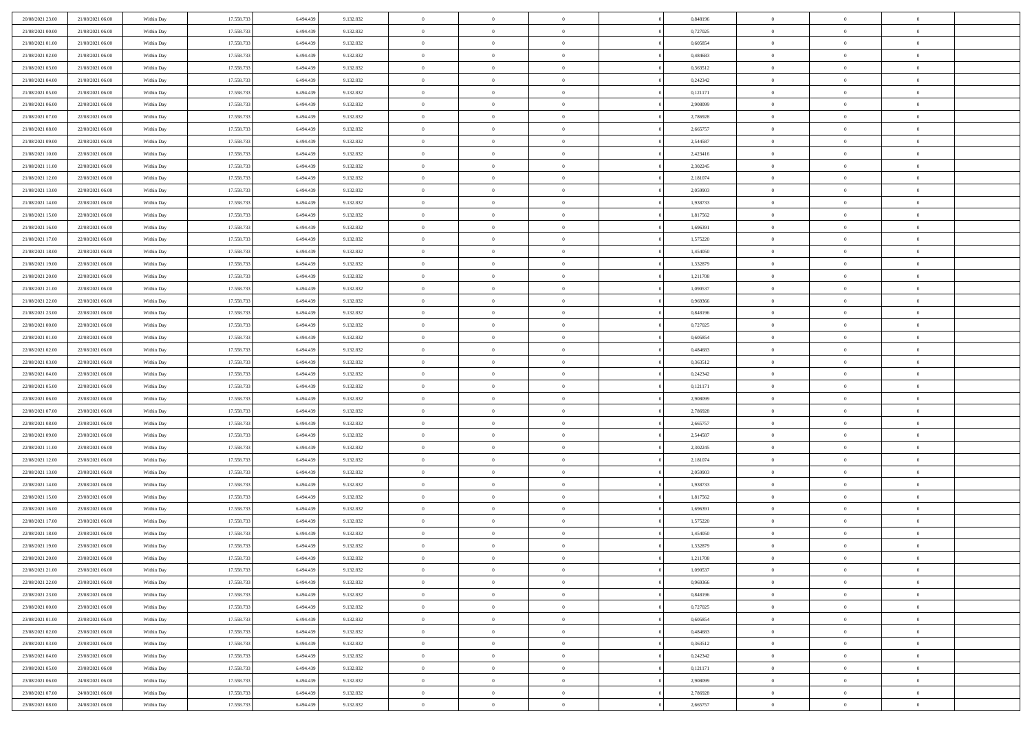| 20/08/2021 23:00                     | 21/08/2021 06:00                     | Within Day               | 17.558.733               | 6.494.439              | 9.132.832              | $\bf{0}$                | $\overline{0}$                   | $\Omega$                         | 0,848196             | $\bf{0}$                 | $\overline{0}$             | $\theta$                  |  |
|--------------------------------------|--------------------------------------|--------------------------|--------------------------|------------------------|------------------------|-------------------------|----------------------------------|----------------------------------|----------------------|--------------------------|----------------------------|---------------------------|--|
| 21/08/2021 00:00                     | 21/08/2021 06:00                     | Within Dav               | 17.558.733               | 6.494.439              | 9.132.832              | $\overline{0}$          | $\overline{0}$                   | $\overline{0}$                   | 0,727025             | $\mathbf{0}$             | $\bf{0}$                   | $\overline{0}$            |  |
| 21/08/2021 01:00                     | 21/08/2021 06:00                     | Within Day               | 17.558.733               | 6.494.439              | 9.132.832              | $\theta$                | $\overline{0}$                   | $\overline{0}$                   | 0,605854             | $\,$ 0                   | $\overline{0}$             | $\,$ 0 $\,$               |  |
| 21/08/2021 02:00                     | 21/08/2021 06:00                     | Within Day               | 17.558.733               | 6,494,439              | 9.132.832              | $\overline{0}$          | $\overline{0}$                   | $\mathbf{0}$                     | 0.484683             | $\bf{0}$                 | $\mathbf{0}$               | $\theta$                  |  |
| 21/08/2021 03:00                     | 21/08/2021 06:00                     | Within Dav               | 17.558.733               | 6.494.439              | 9.132.832              | $\mathbf{0}$            | $\overline{0}$                   | $\overline{0}$                   | 0,363512             | $\mathbf{0}$             | $\bf{0}$                   | $\overline{0}$            |  |
| 21/08/2021 04:00                     | 21/08/2021 06:00                     | Within Day               | 17.558.733               | 6.494.439              | 9.132.832              | $\theta$                | $\overline{0}$                   | $\bf{0}$                         | 0,242342             | $\,$ 0                   | $\overline{0}$             | $\,$ 0 $\,$               |  |
| 21/08/2021 05:00                     | 21/08/2021 06:00                     | Within Day               | 17.558.733               | 6.494.439              | 9.132.832              | $\,$ 0 $\,$             | $\overline{0}$                   | $\Omega$                         | 0,121171             | $\bf{0}$                 | $\mathbf{0}$               | $\theta$                  |  |
| 21/08/2021 06:00                     | 22/08/2021 06:00                     | Within Dav               | 17.558.733               | 6.494.439              | 9.132.832              | $\overline{0}$          | $\overline{0}$                   | $\overline{0}$                   | 2,908099             | $\mathbf{0}$             | $\bf{0}$                   | $\overline{0}$            |  |
| 21/08/2021 07:00                     | 22/08/2021 06:00                     | Within Day               | 17.558.733               | 6.494.439              | 9.132.832              | $\theta$                | $\overline{0}$                   | $\bf{0}$                         | 2,786928             | $\,$ 0                   | $\overline{0}$             | $\,$ 0 $\,$               |  |
| 21/08/2021 08:00                     | 22/08/2021 06:00                     | Within Day               | 17.558.733               | 6,494,439              | 9.132.832              | $\overline{0}$          | $\overline{0}$                   | $\mathbf{0}$                     | 2.665757             | $\bf{0}$                 | $\mathbf{0}$               | $\theta$                  |  |
| 21/08/2021 09:00                     | 22/08/2021 06:00                     | Within Dav               | 17.558.733               | 6.494.439              | 9.132.832              | $\mathbf{0}$            | $\overline{0}$                   | $\overline{0}$                   | 2,544587             | $\mathbf{0}$             | $\bf{0}$                   | $\overline{0}$            |  |
| 21/08/2021 10:00                     | 22/08/2021 06:00                     | Within Day               | 17.558.733               | 6.494.439              | 9.132.832              | $\theta$                | $\overline{0}$                   | $\bf{0}$                         | 2,423416             | $\,$ 0                   | $\overline{0}$             | $\,$ 0 $\,$               |  |
| 21/08/2021 11:00                     | 22/08/2021 06:00                     | Within Day               | 17.558.733               | 6.494.439              | 9.132.832              | $\theta$                | $\overline{0}$                   | $\mathbf{0}$                     | 2,302245             | $\bf{0}$                 | $\mathbf{0}$               | $\theta$                  |  |
| 21/08/2021 12:00                     | 22/08/2021 06:00                     | Within Dav               | 17.558.733               | 6.494.439              | 9.132.832              | $\mathbf{0}$            | $\overline{0}$                   | $\overline{0}$                   | 2,181074             | $\mathbf{0}$             | $\bf{0}$                   | $\overline{0}$            |  |
| 21/08/2021 13:00                     | 22/08/2021 06:00                     | Within Day               | 17.558.733               | 6.494.439              | 9.132.832              | $\theta$                | $\overline{0}$                   | $\overline{0}$                   | 2,059903             | $\,$ 0                   | $\overline{0}$             | $\,$ 0 $\,$               |  |
| 21/08/2021 14:00                     | 22/08/2021 06:00                     | Within Day               | 17.558.733               | 6.494.439              | 9.132.832              | $\bf{0}$                | $\overline{0}$                   | $\mathbf{0}$                     | 1.938733             | $\bf{0}$                 | $\mathbf{0}$               | $\bf{0}$                  |  |
| 21/08/2021 15:00                     | 22/08/2021 06:00                     | Within Dav               | 17.558.733               | 6.494.439              | 9.132.832              | $\overline{0}$          | $\overline{0}$                   | $\overline{0}$                   | 1,817562             | $\mathbf{0}$             | $\bf{0}$                   | $\overline{0}$            |  |
| 21/08/2021 16:00                     | 22/08/2021 06:00                     | Within Day               | 17.558.733               | 6.494.439              | 9.132.832              | $\theta$                | $\overline{0}$                   | $\bf{0}$                         | 1,696391             | $\,$ 0                   | $\overline{0}$             | $\,$ 0 $\,$               |  |
| 21/08/2021 17:00                     | 22/08/2021 06:00                     | Within Day               | 17.558.733               | 6.494.439              | 9.132.832              | $\mathbf{0}$            | $\overline{0}$                   | $\mathbf{0}$                     | 1,575220             | $\bf{0}$                 | $\mathbf{0}$               | $\theta$                  |  |
| 21/08/2021 18:00                     | 22/08/2021 06:00                     | Within Dav               | 17.558.733               | 6.494.439              | 9.132.832              | $\overline{0}$          | $\overline{0}$                   | $\overline{0}$                   | 1,454050             | $\mathbf{0}$             | $\bf{0}$                   | $\overline{0}$            |  |
| 21/08/2021 19:00                     | 22/08/2021 06:00                     | Within Day               | 17.558.733               | 6.494.439              | 9.132.832              | $\theta$                | $\overline{0}$                   | $\bf{0}$                         | 1,332879             | $\,$ 0                   | $\overline{0}$             | $\,$ 0 $\,$               |  |
| 21/08/2021 20:00                     | 22/08/2021 06:00                     | Within Day               | 17.558.733               | 6.494.439              | 9.132.832              | $\theta$                | $\overline{0}$                   | $\mathbf{0}$                     | 1,211708             | $\bf{0}$                 | $\mathbf{0}$               | $\theta$                  |  |
| 21/08/2021 21:00                     | 22/08/2021 06:00                     | Within Day               | 17.558.733               | 6.494.439              | 9.132.832              | $\mathbf{0}$            | $\overline{0}$                   | $\overline{0}$                   | 1,090537             | $\mathbf{0}$             | $\bf{0}$                   | $\overline{0}$            |  |
| 21/08/2021 22:00                     | 22/08/2021 06:00                     | Within Day               | 17.558.733               | 6.494.439              | 9.132.832              | $\theta$                | $\overline{0}$                   | $\bf{0}$                         | 0,969366             | $\,$ 0                   | $\overline{0}$             | $\,$ 0 $\,$               |  |
| 21/08/2021 23:00                     | 22/08/2021 06:00                     | Within Day               | 17.558.733               | 6.494.439              | 9.132.832              | $\bf{0}$                | $\overline{0}$                   | $\mathbf{0}$                     | 0.848196             | $\bf{0}$                 | $\bf{0}$                   | $\bf{0}$                  |  |
| 22/08/2021 00:00                     | 22/08/2021 06:00                     | Within Day               | 17.558.733               | 6.494.439              | 9.132.832              | $\overline{0}$          | $\overline{0}$                   | $\overline{0}$                   | 0,727025             | $\mathbf{0}$             | $\bf{0}$                   | $\overline{0}$            |  |
| 22/08/2021 01:00                     | 22/08/2021 06:00                     | Within Day               | 17.558.733               | 6.494.439              | 9.132.832              | $\theta$                | $\overline{0}$                   | $\overline{0}$                   | 0,605854             | $\,$ 0                   | $\overline{0}$             | $\,$ 0 $\,$               |  |
| 22/08/2021 02:00                     | 22/08/2021 06:00                     | Within Day               | 17.558.733               | 6,494,439              | 9.132.832              | $\mathbf{0}$            | $\overline{0}$                   | $\mathbf{0}$                     | 0.484683             | $\bf{0}$                 | $\mathbf{0}$               | $\theta$                  |  |
| 22/08/2021 03:00                     | 22/08/2021 06:00                     | Within Day               | 17.558.733               | 6.494.439              | 9.132.832              | $\mathbf{0}$            | $\overline{0}$                   | $\overline{0}$                   | 0,363512             | $\mathbf{0}$             | $\bf{0}$                   | $\overline{0}$            |  |
| 22/08/2021 04:00                     | 22/08/2021 06:00                     | Within Day               | 17.558.733               | 6.494.439              | 9.132.832              | $\theta$                | $\overline{0}$                   | $\bf{0}$                         | 0,242342             | $\,$ 0                   | $\overline{0}$             | $\,$ 0 $\,$               |  |
| 22/08/2021 05:00                     | 22/08/2021 06:00                     | Within Day               | 17.558.733               | 6.494.439              | 9.132.832              | $\,$ 0 $\,$             | $\overline{0}$                   | $\overline{0}$                   | 0,121171             | $\bf{0}$                 | $\overline{0}$             | $\,0\,$                   |  |
| 22/08/2021 06:00                     | 23/08/2021 06:00                     | Within Day               | 17.558.733               | 6.494.439              | 9.132.832              | $\overline{0}$          | $\overline{0}$                   | $\overline{0}$                   | 2,908099             | $\mathbf{0}$             | $\bf{0}$                   | $\overline{0}$            |  |
| 22/08/2021 07:00                     | 23/08/2021 06:00                     | Within Day               | 17.558.733               | 6.494.439              | 9.132.832              | $\theta$                | $\overline{0}$                   | $\overline{0}$                   | 2,786928             | $\,$ 0                   | $\overline{0}$             | $\,$ 0 $\,$               |  |
| 22/08/2021 08:00                     | 23/08/2021 06:00                     | Within Day               | 17.558.733               | 6.494.439              | 9.132.832              | $\,$ 0 $\,$             | $\overline{0}$                   | $\overline{0}$                   | 2,665757             | $\bf{0}$                 | $\overline{0}$             | $\,0\,$                   |  |
| 22/08/2021 09:00                     | 23/08/2021 06:00                     | Within Day               | 17.558.733               | 6.494.439              | 9.132.832              | $\theta$                | $\overline{0}$                   | $\overline{0}$                   | 2,544587             | $\mathbf{0}$             | $\bf{0}$                   | $\overline{0}$            |  |
| 22/08/2021 11:00                     | 23/08/2021 06:00                     | Within Day               | 17.558.733               | 6.494.439              | 9.132.832              | $\theta$                | $\overline{0}$                   | $\bf{0}$                         | 2,302245             | $\,$ 0                   | $\overline{0}$             | $\,$ 0 $\,$               |  |
| 22/08/2021 12:00                     | 23/08/2021 06:00                     | Within Day               | 17.558.733               | 6.494.439              | 9.132.832              | $\,$ 0 $\,$             | $\overline{0}$                   | $\overline{0}$                   | 2,181074             | $\bf{0}$                 | $\overline{0}$             | $\,0\,$                   |  |
| 22/08/2021 13:00                     | 23/08/2021 06:00                     | Within Day               | 17.558.733               | 6.494.439              | 9.132.832              | $\mathbf{0}$            | $\overline{0}$                   | $\overline{0}$                   | 2,059903             | $\mathbf{0}$             | $\bf{0}$                   | $\overline{0}$            |  |
| 22/08/2021 14:00                     | 23/08/2021 06:00                     | Within Day               | 17.558.733               | 6.494.439              | 9.132.832              | $\theta$                | $\overline{0}$                   | $\bf{0}$                         | 1,938733             | $\,$ 0                   | $\overline{0}$             | $\,$ 0 $\,$               |  |
| 22/08/2021 15:00<br>22/08/2021 16:00 | 23/08/2021 06:00<br>23/08/2021 06:00 | Within Day<br>Within Day | 17.558.733<br>17.558.733 | 6.494.439<br>6.494.439 | 9.132.832<br>9.132.832 | $\,$ 0 $\,$<br>$\theta$ | $\overline{0}$<br>$\overline{0}$ | $\overline{0}$<br>$\overline{0}$ | 1,817562<br>1,696391 | $\bf{0}$<br>$\mathbf{0}$ | $\overline{0}$<br>$\bf{0}$ | $\,0\,$<br>$\overline{0}$ |  |
| 22/08/2021 17:00                     | 23/08/2021 06:00                     |                          | 17.558.733               | 6.494.439              | 9.132.832              | $\theta$                | $\overline{0}$                   | $\bf{0}$                         | 1,575220             | $\,$ 0                   | $\overline{0}$             | $\,$ 0 $\,$               |  |
| 22/08/2021 18:00                     | 23/08/2021 06:00                     | Within Day<br>Within Day | 17.558.733               | 6.494.439              | 9.132.832              | $\,$ 0 $\,$             | $\overline{0}$                   | $\overline{0}$                   | 1,454050             | $\bf{0}$                 | $\overline{0}$             | $\,0\,$                   |  |
| 22/08/2021 19:00                     | 23/08/2021 06:00                     | Within Dav               | 17.558.733               | 6.494.439              | 9.132.832              | $\theta$                | $\overline{0}$                   | $\overline{0}$                   | 1,332879             | $\mathbf{0}$             | $\bf{0}$                   | $\overline{0}$            |  |
| 22/08/2021 20:00                     | 23/08/2021 06:00                     | Within Day               | 17.558.733               | 6.494.439              | 9.132.832              | $\overline{0}$          | $\overline{0}$                   | $\overline{0}$                   | 1,211708             | $\overline{0}$           | $\overline{0}$             | $\theta$                  |  |
| 22/08/2021 21:00                     | 23/08/2021 06:00                     | Within Day               | 17.558.733               | 6.494.439              | 9.132.832              | $\bf{0}$                | $\overline{0}$                   | $\overline{0}$                   | 1,090537             | $\bf{0}$                 | $\overline{0}$             | $\bf{0}$                  |  |
| 22/08/2021 22:00                     | 23/08/2021 06:00                     | Within Day               | 17.558.733               | 6.494.439              | 9.132.832              | $\overline{0}$          | $\overline{0}$                   | $\overline{0}$                   | 0,969366             | $\overline{0}$           | $\bf{0}$                   | $\overline{0}$            |  |
| 22/08/2021 23:00                     | 23/08/2021 06:00                     | Within Day               | 17.558.733               | 6.494.439              | 9.132.832              | $\,$ 0                  | $\overline{0}$                   | $\overline{0}$                   | 0,848196             | $\,$ 0 $\,$              | $\,$ 0 $\,$                | $\,$ 0 $\,$               |  |
| 23/08/2021 00:00                     | 23/08/2021 06:00                     | Within Day               | 17.558.733               | 6.494.439              | 9.132.832              | $\bf{0}$                | $\overline{0}$                   | $\overline{0}$                   | 0,727025             | $\mathbf{0}$             | $\overline{0}$             | $\bf{0}$                  |  |
| 23/08/2021 01:00                     | 23/08/2021 06:00                     | Within Day               | 17.558.733               | 6.494.439              | 9.132.832              | $\,$ 0 $\,$             | $\overline{0}$                   | $\overline{0}$                   | 0,605854             | $\,$ 0 $\,$              | $\bf{0}$                   | $\overline{0}$            |  |
| 23/08/2021 02:00                     | 23/08/2021 06:00                     | Within Day               | 17.558.733               | 6.494.439              | 9.132.832              | $\,$ 0                  | $\overline{0}$                   | $\overline{0}$                   | 0,484683             | $\,$ 0 $\,$              | $\overline{0}$             | $\,$ 0 $\,$               |  |
| 23/08/2021 03:00                     | 23/08/2021 06:00                     | Within Day               | 17.558.733               | 6.494.439              | 9.132.832              | $\bf{0}$                | $\overline{0}$                   | $\overline{0}$                   | 0,363512             | $\overline{0}$           | $\overline{0}$             | $\overline{0}$            |  |
| 23/08/2021 04:00                     | 23/08/2021 06:00                     | Within Day               | 17.558.733               | 6.494.439              | 9.132.832              | $\,$ 0 $\,$             | $\overline{0}$                   | $\overline{0}$                   | 0,242342             | $\,$ 0 $\,$              | $\bf{0}$                   | $\overline{0}$            |  |
| 23/08/2021 05:00                     | 23/08/2021 06:00                     | Within Day               | 17.558.733               | 6.494.439              | 9.132.832              | $\,$ 0                  | $\overline{0}$                   | $\overline{0}$                   | 0,121171             | $\,$ 0 $\,$              | $\,$ 0 $\,$                | $\,$ 0 $\,$               |  |
| 23/08/2021 06:00                     | 24/08/2021 06:00                     | Within Day               | 17.558.733               | 6.494.439              | 9.132.832              | $\bf{0}$                | $\overline{0}$                   | $\overline{0}$                   | 2,908099             | $\mathbf{0}$             | $\overline{0}$             | $\bf{0}$                  |  |
| 23/08/2021 07:00                     | 24/08/2021 06:00                     | Within Day               | 17.558.733               | 6.494.439              | 9.132.832              | $\mathbf{0}$            | $\overline{0}$                   | $\overline{0}$                   | 2,786928             | $\overline{0}$           | $\bf{0}$                   | $\overline{0}$            |  |
| 23/08/2021 08:00                     | 24/08/2021 06:00                     | Within Day               | 17.558.733               | 6.494.439              | 9.132.832              | $\,$ 0 $\,$             | $\overline{0}$                   | $\overline{0}$                   | 2,665757             | $\,$ 0 $\,$              | $\overline{0}$             | $\,$ 0 $\,$               |  |
|                                      |                                      |                          |                          |                        |                        |                         |                                  |                                  |                      |                          |                            |                           |  |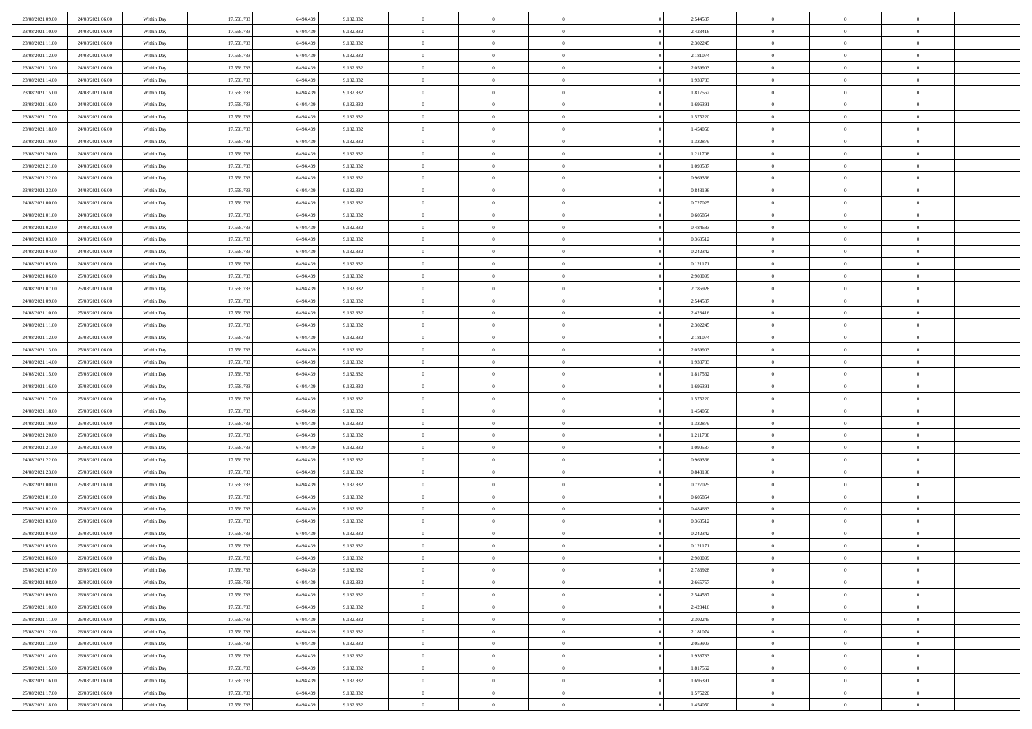| 23/08/2021 09:00 | 24/08/2021 06:00 | Within Day | 17.558.733 | 6.494.439 | 9.132.832 | $\bf{0}$       | $\bf{0}$       | $\theta$       |          | 2,544587 | $\bf{0}$       | $\overline{0}$ | $\,0\,$        |  |
|------------------|------------------|------------|------------|-----------|-----------|----------------|----------------|----------------|----------|----------|----------------|----------------|----------------|--|
| 23/08/2021 10:00 | 24/08/2021 06:00 | Within Day | 17.558.733 | 6,494,439 | 9.132.832 | $\overline{0}$ | $\overline{0}$ | $\overline{0}$ |          | 2,423416 | $\theta$       | $\overline{0}$ | $\theta$       |  |
| 23/08/2021 11:00 | 24/08/2021 06:00 | Within Dav | 17.558.733 | 6.494.439 | 9.132.832 | $\mathbf{0}$   | $\overline{0}$ | $\overline{0}$ |          | 2,302245 | $\mathbf{0}$   | $\overline{0}$ | $\overline{0}$ |  |
| 23/08/2021 12:00 | 24/08/2021 06:00 | Within Day | 17.558.733 | 6.494.439 | 9.132.832 | $\bf{0}$       | $\overline{0}$ | $\bf{0}$       |          | 2,181074 | $\bf{0}$       | $\overline{0}$ | $\bf{0}$       |  |
| 23/08/2021 13:00 | 24/08/2021 06:00 | Within Day | 17.558.733 | 6,494,439 | 9.132.832 | $\bf{0}$       | $\bf{0}$       | $\overline{0}$ |          | 2,059903 | $\bf{0}$       | $\bf{0}$       | $\,0\,$        |  |
| 23/08/2021 14:00 | 24/08/2021 06:00 | Within Dav | 17.558.733 | 6.494.439 | 9.132.832 | $\mathbf{0}$   | $\overline{0}$ | $\overline{0}$ |          | 1,938733 | $\mathbf{0}$   | $\overline{0}$ | $\overline{0}$ |  |
|                  |                  |            |            |           |           |                |                |                |          |          |                |                |                |  |
| 23/08/2021 15:00 | 24/08/2021 06:00 | Within Day | 17.558.733 | 6.494.439 | 9.132.832 | $\bf{0}$       | $\bf{0}$       | $\overline{0}$ |          | 1,817562 | $\bf{0}$       | $\overline{0}$ | $\,0\,$        |  |
| 23/08/2021 16:00 | 24/08/2021 06:00 | Within Day | 17.558.733 | 6.494.439 | 9.132.832 | $\overline{0}$ | $\overline{0}$ | $\overline{0}$ |          | 1,696391 | $\,$ 0 $\,$    | $\overline{0}$ | $\overline{0}$ |  |
| 23/08/2021 17:00 | 24/08/2021 06:00 | Within Day | 17.558.733 | 6.494.439 | 9.132.832 | $\mathbf{0}$   | $\overline{0}$ | $\overline{0}$ |          | 1,575220 | $\mathbf{0}$   | $\overline{0}$ | $\overline{0}$ |  |
| 23/08/2021 18:00 | 24/08/2021 06:00 | Within Day | 17.558.733 | 6.494.439 | 9.132.832 | $\bf{0}$       | $\bf{0}$       | $\overline{0}$ |          | 1,454050 | $\bf{0}$       | $\overline{0}$ | $\,0\,$        |  |
| 23/08/2021 19:00 | 24/08/2021 06:00 | Within Day | 17.558.733 | 6,494,439 | 9.132.832 | $\bf{0}$       | $\overline{0}$ | $\overline{0}$ |          | 1,332879 | $\bf{0}$       | $\overline{0}$ | $\theta$       |  |
| 23/08/2021 20:00 | 24/08/2021 06:00 | Within Dav | 17.558.733 | 6.494.439 | 9.132.832 | $\mathbf{0}$   | $\overline{0}$ | $\overline{0}$ |          | 1,211708 | $\mathbf{0}$   | $\overline{0}$ | $\overline{0}$ |  |
| 23/08/2021 21:00 | 24/08/2021 06:00 | Within Day | 17.558.733 | 6.494.439 | 9.132.832 | $\bf{0}$       | $\overline{0}$ | $\bf{0}$       |          | 1,090537 | $\bf{0}$       | $\overline{0}$ | $\overline{0}$ |  |
| 23/08/2021 22:00 | 24/08/2021 06:00 | Within Day | 17.558.733 | 6.494.439 | 9.132.832 | $\bf{0}$       | $\overline{0}$ | $\overline{0}$ |          | 0,969366 | $\bf{0}$       | $\bf{0}$       | $\,0\,$        |  |
| 23/08/2021 23:00 | 24/08/2021 06:00 | Within Dav | 17.558.733 | 6.494.439 | 9.132.832 | $\overline{0}$ | $\overline{0}$ | $\overline{0}$ |          | 0,848196 | $\mathbf{0}$   | $\overline{0}$ | $\overline{0}$ |  |
| 24/08/2021 00:00 | 24/08/2021 06:00 | Within Day | 17.558.733 | 6.494.439 | 9.132.832 | $\bf{0}$       | $\bf{0}$       | $\overline{0}$ |          | 0,727025 | $\bf{0}$       | $\overline{0}$ | $\bf{0}$       |  |
| 24/08/2021 01:00 | 24/08/2021 06:00 | Within Day | 17.558.733 | 6,494,439 | 9.132.832 | $\overline{0}$ | $\overline{0}$ | $\overline{0}$ |          | 0.605854 | $\bf{0}$       | $\overline{0}$ | $\theta$       |  |
| 24/08/2021 02:00 | 24/08/2021 06:00 | Within Day | 17.558.733 | 6.494.439 | 9.132.832 | $\mathbf{0}$   | $\overline{0}$ | $\overline{0}$ |          | 0,484683 | $\mathbf{0}$   | $\overline{0}$ | $\overline{0}$ |  |
| 24/08/2021 03:00 | 24/08/2021 06:00 | Within Day | 17.558.733 | 6.494.439 | 9.132.832 | $\bf{0}$       | $\bf{0}$       | $\overline{0}$ |          | 0,363512 | $\bf{0}$       | $\overline{0}$ | $\,0\,$        |  |
| 24/08/2021 04:00 | 24/08/2021 06:00 | Within Day | 17.558.733 | 6.494.439 | 9.132.832 | $\bf{0}$       | $\bf{0}$       | $\overline{0}$ |          | 0,242342 | $\bf{0}$       | $\overline{0}$ | $\overline{0}$ |  |
| 24/08/2021 05:00 | 24/08/2021 06:00 | Within Dav | 17.558.733 | 6.494.439 | 9.132.832 | $\mathbf{0}$   | $\overline{0}$ | $\overline{0}$ |          | 0,121171 | $\mathbf{0}$   | $\overline{0}$ | $\overline{0}$ |  |
| 24/08/2021 06:00 | 25/08/2021 06:00 | Within Day | 17.558.733 | 6.494.439 | 9.132.832 | $\bf{0}$       | $\overline{0}$ | $\overline{0}$ |          | 2,908099 | $\bf{0}$       | $\overline{0}$ | $\bf{0}$       |  |
| 24/08/2021 07:00 | 25/08/2021 06:00 | Within Day | 17.558.733 | 6,494,439 | 9.132.832 | $\bf{0}$       | $\bf{0}$       | $\overline{0}$ |          | 2,786928 | $\bf{0}$       | $\overline{0}$ | $\,0\,$        |  |
| 24/08/2021 09:00 | 25/08/2021 06:00 | Within Dav | 17.558.733 | 6.494.439 | 9.132.832 | $\mathbf{0}$   | $\overline{0}$ | $\overline{0}$ |          | 2,544587 | $\mathbf{0}$   | $\overline{0}$ | $\overline{0}$ |  |
| 24/08/2021 10:00 | 25/08/2021 06:00 | Within Day | 17.558.733 | 6.494.439 | 9.132.832 | $\bf{0}$       | $\bf{0}$       | $\overline{0}$ |          | 2,423416 | $\bf{0}$       | $\overline{0}$ | $\bf{0}$       |  |
| 24/08/2021 11:00 | 25/08/2021 06:00 | Within Day | 17.558.733 | 6.494.439 | 9.132.832 | $\bf{0}$       | $\overline{0}$ | $\overline{0}$ |          | 2,302245 | $\bf{0}$       | $\mathbf{0}$   | $\overline{0}$ |  |
| 24/08/2021 12:00 | 25/08/2021 06:00 | Within Dav | 17.558.733 | 6.494.439 | 9.132.832 | $\mathbf{0}$   | $\overline{0}$ | $\overline{0}$ |          | 2,181074 | $\mathbf{0}$   | $\overline{0}$ | $\overline{0}$ |  |
| 24/08/2021 13:00 | 25/08/2021 06:00 | Within Day | 17.558.733 | 6.494.439 | 9.132.832 | $\bf{0}$       | $\bf{0}$       | $\overline{0}$ |          | 2,059903 | $\bf{0}$       | $\overline{0}$ | $\,0\,$        |  |
| 24/08/2021 14:00 | 25/08/2021 06:00 |            | 17.558.733 | 6,494,439 |           | $\bf{0}$       | $\bf{0}$       | $\overline{0}$ |          | 1,938733 | $\bf{0}$       | $\overline{0}$ | $\overline{0}$ |  |
|                  |                  | Within Day |            |           | 9.132.832 | $\mathbf{0}$   |                |                |          |          | $\mathbf{0}$   |                | $\overline{0}$ |  |
| 24/08/2021 15:00 | 25/08/2021 06:00 | Within Dav | 17.558.733 | 6.494.439 | 9.132.832 |                | $\overline{0}$ | $\overline{0}$ |          | 1,817562 |                | $\overline{0}$ |                |  |
| 24/08/2021 16:00 | 25/08/2021 06:00 | Within Day | 17.558.733 | 6.494.439 | 9.132.832 | $\bf{0}$       | $\overline{0}$ | $\theta$       |          | 1,696391 | $\,$ 0         | $\overline{0}$ | $\theta$       |  |
| 24/08/2021 17:00 | 25/08/2021 06:00 | Within Day | 17.558.733 | 6.494.439 | 9.132.832 | $\bf{0}$       | $\bf{0}$       | $\overline{0}$ |          | 1,575220 | $\bf{0}$       | $\overline{0}$ | $\bf{0}$       |  |
| 24/08/2021 18:00 | 25/08/2021 06:00 | Within Dav | 17.558.733 | 6.494.439 | 9.132.832 | $\overline{0}$ | $\overline{0}$ | $\overline{0}$ |          | 1,454050 | $\mathbf{0}$   | $\overline{0}$ | $\overline{0}$ |  |
| 24/08/2021 19:00 | 25/08/2021 06:00 | Within Day | 17.558.733 | 6.494.439 | 9.132.832 | $\bf{0}$       | $\overline{0}$ | $\theta$       |          | 1,332879 | $\,$ 0         | $\overline{0}$ | $\theta$       |  |
| 24/08/2021 20:00 | 25/08/2021 06:00 | Within Day | 17.558.733 | 6.494.439 | 9.132.832 | $\bf{0}$       | $\overline{0}$ | $\overline{0}$ |          | 1,211708 | $\bf{0}$       | $\overline{0}$ | $\overline{0}$ |  |
| 24/08/2021 21:00 | 25/08/2021 06:00 | Within Day | 17.558.733 | 6.494.439 | 9.132.832 | $\mathbf{0}$   | $\overline{0}$ | $\overline{0}$ |          | 1,090537 | $\mathbf{0}$   | $\overline{0}$ | $\overline{0}$ |  |
| 24/08/2021 22:00 | 25/08/2021 06:00 | Within Day | 17.558.733 | 6.494.439 | 9.132.832 | $\bf{0}$       | $\overline{0}$ | $\theta$       |          | 0,969366 | $\,$ 0         | $\overline{0}$ | $\theta$       |  |
| 24/08/2021 23.00 | 25/08/2021 06:00 | Within Day | 17.558.733 | 6.494.439 | 9.132.832 | $\bf{0}$       | $\overline{0}$ | $\overline{0}$ |          | 0,848196 | $\bf{0}$       | $\overline{0}$ | $\bf{0}$       |  |
| 25/08/2021 00:00 | 25/08/2021 06:00 | Within Dav | 17.558.733 | 6.494.439 | 9.132.832 | $\mathbf{0}$   | $\overline{0}$ | $\overline{0}$ |          | 0,727025 | $\mathbf{0}$   | $\overline{0}$ | $\overline{0}$ |  |
| 25/08/2021 01:00 | 25/08/2021 06:00 | Within Day | 17.558.733 | 6.494.439 | 9.132.832 | $\,0\,$        | $\overline{0}$ | $\theta$       |          | 0,605854 | $\,$ 0         | $\overline{0}$ | $\theta$       |  |
| 25/08/2021 02:00 | 25/08/2021 06:00 | Within Day | 17.558.733 | 6.494.439 | 9.132.832 | $\bf{0}$       | $\overline{0}$ | $\overline{0}$ |          | 0,484683 | $\bf{0}$       | $\overline{0}$ | $\bf{0}$       |  |
| 25/08/2021 03:00 | 25/08/2021 06:00 | Within Dav | 17.558.733 | 6.494.439 | 9.132.832 | $\mathbf{0}$   | $\overline{0}$ | $\overline{0}$ |          | 0,363512 | $\mathbf{0}$   | $\overline{0}$ | $\overline{0}$ |  |
| 25/08/2021 04:00 | 25/08/2021 06:00 | Within Day | 17.558.733 | 6.494.439 | 9.132.832 | $\bf{0}$       | $\overline{0}$ | $\theta$       |          | 0,242342 | $\,$ 0         | $\overline{0}$ | $\theta$       |  |
| 25/08/2021 05:00 | 25/08/2021 06:00 | Within Day | 17.558.733 | 6.494.439 | 9.132.832 | $\bf{0}$       | $\overline{0}$ | $\overline{0}$ |          | 0,121171 | $\,$ 0 $\,$    | $\overline{0}$ | $\bf{0}$       |  |
| 25/08/2021 06:00 | 26/08/2021 06:00 | Within Day | 17.558.733 | 6.494.439 | 9.132.832 | $\bf{0}$       | $\overline{0}$ |                |          | 2,908099 | $\overline{0}$ | $\theta$       | $\theta$       |  |
| 25/08/2021 07:00 | 26/08/2021 06:00 | Within Day | 17.558.733 | 6.494.439 | 9.132.832 | $\,0\,$        | $\overline{0}$ | $\theta$       |          | 2,786928 | $\,$ 0 $\,$    | $\bf{0}$       | $\theta$       |  |
| 25/08/2021 08:00 | 26/08/2021 06:00 | Within Day | 17.558.733 | 6.494.439 | 9.132.832 | $\overline{0}$ | $\overline{0}$ | $\overline{0}$ |          | 2,665757 | $\overline{0}$ | $\overline{0}$ | $\overline{0}$ |  |
| 25/08/2021 09:00 | 26/08/2021 06:00 | Within Day | 17.558.733 | 6.494.439 | 9.132.832 | $\bf{0}$       | $\overline{0}$ | $\overline{0}$ |          | 2,544587 | $\overline{0}$ | $\bf{0}$       | $\mathbf{0}$   |  |
| 25/08/2021 10:00 | 26/08/2021 06:00 | Within Day | 17.558.733 | 6.494.439 | 9.132.832 | $\bf{0}$       | $\overline{0}$ | $\overline{0}$ | $\theta$ | 2,423416 | $\mathbf{0}$   | $\bf{0}$       | $\,$ 0 $\,$    |  |
| 25/08/2021 11:00 | 26/08/2021 06:00 | Within Day | 17.558.733 | 6.494.439 | 9.132.832 | $\bf{0}$       | $\overline{0}$ | $\overline{0}$ |          | 2,302245 | $\,$ 0 $\,$    | $\overline{0}$ | $\overline{0}$ |  |
| 25/08/2021 12:00 | 26/08/2021 06:00 | Within Day | 17.558.733 | 6.494.439 | 9.132.832 | $\bf{0}$       | $\overline{0}$ | $\overline{0}$ |          | 2,181074 | $\mathbf{0}$   | $\overline{0}$ | $\overline{0}$ |  |
| 25/08/2021 13:00 | 26/08/2021 06:00 | Within Day | 17.558.733 | 6.494.439 | 9.132.832 | $\,0\,$        | $\overline{0}$ | $\overline{0}$ | $\theta$ | 2,059903 | $\,$ 0 $\,$    | $\overline{0}$ | $\,$ 0 $\,$    |  |
| 25/08/2021 14:00 | 26/08/2021 06:00 | Within Day | 17.558.733 | 6.494.439 | 9.132.832 | $\bf{0}$       | $\overline{0}$ | $\overline{0}$ |          | 1,938733 | $\overline{0}$ | $\overline{0}$ | $\overline{0}$ |  |
| 25/08/2021 15:00 | 26/08/2021 06:00 | Within Day | 17.558.733 | 6.494.439 | 9.132.832 | $\bf{0}$       | $\overline{0}$ | $\overline{0}$ |          | 1,817562 | $\mathbf{0}$   | $\overline{0}$ | $\overline{0}$ |  |
| 25/08/2021 16:00 | 26/08/2021 06:00 | Within Day | 17.558.733 | 6.494.439 | 9.132.832 | $\,0\,$        | $\overline{0}$ | $\overline{0}$ |          | 1,696391 | $\,$ 0 $\,$    | $\mathbf{0}$   | $\overline{0}$ |  |
| 25/08/2021 17:00 | 26/08/2021 06:00 | Within Day | 17.558.733 | 6.494.439 | 9.132.832 | $\bf{0}$       | $\bf{0}$       | $\overline{0}$ |          | 1,575220 | $\mathbf{0}$   | $\mathbf{0}$   | $\overline{0}$ |  |
| 25/08/2021 18:00 | 26/08/2021 06:00 | Within Day | 17.558.733 | 6.494.439 | 9.132.832 | $\bf{0}$       | $\overline{0}$ | $\overline{0}$ |          | 1,454050 | $\mathbf{0}$   | $\overline{0}$ | $\overline{0}$ |  |
|                  |                  |            |            |           |           |                |                |                |          |          |                |                |                |  |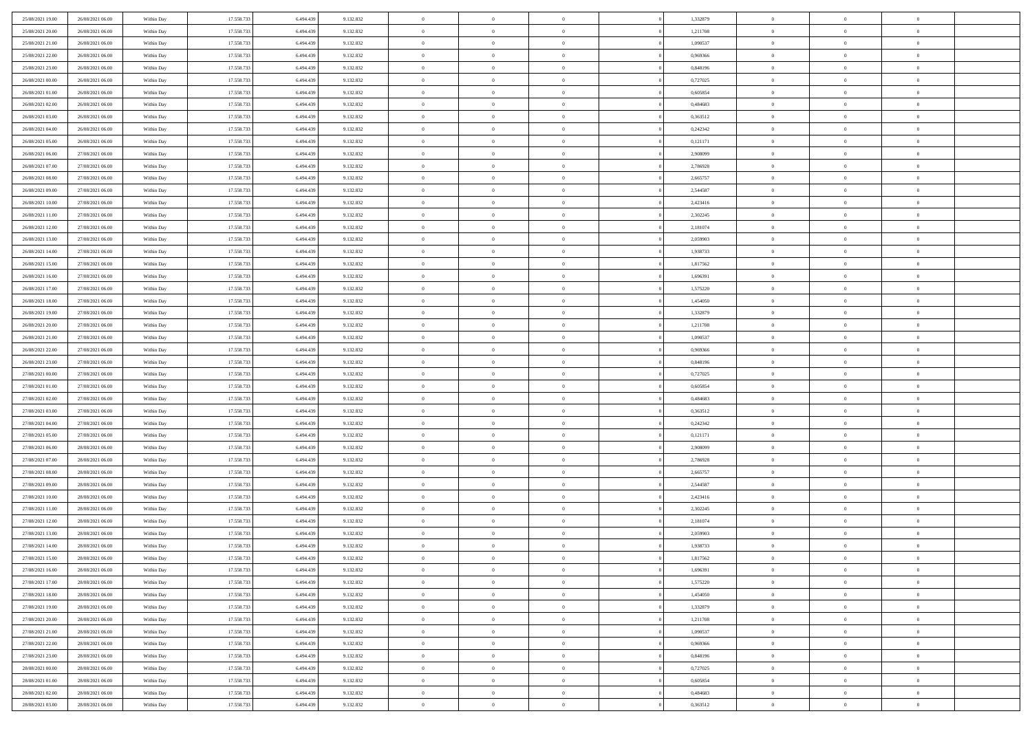| 25/08/2021 19:00                     | 26/08/2021 06:00                     | Within Day               | 17.558.733               | 6.494.439              | 9.132.832              | $\bf{0}$                    | $\overline{0}$                   | $\Omega$                         | 1,332879             | $\bf{0}$                 | $\overline{0}$             | $\theta$                  |  |
|--------------------------------------|--------------------------------------|--------------------------|--------------------------|------------------------|------------------------|-----------------------------|----------------------------------|----------------------------------|----------------------|--------------------------|----------------------------|---------------------------|--|
| 25/08/2021 20:00                     | 26/08/2021 06:00                     | Within Day               | 17.558.733               | 6.494.439              | 9.132.832              | $\overline{0}$              | $\overline{0}$                   | $\overline{0}$                   | 1,211708             | $\mathbf{0}$             | $\bf{0}$                   | $\overline{0}$            |  |
| 25/08/2021 21:00                     | 26/08/2021 06:00                     | Within Day               | 17.558.733               | 6.494.439              | 9.132.832              | $\theta$                    | $\overline{0}$                   | $\overline{0}$                   | 1,090537             | $\,$ 0                   | $\overline{0}$             | $\,$ 0 $\,$               |  |
| 25/08/2021 22:00                     | 26/08/2021 06:00                     | Within Day               | 17.558.733               | 6,494,439              | 9.132.832              | $\mathbf{0}$                | $\overline{0}$                   | $\mathbf{0}$                     | 0.969366             | $\bf{0}$                 | $\mathbf{0}$               | $\theta$                  |  |
| 25/08/2021 23:00                     | 26/08/2021 06:00                     | Within Day               | 17.558.733               | 6.494.439              | 9.132.832              | $\mathbf{0}$                | $\overline{0}$                   | $\overline{0}$                   | 0,848196             | $\mathbf{0}$             | $\bf{0}$                   | $\overline{0}$            |  |
| 26/08/2021 00:00                     | 26/08/2021 06:00                     | Within Day               | 17.558.733               | 6.494.439              | 9.132.832              | $\theta$                    | $\overline{0}$                   | $\bf{0}$                         | 0,727025             | $\,$ 0                   | $\overline{0}$             | $\,$ 0 $\,$               |  |
| 26/08/2021 01:00                     | 26/08/2021 06:00                     | Within Day               | 17.558.733               | 6.494.439              | 9.132.832              | $\,$ 0 $\,$                 | $\overline{0}$                   | $\Omega$                         | 0.605854             | $\bf{0}$                 | $\mathbf{0}$               | $\theta$                  |  |
| 26/08/2021 02:00                     | 26/08/2021 06:00                     | Within Day               | 17.558.733               | 6.494.439              | 9.132.832              | $\overline{0}$              | $\overline{0}$                   | $\overline{0}$                   | 0,484683             | $\mathbf{0}$             | $\bf{0}$                   | $\overline{0}$            |  |
| 26/08/2021 03:00                     | 26/08/2021 06:00                     | Within Day               | 17.558.733               | 6.494.439              | 9.132.832              | $\theta$                    | $\overline{0}$                   | $\bf{0}$                         | 0,363512             | $\,$ 0                   | $\overline{0}$             | $\,$ 0 $\,$               |  |
| 26/08/2021 04:00                     | 26/08/2021 06:00                     | Within Day               | 17.558.733               | 6,494,439              | 9.132.832              | $\mathbf{0}$                | $\overline{0}$                   | $\mathbf{0}$                     | 0,242342             | $\bf{0}$                 | $\mathbf{0}$               | $\theta$                  |  |
| 26/08/2021 05:00                     | 26/08/2021 06:00                     | Within Dav               | 17.558.733               | 6.494.439              | 9.132.832              | $\overline{0}$              | $\overline{0}$                   | $\overline{0}$                   | 0,121171             | $\mathbf{0}$             | $\bf{0}$                   | $\overline{0}$            |  |
| 26/08/2021 06:00                     | 27/08/2021 06:00                     | Within Day               | 17.558.733               | 6.494.439              | 9.132.832              | $\theta$                    | $\overline{0}$                   | $\bf{0}$                         | 2,908099             | $\,$ 0                   | $\overline{0}$             | $\,$ 0 $\,$               |  |
| 26/08/2021 07:00                     | 27/08/2021 06:00                     | Within Day               | 17.558.733               | 6.494.439              | 9.132.832              | $\theta$                    | $\overline{0}$                   | $\mathbf{0}$                     | 2,786928             | $\bf{0}$                 | $\theta$                   | $\theta$                  |  |
| 26/08/2021 08:00                     | 27/08/2021 06:00                     | Within Dav               | 17.558.733               | 6.494.439              | 9.132.832              | $\overline{0}$              | $\overline{0}$                   | $\overline{0}$                   | 2,665757             | $\mathbf{0}$             | $\bf{0}$                   | $\overline{0}$            |  |
| 26/08/2021 09:00                     | 27/08/2021 06:00                     | Within Day               | 17.558.733               | 6.494.439              | 9.132.832              | $\theta$                    | $\overline{0}$                   | $\overline{0}$                   | 2,544587             | $\,$ 0                   | $\overline{0}$             | $\,$ 0 $\,$               |  |
| 26/08/2021 10:00                     | 27/08/2021 06:00                     | Within Day               | 17.558.733               | 6.494.439              | 9.132.832              | $\bf{0}$                    | $\overline{0}$                   | $\mathbf{0}$                     | 2,423416             | $\bf{0}$                 | $\mathbf{0}$               | $\bf{0}$                  |  |
| 26/08/2021 11:00                     | 27/08/2021 06:00                     | Within Dav               | 17.558.733               | 6.494.439              | 9.132.832              | $\overline{0}$              | $\overline{0}$                   | $\overline{0}$                   | 2,302245             | $\mathbf{0}$             | $\bf{0}$                   | $\overline{0}$            |  |
| 26/08/2021 12:00                     | 27/08/2021 06:00                     | Within Day               | 17.558.733               | 6.494.439              | 9.132.832              | $\theta$                    | $\overline{0}$                   | $\bf{0}$                         | 2,181074             | $\,$ 0                   | $\overline{0}$             | $\,$ 0 $\,$               |  |
| 26/08/2021 13:00                     | 27/08/2021 06:00                     | Within Day               | 17.558.733               | 6.494.439              | 9.132.832              | $\mathbf{0}$                | $\overline{0}$                   | $\mathbf{0}$                     | 2.059903             | $\bf{0}$                 | $\mathbf{0}$               | $\theta$                  |  |
| 26/08/2021 14:00                     | 27/08/2021 06:00                     | Within Dav               | 17.558.733               | 6.494.439              | 9.132.832              | $\overline{0}$              | $\overline{0}$                   | $\overline{0}$                   | 1,938733             | $\mathbf{0}$             | $\bf{0}$                   | $\overline{0}$            |  |
| 26/08/2021 15:00                     | 27/08/2021 06:00                     | Within Day               | 17.558.733               | 6.494.439              | 9.132.832              | $\theta$                    | $\overline{0}$                   | $\bf{0}$                         | 1,817562             | $\,$ 0                   | $\overline{0}$             | $\,$ 0 $\,$               |  |
| 26/08/2021 16:00                     | 27/08/2021 06:00                     | Within Day               | 17.558.733               | 6.494.439              | 9.132.832              | $\theta$                    | $\overline{0}$                   | $\mathbf{0}$                     | 1.696391             | $\bf{0}$                 | $\mathbf{0}$               | $\theta$                  |  |
| 26/08/2021 17:00                     | 27/08/2021 06:00                     | Within Dav               | 17.558.733               | 6.494.439              | 9.132.832              | $\mathbf{0}$                | $\overline{0}$                   | $\overline{0}$                   | 1,575220             | $\mathbf{0}$             | $\bf{0}$                   | $\overline{0}$            |  |
| 26/08/2021 18:00                     | 27/08/2021 06:00                     | Within Day               | 17.558.733               | 6.494.439              | 9.132.832              | $\theta$                    | $\overline{0}$                   | $\bf{0}$                         | 1,454050             | $\,$ 0                   | $\overline{0}$             | $\,$ 0 $\,$               |  |
| 26/08/2021 19:00                     | 27/08/2021 06:00                     | Within Day               | 17.558.733               | 6.494.439              | 9.132.832              | $\bf{0}$                    | $\overline{0}$                   | $\mathbf{0}$                     | 1,332879             | $\bf{0}$                 | $\overline{0}$             | $\bf{0}$                  |  |
| 26/08/2021 20:00                     | 27/08/2021 06:00                     | Within Dav               | 17.558.733               | 6.494.439              | 9.132.832              | $\overline{0}$              | $\overline{0}$                   | $\overline{0}$                   | 1,211708             | $\mathbf{0}$             | $\bf{0}$                   | $\overline{0}$            |  |
| 26/08/2021 21:00                     | 27/08/2021 06:00                     | Within Day               | 17.558.733               | 6.494.439              | 9.132.832              | $\theta$                    | $\overline{0}$                   | $\bf{0}$                         | 1,090537             | $\,$ 0                   | $\overline{0}$             | $\,$ 0 $\,$               |  |
| 26/08/2021 22:00                     | 27/08/2021 06:00                     | Within Day               | 17.558.733               | 6,494,439              | 9.132.832              | $\mathbf{0}$                | $\overline{0}$                   | $\mathbf{0}$                     | 0.969366             | $\bf{0}$                 | $\mathbf{0}$               | $\theta$                  |  |
| 26/08/2021 23:00                     | 27/08/2021 06:00                     | Within Dav               | 17.558.733               | 6.494.439              | 9.132.832              | $\mathbf{0}$                | $\overline{0}$                   | $\overline{0}$                   | 0,848196             | $\mathbf{0}$             | $\bf{0}$                   | $\overline{0}$            |  |
| 27/08/2021 00:00                     | 27/08/2021 06:00                     | Within Day               | 17.558.733               | 6.494.439              | 9.132.832              | $\theta$                    | $\overline{0}$                   | $\bf{0}$                         | 0,727025             | $\,$ 0                   | $\overline{0}$             | $\,$ 0 $\,$               |  |
| 27/08/2021 01:00                     | 27/08/2021 06:00                     | Within Day               | 17.558.733               | 6.494.439              | 9.132.832              | $\,$ 0 $\,$                 | $\overline{0}$                   | $\overline{0}$                   | 0,605854             | $\bf{0}$                 | $\overline{0}$             | $\,0\,$                   |  |
| 27/08/2021 02:00                     | 27/08/2021 06:00                     | Within Dav               | 17.558.733               | 6.494.439              | 9.132.832              | $\overline{0}$              | $\overline{0}$                   | $\overline{0}$                   | 0,484683             | $\mathbf{0}$             | $\bf{0}$                   | $\overline{0}$            |  |
| 27/08/2021 03:00                     | 27/08/2021 06:00                     | Within Day               | 17.558.733               | 6.494.439              | 9.132.832              | $\theta$                    | $\overline{0}$                   | $\overline{0}$                   | 0,363512             | $\,$ 0                   | $\overline{0}$             | $\,$ 0 $\,$               |  |
| 27/08/2021 04:00                     | 27/08/2021 06:00                     | Within Day               | 17.558.733               | 6.494.439              | 9.132.832              | $\,$ 0 $\,$                 | $\overline{0}$                   | $\overline{0}$                   | 0,242342             | $\bf{0}$                 | $\overline{0}$             | $\,0\,$                   |  |
| 27/08/2021 05:00                     | 27/08/2021 06:00                     | Within Dav               | 17.558.733               | 6.494.439              | 9.132.832              | $\theta$                    | $\overline{0}$                   | $\overline{0}$                   | 0,121171             | $\mathbf{0}$             | $\bf{0}$                   | $\overline{0}$            |  |
| 27/08/2021 06:00                     | 28/08/2021 06:00                     | Within Day               | 17.558.733               | 6.494.439              | 9.132.832              | $\theta$                    | $\overline{0}$                   | $\bf{0}$                         | 2,908099             | $\,$ 0                   | $\overline{0}$             | $\,$ 0 $\,$               |  |
| 27/08/2021 07:00<br>27/08/2021 08:00 | 28/08/2021 06:00<br>28/08/2021 06:00 | Within Day<br>Within Dav | 17.558.733<br>17.558.733 | 6.494.439<br>6.494.439 | 9.132.832<br>9.132.832 | $\,$ 0 $\,$<br>$\mathbf{0}$ | $\overline{0}$<br>$\overline{0}$ | $\overline{0}$<br>$\overline{0}$ | 2,786928<br>2,665757 | $\bf{0}$<br>$\mathbf{0}$ | $\overline{0}$<br>$\bf{0}$ | $\,0\,$<br>$\overline{0}$ |  |
| 27/08/2021 09:00                     | 28/08/2021 06:00                     |                          | 17.558.733               | 6.494.439              | 9.132.832              | $\theta$                    | $\overline{0}$                   | $\bf{0}$                         | 2,544587             | $\,$ 0                   | $\overline{0}$             | $\,$ 0 $\,$               |  |
|                                      |                                      | Within Day               |                          |                        |                        | $\,$ 0 $\,$                 |                                  | $\overline{0}$                   |                      | $\bf{0}$                 | $\overline{0}$             | $\,0\,$                   |  |
| 27/08/2021 10:00<br>27/08/2021 11:00 | 28/08/2021 06:00<br>28/08/2021 06:00 | Within Day<br>Within Dav | 17.558.733<br>17.558.733 | 6.494.439<br>6.494.439 | 9.132.832<br>9.132.832 | $\theta$                    | $\overline{0}$<br>$\overline{0}$ | $\overline{0}$                   | 2,423416<br>2,302245 | $\mathbf{0}$             | $\bf{0}$                   | $\overline{0}$            |  |
| 27/08/2021 12:00                     | 28/08/2021 06:00                     | Within Day               | 17.558.733               | 6.494.439              | 9.132.832              | $\theta$                    | $\overline{0}$                   | $\bf{0}$                         | 2,181074             | $\,$ 0                   | $\overline{0}$             | $\,$ 0 $\,$               |  |
| 27/08/2021 13:00                     | 28/08/2021 06:00                     | Within Day               | 17.558.733               | 6.494.439              | 9.132.832              | $\,$ 0 $\,$                 | $\overline{0}$                   | $\overline{0}$                   | 2,059903             | $\bf{0}$                 | $\overline{0}$             | $\,0\,$                   |  |
| 27/08/2021 14:00                     | 28/08/2021 06:00                     | Within Dav               | 17.558.733               | 6.494.439              | 9.132.832              | $\theta$                    | $\overline{0}$                   | $\overline{0}$                   | 1,938733             | $\mathbf{0}$             | $\bf{0}$                   | $\overline{0}$            |  |
| 27/08/2021 15:00                     | 28/08/2021 06:00                     | Within Day               | 17.558.733               | 6.494.439              | 9.132.832              | $\overline{0}$              | $\overline{0}$                   | $\overline{0}$                   | 1,817562             | $\overline{0}$           | $\theta$                   | $\theta$                  |  |
| 27/08/2021 16:00                     | 28/08/2021 06:00                     | Within Day               | 17.558.733               | 6.494.439              | 9.132.832              | $\bf{0}$                    | $\overline{0}$                   | $\overline{0}$                   | 1,696391             | $\bf{0}$                 | $\overline{0}$             | $\bf{0}$                  |  |
| 27/08/2021 17:00                     | 28/08/2021 06:00                     | Within Day               | 17.558.733               | 6.494.439              | 9.132.832              | $\overline{0}$              | $\overline{0}$                   | $\overline{0}$                   | 1,575220             | $\overline{0}$           | $\overline{0}$             | $\overline{0}$            |  |
| 27/08/2021 18:00                     | 28/08/2021 06:00                     | Within Day               | 17.558.733               | 6.494.439              | 9.132.832              | $\,$ 0                      | $\overline{0}$                   | $\overline{0}$                   | 1,454050             | $\,$ 0 $\,$              | $\,$ 0 $\,$                | $\,$ 0 $\,$               |  |
| 27/08/2021 19:00                     | 28/08/2021 06:00                     | Within Day               | 17.558.733               | 6.494.439              | 9.132.832              | $\bf{0}$                    | $\overline{0}$                   | $\overline{0}$                   | 1,332879             | $\mathbf{0}$             | $\overline{0}$             | $\bf{0}$                  |  |
| 27/08/2021 20:00                     | 28/08/2021 06:00                     | Within Day               | 17.558.733               | 6.494.439              | 9.132.832              | $\,$ 0 $\,$                 | $\overline{0}$                   | $\overline{0}$                   | 1,211708             | $\,$ 0 $\,$              | $\bf{0}$                   | $\overline{0}$            |  |
| 27/08/2021 21:00                     | 28/08/2021 06:00                     | Within Day               | 17.558.733               | 6.494.439              | 9.132.832              | $\,$ 0                      | $\overline{0}$                   | $\overline{0}$                   | 1,090537             | $\,$ 0 $\,$              | $\overline{0}$             | $\,$ 0 $\,$               |  |
| 27/08/2021 22:00                     | 28/08/2021 06:00                     | Within Day               | 17.558.733               | 6.494.439              | 9.132.832              | $\bf{0}$                    | $\overline{0}$                   | $\overline{0}$                   | 0,969366             | $\overline{0}$           | $\overline{0}$             | $\overline{0}$            |  |
| 27/08/2021 23:00                     | 28/08/2021 06:00                     | Within Day               | 17.558.733               | 6.494.439              | 9.132.832              | $\,$ 0 $\,$                 | $\overline{0}$                   | $\overline{0}$                   | 0,848196             | $\,$ 0 $\,$              | $\overline{0}$             | $\overline{0}$            |  |
| 28/08/2021 00:00                     | 28/08/2021 06:00                     | Within Day               | 17.558.733               | 6.494.439              | 9.132.832              | $\,$ 0                      | $\overline{0}$                   | $\overline{0}$                   | 0,727025             | $\,$ 0 $\,$              | $\,$ 0 $\,$                | $\,$ 0 $\,$               |  |
| 28/08/2021 01:00                     | 28/08/2021 06:00                     | Within Day               | 17.558.733               | 6.494.439              | 9.132.832              | $\bf{0}$                    | $\overline{0}$                   | $\overline{0}$                   | 0,605854             | $\mathbf{0}$             | $\overline{0}$             | $\bf{0}$                  |  |
| 28/08/2021 02:00                     | 28/08/2021 06:00                     | Within Day               | 17.558.733               | 6.494.439              | 9.132.832              | $\mathbf{0}$                | $\overline{0}$                   | $\overline{0}$                   | 0,484683             | $\overline{0}$           | $\bf{0}$                   | $\overline{0}$            |  |
| 28/08/2021 03:00                     | 28/08/2021 06:00                     | Within Day               | 17.558.733               | 6.494.439              | 9.132.832              | $\,$ 0 $\,$                 | $\overline{0}$                   | $\overline{0}$                   | 0,363512             | $\,$ 0 $\,$              | $\overline{0}$             | $\,$ 0 $\,$               |  |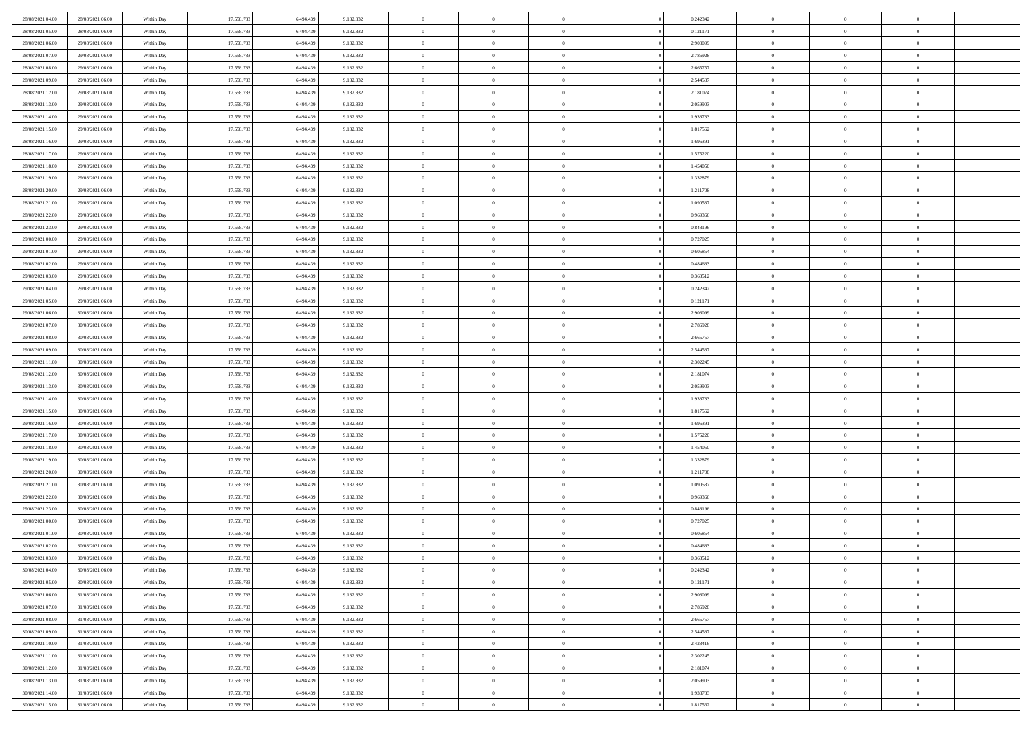| 28/08/2021 04:00 | 28/08/2021 06:00 | Within Day | 17.558.733 | 6.494.439 | 9.132.832 | $\overline{0}$ | $\overline{0}$ | $\Omega$       | 0,242342 | $\bf{0}$       | $\mathbf{0}$   | $\bf{0}$       |  |
|------------------|------------------|------------|------------|-----------|-----------|----------------|----------------|----------------|----------|----------------|----------------|----------------|--|
| 28/08/2021 05:00 | 28/08/2021 06:00 | Within Day | 17.558.733 | 6.494.439 | 9.132.832 | $\mathbf{0}$   | $\overline{0}$ | $\overline{0}$ | 0,121171 | $\overline{0}$ | $\overline{0}$ | $\overline{0}$ |  |
| 28/08/2021 06:00 | 29/08/2021 06:00 | Within Day | 17.558.733 | 6.494.439 | 9.132.832 | $\,$ 0         | $\overline{0}$ | $\bf{0}$       | 2,908099 | $\,$ 0         | $\overline{0}$ | $\,$ 0 $\,$    |  |
| 28/08/2021 07:00 | 29/08/2021 06:00 | Within Day | 17.558.733 | 6,494,439 | 9.132.832 | $\bf{0}$       | $\overline{0}$ | $\Omega$       | 2,786928 | $\bf{0}$       | $\mathbf{0}$   | $\theta$       |  |
| 28/08/2021 08:00 | 29/08/2021 06:00 | Within Day | 17.558.733 | 6.494.439 | 9.132.832 | $\bf{0}$       | $\overline{0}$ | $\overline{0}$ | 2,665757 | $\mathbf{0}$   | $\overline{0}$ | $\overline{0}$ |  |
| 28/08/2021 09:00 | 29/08/2021 06:00 | Within Day | 17.558.733 | 6.494.439 | 9.132.832 | $\bf{0}$       | $\overline{0}$ | $\bf{0}$       | 2,544587 | $\,$ 0         | $\overline{0}$ | $\,$ 0 $\,$    |  |
| 28/08/2021 12:00 | 29/08/2021 06:00 | Within Day | 17.558.733 | 6.494.439 | 9.132.832 | $\bf{0}$       | $\overline{0}$ | $\Omega$       | 2,181074 | $\theta$       | $\mathbf{0}$   | $\theta$       |  |
| 28/08/2021 13:00 | 29/08/2021 06:00 | Within Day | 17.558.733 | 6.494.439 | 9.132.832 | $\overline{0}$ | $\overline{0}$ | $\overline{0}$ | 2,059903 | $\mathbf{0}$   | $\overline{0}$ | $\overline{0}$ |  |
| 28/08/2021 14:00 | 29/08/2021 06:00 | Within Day | 17.558.733 | 6.494.439 | 9.132.832 | $\bf{0}$       | $\overline{0}$ | $\bf{0}$       | 1,938733 | $\,$ 0         | $\overline{0}$ | $\,$ 0 $\,$    |  |
| 28/08/2021 15:00 | 29/08/2021 06:00 | Within Day | 17.558.733 | 6,494,439 | 9.132.832 | $\bf{0}$       | $\overline{0}$ | $\Omega$       | 1,817562 | $\theta$       | $\mathbf{0}$   | $\theta$       |  |
| 28/08/2021 16:00 | 29/08/2021 06:00 | Within Day | 17.558.733 | 6.494.439 | 9.132.832 | $\overline{0}$ | $\overline{0}$ | $\overline{0}$ | 1,696391 | $\mathbf{0}$   | $\overline{0}$ | $\overline{0}$ |  |
| 28/08/2021 17:00 | 29/08/2021 06:00 | Within Day | 17.558.733 | 6.494.439 | 9.132.832 | $\bf{0}$       | $\overline{0}$ | $\bf{0}$       | 1,575220 | $\,$ 0         | $\overline{0}$ | $\,$ 0 $\,$    |  |
| 28/08/2021 18:00 | 29/08/2021 06:00 | Within Day | 17.558.733 | 6,494,439 | 9.132.832 | $\bf{0}$       | $\overline{0}$ | $\Omega$       | 1.454050 | $\theta$       | $\mathbf{0}$   | $\theta$       |  |
| 28/08/2021 19:00 | 29/08/2021 06:00 | Within Day | 17.558.733 | 6.494.439 | 9.132.832 | $\overline{0}$ | $\overline{0}$ | $\overline{0}$ | 1,332879 | $\mathbf{0}$   | $\overline{0}$ | $\overline{0}$ |  |
| 28/08/2021 20:00 | 29/08/2021 06:00 | Within Day | 17.558.733 | 6.494.439 | 9.132.832 | $\bf{0}$       | $\overline{0}$ | $\bf{0}$       | 1,211708 | $\,$ 0         | $\overline{0}$ | $\,$ 0 $\,$    |  |
| 28/08/2021 21:00 | 29/08/2021 06:00 | Within Day | 17.558.733 | 6.494.439 | 9.132.832 | $\bf{0}$       | $\overline{0}$ | $\overline{0}$ | 1.090537 | $\theta$       | $\mathbf{0}$   | $\bf{0}$       |  |
| 28/08/2021 22:00 | 29/08/2021 06:00 | Within Day | 17.558.733 | 6.494.439 | 9.132.832 | $\overline{0}$ | $\overline{0}$ | $\overline{0}$ | 0,969366 | $\mathbf{0}$   | $\overline{0}$ | $\overline{0}$ |  |
| 28/08/2021 23:00 | 29/08/2021 06:00 | Within Day | 17.558.733 | 6.494.439 | 9.132.832 | $\bf{0}$       | $\overline{0}$ | $\bf{0}$       | 0,848196 | $\,$ 0         | $\overline{0}$ | $\,$ 0 $\,$    |  |
| 29/08/2021 00:00 | 29/08/2021 06:00 | Within Day | 17.558.733 | 6,494,439 | 9.132.832 | $\bf{0}$       | $\overline{0}$ | $\Omega$       | 0,727025 | $\theta$       | $\mathbf{0}$   | $\theta$       |  |
| 29/08/2021 01:00 | 29/08/2021 06:00 | Within Day | 17.558.733 | 6.494.439 | 9.132.832 | $\overline{0}$ | $\overline{0}$ | $\overline{0}$ | 0,605854 | $\mathbf{0}$   | $\overline{0}$ | $\overline{0}$ |  |
| 29/08/2021 02:00 | 29/08/2021 06:00 | Within Day | 17.558.733 | 6.494.439 | 9.132.832 | $\bf{0}$       | $\overline{0}$ | $\bf{0}$       | 0,484683 | $\,$ 0         | $\overline{0}$ | $\,$ 0 $\,$    |  |
| 29/08/2021 03:00 | 29/08/2021 06:00 | Within Day | 17.558.733 | 6,494,439 | 9.132.832 | $\bf{0}$       | $\overline{0}$ | $\Omega$       | 0.363512 | $\bf{0}$       | $\mathbf{0}$   | $\theta$       |  |
| 29/08/2021 04:00 | 29/08/2021 06:00 | Within Day | 17.558.733 | 6.494.439 | 9.132.832 | $\overline{0}$ | $\overline{0}$ | $\overline{0}$ | 0,242342 | $\mathbf{0}$   | $\overline{0}$ | $\overline{0}$ |  |
| 29/08/2021 05:00 | 29/08/2021 06:00 | Within Day | 17.558.733 | 6.494.439 | 9.132.832 | $\bf{0}$       | $\overline{0}$ | $\bf{0}$       | 0,121171 | $\,$ 0         | $\overline{0}$ | $\,$ 0 $\,$    |  |
| 29/08/2021 06:00 | 30/08/2021 06:00 | Within Day | 17.558.733 | 6.494.439 | 9.132.832 | $\bf{0}$       | $\overline{0}$ | $\overline{0}$ | 2.908099 | $\bf{0}$       | $\bf{0}$       | $\bf{0}$       |  |
| 29/08/2021 07:00 | 30/08/2021 06:00 | Within Day | 17.558.733 | 6.494.439 | 9.132.832 | $\overline{0}$ | $\overline{0}$ | $\overline{0}$ | 2,786928 | $\mathbf{0}$   | $\overline{0}$ | $\overline{0}$ |  |
| 29/08/2021 08:00 | 30/08/2021 06:00 | Within Day | 17.558.733 | 6.494.439 | 9.132.832 | $\bf{0}$       | $\overline{0}$ | $\bf{0}$       | 2,665757 | $\,$ 0         | $\overline{0}$ | $\,$ 0 $\,$    |  |
| 29/08/2021 09:00 | 30/08/2021 06:00 | Within Day | 17.558.733 | 6,494,439 | 9.132.832 | $\bf{0}$       | $\overline{0}$ | $\Omega$       | 2.544587 | $\theta$       | $\mathbf{0}$   | $\theta$       |  |
| 29/08/2021 11:00 | 30/08/2021 06:00 | Within Day | 17.558.733 | 6.494.439 | 9.132.832 | $\overline{0}$ | $\overline{0}$ | $\overline{0}$ | 2,302245 | $\mathbf{0}$   | $\overline{0}$ | $\overline{0}$ |  |
| 29/08/2021 12:00 | 30/08/2021 06:00 | Within Day | 17.558.733 | 6.494.439 | 9.132.832 | $\bf{0}$       | $\overline{0}$ | $\bf{0}$       | 2,181074 | $\,$ 0         | $\overline{0}$ | $\,$ 0 $\,$    |  |
| 29/08/2021 13:00 | 30/08/2021 06:00 | Within Day | 17.558.733 | 6.494.439 | 9.132.832 | $\bf{0}$       | $\overline{0}$ | $\overline{0}$ | 2,059903 | $\bf{0}$       | $\overline{0}$ | $\,0\,$        |  |
| 29/08/2021 14:00 | 30/08/2021 06:00 | Within Day | 17.558.733 | 6.494.439 | 9.132.832 | $\overline{0}$ | $\overline{0}$ | $\overline{0}$ | 1,938733 | $\mathbf{0}$   | $\overline{0}$ | $\overline{0}$ |  |
| 29/08/2021 15:00 | 30/08/2021 06:00 | Within Day | 17.558.733 | 6.494.439 | 9.132.832 | $\bf{0}$       | $\overline{0}$ | $\bf{0}$       | 1,817562 | $\,$ 0         | $\overline{0}$ | $\,$ 0 $\,$    |  |
| 29/08/2021 16:00 | 30/08/2021 06:00 | Within Day | 17.558.733 | 6.494.439 | 9.132.832 | $\bf{0}$       | $\overline{0}$ | $\bf{0}$       | 1,696391 | $\bf{0}$       | $\overline{0}$ | $\,0\,$        |  |
| 29/08/2021 17:00 | 30/08/2021 06:00 | Within Day | 17.558.733 | 6.494.439 | 9.132.832 | $\overline{0}$ | $\overline{0}$ | $\overline{0}$ | 1,575220 | $\overline{0}$ | $\overline{0}$ | $\overline{0}$ |  |
| 29/08/2021 18:00 | 30/08/2021 06:00 | Within Day | 17.558.733 | 6.494.439 | 9.132.832 | $\bf{0}$       | $\overline{0}$ | $\bf{0}$       | 1,454050 | $\,$ 0         | $\overline{0}$ | $\,$ 0 $\,$    |  |
| 29/08/2021 19:00 | 30/08/2021 06:00 | Within Day | 17.558.733 | 6.494.439 | 9.132.832 | $\bf{0}$       | $\bf{0}$       | $\overline{0}$ | 1,332879 | $\bf{0}$       | $\overline{0}$ | $\,0\,$        |  |
| 29/08/2021 20:00 | 30/08/2021 06:00 | Within Day | 17.558.733 | 6.494.439 | 9.132.832 | $\overline{0}$ | $\overline{0}$ | $\overline{0}$ | 1,211708 | $\mathbf{0}$   | $\overline{0}$ | $\overline{0}$ |  |
| 29/08/2021 21:00 | 30/08/2021 06:00 | Within Day | 17.558.733 | 6.494.439 | 9.132.832 | $\bf{0}$       | $\overline{0}$ | $\bf{0}$       | 1,090537 | $\,$ 0         | $\overline{0}$ | $\,$ 0 $\,$    |  |
| 29/08/2021 22.00 | 30/08/2021 06:00 | Within Day | 17.558.733 | 6.494.439 | 9.132.832 | $\bf{0}$       | $\bf{0}$       | $\overline{0}$ | 0,969366 | $\bf{0}$       | $\overline{0}$ | $\,0\,$        |  |
| 29/08/2021 23:00 | 30/08/2021 06:00 | Within Day | 17.558.733 | 6.494.439 | 9.132.832 | $\overline{0}$ | $\overline{0}$ | $\overline{0}$ | 0,848196 | $\overline{0}$ | $\overline{0}$ | $\overline{0}$ |  |
| 30/08/2021 00:00 | 30/08/2021 06:00 | Within Day | 17.558.733 | 6.494.439 | 9.132.832 | $\bf{0}$       | $\overline{0}$ | $\bf{0}$       | 0,727025 | $\,$ 0         | $\overline{0}$ | $\,$ 0 $\,$    |  |
| 30/08/2021 01:00 | 30/08/2021 06:00 | Within Day | 17.558.733 | 6.494.439 | 9.132.832 | $\bf{0}$       | $\bf{0}$       | $\bf{0}$       | 0,605854 | $\bf{0}$       | $\overline{0}$ | $\,0\,$        |  |
| 30/08/2021 02:00 | 30/08/2021 06:00 | Within Dav | 17.558.733 | 6.494.439 | 9.132.832 | $\mathbf{0}$   | $\overline{0}$ | $\overline{0}$ | 0,484683 | $\mathbf{0}$   | $\overline{0}$ | $\overline{0}$ |  |
| 30/08/2021 03:00 | 30/08/2021 06:00 | Within Day | 17.558.733 | 6.494.439 | 9.132.832 | $\bf{0}$       | $\overline{0}$ | $\theta$       | 0,363512 | $\overline{0}$ | $\theta$       | $\theta$       |  |
| 30/08/2021 04:00 | 30/08/2021 06:00 | Within Day | 17.558.733 | 6.494.439 | 9.132.832 | $\bf{0}$       | $\bf{0}$       | $\bf{0}$       | 0,242342 | $\bf{0}$       | $\overline{0}$ | $\,0\,$        |  |
| 30/08/2021 05:00 | 30/08/2021 06:00 | Within Day | 17.558.733 | 6.494.439 | 9.132.832 | $\overline{0}$ | $\overline{0}$ | $\overline{0}$ | 0,121171 | $\mathbf{0}$   | $\bf{0}$       | $\overline{0}$ |  |
| 30/08/2021 06:00 | 31/08/2021 06:00 | Within Day | 17.558.733 | 6.494.439 | 9.132.832 | $\,$ 0 $\,$    | $\overline{0}$ | $\overline{0}$ | 2,908099 | $\mathbf{0}$   | $\,$ 0 $\,$    | $\,$ 0 $\,$    |  |
| 30/08/2021 07:00 | 31/08/2021 06:00 | Within Day | 17.558.733 | 6.494.439 | 9.132.832 | $\bf{0}$       | $\bf{0}$       | $\overline{0}$ | 2,786928 | $\bf{0}$       | $\overline{0}$ | $\bf{0}$       |  |
| 30/08/2021 08:00 | 31/08/2021 06:00 | Within Day | 17.558.733 | 6.494.439 | 9.132.832 | $\bf{0}$       | $\overline{0}$ | $\overline{0}$ | 2,665757 | $\overline{0}$ | $\overline{0}$ | $\overline{0}$ |  |
| 30/08/2021 09:00 | 31/08/2021 06:00 | Within Day | 17.558.733 | 6.494.439 | 9.132.832 | $\,$ 0 $\,$    | $\overline{0}$ | $\overline{0}$ | 2,544587 | $\,$ 0 $\,$    | $\overline{0}$ | $\,$ 0 $\,$    |  |
| 30/08/2021 10:00 | 31/08/2021 06:00 | Within Day | 17.558.733 | 6.494.439 | 9.132.832 | $\bf{0}$       | $\overline{0}$ | $\overline{0}$ | 2,423416 | $\bf{0}$       | $\overline{0}$ | $\overline{0}$ |  |
| 30/08/2021 11:00 | 31/08/2021 06:00 | Within Day | 17.558.733 | 6.494.439 | 9.132.832 | $\overline{0}$ | $\overline{0}$ | $\overline{0}$ | 2,302245 | $\overline{0}$ | $\bf{0}$       | $\overline{0}$ |  |
| 30/08/2021 12:00 | 31/08/2021 06:00 | Within Day | 17.558.733 | 6.494.439 | 9.132.832 | $\,$ 0 $\,$    | $\overline{0}$ | $\overline{0}$ | 2,181074 | $\,$ 0 $\,$    | $\,$ 0 $\,$    | $\,$ 0 $\,$    |  |
| 30/08/2021 13:00 | 31/08/2021 06:00 | Within Day | 17.558.733 | 6.494.439 | 9.132.832 | $\bf{0}$       | $\bf{0}$       | $\overline{0}$ | 2,059903 | $\mathbf{0}$   | $\overline{0}$ | $\bf{0}$       |  |
| 30/08/2021 14:00 | 31/08/2021 06:00 | Within Day | 17.558.733 | 6.494.439 | 9.132.832 | $\overline{0}$ | $\overline{0}$ | $\overline{0}$ | 1,938733 | $\mathbf{0}$   | $\bf{0}$       | $\overline{0}$ |  |
| 30/08/2021 15:00 | 31/08/2021 06:00 | Within Day | 17.558.733 | 6.494.439 | 9.132.832 | $\,0\,$        | $\overline{0}$ | $\overline{0}$ | 1,817562 | $\,$ 0         | $\overline{0}$ | $\,$ 0 $\,$    |  |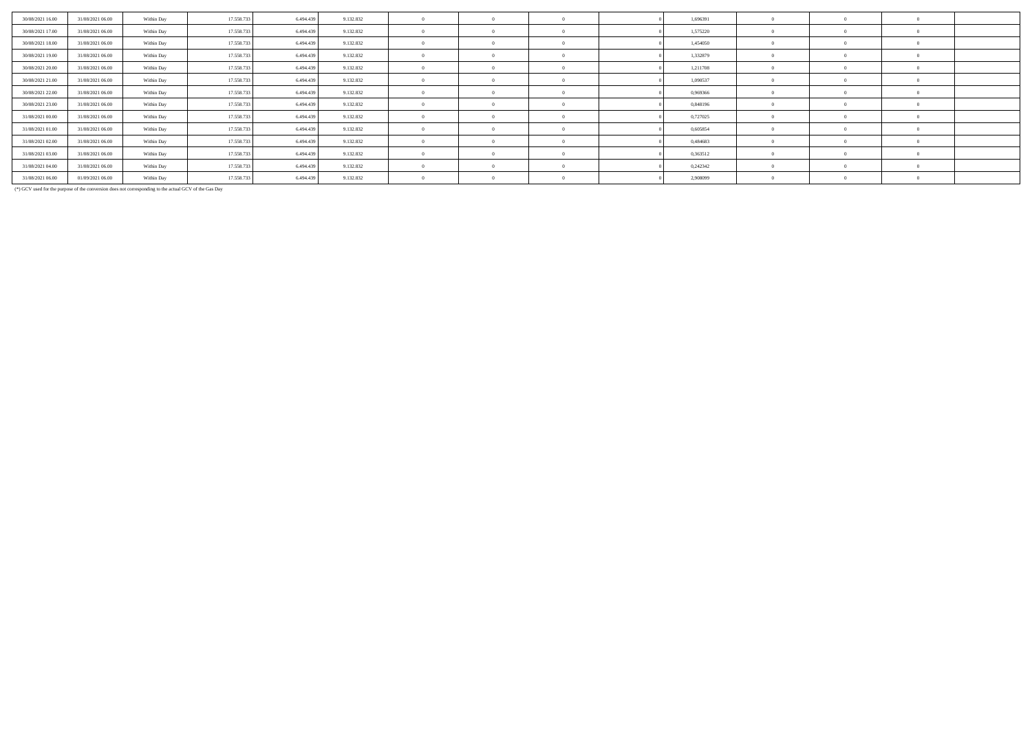| 30/08/2021 16:00 | 31/08/2021 06:00 | Within Day | 17.558.733 | 6.494.439 | 9.132.832 |            |  | 1,696391 |  |  |
|------------------|------------------|------------|------------|-----------|-----------|------------|--|----------|--|--|
| 30/08/2021 17:00 | 31/08/2021 06:00 | Within Day | 17.558.733 | 6.494.43  | 9.132.832 | $\Omega$   |  | 1,575220 |  |  |
| 30/08/2021 18:00 | 31/08/2021 06:00 | Within Day | 17.558.733 | 6.494.43  | 9.132.832 |            |  | 1,454050 |  |  |
| 30/08/2021 19:00 | 31/08/2021 06:00 | Within Day | 17.558.733 | 6.494.439 | 9.132.832 |            |  | 1,332879 |  |  |
| 30/08/2021 20:00 | 31/08/2021 06:00 | Within Day | 17.558.733 | 6.494.43  | 9.132.832 |            |  | 1,211708 |  |  |
| 30/08/2021 21:00 | 31/08/2021 06:00 | Within Day | 17.558.733 | 6.494.439 | 9.132.832 | $^{\circ}$ |  | 1,090537 |  |  |
| 30/08/2021 22:00 | 31/08/2021 06:00 | Within Day | 17.558.733 | 6.494.439 | 9.132.832 | $^{\circ}$ |  | 0,969366 |  |  |
| 30/08/2021 23:00 | 31/08/2021 06:00 | Within Day | 17.558.733 | 6.494.43  | 9.132.832 |            |  | 0,848196 |  |  |
| 31/08/2021 00:00 | 31/08/2021 06:00 | Within Day | 17.558.733 | 6.494.439 | 9.132.832 | $\Omega$   |  | 0,727025 |  |  |
| 31/08/2021 01:00 | 31/08/2021 06:00 | Within Day | 17.558.733 | 6.494.439 | 9.132.832 |            |  | 0,605854 |  |  |
| 31/08/2021 02:00 | 31/08/2021 06:00 | Within Day | 17.558.733 | 6.494.439 | 9.132.832 | $\theta$   |  | 0,484683 |  |  |
| 31/08/2021 03:00 | 31/08/2021 06:00 | Within Day | 17.558.733 | 6.494.439 | 9.132.832 | $\Omega$   |  | 0,363512 |  |  |
| 31/08/2021 04:00 | 31/08/2021 06:00 | Within Day | 17.558.733 | 6.494.439 | 9.132.832 | $\Omega$   |  | 0,242342 |  |  |
| 31/08/2021 06:00 | 01/09/2021 06:00 | Within Day | 17.558.733 | 6.494.439 | 9.132.832 |            |  | 2,908099 |  |  |

(\*) GCV used for the purpose of the conversion does not corresponding to the actual GCV of the Gas Day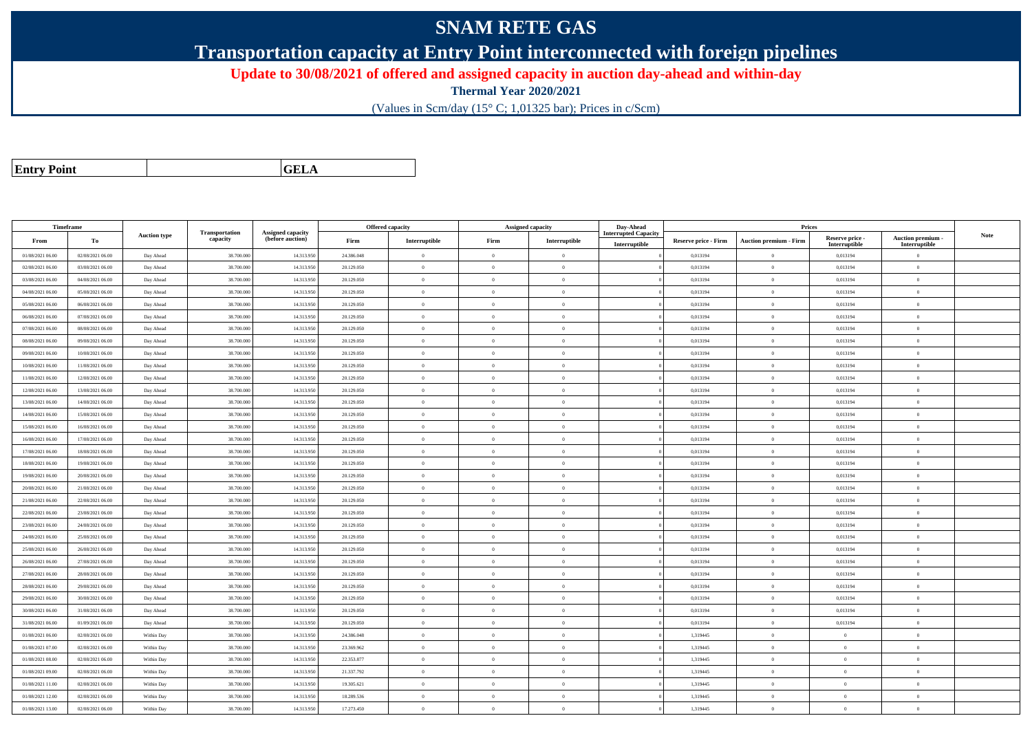## **SNAM RETE GAS**

**Transportation capacity at Entry Point interconnected with foreign pipelines**

**Update to 30/08/2021 of offered and assigned capacity in auction day-ahead and within-day**

**Thermal Year 2020/2021**

(Values in Scm/day (15° C; 1,01325 bar); Prices in c/Scm)

| <b>Entry Point</b> |  |
|--------------------|--|
|--------------------|--|

**a CELA** 

| Timeframe        |                  |                     |                                   |                                       |            | <b>Offered capacity</b> |                | Assigned capacity | Day-Ahead           |                             | <b>Prices</b>                 |                 |                 |             |
|------------------|------------------|---------------------|-----------------------------------|---------------------------------------|------------|-------------------------|----------------|-------------------|---------------------|-----------------------------|-------------------------------|-----------------|-----------------|-------------|
| From             | To               | <b>Auction type</b> | <b>Transportation</b><br>capacity | Assigned capacity<br>(before auction) | Firm       | Interruptible           | Firm           | Interruptible     | iterrupted Capacity | <b>Reserve price - Firm</b> | <b>Auction premium - Firm</b> | Reserve price - | Auction premium | <b>Note</b> |
|                  |                  |                     |                                   |                                       |            |                         |                |                   | Interruptible       |                             |                               | Interruptible   | Interruptible   |             |
| 01/08/2021 06:00 | 02/08/2021 06:00 | Day Ahead           | 38.700.000                        | 14.313.95                             | 24.386.048 | $\bf{0}$                | $\theta$       | $\overline{0}$    |                     | 0,013194                    | $\overline{0}$                | 0,013194        | $\overline{0}$  |             |
| 02/08/2021 06:00 | 03/08/2021 06:00 | Day Ahead           | 38.700.000                        | 14.313.95                             | 20.129.050 | $\theta$                | $\theta$       | $\Omega$          |                     | 0,013194                    | $\theta$                      | 0,013194        | $\overline{0}$  |             |
| 03/08/2021 06:00 | 04/08/2021 06:00 | Day Ahead           | 38.700.00                         | 14.313.95                             | 20.129.050 | $\bf{0}$                | $\overline{0}$ | $\overline{0}$    |                     | 0,013194                    | $\overline{0}$                | 0,013194        | $\overline{0}$  |             |
| 04/08/2021 06:00 | 05/08/2021 06:00 | Day Ahead           | 38,700,000                        | 14.313.95                             | 20.129.050 | $\overline{0}$          | $\Omega$       | $\overline{0}$    |                     | 0.013194                    | $\overline{0}$                | 0.013194        | $\theta$        |             |
| 05/08/2021 06:00 | 06/08/2021 06:00 | Day Ahead           | 38.700.000                        | 14.313.95                             | 20.129.050 | $\bf{0}$                | $\overline{0}$ | $\overline{0}$    |                     | 0,013194                    | $\mathbf{0}$                  | 0,013194        | $\overline{0}$  |             |
| 06/08/2021 06:00 | 07/08/2021 06:00 | Day Ahead           | 38.700.00                         | 14.313.95                             | 20.129.050 | $\overline{0}$          | $\overline{0}$ | $\overline{0}$    |                     | 0,013194                    | $\overline{0}$                | 0,013194        | $\,$ 0          |             |
| 07/08/2021 06:00 | 08/08/2021 06:00 | Day Ahead           | 38.700.000                        | 14.313.950                            | 20.129.050 | $\bf{0}$                | $\overline{0}$ | $\overline{0}$    |                     | 0,013194                    | $\overline{0}$                | 0,013194        | $\overline{0}$  |             |
| 08/08/2021 06:00 | 09/08/2021 06:00 | Day Ahead           | 38.700.000                        | 14.313.95                             | 20.129.050 | $\theta$                | $\theta$       | $\overline{0}$    |                     | 0,013194                    | $\theta$                      | 0,013194        | $\Omega$        |             |
| 09/08/2021 06:00 | 10/08/2021 06:00 | Day Ahead           | 38.700.000                        | 14.313.95                             | 20.129.050 | $\Omega$                | $\theta$       | $\alpha$          |                     | 0.013194                    | $\Omega$                      | 0,013194        | $\Omega$        |             |
| 10/08/2021 06:00 | 11/08/2021 06:00 | Day Ahead           | 38.700.000                        | 14.313.95                             | 20.129.050 | $\bf{0}$                | $\theta$       | $\overline{0}$    |                     | 0,013194                    | $\overline{0}$                | 0,013194        | $\overline{0}$  |             |
| 11/08/2021 06:00 | 12/08/2021 06:00 | Day Ahead           | 38,700,000                        | 14.313.95                             | 20.129.050 | $\overline{0}$          | $\theta$       | $\overline{0}$    |                     | 0.013194                    | $\overline{0}$                | 0.013194        | $\Omega$        |             |
| 12/08/2021 06:00 | 13/08/2021 06:00 | Day Ahead           | 38.700.000                        | 14.313.95                             | 20.129.050 | $\theta$                | $\overline{0}$ | $\overline{0}$    |                     | 0,013194                    | $\overline{0}$                | 0,013194        | $\overline{0}$  |             |
| 13/08/2021 06:00 | 14/08/2021 06:00 | Day Ahead           | 38.700.000                        | 14.313.95                             | 20.129.050 | $\theta$                | $\theta$       | $\overline{0}$    |                     | 0,013194                    | $\theta$                      | 0,013194        | $\overline{0}$  |             |
| 14/08/2021 06:00 | 15/08/2021 06:00 | Day Ahead           | 38.700.00                         | 14.313.95                             | 20.129.050 | $\theta$                | $\theta$       | $\Omega$          |                     | 0,013194                    | $\Omega$                      | 0,013194        | $\Omega$        |             |
| 15/08/2021 06:00 | 16/08/2021 06:00 | Day Ahead           | 38.700.000                        | 14.313.95                             | 20.129.050 | $\bf{0}$                | $\overline{0}$ | $\overline{0}$    |                     | 0,013194                    | $\mathbf{0}$                  | 0,013194        | $\overline{0}$  |             |
| 16/08/2021 06:00 | 17/08/2021 06:00 | Day Ahead           | 38,700,000                        | 14.313.95                             | 20.129.050 | $\bf{0}$                | $\overline{0}$ | $\overline{0}$    |                     | 0.013194                    | $\theta$                      | 0.013194        | $\overline{0}$  |             |
| 17/08/2021 06:00 | 18/08/2021 06:00 | Day Ahead           | 38.700.00                         | 14.313.95                             | 20.129.050 | $\theta$                | $\theta$       | $\overline{0}$    |                     | 0,013194                    | $\theta$                      | 0,013194        | $\overline{0}$  |             |
| 18/08/2021 06:00 | 19/08/2021 06:00 | Day Ahead           | 38,700,000                        | 14.313.95                             | 20.129.050 | $\overline{0}$          | $\theta$       | $\overline{0}$    |                     | 0.013194                    | $\overline{0}$                | 0.013194        | $\theta$        |             |
| 19/08/2021 06:00 | 20/08/2021 06:00 | Day Ahead           | 38,700,000                        | 14.313.95                             | 20.129.050 | $\theta$                | $\Omega$       | $\overline{0}$    |                     | 0.013194                    | $\theta$                      | 0.013194        | $\theta$        |             |
| 20/08/2021 06:00 | 21/08/2021 06:00 | Day Ahead           | 38.700.000                        | 14.313.95                             | 20.129.050 | $\overline{0}$          | $\,$ 0 $\,$    | $\overline{0}$    |                     | 0,013194                    | $\overline{0}$                | 0,013194        | $\overline{0}$  |             |
| 21/08/2021 06:00 | 22/08/2021 06:00 | Day Ahead           | 38.700.000                        | 14.313.95                             | 20.129.050 | $\bf{0}$                | $\theta$       | $\overline{0}$    |                     | 0,013194                    | $\mathbf{0}$                  | 0,013194        | $\overline{0}$  |             |
| 22/08/2021 06:00 | 23/08/2021 06:00 | Day Ahead           | 38.700.00                         | 14.313.95                             | 20.129.050 | $\overline{0}$          | $\theta$       | $\overline{0}$    |                     | 0,013194                    | $\theta$                      | 0,013194        | $\overline{0}$  |             |
| 23/08/2021 06:00 | 24/08/2021 06:00 | Day Ahead           | 38,700,000                        | 14.313.95                             | 20.129.050 | $\Omega$                | $\Omega$       | $\overline{0}$    |                     | 0.013194                    | $\theta$                      | 0,013194        | $\theta$        |             |
| 24/08/2021 06:00 | 25/08/2021 06:00 | Day Ahead           | 38.700.000                        | 14.313.950                            | 20.129.050 | $\theta$                | $\theta$       | $\overline{0}$    |                     | 0,013194                    | $\theta$                      | 0,013194        | $\overline{0}$  |             |
| 25/08/2021 06:00 | 26/08/2021 06:00 | Day Ahead           | 38.700.00                         | 14.313.95                             | 20.129.050 | $\theta$                | $\theta$       | $\overline{0}$    |                     | 0,013194                    | $\overline{0}$                | 0,013194        | $\overline{0}$  |             |
| 26/08/2021 06:00 | 27/08/2021 06:00 | Day Ahead           | 38,700,000                        | 14.313.95                             | 20.129.050 | $\theta$                | $\Omega$       | $\overline{0}$    |                     | 0,013194                    | $\overline{0}$                | 0,013194        | $\theta$        |             |
| 27/08/2021 06:00 | 28/08/2021 06:00 | Day Ahead           | 38,700,00                         | 14.313.95                             | 20.129.050 | $\bf{0}$                | $\overline{0}$ | $\overline{0}$    |                     | 0,013194                    | $\overline{0}$                | 0,013194        | $\bf{0}$        |             |
| 28/08/2021 06:00 | 29/08/2021 06:00 | Day Ahead           | 38.700.00                         | 14.313.95                             | 20.129.050 | $\theta$                | $\overline{0}$ | $\overline{0}$    |                     | 0,013194                    | $\overline{0}$                | 0,013194        | $\overline{0}$  |             |
| 29/08/2021 06:00 | 30/08/2021 06:00 | Day Ahead           | 38.700.000                        | 14.313.950                            | 20.129.050 | $\theta$                | $\theta$       | $\overline{0}$    |                     | 0,013194                    | $\overline{0}$                | 0,013194        | $\overline{0}$  |             |
| 30/08/2021 06:00 | 31/08/2021 06:00 | Day Ahead           | 38,700,000                        | 14.313.95                             | 20.129.050 | $\Omega$                | $\Omega$       | $\alpha$          |                     | 0.013194                    | $\Omega$                      | 0.013194        | $\theta$        |             |
| 31/08/2021 06:00 | 01/09/2021 06:00 | Day Ahead           | 38.700.000                        | 14.313.95                             | 20.129.050 | $\theta$                | $\theta$       | $\alpha$          |                     | 0,013194                    | $\theta$                      | 0,013194        | $\Omega$        |             |
| 01/08/2021 06:00 | 02/08/2021 06:00 | Within Day          | 38.700.000                        | 14.313.95                             | 24.386.048 | $\overline{0}$          | $\theta$       | $\overline{0}$    |                     | 1,319445                    | $\mathbf{0}$                  | $\bf{0}$        | $\overline{0}$  |             |
| 01/08/2021 07:00 | 02/08/2021 06:00 | Within Day          | 38,700,000                        | 14.313.95                             | 23.369.962 | $\theta$                | $\theta$       | $\theta$          |                     | 1.319445                    | $\theta$                      | $\overline{0}$  | $\Omega$        |             |
| 01/08/2021 08:00 | 02/08/2021 06:00 | Within Day          | 38.700.000                        | 14.313.95                             | 22.353.877 | $\mathbf{0}$            | $\overline{0}$ | $\overline{0}$    |                     | 1,319445                    | $\overline{0}$                | $\bf{0}$        | $\overline{0}$  |             |
| 01/08/2021 09:00 | 02/08/2021 06:00 | Within Day          | 38.700.000                        | 14.313.95                             | 21.337.792 | $\mathbf{0}$            | $\theta$       | $\Omega$          |                     | 1,319445                    | $\theta$                      | $\overline{0}$  | $\overline{0}$  |             |
| 01/08/2021 11:00 | 02/08/2021 06:00 | Within Day          | 38.700.000                        | 14.313.95                             | 19.305.621 | $\theta$                | $\theta$       | $\Omega$          |                     | 1,319445                    | $\theta$                      | $\theta$        | $\overline{0}$  |             |
| 01/08/2021 12:00 | 02/08/2021 06:00 | Within Day          | 38,700,000                        | 14.313.95                             | 18.289.536 | $\overline{0}$          | $\Omega$       | $\overline{0}$    |                     | 1.319445                    | $\overline{0}$                | $\overline{0}$  | $\overline{0}$  |             |
| 01/08/2021 13:00 | 02/08/2021 06:00 | Within Day          | 38.700.000                        | 14.313.95                             | 17.273.450 | $\theta$                | $\theta$       | $\Omega$          |                     | 1,319445                    | $\theta$                      | $\overline{0}$  | $\overline{0}$  |             |
|                  |                  |                     |                                   |                                       |            |                         |                |                   |                     |                             |                               |                 |                 |             |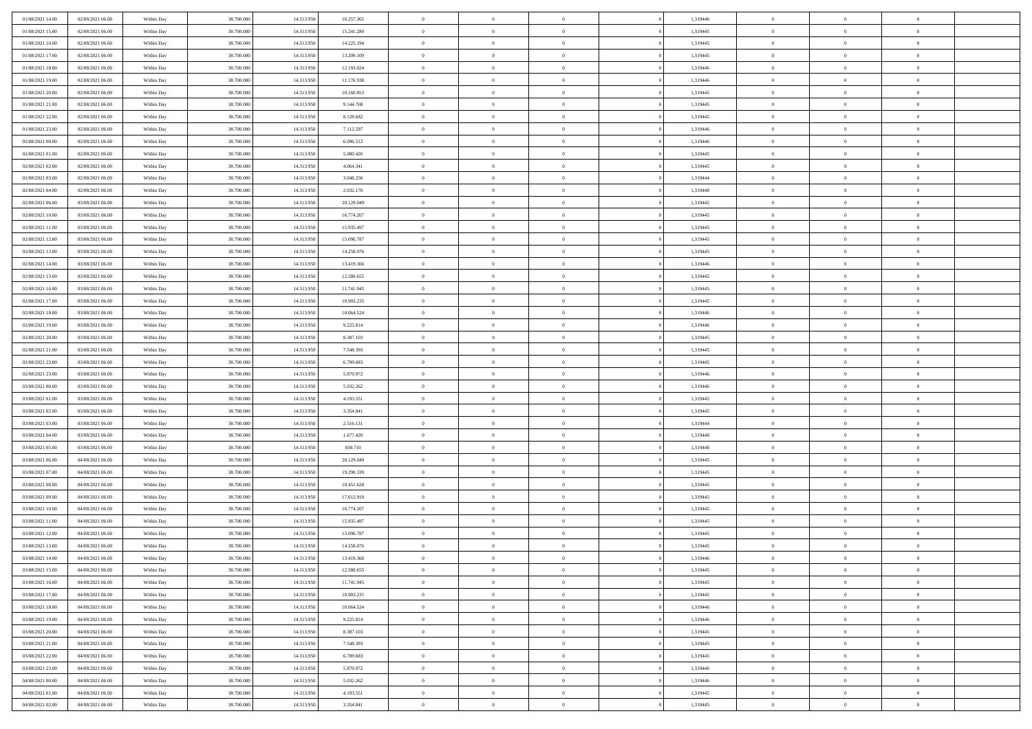| 01/08/2021 14:00                     | 02/08/2021 06:00                     | Within Day | 38,700,000               | 14.313.950               | 16.257.365               | $\overline{0}$           | $\overline{0}$             | $\Omega$                   | 1,319446             | $\bf{0}$                 | $\mathbf{0}$   | $\bf{0}$                  |  |
|--------------------------------------|--------------------------------------|------------|--------------------------|--------------------------|--------------------------|--------------------------|----------------------------|----------------------------|----------------------|--------------------------|----------------|---------------------------|--|
| 01/08/2021 15:00                     | 02/08/2021 06:00                     | Within Day | 38.700.000               | 14.313.950               | 15.241.280               | $\mathbf{0}$             | $\overline{0}$             | $\overline{0}$             | 1,319445             | $\overline{0}$           | $\overline{0}$ | $\theta$                  |  |
| 01/08/2021 16:00                     | 02/08/2021 06:00                     | Within Day | 38.700.000               | 14.313.950               | 14.225.194               | $\,$ 0                   | $\overline{0}$             | $\bf{0}$                   | 1,319445             | $\,$ 0                   | $\overline{0}$ | $\,$ 0 $\,$               |  |
| 01/08/2021 17:00                     | 02/08/2021 06:00                     | Within Day | 38,700,000               | 14.313.950               | 13.209.109               | $\bf{0}$                 | $\overline{0}$             | $\Omega$                   | 1,319445             | $\bf{0}$                 | $\mathbf{0}$   | $\theta$                  |  |
| 01/08/2021 18:00                     | 02/08/2021 06:00                     | Within Dav | 38.700.000               | 14.313.950               | 12.193.024               | $\bf{0}$                 | $\overline{0}$             | $\overline{0}$             | 1,319446             | $\mathbf{0}$             | $\overline{0}$ | $\overline{0}$            |  |
| 01/08/2021 19:00                     | 02/08/2021 06:00                     | Within Day | 38.700.000               | 14.313.950               | 11.176.938               | $\bf{0}$                 | $\overline{0}$             | $\bf{0}$                   | 1,319446             | $\,$ 0                   | $\overline{0}$ | $\,$ 0 $\,$               |  |
|                                      |                                      |            | 38,700,000               |                          | 10.160.853               |                          | $\overline{0}$             | $\Omega$                   |                      | $\bf{0}$                 | $\mathbf{0}$   | $\theta$                  |  |
| 01/08/2021 20:00                     | 02/08/2021 06:00                     | Within Day |                          | 14.313.950               |                          | $\bf{0}$                 |                            |                            | 1,319445             |                          |                |                           |  |
| 01/08/2021 21:00                     | 02/08/2021 06:00                     | Within Day | 38.700.000               | 14.313.950               | 9.144.768                | $\overline{0}$           | $\overline{0}$             | $\overline{0}$             | 1,319445             | $\mathbf{0}$             | $\overline{0}$ | $\overline{0}$            |  |
| 01/08/2021 22.00                     | 02/08/2021 06:00                     | Within Day | 38.700.000               | 14.313.950               | 8.128.682                | $\bf{0}$                 | $\overline{0}$             | $\bf{0}$                   | 1,319445             | $\,$ 0                   | $\overline{0}$ | $\,$ 0 $\,$               |  |
| 01/08/2021 23.00                     | 02/08/2021 06:00                     | Within Day | 38,700,000               | 14.313.950               | 7.112.597                | $\bf{0}$                 | $\overline{0}$             | $\Omega$                   | 1,319446             | $\bf{0}$                 | $\mathbf{0}$   | $\theta$                  |  |
| 02/08/2021 00:00                     | 02/08/2021 06:00                     | Within Day | 38.700.000               | 14.313.950               | 6.096.512                | $\overline{0}$           | $\overline{0}$             | $\overline{0}$             | 1,319446             | $\overline{0}$           | $\overline{0}$ | $\overline{0}$            |  |
| 02/08/2021 01:00                     | 02/08/2021 06:00                     | Within Day | 38.700.000               | 14.313.950               | 5.080.426                | $\bf{0}$                 | $\overline{0}$             | $\bf{0}$                   | 1,319445             | $\,$ 0                   | $\overline{0}$ | $\,$ 0 $\,$               |  |
| 02/08/2021 02:00                     | 02/08/2021 06:00                     | Within Day | 38,700,000               | 14.313.950               | 4.064.341                | $\bf{0}$                 | $\overline{0}$             | $\Omega$                   | 1,319445             | $\overline{0}$           | $\mathbf{0}$   | $\theta$                  |  |
| 02/08/2021 03:00                     | 02/08/2021 06:00                     | Within Dav | 38.700.000               | 14.313.950               | 3.048.256                | $\overline{0}$           | $\overline{0}$             | $\overline{0}$             | 1,319444             | $\mathbf{0}$             | $\overline{0}$ | $\overline{0}$            |  |
| 02/08/2021 04:00                     | 02/08/2021 06:00                     | Within Day | 38.700.000               | 14.313.950               | 2.032.170                | $\bf{0}$                 | $\overline{0}$             | $\bf{0}$                   | 1,319448             | $\,$ 0                   | $\overline{0}$ | $\,$ 0 $\,$               |  |
| 02/08/2021 06:00                     | 03/08/2021 06:00                     | Within Day | 38,700,000               | 14.313.950               | 20.129.049               | $\bf{0}$                 | $\overline{0}$             | $\overline{0}$             | 1,319445             | $\bf{0}$                 | $\mathbf{0}$   | $\bf{0}$                  |  |
| 02/08/2021 10:00                     | 03/08/2021 06:00                     | Within Day | 38.700.000               | 14.313.950               | 16.774.207               | $\overline{0}$           | $\overline{0}$             | $\overline{0}$             | 1,319445             | $\mathbf{0}$             | $\overline{0}$ | $\overline{0}$            |  |
| 02/08/2021 11:00                     | 03/08/2021 06:00                     | Within Day | 38.700.000               | 14.313.950               | 15.935.497               | $\bf{0}$                 | $\overline{0}$             | $\bf{0}$                   | 1,319445             | $\,$ 0                   | $\overline{0}$ | $\,$ 0 $\,$               |  |
| 02/08/2021 12:00                     | 03/08/2021 06:00                     | Within Day | 38,700,000               | 14.313.950               | 15,096,787               | $\bf{0}$                 | $\overline{0}$             | $\Omega$                   | 1,319445             | $\theta$                 | $\mathbf{0}$   | $\theta$                  |  |
| 02/08/2021 13:00                     | 03/08/2021 06:00                     | Within Day | 38.700.000               | 14.313.950               | 14.258.076               | $\overline{0}$           | $\overline{0}$             | $\overline{0}$             | 1,319445             | $\mathbf{0}$             | $\overline{0}$ | $\overline{0}$            |  |
| 02/08/2021 14:00                     | 03/08/2021 06:00                     | Within Day | 38.700.000               | 14.313.950               | 13.419.366               | $\bf{0}$                 | $\overline{0}$             | $\bf{0}$                   | 1,319446             | $\,$ 0                   | $\overline{0}$ | $\,$ 0 $\,$               |  |
| 02/08/2021 15:00                     | 03/08/2021 06:00                     | Within Day | 38,700,000               | 14.313.950               | 12.580.655               | $\bf{0}$                 | $\overline{0}$             | $\Omega$                   | 1,319445             | $\bf{0}$                 | $\theta$       | $\theta$                  |  |
| 02/08/2021 16:00                     | 03/08/2021 06:00                     | Within Day | 38.700.000               | 14.313.950               | 11.741.945               | $\overline{0}$           | $\overline{0}$             | $\overline{0}$             | 1,319445             | $\mathbf{0}$             | $\overline{0}$ | $\overline{0}$            |  |
| 02/08/2021 17:00                     | 03/08/2021 06:00                     | Within Day | 38.700.000               | 14.313.950               | 10.903.235               | $\bf{0}$                 | $\overline{0}$             | $\bf{0}$                   | 1,319445             | $\,$ 0                   | $\overline{0}$ | $\,$ 0 $\,$               |  |
| 02/08/2021 18:00                     | 03/08/2021 06:00                     | Within Day | 38,700,000               | 14.313.950               | 10.064.524               | $\bf{0}$                 | $\overline{0}$             | $\overline{0}$             | 1,319446             | $\bf{0}$                 | $\overline{0}$ | $\bf{0}$                  |  |
| 02/08/2021 19:00                     | 03/08/2021 06:00                     | Within Day | 38.700.000               | 14.313.950               | 9.225.814                | $\overline{0}$           | $\overline{0}$             | $\overline{0}$             | 1,319446             | $\mathbf{0}$             | $\overline{0}$ | $\overline{0}$            |  |
| 02/08/2021 20:00                     | 03/08/2021 06:00                     | Within Day | 38.700.000               | 14.313.950               | 8.387.103                | $\bf{0}$                 | $\overline{0}$             | $\bf{0}$                   | 1,319445             | $\,$ 0                   | $\overline{0}$ | $\,$ 0 $\,$               |  |
| 02/08/2021 21:00                     | 03/08/2021 06:00                     | Within Day | 38,700,000               | 14.313.950               | 7.548.393                | $\bf{0}$                 | $\overline{0}$             | $\Omega$                   | 1,319445             | $\bf{0}$                 | $\mathbf{0}$   | $\theta$                  |  |
| 02/08/2021 22:00                     | 03/08/2021 06:00                     | Within Day | 38.700.000               | 14.313.950               | 6.709.683                | $\overline{0}$           | $\overline{0}$             | $\overline{0}$             | 1,319445             | $\mathbf{0}$             | $\overline{0}$ | $\overline{0}$            |  |
| 02/08/2021 23:00                     | 03/08/2021 06:00                     | Within Day | 38.700.000               | 14.313.950               | 5.870.972                | $\bf{0}$                 | $\overline{0}$             | $\bf{0}$                   | 1,319446             | $\,$ 0                   | $\overline{0}$ | $\,$ 0 $\,$               |  |
| 03/08/2021 00:00                     | 03/08/2021 06:00                     | Within Day | 38.700.000               | 14.313.950               | 5.032.262                | $\,$ 0                   | $\bf{0}$                   | $\overline{0}$             | 1,319446             | $\bf{0}$                 | $\overline{0}$ | $\,0\,$                   |  |
| 03/08/2021 01:00                     | 03/08/2021 06:00                     | Within Dav | 38.700.000               | 14.313.950               | 4.193.551                | $\overline{0}$           | $\overline{0}$             | $\overline{0}$             | 1,319445             | $\mathbf{0}$             | $\overline{0}$ | $\overline{0}$            |  |
| 03/08/2021 02:00                     | 03/08/2021 06:00                     | Within Day | 38.700.000               | 14.313.950               | 3.354.841                | $\bf{0}$                 | $\overline{0}$             | $\bf{0}$                   | 1,319445             | $\,$ 0                   | $\overline{0}$ | $\,$ 0 $\,$               |  |
| 03/08/2021 03:00                     | 03/08/2021 06:00                     | Within Day | 38.700.000               | 14.313.950               |                          | $\bf{0}$                 | $\bf{0}$                   | $\bf{0}$                   | 1,319444             | $\bf{0}$                 | $\overline{0}$ | $\,0\,$                   |  |
| 03/08/2021 04:00                     | 03/08/2021 06:00                     | Within Day | 38.700.000               | 14.313.950               | 2.516.131<br>1.677.420   | $\overline{0}$           | $\overline{0}$             | $\overline{0}$             | 1,319448             | $\overline{0}$           | $\overline{0}$ | $\overline{0}$            |  |
| 03/08/2021 05:00                     | 03/08/2021 06:00                     |            | 38.700.000               | 14.313.950               | 838.710                  | $\bf{0}$                 | $\overline{0}$             |                            | 1,319448             | $\,$ 0                   | $\overline{0}$ | $\,$ 0 $\,$               |  |
|                                      |                                      | Within Day |                          |                          |                          |                          |                            | $\bf{0}$<br>$\overline{0}$ |                      |                          | $\overline{0}$ |                           |  |
| 03/08/2021 06:00<br>03/08/2021 07:00 | 04/08/2021 06:00<br>04/08/2021 06:00 | Within Day | 38.700.000<br>38.700.000 | 14.313.950<br>14.313.950 | 20.129.049<br>19.290.339 | $\,$ 0<br>$\overline{0}$ | $\bf{0}$<br>$\overline{0}$ | $\overline{0}$             | 1,319445<br>1,319445 | $\bf{0}$<br>$\mathbf{0}$ | $\overline{0}$ | $\,0\,$<br>$\overline{0}$ |  |
|                                      |                                      | Within Day |                          |                          |                          |                          |                            |                            |                      |                          |                |                           |  |
| 03/08/2021 08:00                     | 04/08/2021 06:00                     | Within Day | 38.700.000               | 14.313.950               | 18.451.628               | $\bf{0}$                 | $\overline{0}$             | $\bf{0}$                   | 1,319445             | $\,$ 0                   | $\overline{0}$ | $\,$ 0 $\,$               |  |
| 03/08/2021 09:00                     | 04/08/2021 06:00                     | Within Day | 38.700.000               | 14.313.950               | 17.612.918               | $\bf{0}$                 | $\bf{0}$                   | $\overline{0}$             | 1,319445             | $\bf{0}$                 | $\overline{0}$ | $\,0\,$                   |  |
| 03/08/2021 10:00                     | 04/08/2021 06:00                     | Within Day | 38.700.000               | 14.313.950               | 16.774.207               | $\overline{0}$           | $\overline{0}$             | $\overline{0}$             | 1,319445             | $\overline{0}$           | $\overline{0}$ | $\overline{0}$            |  |
| 03/08/2021 11:00                     | 04/08/2021 06:00                     | Within Day | 38.700.000               | 14.313.950               | 15.935.497               | $\bf{0}$                 | $\overline{0}$             | $\bf{0}$                   | 1,319445             | $\,$ 0                   | $\overline{0}$ | $\,$ 0 $\,$               |  |
| 03/08/2021 12:00                     | 04/08/2021 06:00                     | Within Day | 38.700.000               | 14.313.950               | 15.096.787               | $\bf{0}$                 | $\bf{0}$                   | $\bf{0}$                   | 1,319445             | $\bf{0}$                 | $\overline{0}$ | $\,0\,$                   |  |
| 03/08/2021 13:00                     | 04/08/2021 06:00                     | Within Day | 38.700.000               | 14.313.950               | 14.258.076               | $\mathbf{0}$             | $\overline{0}$             | $\overline{0}$             | 1,319445             | $\overline{0}$           | $\overline{0}$ | $\overline{0}$            |  |
| 03/08/2021 14:00                     | 04/08/2021 06:00                     | Within Day | 38.700.000               | 14.313.950               | 13.419.366               | $\bf{0}$                 | $\overline{0}$             | $\overline{0}$             | 1,319446             | $\overline{0}$           | $\theta$       | $\theta$                  |  |
| 03/08/2021 15:00                     | 04/08/2021 06:00                     | Within Day | 38.700.000               | 14.313.950               | 12.580.655               | $\bf{0}$                 | $\bf{0}$                   | $\bf{0}$                   | 1,319445             | $\bf{0}$                 | $\overline{0}$ | $\,0\,$                   |  |
| 03/08/2021 16:00                     | 04/08/2021 06:00                     | Within Day | 38.700.000               | 14.313.950               | 11.741.945               | $\overline{0}$           | $\overline{0}$             | $\overline{0}$             | 1,319445             | $\overline{0}$           | $\bf{0}$       | $\overline{0}$            |  |
| 03/08/2021 17:00                     | 04/08/2021 06:00                     | Within Day | 38.700.000               | 14.313.950               | 10.903.235               | $\,$ 0 $\,$              | $\overline{0}$             | $\overline{0}$             | 1,319445             | $\mathbf{0}$             | $\,$ 0 $\,$    | $\,$ 0 $\,$               |  |
| 03/08/2021 18:00                     | 04/08/2021 06:00                     | Within Day | 38.700.000               | 14.313.950               | 10.064.524               | $\bf{0}$                 | $\bf{0}$                   | $\overline{0}$             | 1,319446             | $\bf{0}$                 | $\overline{0}$ | $\bf{0}$                  |  |
| 03/08/2021 19:00                     | 04/08/2021 06:00                     | Within Day | 38.700.000               | 14.313.950               | 9.225.814                | $\bf{0}$                 | $\overline{0}$             | $\overline{0}$             | 1,319446             | $\overline{0}$           | $\overline{0}$ | $\overline{0}$            |  |
| 03/08/2021 20:00                     | 04/08/2021 06:00                     | Within Day | 38.700.000               | 14.313.950               | 8.387.103                | $\,$ 0 $\,$              | $\overline{0}$             | $\overline{0}$             | 1,319445             | $\,$ 0 $\,$              | $\overline{0}$ | $\,$ 0 $\,$               |  |
| 03/08/2021 21:00                     | 04/08/2021 06:00                     | Within Day | 38.700.000               | 14.313.950               | 7.548.393                | $\bf{0}$                 | $\overline{0}$             | $\overline{0}$             | 1,319445             | $\bf{0}$                 | $\overline{0}$ | $\overline{0}$            |  |
| 03/08/2021 22:00                     | 04/08/2021 06:00                     | Within Day | 38.700.000               | 14.313.950               | 6.709.683                | $\overline{0}$           | $\overline{0}$             | $\overline{0}$             | 1,319445             | $\overline{0}$           | $\bf{0}$       | $\overline{0}$            |  |
| 03/08/2021 23:00                     | 04/08/2021 06:00                     | Within Day | 38.700.000               | 14.313.950               | 5.870.972                | $\,$ 0 $\,$              | $\overline{0}$             | $\overline{0}$             | 1,319446             | $\mathbf{0}$             | $\,$ 0 $\,$    | $\,$ 0 $\,$               |  |
| 04/08/2021 00:00                     | 04/08/2021 06:00                     | Within Day | 38.700.000               | 14.313.950               | 5.032.262                | $\bf{0}$                 | $\bf{0}$                   | $\overline{0}$             | 1,319446             | $\bf{0}$                 | $\overline{0}$ | $\bf{0}$                  |  |
| 04/08/2021 01:00                     | 04/08/2021 06:00                     | Within Day | 38.700.000               | 14.313.950               | 4.193.551                | $\bf{0}$                 | $\overline{0}$             | $\overline{0}$             | 1,319445             | $\mathbf{0}$             | $\bf{0}$       | $\overline{0}$            |  |
| 04/08/2021 02:00                     | 04/08/2021 06:00                     | Within Day | 38.700.000               | 14.313.950               | 3.354.841                | $\,0\,$                  | $\overline{0}$             | $\overline{0}$             | 1,319445             | $\,$ 0                   | $\overline{0}$ | $\,$ 0 $\,$               |  |
|                                      |                                      |            |                          |                          |                          |                          |                            |                            |                      |                          |                |                           |  |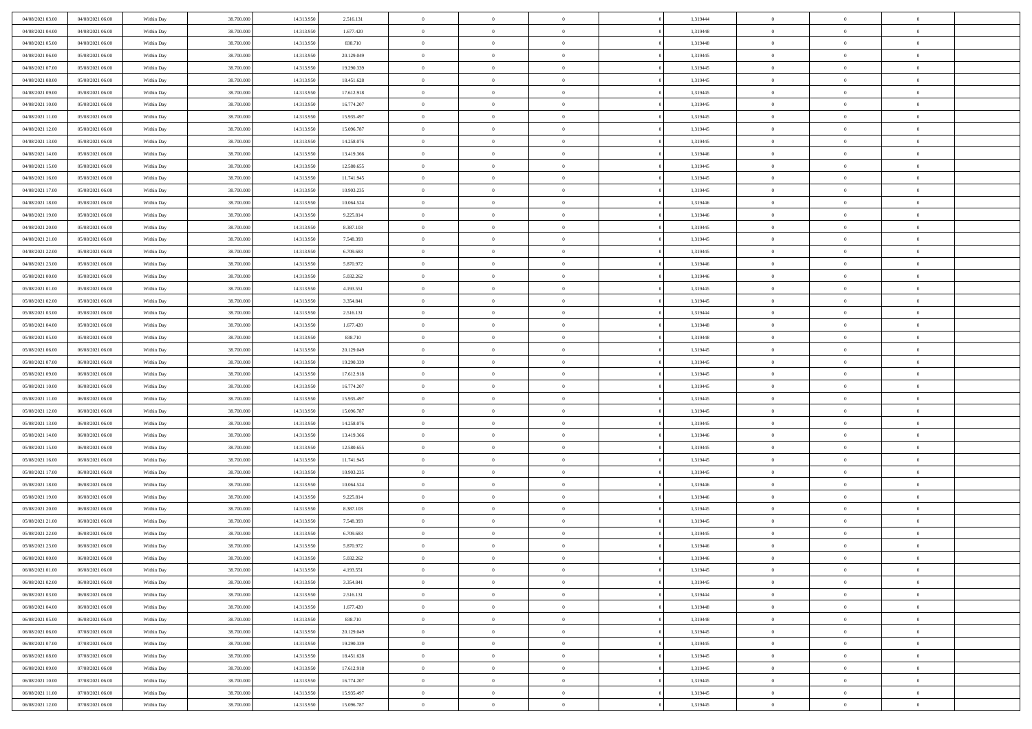| 04/08/2021 03:00 | 04/08/2021 06:00 | Within Day | 38,700,000 | 14.313.950 | 2.516.131  | $\overline{0}$ | $\overline{0}$ | $\Omega$       | 1,319444 | $\bf{0}$       | $\mathbf{0}$   | $\bf{0}$       |  |
|------------------|------------------|------------|------------|------------|------------|----------------|----------------|----------------|----------|----------------|----------------|----------------|--|
| 04/08/2021 04:00 | 04/08/2021 06:00 | Within Day | 38.700.000 | 14.313.950 | 1.677.420  | $\mathbf{0}$   | $\overline{0}$ | $\overline{0}$ | 1,319448 | $\overline{0}$ | $\overline{0}$ | $\theta$       |  |
| 04/08/2021 05:00 | 04/08/2021 06:00 | Within Day | 38.700.000 | 14.313.950 | 838.710    | $\,$ 0         | $\overline{0}$ | $\bf{0}$       | 1,319448 | $\,$ 0         | $\overline{0}$ | $\,$ 0 $\,$    |  |
| 04/08/2021 06:00 | 05/08/2021 06:00 | Within Day | 38,700,000 | 14.313.950 | 20.129.049 | $\bf{0}$       | $\overline{0}$ | $\Omega$       | 1,319445 | $\bf{0}$       | $\mathbf{0}$   | $\theta$       |  |
| 04/08/2021 07:00 | 05/08/2021 06:00 | Within Dav | 38.700.000 | 14.313.950 | 19.290.339 | $\bf{0}$       | $\overline{0}$ | $\overline{0}$ | 1,319445 | $\mathbf{0}$   | $\overline{0}$ | $\overline{0}$ |  |
| 04/08/2021 08:00 | 05/08/2021 06:00 | Within Day | 38.700.000 | 14.313.950 | 18.451.628 | $\bf{0}$       | $\overline{0}$ | $\bf{0}$       | 1,319445 | $\,$ 0         | $\overline{0}$ | $\,$ 0 $\,$    |  |
| 04/08/2021 09:00 | 05/08/2021 06:00 | Within Day | 38,700,000 | 14.313.950 | 17.612.918 | $\bf{0}$       | $\overline{0}$ | $\Omega$       | 1,319445 | $\theta$       | $\mathbf{0}$   | $\theta$       |  |
| 04/08/2021 10:00 | 05/08/2021 06:00 | Within Dav | 38.700.000 | 14.313.950 | 16.774.207 | $\overline{0}$ | $\overline{0}$ | $\overline{0}$ | 1,319445 | $\mathbf{0}$   | $\overline{0}$ | $\overline{0}$ |  |
| 04/08/2021 11:00 | 05/08/2021 06:00 | Within Day | 38.700.000 | 14.313.950 | 15.935.497 | $\bf{0}$       | $\overline{0}$ | $\bf{0}$       | 1,319445 | $\,$ 0         | $\overline{0}$ | $\,$ 0 $\,$    |  |
| 04/08/2021 12:00 | 05/08/2021 06:00 | Within Day | 38,700,000 | 14.313.950 | 15,096,787 | $\bf{0}$       | $\overline{0}$ | $\Omega$       | 1,319445 | $\bf{0}$       | $\mathbf{0}$   | $\theta$       |  |
| 04/08/2021 13:00 | 05/08/2021 06:00 | Within Day | 38.700.000 | 14.313.950 | 14.258.076 | $\overline{0}$ | $\overline{0}$ | $\overline{0}$ | 1,319445 | $\overline{0}$ | $\overline{0}$ | $\overline{0}$ |  |
| 04/08/2021 14:00 | 05/08/2021 06:00 | Within Day | 38.700.000 | 14.313.950 | 13.419.366 | $\,$ 0         | $\overline{0}$ | $\bf{0}$       | 1,319446 | $\,$ 0         | $\overline{0}$ | $\,$ 0 $\,$    |  |
| 04/08/2021 15:00 | 05/08/2021 06:00 | Within Day | 38,700,000 | 14.313.950 | 12.580.655 | $\bf{0}$       | $\overline{0}$ | $\Omega$       | 1,319445 | $\overline{0}$ | $\mathbf{0}$   | $\theta$       |  |
| 04/08/2021 16:00 | 05/08/2021 06:00 | Within Dav | 38.700.000 | 14.313.950 | 11.741.945 | $\overline{0}$ | $\overline{0}$ | $\overline{0}$ | 1,319445 | $\mathbf{0}$   | $\overline{0}$ | $\overline{0}$ |  |
| 04/08/2021 17:00 | 05/08/2021 06:00 | Within Day | 38.700.000 | 14.313.950 | 10.903.235 | $\bf{0}$       | $\overline{0}$ | $\bf{0}$       | 1,319445 | $\,$ 0         | $\overline{0}$ | $\,$ 0 $\,$    |  |
| 04/08/2021 18:00 | 05/08/2021 06:00 | Within Day | 38,700,000 | 14.313.950 | 10.064.524 | $\bf{0}$       | $\overline{0}$ | $\overline{0}$ | 1,319446 | $\bf{0}$       | $\mathbf{0}$   | $\bf{0}$       |  |
| 04/08/2021 19:00 | 05/08/2021 06:00 | Within Day | 38.700.000 | 14.313.950 | 9.225.814  | $\overline{0}$ | $\overline{0}$ | $\overline{0}$ | 1,319446 | $\mathbf{0}$   | $\overline{0}$ | $\overline{0}$ |  |
| 04/08/2021 20:00 | 05/08/2021 06:00 | Within Day | 38.700.000 | 14.313.950 | 8.387.103  | $\bf{0}$       | $\overline{0}$ | $\bf{0}$       | 1,319445 | $\,$ 0         | $\overline{0}$ | $\,0\,$        |  |
| 04/08/2021 21:00 | 05/08/2021 06:00 | Within Day | 38,700,000 | 14.313.950 | 7.548.393  | $\bf{0}$       | $\overline{0}$ | $\Omega$       | 1,319445 | $\theta$       | $\mathbf{0}$   | $\theta$       |  |
| 04/08/2021 22:00 | 05/08/2021 06:00 | Within Day | 38.700.000 | 14.313.950 | 6.709.683  | $\overline{0}$ | $\overline{0}$ | $\overline{0}$ | 1,319445 | $\overline{0}$ | $\overline{0}$ | $\overline{0}$ |  |
| 04/08/2021 23:00 | 05/08/2021 06:00 | Within Day | 38.700.000 | 14.313.950 | 5.870.972  | $\bf{0}$       | $\overline{0}$ | $\bf{0}$       | 1,319446 | $\,$ 0         | $\overline{0}$ | $\,$ 0 $\,$    |  |
| 05/08/2021 00:00 | 05/08/2021 06:00 | Within Day | 38,700,000 | 14.313.950 | 5.032.262  | $\bf{0}$       | $\overline{0}$ | $\Omega$       | 1,319446 | $\overline{0}$ | $\theta$       | $\theta$       |  |
| 05/08/2021 01:00 | 05/08/2021 06:00 | Within Day | 38.700.000 | 14.313.950 | 4.193.551  | $\overline{0}$ | $\overline{0}$ | $\overline{0}$ | 1,319445 | $\mathbf{0}$   | $\overline{0}$ | $\overline{0}$ |  |
| 05/08/2021 02:00 | 05/08/2021 06:00 | Within Day | 38.700.000 | 14.313.950 | 3.354.841  | $\bf{0}$       | $\overline{0}$ | $\bf{0}$       | 1,319445 | $\,$ 0         | $\overline{0}$ | $\,$ 0 $\,$    |  |
| 05/08/2021 03:00 | 05/08/2021 06:00 | Within Day | 38,700,000 | 14.313.950 | 2.516.131  | $\bf{0}$       | $\overline{0}$ | $\overline{0}$ | 1,319444 | $\bf{0}$       | $\mathbf{0}$   | $\theta$       |  |
| 05/08/2021 04:00 | 05/08/2021 06:00 | Within Day | 38.700.000 | 14.313.950 | 1.677.420  | $\overline{0}$ | $\overline{0}$ | $\overline{0}$ | 1,319448 | $\overline{0}$ | $\overline{0}$ | $\overline{0}$ |  |
| 05/08/2021 05:00 | 05/08/2021 06:00 | Within Day | 38.700.000 | 14.313.950 | 838.710    | $\bf{0}$       | $\overline{0}$ | $\bf{0}$       | 1,319448 | $\,$ 0         | $\overline{0}$ | $\,$ 0 $\,$    |  |
| 05/08/2021 06:00 | 06/08/2021 06:00 | Within Day | 38,700,000 | 14.313.950 | 20.129.049 | $\bf{0}$       | $\overline{0}$ | $\Omega$       | 1,319445 | $\bf{0}$       | $\mathbf{0}$   | $\theta$       |  |
| 05/08/2021 07:00 | 06/08/2021 06:00 | Within Day | 38.700.000 | 14.313.950 | 19.290.339 | $\overline{0}$ | $\overline{0}$ | $\overline{0}$ | 1,319445 | $\mathbf{0}$   | $\overline{0}$ | $\overline{0}$ |  |
| 05/08/2021 09:00 | 06/08/2021 06:00 | Within Day | 38.700.000 | 14.313.950 | 17.612.918 | $\bf{0}$       | $\overline{0}$ | $\bf{0}$       | 1,319445 | $\,$ 0         | $\overline{0}$ | $\,$ 0 $\,$    |  |
| 05/08/2021 10:00 | 06/08/2021 06:00 | Within Day | 38.700.000 | 14.313.950 | 16.774.207 | $\,$ 0         | $\bf{0}$       | $\overline{0}$ | 1,319445 | $\bf{0}$       | $\overline{0}$ | $\,0\,$        |  |
| 05/08/2021 11:00 | 06/08/2021 06:00 | Within Dav | 38.700.000 | 14.313.950 | 15.935.497 | $\overline{0}$ | $\overline{0}$ | $\overline{0}$ | 1,319445 | $\mathbf{0}$   | $\overline{0}$ | $\overline{0}$ |  |
| 05/08/2021 12:00 | 06/08/2021 06:00 | Within Day | 38.700.000 | 14.313.950 | 15.096.787 | $\bf{0}$       | $\overline{0}$ | $\bf{0}$       | 1,319445 | $\,$ 0         | $\overline{0}$ | $\,$ 0 $\,$    |  |
| 05/08/2021 13:00 | 06/08/2021 06:00 | Within Day | 38.700.000 | 14.313.950 | 14.258.076 | $\bf{0}$       | $\bf{0}$       | $\bf{0}$       | 1,319445 | $\bf{0}$       | $\overline{0}$ | $\,0\,$        |  |
| 05/08/2021 14:00 | 06/08/2021 06:00 | Within Day | 38.700.000 | 14.313.950 | 13.419.366 | $\overline{0}$ | $\overline{0}$ | $\overline{0}$ | 1,319446 | $\overline{0}$ | $\overline{0}$ | $\overline{0}$ |  |
| 05/08/2021 15:00 | 06/08/2021 06:00 | Within Day | 38.700.000 | 14.313.950 | 12.580.655 | $\bf{0}$       | $\overline{0}$ | $\bf{0}$       | 1,319445 | $\,$ 0         | $\overline{0}$ | $\,$ 0 $\,$    |  |
| 05/08/2021 16:00 | 06/08/2021 06:00 | Within Day | 38.700.000 | 14.313.950 | 11.741.945 | $\,$ 0         | $\bf{0}$       | $\overline{0}$ | 1,319445 | $\bf{0}$       | $\overline{0}$ | $\,0\,$        |  |
| 05/08/2021 17:00 | 06/08/2021 06:00 | Within Day | 38.700.000 | 14.313.950 | 10.903.235 | $\overline{0}$ | $\overline{0}$ | $\overline{0}$ | 1,319445 | $\mathbf{0}$   | $\overline{0}$ | $\overline{0}$ |  |
| 05/08/2021 18:00 | 06/08/2021 06:00 | Within Day | 38.700.000 | 14.313.950 | 10.064.524 | $\bf{0}$       | $\overline{0}$ | $\bf{0}$       | 1,319446 | $\,$ 0         | $\overline{0}$ | $\,$ 0 $\,$    |  |
| 05/08/2021 19:00 | 06/08/2021 06:00 | Within Day | 38.700.000 | 14.313.950 | 9.225.814  | $\bf{0}$       | $\bf{0}$       | $\overline{0}$ | 1,319446 | $\bf{0}$       | $\overline{0}$ | $\,0\,$        |  |
| 05/08/2021 20:00 | 06/08/2021 06:00 | Within Dav | 38.700.000 | 14.313.950 | 8.387.103  | $\overline{0}$ | $\overline{0}$ | $\overline{0}$ | 1,319445 | $\overline{0}$ | $\overline{0}$ | $\overline{0}$ |  |
| 05/08/2021 21:00 | 06/08/2021 06:00 | Within Day | 38.700.000 | 14.313.950 | 7.548.393  | $\bf{0}$       | $\overline{0}$ | $\bf{0}$       | 1,319445 | $\,$ 0         | $\overline{0}$ | $\,$ 0 $\,$    |  |
| 05/08/2021 22.00 | 06/08/2021 06:00 | Within Day | 38.700.000 | 14.313.950 | 6.709.683  | $\bf{0}$       | $\bf{0}$       | $\bf{0}$       | 1,319445 | $\bf{0}$       | $\overline{0}$ | $\,0\,$        |  |
| 05/08/2021 23:00 | 06/08/2021 06:00 | Within Day | 38.700.000 | 14.313.950 | 5.870.972  | $\mathbf{0}$   | $\overline{0}$ | $\overline{0}$ | 1,319446 | $\overline{0}$ | $\overline{0}$ | $\overline{0}$ |  |
| 06/08/2021 00:00 | 06/08/2021 06:00 | Within Day | 38.700.000 | 14.313.950 | 5.032.262  | $\bf{0}$       | $\overline{0}$ | $\theta$       | 1,319446 | $\overline{0}$ | $\theta$       | $\theta$       |  |
| 06/08/2021 01:00 | 06/08/2021 06:00 | Within Day | 38.700.000 | 14.313.950 | 4.193.551  | $\bf{0}$       | $\bf{0}$       | $\bf{0}$       | 1,319445 | $\bf{0}$       | $\overline{0}$ | $\,0\,$        |  |
| 06/08/2021 02:00 | 06/08/2021 06:00 | Within Day | 38.700.000 | 14.313.950 | 3.354.841  | $\overline{0}$ | $\overline{0}$ | $\overline{0}$ | 1,319445 | $\mathbf{0}$   | $\bf{0}$       | $\overline{0}$ |  |
| 06/08/2021 03:00 | 06/08/2021 06:00 | Within Day | 38.700.000 | 14.313.950 | 2.516.131  | $\,$ 0 $\,$    | $\overline{0}$ | $\overline{0}$ | 1,319444 | $\mathbf{0}$   | $\overline{0}$ | $\,$ 0 $\,$    |  |
| 06/08/2021 04:00 | 06/08/2021 06:00 | Within Day | 38.700.000 | 14.313.950 | 1.677.420  | $\bf{0}$       | $\bf{0}$       | $\overline{0}$ | 1,319448 | $\bf{0}$       | $\overline{0}$ | $\bf{0}$       |  |
| 06/08/2021 05:00 | 06/08/2021 06:00 | Within Day | 38.700.000 | 14.313.950 | 838.710    | $\bf{0}$       | $\overline{0}$ | $\overline{0}$ | 1,319448 | $\mathbf{0}$   | $\overline{0}$ | $\overline{0}$ |  |
| 06/08/2021 06:00 | 07/08/2021 06:00 | Within Day | 38.700.000 | 14.313.950 | 20.129.049 | $\,$ 0 $\,$    | $\overline{0}$ | $\overline{0}$ | 1,319445 | $\,$ 0 $\,$    | $\overline{0}$ | $\,$ 0 $\,$    |  |
| 06/08/2021 07:00 | 07/08/2021 06:00 | Within Day | 38.700.000 | 14.313.950 | 19.290.339 | $\bf{0}$       | $\overline{0}$ | $\overline{0}$ | 1,319445 | $\bf{0}$       | $\overline{0}$ | $\overline{0}$ |  |
| 06/08/2021 08:00 | 07/08/2021 06:00 | Within Day | 38.700.000 | 14.313.950 | 18.451.628 | $\overline{0}$ | $\overline{0}$ | $\overline{0}$ | 1,319445 | $\overline{0}$ | $\bf{0}$       | $\overline{0}$ |  |
| 06/08/2021 09:00 | 07/08/2021 06:00 | Within Day | 38.700.000 | 14.313.950 | 17.612.918 | $\,$ 0 $\,$    | $\overline{0}$ | $\overline{0}$ | 1,319445 | $\,$ 0 $\,$    | $\overline{0}$ | $\,$ 0 $\,$    |  |
| 06/08/2021 10:00 | 07/08/2021 06:00 | Within Day | 38.700.000 | 14.313.950 | 16.774.207 | $\bf{0}$       | $\bf{0}$       | $\overline{0}$ | 1,319445 | $\mathbf{0}$   | $\overline{0}$ | $\bf{0}$       |  |
| 06/08/2021 11:00 | 07/08/2021 06:00 | Within Day | 38.700.000 | 14.313.950 | 15.935.497 | $\bf{0}$       | $\overline{0}$ | $\overline{0}$ | 1,319445 | $\mathbf{0}$   | $\bf{0}$       | $\overline{0}$ |  |
| 06/08/2021 12:00 | 07/08/2021 06:00 | Within Day | 38.700.000 | 14.313.950 | 15.096.787 | $\,0\,$        | $\overline{0}$ | $\overline{0}$ | 1,319445 | $\,$ 0         | $\overline{0}$ | $\,$ 0 $\,$    |  |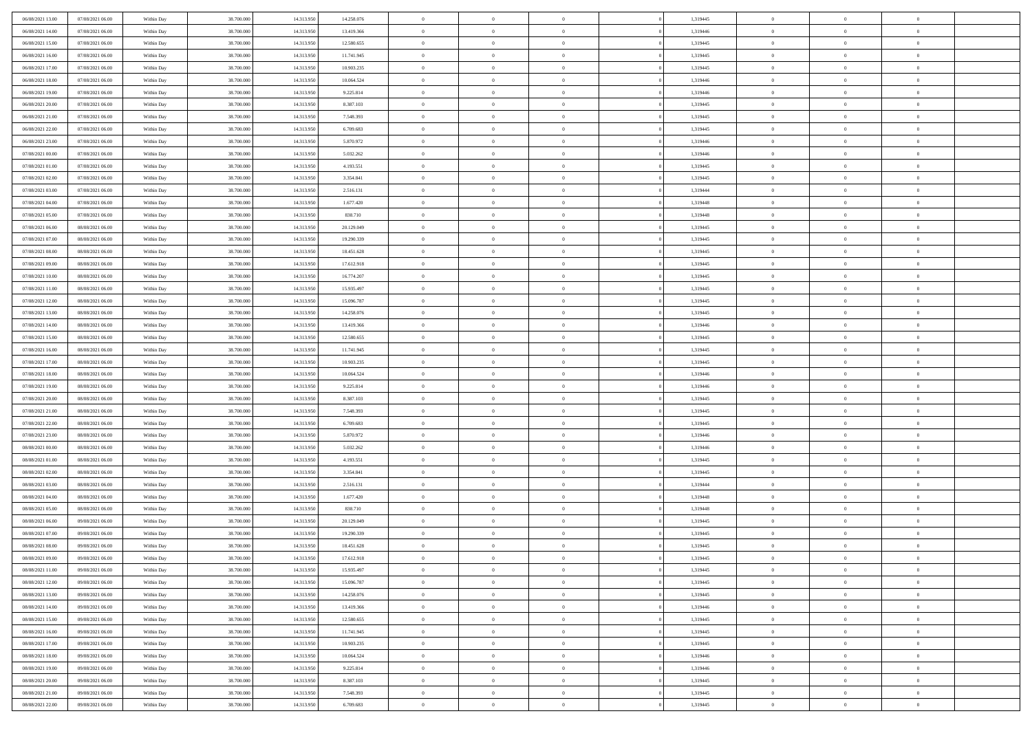| 06/08/2021 13:00 | 07/08/2021 06:00 | Within Day | 38,700,000 | 14.313.950 | 14.258.076 | $\overline{0}$ | $\overline{0}$ | $\Omega$       | 1,319445 | $\bf{0}$       | $\mathbf{0}$   | $\bf{0}$       |  |
|------------------|------------------|------------|------------|------------|------------|----------------|----------------|----------------|----------|----------------|----------------|----------------|--|
| 06/08/2021 14:00 | 07/08/2021 06:00 | Within Day | 38.700.000 | 14.313.950 | 13.419.366 | $\mathbf{0}$   | $\overline{0}$ | $\overline{0}$ | 1,319446 | $\overline{0}$ | $\overline{0}$ | $\theta$       |  |
| 06/08/2021 15:00 | 07/08/2021 06:00 | Within Day | 38.700.000 | 14.313.950 | 12.580.655 | $\,$ 0         | $\overline{0}$ | $\bf{0}$       | 1,319445 | $\,$ 0         | $\overline{0}$ | $\,$ 0 $\,$    |  |
| 06/08/2021 16:00 | 07/08/2021 06:00 | Within Day | 38,700,000 | 14.313.950 | 11.741.945 | $\bf{0}$       | $\overline{0}$ | $\Omega$       | 1,319445 | $\bf{0}$       | $\mathbf{0}$   | $\theta$       |  |
| 06/08/2021 17:00 | 07/08/2021 06:00 | Within Dav | 38.700.000 | 14.313.950 | 10.903.235 | $\bf{0}$       | $\overline{0}$ | $\overline{0}$ | 1,319445 | $\mathbf{0}$   | $\overline{0}$ | $\overline{0}$ |  |
| 06/08/2021 18:00 | 07/08/2021 06:00 | Within Day | 38.700.000 | 14.313.950 | 10.064.524 | $\bf{0}$       | $\overline{0}$ | $\bf{0}$       | 1,319446 | $\,$ 0         | $\overline{0}$ | $\,$ 0 $\,$    |  |
| 06/08/2021 19:00 | 07/08/2021 06:00 | Within Day | 38,700,000 | 14.313.950 | 9.225.814  | $\bf{0}$       | $\overline{0}$ | $\Omega$       | 1,319446 | $\overline{0}$ | $\mathbf{0}$   | $\theta$       |  |
| 06/08/2021 20:00 | 07/08/2021 06:00 | Within Dav | 38.700.000 | 14.313.950 | 8.387.103  | $\overline{0}$ | $\overline{0}$ | $\overline{0}$ | 1,319445 | $\mathbf{0}$   | $\overline{0}$ | $\overline{0}$ |  |
| 06/08/2021 21:00 | 07/08/2021 06:00 | Within Day | 38.700.000 | 14.313.950 | 7.548.393  | $\bf{0}$       | $\overline{0}$ | $\bf{0}$       | 1,319445 | $\,$ 0         | $\overline{0}$ | $\,$ 0 $\,$    |  |
| 06/08/2021 22:00 | 07/08/2021 06:00 | Within Day | 38,700,000 | 14.313.950 | 6.709.683  | $\bf{0}$       | $\overline{0}$ | $\Omega$       | 1,319445 | $\bf{0}$       | $\mathbf{0}$   | $\theta$       |  |
| 06/08/2021 23:00 | 07/08/2021 06:00 | Within Day | 38.700.000 | 14.313.950 | 5.870.972  | $\overline{0}$ | $\overline{0}$ | $\overline{0}$ | 1,319446 | $\overline{0}$ | $\overline{0}$ | $\overline{0}$ |  |
| 07/08/2021 00:00 | 07/08/2021 06:00 | Within Day | 38.700.000 | 14.313.950 | 5.032.262  | $\bf{0}$       | $\overline{0}$ | $\bf{0}$       | 1,319446 | $\,$ 0         | $\overline{0}$ | $\,$ 0 $\,$    |  |
| 07/08/2021 01:00 | 07/08/2021 06:00 | Within Day | 38,700,000 | 14.313.950 | 4.193.551  | $\bf{0}$       | $\overline{0}$ | $\Omega$       | 1,319445 | $\overline{0}$ | $\mathbf{0}$   | $\theta$       |  |
| 07/08/2021 02:00 | 07/08/2021 06:00 | Within Dav | 38.700.000 | 14.313.950 | 3.354.841  | $\overline{0}$ | $\overline{0}$ | $\overline{0}$ | 1,319445 | $\mathbf{0}$   | $\overline{0}$ | $\overline{0}$ |  |
| 07/08/2021 03:00 | 07/08/2021 06:00 | Within Day | 38.700.000 | 14.313.950 | 2.516.131  | $\bf{0}$       | $\overline{0}$ | $\bf{0}$       | 1,319444 | $\,$ 0         | $\overline{0}$ | $\,$ 0 $\,$    |  |
| 07/08/2021 04:00 | 07/08/2021 06:00 | Within Day | 38,700,000 | 14.313.950 | 1.677.420  | $\bf{0}$       | $\overline{0}$ | $\overline{0}$ | 1,319448 | $\bf{0}$       | $\mathbf{0}$   | $\bf{0}$       |  |
| 07/08/2021 05:00 | 07/08/2021 06:00 | Within Day | 38.700.000 | 14.313.950 | 838.710    | $\overline{0}$ | $\overline{0}$ | $\overline{0}$ | 1,319448 | $\mathbf{0}$   | $\overline{0}$ | $\overline{0}$ |  |
| 07/08/2021 06:00 | 08/08/2021 06:00 | Within Day | 38.700.000 | 14.313.950 | 20.129.049 | $\bf{0}$       | $\overline{0}$ | $\bf{0}$       | 1,319445 | $\,$ 0         | $\overline{0}$ | $\,0\,$        |  |
| 07/08/2021 07:00 | 08/08/2021 06:00 | Within Day | 38,700,000 | 14.313.950 | 19.290.339 | $\bf{0}$       | $\overline{0}$ | $\Omega$       | 1,319445 | $\theta$       | $\mathbf{0}$   | $\theta$       |  |
| 07/08/2021 08:00 | 08/08/2021 06:00 | Within Day | 38.700.000 | 14.313.950 | 18.451.628 | $\overline{0}$ | $\overline{0}$ | $\overline{0}$ | 1,319445 | $\mathbf{0}$   | $\overline{0}$ | $\overline{0}$ |  |
| 07/08/2021 09:00 | 08/08/2021 06:00 | Within Day | 38.700.000 | 14.313.950 | 17.612.918 | $\bf{0}$       | $\overline{0}$ | $\bf{0}$       | 1,319445 | $\,$ 0         | $\overline{0}$ | $\,$ 0 $\,$    |  |
| 07/08/2021 10:00 | 08/08/2021 06:00 | Within Day | 38,700,000 | 14.313.950 | 16.774.207 | $\bf{0}$       | $\overline{0}$ | $\Omega$       | 1,319445 | $\bf{0}$       | $\theta$       | $\theta$       |  |
| 07/08/2021 11:00 | 08/08/2021 06:00 | Within Day | 38.700.000 | 14.313.950 | 15.935.497 | $\overline{0}$ | $\overline{0}$ | $\overline{0}$ | 1,319445 | $\mathbf{0}$   | $\overline{0}$ | $\overline{0}$ |  |
| 07/08/2021 12:00 | 08/08/2021 06:00 | Within Day | 38.700.000 | 14.313.950 | 15.096.787 | $\bf{0}$       | $\overline{0}$ | $\bf{0}$       | 1,319445 | $\,$ 0         | $\overline{0}$ | $\,$ 0 $\,$    |  |
| 07/08/2021 13:00 | 08/08/2021 06:00 | Within Day | 38,700,000 | 14.313.950 | 14.258.076 | $\bf{0}$       | $\overline{0}$ | $\overline{0}$ | 1,319445 | $\bf{0}$       | $\overline{0}$ | $\theta$       |  |
| 07/08/2021 14:00 | 08/08/2021 06:00 | Within Day | 38.700.000 | 14.313.950 | 13.419.366 | $\overline{0}$ | $\overline{0}$ | $\overline{0}$ | 1,319446 | $\mathbf{0}$   | $\overline{0}$ | $\overline{0}$ |  |
| 07/08/2021 15:00 | 08/08/2021 06:00 | Within Day | 38.700.000 | 14.313.950 | 12.580.655 | $\bf{0}$       | $\overline{0}$ | $\bf{0}$       | 1,319445 | $\,$ 0         | $\overline{0}$ | $\,$ 0 $\,$    |  |
| 07/08/2021 16:00 | 08/08/2021 06:00 | Within Day | 38,700,000 | 14.313.950 | 11.741.945 | $\bf{0}$       | $\overline{0}$ | $\Omega$       | 1,319445 | $\bf{0}$       | $\mathbf{0}$   | $\theta$       |  |
| 07/08/2021 17:00 | 08/08/2021 06:00 | Within Day | 38.700.000 | 14.313.950 | 10.903.235 | $\overline{0}$ | $\overline{0}$ | $\overline{0}$ | 1,319445 | $\mathbf{0}$   | $\overline{0}$ | $\overline{0}$ |  |
| 07/08/2021 18:00 | 08/08/2021 06:00 | Within Day | 38.700.000 | 14.313.950 | 10.064.524 | $\bf{0}$       | $\overline{0}$ | $\bf{0}$       | 1,319446 | $\,$ 0         | $\overline{0}$ | $\,$ 0 $\,$    |  |
| 07/08/2021 19:00 | 08/08/2021 06:00 | Within Day | 38.700.000 | 14.313.950 | 9.225.814  | $\,$ 0         | $\bf{0}$       | $\overline{0}$ | 1,319446 | $\bf{0}$       | $\overline{0}$ | $\,0\,$        |  |
| 07/08/2021 20:00 | 08/08/2021 06:00 | Within Dav | 38.700.000 | 14.313.950 | 8.387.103  | $\overline{0}$ | $\overline{0}$ | $\overline{0}$ | 1,319445 | $\mathbf{0}$   | $\overline{0}$ | $\overline{0}$ |  |
| 07/08/2021 21:00 | 08/08/2021 06:00 | Within Day | 38.700.000 | 14.313.950 | 7.548.393  | $\bf{0}$       | $\overline{0}$ | $\bf{0}$       | 1,319445 | $\,$ 0         | $\overline{0}$ | $\,$ 0 $\,$    |  |
| 07/08/2021 22.00 | 08/08/2021 06:00 | Within Day | 38.700.000 | 14.313.950 | 6.709.683  | $\bf{0}$       | $\bf{0}$       | $\bf{0}$       | 1,319445 | $\bf{0}$       | $\overline{0}$ | $\,0\,$        |  |
| 07/08/2021 23:00 | 08/08/2021 06:00 | Within Day | 38.700.000 | 14.313.950 | 5.870.972  | $\overline{0}$ | $\overline{0}$ | $\overline{0}$ | 1,319446 | $\overline{0}$ | $\overline{0}$ | $\overline{0}$ |  |
| 08/08/2021 00:00 | 08/08/2021 06:00 | Within Day | 38.700.000 | 14.313.950 | 5.032.262  | $\bf{0}$       | $\overline{0}$ | $\bf{0}$       | 1,319446 | $\,$ 0         | $\overline{0}$ | $\,$ 0 $\,$    |  |
| 08/08/2021 01:00 | 08/08/2021 06:00 | Within Day | 38.700.000 | 14.313.950 | 4.193.551  | $\bf{0}$       | $\bf{0}$       | $\overline{0}$ | 1,319445 | $\bf{0}$       | $\overline{0}$ | $\,0\,$        |  |
| 08/08/2021 02:00 | 08/08/2021 06:00 | Within Day | 38.700.000 | 14.313.950 | 3.354.841  | $\overline{0}$ | $\overline{0}$ | $\overline{0}$ | 1,319445 | $\mathbf{0}$   | $\overline{0}$ | $\overline{0}$ |  |
| 08/08/2021 03:00 | 08/08/2021 06:00 | Within Day | 38.700.000 | 14.313.950 | 2.516.131  | $\bf{0}$       | $\overline{0}$ | $\bf{0}$       | 1,319444 | $\,$ 0         | $\overline{0}$ | $\,$ 0 $\,$    |  |
| 08/08/2021 04:00 | 08/08/2021 06:00 | Within Day | 38.700.000 | 14.313.950 | 1.677.420  | $\bf{0}$       | $\bf{0}$       | $\overline{0}$ | 1,319448 | $\bf{0}$       | $\overline{0}$ | $\,0\,$        |  |
| 08/08/2021 05:00 | 08/08/2021 06:00 | Within Day | 38.700.000 | 14.313.950 | 838.710    | $\overline{0}$ | $\overline{0}$ | $\overline{0}$ | 1,319448 | $\overline{0}$ | $\overline{0}$ | $\overline{0}$ |  |
| 08/08/2021 06:00 | 09/08/2021 06:00 | Within Day | 38.700.000 | 14.313.950 | 20.129.049 | $\bf{0}$       | $\overline{0}$ | $\bf{0}$       | 1,319445 | $\,$ 0         | $\overline{0}$ | $\,$ 0 $\,$    |  |
| 08/08/2021 07:00 | 09/08/2021 06:00 | Within Day | 38.700.000 | 14.313.950 | 19.290.339 | $\bf{0}$       | $\bf{0}$       | $\bf{0}$       | 1,319445 | $\bf{0}$       | $\overline{0}$ | $\,0\,$        |  |
| 08/08/2021 08:00 | 09/08/2021 06:00 | Within Day | 38.700.000 | 14.313.950 | 18.451.628 | $\mathbf{0}$   | $\overline{0}$ | $\overline{0}$ | 1,319445 | $\overline{0}$ | $\overline{0}$ | $\overline{0}$ |  |
| 08/08/2021 09:00 | 09/08/2021 06:00 | Within Day | 38.700.000 | 14.313.950 | 17.612.918 | $\bf{0}$       | $\overline{0}$ | $\theta$       | 1,319445 | $\overline{0}$ | $\theta$       | $\theta$       |  |
| 08/08/2021 11:00 | 09/08/2021 06:00 | Within Day | 38.700.000 | 14.313.950 | 15.935.497 | $\bf{0}$       | $\overline{0}$ | $\bf{0}$       | 1,319445 | $\bf{0}$       | $\overline{0}$ | $\,0\,$        |  |
| 08/08/2021 12:00 | 09/08/2021 06:00 | Within Day | 38.700.000 | 14.313.950 | 15.096.787 | $\overline{0}$ | $\overline{0}$ | $\overline{0}$ | 1,319445 | $\overline{0}$ | $\bf{0}$       | $\overline{0}$ |  |
| 08/08/2021 13:00 | 09/08/2021 06:00 | Within Day | 38.700.000 | 14.313.950 | 14.258.076 | $\,$ 0 $\,$    | $\overline{0}$ | $\overline{0}$ | 1,319445 | $\mathbf{0}$   | $\overline{0}$ | $\,$ 0 $\,$    |  |
| 08/08/2021 14:00 | 09/08/2021 06:00 | Within Day | 38.700.000 | 14.313.950 | 13.419.366 | $\bf{0}$       | $\overline{0}$ | $\overline{0}$ | 1,319446 | $\bf{0}$       | $\overline{0}$ | $\bf{0}$       |  |
| 08/08/2021 15:00 | 09/08/2021 06:00 | Within Day | 38.700.000 | 14.313.950 | 12.580.655 | $\bf{0}$       | $\overline{0}$ | $\overline{0}$ | 1,319445 | $\overline{0}$ | $\overline{0}$ | $\overline{0}$ |  |
| 08/08/2021 16:00 | 09/08/2021 06:00 | Within Day | 38.700.000 | 14.313.950 | 11.741.945 | $\,$ 0 $\,$    | $\overline{0}$ | $\overline{0}$ | 1,319445 | $\,$ 0 $\,$    | $\overline{0}$ | $\,$ 0 $\,$    |  |
| 08/08/2021 17:00 | 09/08/2021 06:00 | Within Day | 38.700.000 | 14.313.950 | 10.903.235 | $\bf{0}$       | $\overline{0}$ | $\overline{0}$ | 1,319445 | $\bf{0}$       | $\overline{0}$ | $\overline{0}$ |  |
| 08/08/2021 18:00 | 09/08/2021 06:00 | Within Day | 38.700.000 | 14.313.950 | 10.064.524 | $\overline{0}$ | $\overline{0}$ | $\overline{0}$ | 1,319446 | $\overline{0}$ | $\bf{0}$       | $\overline{0}$ |  |
| 08/08/2021 19:00 | 09/08/2021 06:00 | Within Day | 38.700.000 | 14.313.950 | 9.225.814  | $\,$ 0 $\,$    | $\overline{0}$ | $\overline{0}$ | 1,319446 | $\,$ 0 $\,$    | $\overline{0}$ | $\,$ 0 $\,$    |  |
| 08/08/2021 20:00 | 09/08/2021 06:00 | Within Day | 38.700.000 | 14.313.950 | 8.387.103  | $\bf{0}$       | $\overline{0}$ | $\overline{0}$ | 1,319445 | $\mathbf{0}$   | $\overline{0}$ | $\bf{0}$       |  |
| 08/08/2021 21:00 | 09/08/2021 06:00 | Within Day | 38.700.000 | 14.313.950 | 7.548.393  | $\bf{0}$       | $\overline{0}$ | $\overline{0}$ | 1,319445 | $\mathbf{0}$   | $\bf{0}$       | $\overline{0}$ |  |
| 08/08/2021 22:00 | 09/08/2021 06:00 | Within Day | 38.700.000 | 14.313.950 | 6.709.683  | $\,0\,$        | $\overline{0}$ | $\overline{0}$ | 1,319445 | $\,$ 0         | $\overline{0}$ | $\,$ 0 $\,$    |  |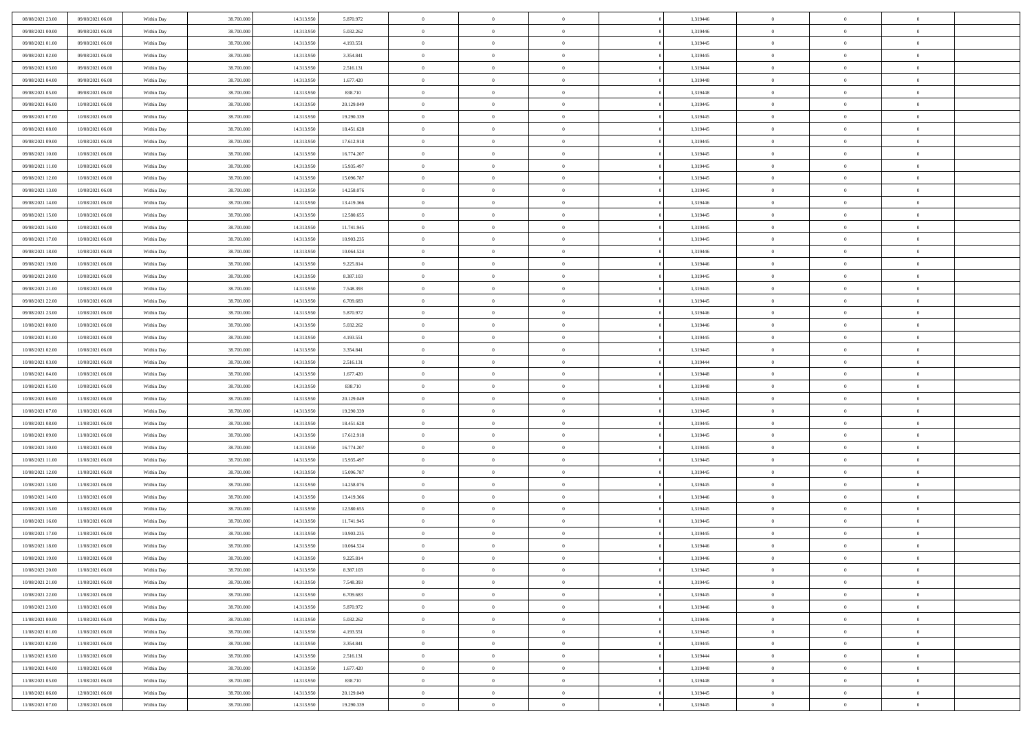| 08/08/2021 23:00 | 09/08/2021 06:00 | Within Day | 38,700,000 | 14.313.950 | 5.870.972  | $\overline{0}$ | $\overline{0}$ | $\Omega$       | 1,319446 | $\bf{0}$       | $\mathbf{0}$   | $\bf{0}$       |  |
|------------------|------------------|------------|------------|------------|------------|----------------|----------------|----------------|----------|----------------|----------------|----------------|--|
| 09/08/2021 00:00 | 09/08/2021 06:00 | Within Day | 38.700.000 | 14.313.950 | 5.032.262  | $\mathbf{0}$   | $\overline{0}$ | $\overline{0}$ | 1,319446 | $\overline{0}$ | $\overline{0}$ | $\theta$       |  |
| 09/08/2021 01:00 | 09/08/2021 06:00 | Within Day | 38.700.000 | 14.313.950 | 4.193.551  | $\,$ 0         | $\overline{0}$ | $\bf{0}$       | 1,319445 | $\,$ 0         | $\overline{0}$ | $\,$ 0 $\,$    |  |
| 09/08/2021 02:00 | 09/08/2021 06:00 | Within Day | 38,700,000 | 14.313.950 | 3.354.841  | $\bf{0}$       | $\overline{0}$ | $\Omega$       | 1,319445 | $\bf{0}$       | $\mathbf{0}$   | $\theta$       |  |
| 09/08/2021 03:00 | 09/08/2021 06:00 | Within Dav | 38.700.000 | 14.313.950 | 2.516.131  | $\bf{0}$       | $\overline{0}$ | $\overline{0}$ | 1,319444 | $\mathbf{0}$   | $\overline{0}$ | $\overline{0}$ |  |
| 09/08/2021 04:00 | 09/08/2021 06:00 | Within Day | 38.700.000 | 14.313.950 | 1.677.420  | $\bf{0}$       | $\overline{0}$ | $\bf{0}$       | 1,319448 | $\,$ 0         | $\overline{0}$ | $\,$ 0 $\,$    |  |
| 09/08/2021 05:00 | 09/08/2021 06:00 | Within Day | 38,700,000 | 14.313.950 | 838.710    | $\bf{0}$       | $\overline{0}$ | $\Omega$       | 1,319448 | $\theta$       | $\mathbf{0}$   | $\theta$       |  |
| 09/08/2021 06:00 | 10/08/2021 06:00 | Within Day | 38.700.000 | 14.313.950 | 20.129.049 | $\overline{0}$ | $\overline{0}$ | $\overline{0}$ | 1,319445 | $\mathbf{0}$   | $\overline{0}$ | $\overline{0}$ |  |
| 09/08/2021 07:00 | 10/08/2021 06:00 | Within Day | 38.700.000 | 14.313.950 | 19.290.339 | $\bf{0}$       | $\overline{0}$ | $\bf{0}$       | 1,319445 | $\,$ 0         | $\overline{0}$ | $\,$ 0 $\,$    |  |
| 09/08/2021 08:00 | 10/08/2021 06:00 | Within Day | 38,700,000 | 14.313.950 | 18.451.628 | $\bf{0}$       | $\overline{0}$ | $\Omega$       | 1,319445 | $\theta$       | $\mathbf{0}$   | $\theta$       |  |
| 09/08/2021 09:00 | 10/08/2021 06:00 | Within Day | 38.700.000 | 14.313.950 | 17.612.918 | $\overline{0}$ | $\overline{0}$ | $\overline{0}$ | 1,319445 | $\overline{0}$ | $\overline{0}$ | $\overline{0}$ |  |
| 09/08/2021 10:00 | 10/08/2021 06:00 | Within Day | 38.700.000 | 14.313.950 | 16.774.207 | $\bf{0}$       | $\overline{0}$ | $\bf{0}$       | 1,319445 | $\,$ 0         | $\overline{0}$ | $\,$ 0 $\,$    |  |
| 09/08/2021 11:00 | 10/08/2021 06:00 | Within Day | 38,700,000 | 14.313.950 | 15.935.497 | $\bf{0}$       | $\overline{0}$ | $\Omega$       | 1,319445 | $\overline{0}$ | $\mathbf{0}$   | $\theta$       |  |
| 09/08/2021 12:00 | 10/08/2021 06:00 | Within Dav | 38.700.000 | 14.313.950 | 15.096.787 | $\overline{0}$ | $\overline{0}$ | $\overline{0}$ | 1,319445 | $\mathbf{0}$   | $\overline{0}$ | $\overline{0}$ |  |
| 09/08/2021 13:00 | 10/08/2021 06:00 | Within Day | 38.700.000 | 14.313.950 | 14.258.076 | $\bf{0}$       | $\overline{0}$ | $\bf{0}$       | 1,319445 | $\,$ 0         | $\overline{0}$ | $\,$ 0 $\,$    |  |
| 09/08/2021 14:00 | 10/08/2021 06:00 | Within Day | 38,700,000 | 14.313.950 | 13.419.366 | $\bf{0}$       | $\overline{0}$ | $\overline{0}$ | 1,319446 | $\bf{0}$       | $\mathbf{0}$   | $\bf{0}$       |  |
| 09/08/2021 15:00 | 10/08/2021 06:00 | Within Day | 38.700.000 | 14.313.950 | 12.580.655 | $\overline{0}$ | $\overline{0}$ | $\overline{0}$ | 1,319445 | $\mathbf{0}$   | $\overline{0}$ | $\overline{0}$ |  |
| 09/08/2021 16:00 | 10/08/2021 06:00 | Within Day | 38.700.000 | 14.313.950 | 11.741.945 | $\bf{0}$       | $\overline{0}$ | $\bf{0}$       | 1,319445 | $\,$ 0         | $\overline{0}$ | $\,$ 0 $\,$    |  |
| 09/08/2021 17:00 | 10/08/2021 06:00 | Within Day | 38,700,000 | 14.313.950 | 10.903.235 | $\bf{0}$       | $\overline{0}$ | $\Omega$       | 1,319445 | $\theta$       | $\mathbf{0}$   | $\theta$       |  |
| 09/08/2021 18:00 | 10/08/2021 06:00 | Within Day | 38.700.000 | 14.313.950 | 10.064.524 | $\overline{0}$ | $\overline{0}$ | $\overline{0}$ | 1,319446 | $\mathbf{0}$   | $\overline{0}$ | $\overline{0}$ |  |
| 09/08/2021 19:00 | 10/08/2021 06:00 | Within Day | 38.700.000 | 14.313.950 | 9.225.814  | $\bf{0}$       | $\overline{0}$ | $\bf{0}$       | 1,319446 | $\,$ 0         | $\overline{0}$ | $\,$ 0 $\,$    |  |
| 09/08/2021 20:00 | 10/08/2021 06:00 | Within Day | 38,700,000 | 14.313.950 | 8.387.103  | $\bf{0}$       | $\overline{0}$ | $\Omega$       | 1,319445 | $\bf{0}$       | $\theta$       | $\theta$       |  |
| 09/08/2021 21:00 | 10/08/2021 06:00 | Within Day | 38.700.000 | 14.313.950 | 7.548.393  | $\overline{0}$ | $\overline{0}$ | $\overline{0}$ | 1,319445 | $\mathbf{0}$   | $\overline{0}$ | $\overline{0}$ |  |
| 09/08/2021 22:00 | 10/08/2021 06:00 | Within Day | 38.700.000 | 14.313.950 | 6.709.683  | $\bf{0}$       | $\overline{0}$ | $\bf{0}$       | 1,319445 | $\,$ 0         | $\overline{0}$ | $\,$ 0 $\,$    |  |
| 09/08/2021 23:00 | 10/08/2021 06:00 | Within Day | 38,700,000 | 14.313.950 | 5.870.972  | $\bf{0}$       | $\overline{0}$ | $\overline{0}$ | 1,319446 | $\bf{0}$       | $\overline{0}$ | $\theta$       |  |
| 10/08/2021 00:00 | 10/08/2021 06:00 | Within Day | 38.700.000 | 14.313.950 | 5.032.262  | $\overline{0}$ | $\overline{0}$ | $\overline{0}$ | 1,319446 | $\overline{0}$ | $\overline{0}$ | $\overline{0}$ |  |
| 10/08/2021 01:00 | 10/08/2021 06:00 | Within Day | 38.700.000 | 14.313.950 | 4.193.551  | $\bf{0}$       | $\overline{0}$ | $\bf{0}$       | 1,319445 | $\,$ 0         | $\overline{0}$ | $\,$ 0 $\,$    |  |
| 10/08/2021 02:00 | 10/08/2021 06:00 | Within Day | 38,700,000 | 14.313.950 | 3.354.841  | $\bf{0}$       | $\overline{0}$ | $\Omega$       | 1,319445 | $\theta$       | $\mathbf{0}$   | $\theta$       |  |
| 10/08/2021 03:00 | 10/08/2021 06:00 | Within Day | 38.700.000 | 14.313.950 | 2.516.131  | $\overline{0}$ | $\overline{0}$ | $\overline{0}$ | 1,319444 | $\mathbf{0}$   | $\overline{0}$ | $\overline{0}$ |  |
| 10/08/2021 04:00 | 10/08/2021 06:00 | Within Day | 38.700.000 | 14.313.950 | 1.677.420  | $\bf{0}$       | $\overline{0}$ | $\bf{0}$       | 1,319448 | $\,$ 0         | $\overline{0}$ | $\,$ 0 $\,$    |  |
| 10/08/2021 05:00 | 10/08/2021 06:00 | Within Day | 38.700.000 | 14.313.950 | 838.710    | $\,$ 0         | $\bf{0}$       | $\overline{0}$ | 1,319448 | $\bf{0}$       | $\overline{0}$ | $\,0\,$        |  |
| 10/08/2021 06:00 | 11/08/2021 06:00 | Within Dav | 38.700.000 | 14.313.950 | 20.129.049 | $\overline{0}$ | $\overline{0}$ | $\overline{0}$ | 1,319445 | $\mathbf{0}$   | $\overline{0}$ | $\overline{0}$ |  |
| 10/08/2021 07:00 | 11/08/2021 06:00 | Within Day | 38.700.000 | 14.313.950 | 19.290.339 | $\bf{0}$       | $\overline{0}$ | $\bf{0}$       | 1,319445 | $\,$ 0         | $\overline{0}$ | $\,$ 0 $\,$    |  |
| 10/08/2021 08:00 | 11/08/2021 06:00 | Within Day | 38.700.000 | 14.313.950 | 18.451.628 | $\bf{0}$       | $\bf{0}$       | $\bf{0}$       | 1,319445 | $\bf{0}$       | $\overline{0}$ | $\,0\,$        |  |
| 10/08/2021 09:00 | 11/08/2021 06:00 | Within Day | 38.700.000 | 14.313.950 | 17.612.918 | $\overline{0}$ | $\overline{0}$ | $\overline{0}$ | 1,319445 | $\overline{0}$ | $\overline{0}$ | $\overline{0}$ |  |
| 10/08/2021 10:00 | 11/08/2021 06:00 | Within Day | 38.700.000 | 14.313.950 | 16.774.207 | $\bf{0}$       | $\overline{0}$ | $\bf{0}$       | 1,319445 | $\,$ 0         | $\overline{0}$ | $\,$ 0 $\,$    |  |
| 10/08/2021 11:00 | 11/08/2021 06:00 | Within Day | 38.700.000 | 14.313.950 | 15.935.497 | $\bf{0}$       | $\bf{0}$       | $\overline{0}$ | 1,319445 | $\bf{0}$       | $\overline{0}$ | $\,0\,$        |  |
| 10/08/2021 12:00 | 11/08/2021 06:00 | Within Day | 38.700.000 | 14.313.950 | 15.096.787 | $\overline{0}$ | $\overline{0}$ | $\overline{0}$ | 1,319445 | $\mathbf{0}$   | $\overline{0}$ | $\overline{0}$ |  |
| 10/08/2021 13:00 | 11/08/2021 06:00 | Within Day | 38.700.000 | 14.313.950 | 14.258.076 | $\bf{0}$       | $\overline{0}$ | $\bf{0}$       | 1,319445 | $\,$ 0         | $\overline{0}$ | $\,$ 0 $\,$    |  |
| 10/08/2021 14:00 | 11/08/2021 06:00 | Within Day | 38.700.000 | 14.313.950 | 13.419.366 | $\bf{0}$       | $\bf{0}$       | $\overline{0}$ | 1,319446 | $\bf{0}$       | $\overline{0}$ | $\,0\,$        |  |
| 10/08/2021 15:00 | 11/08/2021 06:00 | Within Dav | 38.700.000 | 14.313.950 | 12.580.655 | $\overline{0}$ | $\overline{0}$ | $\overline{0}$ | 1,319445 | $\overline{0}$ | $\overline{0}$ | $\overline{0}$ |  |
| 10/08/2021 16:00 | 11/08/2021 06:00 | Within Day | 38.700.000 | 14.313.950 | 11.741.945 | $\bf{0}$       | $\overline{0}$ | $\bf{0}$       | 1,319445 | $\,$ 0         | $\overline{0}$ | $\,$ 0 $\,$    |  |
| 10/08/2021 17:00 | 11/08/2021 06:00 | Within Day | 38.700.000 | 14.313.950 | 10.903.235 | $\bf{0}$       | $\bf{0}$       | $\bf{0}$       | 1,319445 | $\bf{0}$       | $\overline{0}$ | $\,0\,$        |  |
| 10/08/2021 18:00 | 11/08/2021 06:00 | Within Day | 38.700.000 | 14.313.950 | 10.064.524 | $\mathbf{0}$   | $\overline{0}$ | $\overline{0}$ | 1,319446 | $\overline{0}$ | $\overline{0}$ | $\overline{0}$ |  |
| 10/08/2021 19:00 | 11/08/2021 06:00 | Within Day | 38.700.000 | 14.313.950 | 9.225.814  | $\bf{0}$       | $\overline{0}$ | $\theta$       | 1,319446 | $\overline{0}$ | $\theta$       | $\theta$       |  |
| 10/08/2021 20:00 | 11/08/2021 06:00 | Within Day | 38.700.000 | 14.313.950 | 8.387.103  | $\bf{0}$       | $\bf{0}$       | $\bf{0}$       | 1,319445 | $\bf{0}$       | $\overline{0}$ | $\bf{0}$       |  |
| 10/08/2021 21:00 | 11/08/2021 06:00 | Within Day | 38.700.000 | 14.313.950 | 7.548.393  | $\overline{0}$ | $\overline{0}$ | $\overline{0}$ | 1,319445 | $\overline{0}$ | $\overline{0}$ | $\overline{0}$ |  |
| 10/08/2021 22:00 | 11/08/2021 06:00 | Within Day | 38.700.000 | 14.313.950 | 6.709.683  | $\,$ 0 $\,$    | $\overline{0}$ | $\overline{0}$ | 1,319445 | $\mathbf{0}$   | $\,$ 0 $\,$    | $\,$ 0 $\,$    |  |
| 10/08/2021 23:00 | 11/08/2021 06:00 | Within Day | 38.700.000 | 14.313.950 | 5.870.972  | $\bf{0}$       | $\bf{0}$       | $\overline{0}$ | 1,319446 | $\bf{0}$       | $\overline{0}$ | $\bf{0}$       |  |
| 11/08/2021 00:00 | 11/08/2021 06:00 | Within Day | 38.700.000 | 14.313.950 | 5.032.262  | $\bf{0}$       | $\overline{0}$ | $\overline{0}$ | 1,319446 | $\overline{0}$ | $\bf{0}$       | $\overline{0}$ |  |
| 11/08/2021 01:00 | 11/08/2021 06:00 | Within Day | 38.700.000 | 14.313.950 | 4.193.551  | $\,$ 0 $\,$    | $\overline{0}$ | $\overline{0}$ | 1,319445 | $\mathbf{0}$   | $\overline{0}$ | $\,$ 0 $\,$    |  |
| 11/08/2021 02:00 | 11/08/2021 06:00 | Within Day | 38.700.000 | 14.313.950 | 3.354.841  | $\overline{0}$ | $\overline{0}$ | $\overline{0}$ | 1,319445 | $\bf{0}$       | $\overline{0}$ | $\overline{0}$ |  |
| 11/08/2021 03:00 | 11/08/2021 06:00 | Within Day | 38.700.000 | 14.313.950 | 2.516.131  | $\overline{0}$ | $\overline{0}$ | $\overline{0}$ | 1,319444 | $\overline{0}$ | $\bf{0}$       | $\overline{0}$ |  |
| 11/08/2021 04:00 | 11/08/2021 06:00 | Within Day | 38.700.000 | 14.313.950 | 1.677.420  | $\,$ 0 $\,$    | $\overline{0}$ | $\overline{0}$ | 1,319448 | $\mathbf{0}$   | $\,$ 0 $\,$    | $\,$ 0 $\,$    |  |
| 11/08/2021 05:00 | 11/08/2021 06:00 | Within Day | 38.700.000 | 14.313.950 | 838.710    | $\bf{0}$       | $\bf{0}$       | $\overline{0}$ | 1,319448 | $\bf{0}$       | $\overline{0}$ | $\bf{0}$       |  |
| 11/08/2021 06:00 | 12/08/2021 06:00 | Within Day | 38.700.000 | 14.313.950 | 20.129.049 | $\overline{0}$ | $\overline{0}$ | $\overline{0}$ | 1,319445 | $\mathbf{0}$   | $\bf{0}$       | $\overline{0}$ |  |
| 11/08/2021 07:00 | 12/08/2021 06:00 | Within Day | 38.700.000 | 14.313.950 | 19.290.339 | $\,0\,$        | $\overline{0}$ | $\overline{0}$ | 1,319445 | $\,$ 0         | $\overline{0}$ | $\,$ 0 $\,$    |  |
|                  |                  |            |            |            |            |                |                |                |          |                |                |                |  |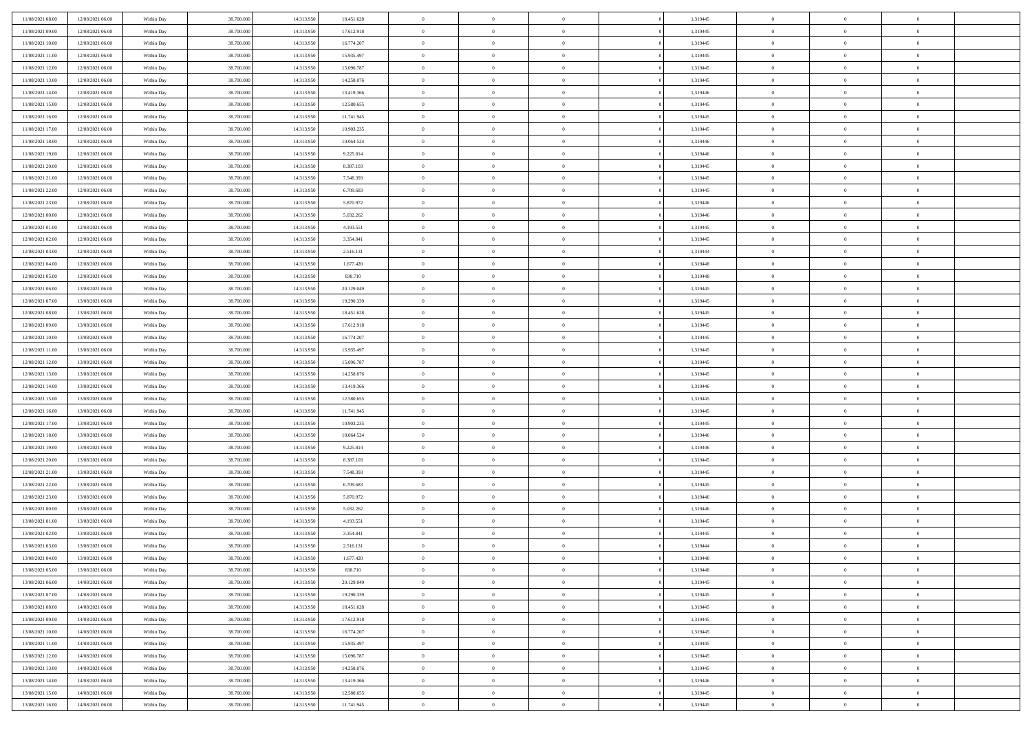| 11/08/2021 08:00<br>12/08/2021 06:00<br>38,700,000<br>14.313.950<br>1,319445<br>$\bf{0}$<br>Within Day<br>18.451.628<br>$\bf{0}$<br>$\overline{0}$<br>$\overline{0}$           | $\overline{0}$ | $\bf{0}$       |  |
|--------------------------------------------------------------------------------------------------------------------------------------------------------------------------------|----------------|----------------|--|
| 11/08/2021 09:00<br>12/08/2021 06:00<br>38.700.000<br>14.313.950<br>17.612.918<br>$\overline{0}$<br>$\overline{0}$<br>$\overline{0}$<br>1,319445<br>$\mathbf{0}$<br>Within Day | $\bf{0}$       | $\theta$       |  |
| 11/08/2021 10:00<br>12/08/2021 06:00<br>Within Day<br>38.700.000<br>14.313.950<br>16.774.207<br>$\overline{0}$<br>$\overline{0}$<br>1,319445<br>$\,$ 0 $\,$<br>$\overline{0}$  | $\overline{0}$ | $\,0\,$        |  |
| 11/08/2021 11:00<br>38,700,000<br>14.313.950<br>15.935.497<br>1.319445<br>12/08/2021 06:00<br>Within Day<br>$\overline{0}$<br>$\overline{0}$<br>$\Omega$<br>$\overline{0}$     | $\theta$       | $\overline{0}$ |  |
| 11/08/2021 12:00<br>12/08/2021 06:00<br>38.700.000<br>14.313.950<br>15.096.787<br>$\mathbf{0}$<br>$\overline{0}$<br>$\overline{0}$<br>1,319445<br>$\mathbf{0}$<br>Within Day   | $\bf{0}$       | $\overline{0}$ |  |
| 11/08/2021 13:00<br>12/08/2021 06:00<br>38.700.000<br>14.313.950<br>14.258.076<br>$\,$ 0<br>$\overline{0}$<br>1,319445<br>$\,$ 0 $\,$<br>Within Day<br>$\overline{0}$          | $\overline{0}$ | $\,0\,$        |  |
| 11/08/2021 14:00<br>38,700,000<br>14.313.950<br>1,319446<br>12/08/2021 06:00<br>Within Day<br>13.419.366<br>$\bf{0}$<br>$\overline{0}$<br>$\Omega$<br>$\bf{0}$                 | $\theta$       | $\overline{0}$ |  |
| 11/08/2021 15:00<br>12/08/2021 06:00<br>38.700.000<br>14.313.950<br>12.580.655<br>$\overline{0}$<br>$\overline{0}$<br>$\overline{0}$<br>1,319445<br>$\mathbf{0}$<br>Within Day | $\bf{0}$       | $\theta$       |  |
| 11/08/2021 16:00<br>12/08/2021 06:00<br>38.700.000<br>14.313.950<br>11.741.945<br>$\,$ 0<br>$\overline{0}$<br>1,319445<br>$\,$ 0 $\,$<br>Within Day<br>$\overline{0}$          | $\overline{0}$ | $\,0\,$        |  |
| 11/08/2021 17:00<br>38,700,000<br>14.313.950<br>1,319445<br>12/08/2021 06:00<br>Within Day<br>10.903.235<br>$\overline{0}$<br>$\overline{0}$<br>$\Omega$<br>$\overline{0}$     | $\theta$       | $\overline{0}$ |  |
| 11/08/2021 18:00<br>12/08/2021 06:00<br>38.700.000<br>14.313.950<br>10.064.524<br>$\mathbf{0}$<br>$\overline{0}$<br>$\overline{0}$<br>1,319446<br>$\mathbf{0}$<br>Within Day   | $\bf{0}$       | $\theta$       |  |
| 11/08/2021 19:00<br>12/08/2021 06:00<br>Within Day<br>38.700.000<br>14.313.950<br>9.225.814<br>$\,$ 0<br>$\overline{0}$<br>1,319446<br>$\,$ 0 $\,$<br>$\overline{0}$           | $\overline{0}$ | $\,0\,$        |  |
| 11/08/2021 20:00<br>38,700,000<br>14.313.950<br>8.387.103<br>1,319445<br>12/08/2021 06:00<br>Within Day<br>$\overline{0}$<br>$\overline{0}$<br>$\Omega$<br>$\overline{0}$      | $\theta$       | $\overline{0}$ |  |
| 11/08/2021 21:00<br>12/08/2021 06:00<br>38.700.000<br>14.313.950<br>7.548.393<br>$\mathbf{0}$<br>$\overline{0}$<br>$\overline{0}$<br>1,319445<br>$\mathbf{0}$<br>Within Day    | $\bf{0}$       | $\theta$       |  |
| 11/08/2021 22:00<br>12/08/2021 06:00<br>38.700.000<br>14.313.950<br>6.709.683<br>$\,$ 0<br>$\,$ 0 $\,$<br>1,319445<br>$\,$ 0 $\,$<br>Within Day<br>$\overline{0}$              | $\overline{0}$ | $\,$ 0 $\,$    |  |
| 11/08/2021 23.00<br>38,700,000<br>14.313.950<br>5.870.972<br>1,319446<br>12/08/2021 06:00<br>Within Day<br>$\bf{0}$<br>$\overline{0}$<br>$\Omega$<br>$\bf{0}$                  | $\theta$       | $\overline{0}$ |  |
| 12/08/2021 00:00<br>12/08/2021 06:00<br>38.700.000<br>14.313.950<br>5.032.262<br>$\mathbf{0}$<br>$\overline{0}$<br>$\overline{0}$<br>1,319446<br>$\mathbf{0}$<br>Within Day    | $\bf{0}$       | $\theta$       |  |
| 12/08/2021 01:00<br>12/08/2021 06:00<br>38.700.000<br>14.313.950<br>4.193.551<br>$\overline{0}$<br>$\overline{0}$<br>1,319445<br>$\,$ 0 $\,$<br>Within Day<br>$\overline{0}$   | $\overline{0}$ | $\,$ 0 $\,$    |  |
| 12/08/2021 02:00<br>38,700,000<br>14.313.950<br>1.319445<br>12/08/2021 06:00<br>Within Day<br>3.354.841<br>$\overline{0}$<br>$\overline{0}$<br>$\Omega$<br>$\overline{0}$      | $\theta$       | $\overline{0}$ |  |
| 12/08/2021 03:00<br>12/08/2021 06:00<br>38.700.000<br>14.313.950<br>2.516.131<br>$\mathbf{0}$<br>$\overline{0}$<br>$\overline{0}$<br>1,319444<br>$\mathbf{0}$<br>Within Day    | $\bf{0}$       | $\theta$       |  |
| 12/08/2021 04:00<br>12/08/2021 06:00<br>Within Day<br>38.700.000<br>14.313.950<br>1.677.420<br>$\,$ 0<br>$\overline{0}$<br>1,319448<br>$\,$ 0 $\,$<br>$\overline{0}$           | $\overline{0}$ | $\,$ 0 $\,$    |  |
| 12/08/2021 05:00<br>38,700,000<br>14.313.950<br>838,710<br>1.319448<br>12/08/2021 06:00<br>Within Day<br>$\overline{0}$<br>$\overline{0}$<br>$\Omega$<br>$\overline{0}$        | $\theta$       | $\overline{0}$ |  |
| 12/08/2021 06:00<br>13/08/2021 06:00<br>38.700.000<br>14.313.950<br>20.129.049<br>$\mathbf{0}$<br>$\overline{0}$<br>1,319445<br>$\mathbf{0}$<br>Within Day<br>$\overline{0}$   | $\bf{0}$       | $\theta$       |  |
| 12/08/2021 07:00<br>13/08/2021 06:00<br>38.700.000<br>14.313.950<br>19.290.339<br>$\,$ 0<br>$\overline{0}$<br>1,319445<br>$\,$ 0 $\,$<br>Within Day<br>$\overline{0}$          | $\overline{0}$ | $\,$ 0 $\,$    |  |
| 12/08/2021 08:00<br>38,700,000<br>14.313.950<br>1,319445<br>13/08/2021 06:00<br>Within Day<br>18.451.628<br>$\bf{0}$<br>$\overline{0}$<br>$\Omega$<br>$\bf{0}$                 | $\overline{0}$ | $\bf{0}$       |  |
| 12/08/2021 09:00<br>13/08/2021 06:00<br>38.700.000<br>14.313.950<br>17.612.918<br>$\overline{0}$<br>$\overline{0}$<br>$\overline{0}$<br>1,319445<br>$\mathbf{0}$<br>Within Day | $\bf{0}$       | $\theta$       |  |
| 12/08/2021 10:00<br>13/08/2021 06:00<br>38.700.000<br>14.313.950<br>16.774.207<br>$\,$ 0<br>$\overline{0}$<br>1,319445<br>$\,$ 0 $\,$<br>Within Day<br>$\overline{0}$          | $\overline{0}$ | $\,0\,$        |  |
| 12/08/2021 11:00<br>38,700,000<br>14.313.950<br>15.935.497<br>1,319445<br>13/08/2021 06:00<br>Within Day<br>$\overline{0}$<br>$\overline{0}$<br>$\Omega$<br>$\overline{0}$     | $\theta$       | $\overline{0}$ |  |
| 12/08/2021 12:00<br>13/08/2021 06:00<br>38.700.000<br>14.313.950<br>15.096.787<br>$\mathbf{0}$<br>$\overline{0}$<br>$\overline{0}$<br>1,319445<br>$\mathbf{0}$<br>Within Day   | $\bf{0}$       | $\overline{0}$ |  |
| 12/08/2021 13:00<br>13/08/2021 06:00<br>38.700.000<br>14.313.950<br>14.258.076<br>$\,$ 0<br>$\overline{0}$<br>1,319445<br>$\,$ 0 $\,$<br>Within Day<br>$\overline{0}$          | $\overline{0}$ | $\,0\,$        |  |
| 12/08/2021 14:00<br>13/08/2021 06:00<br>Within Day<br>38.700.000<br>14.313.950<br>13.419.366<br>$\bf{0}$<br>$\overline{0}$<br>$\Omega$<br>1,319446<br>$\bf{0}$                 | $\overline{0}$ | $\bf{0}$       |  |
| 12/08/2021 15:00<br>13/08/2021 06:00<br>38.700.000<br>14.313.950<br>12.580.655<br>$\mathbf{0}$<br>$\overline{0}$<br>1,319445<br>$\mathbf{0}$<br>Within Day<br>$\overline{0}$   | $\bf{0}$       | $\theta$       |  |
| 12/08/2021 16:00<br>13/08/2021 06:00<br>38.700.000<br>14.313.950<br>11.741.945<br>$\,$ 0<br>$\overline{0}$<br>1,319445<br>$\,$ 0 $\,$<br>Within Day<br>$\overline{0}$          | $\overline{0}$ | $\,0\,$        |  |
| 12/08/2021 17:00<br>13/08/2021 06:00<br>Within Day<br>38.700.000<br>14.313.950<br>10.903.235<br>$\bf{0}$<br>$\overline{0}$<br>$\overline{0}$<br>1,319445<br>$\mathbf{0}$       | $\overline{0}$ | $\bf{0}$       |  |
| 12/08/2021 18:00<br>13/08/2021 06:00<br>38.700.000<br>14.313.950<br>10.064.524<br>$\mathbf{0}$<br>$\overline{0}$<br>1,319446<br>$\overline{0}$<br>Within Day<br>$\overline{0}$ | $\bf{0}$       | $\theta$       |  |
| 12/08/2021 19:00<br>13/08/2021 06:00<br>38.700.000<br>14.313.950<br>9.225.814<br>$\overline{0}$<br>$\overline{0}$<br>1,319446<br>$\,$ 0 $\,$<br>Within Day<br>$\overline{0}$   | $\overline{0}$ | $\,0\,$        |  |
| 12/08/2021 20:00<br>13/08/2021 06:00<br>Within Day<br>38.700.000<br>14.313.950<br>8.387.103<br>$\bf{0}$<br>$\overline{0}$<br>1,319445<br>$\bf{0}$<br>$\Omega$                  | $\theta$       | $\bf{0}$       |  |
| 12/08/2021 21:00<br>13/08/2021 06:00<br>38.700.000<br>14.313.950<br>7.548.393<br>$\mathbf{0}$<br>$\overline{0}$<br>$\overline{0}$<br>1,319445<br>$\mathbf{0}$<br>Within Day    | $\bf{0}$       | $\overline{0}$ |  |
| 12/08/2021 22:00<br>13/08/2021 06:00<br>38.700.000<br>14.313.950<br>6.709.683<br>$\,$ 0<br>$\overline{0}$<br>1,319445<br>$\,$ 0 $\,$<br>Within Day<br>$\overline{0}$           | $\overline{0}$ | $\,0\,$        |  |
| 12/08/2021 23:00<br>13/08/2021 06:00<br>Within Day<br>38.700.000<br>14.313.950<br>5.870.972<br>$\bf{0}$<br>$\overline{0}$<br>$\Omega$<br>1,319446<br>$\bf{0}$                  | $\overline{0}$ | $\bf{0}$       |  |
| 13/08/2021 00:00<br>13/08/2021 06:00<br>38.700.000<br>14.313.950<br>5.032.262<br>$\mathbf{0}$<br>$\overline{0}$<br>1,319446<br>$\overline{0}$<br>Within Day<br>$\overline{0}$  | $\overline{0}$ | $\theta$       |  |
| 13/08/2021 01:00<br>13/08/2021 06:00<br>38.700.000<br>14.313.950<br>4.193.551<br>$\,$ 0<br>$\overline{0}$<br>1,319445<br>$\,$ 0 $\,$<br>Within Day<br>$\overline{0}$           | $\overline{0}$ | $\,0\,$        |  |
| 13/08/2021 02:00<br>13/08/2021 06:00<br>Within Day<br>38.700.000<br>14.313.950<br>3.354.841<br>$\bf{0}$<br>$\overline{0}$<br>$\overline{0}$<br>1,319445<br>$\bf{0}$            | $\overline{0}$ | $\bf{0}$       |  |
| 13/08/2021 03:00<br>13/08/2021 06:00<br>38.700.000<br>14.313.950<br>2.516.131<br>$\mathbf{0}$<br>$\overline{0}$<br>$\overline{0}$<br>1,319444<br>$\mathbf{0}$<br>Within Day    | $\bf{0}$       | $\theta$       |  |
| 13/08/2021 04:00<br>13/08/2021 06:00<br>Within Day<br>38.700.000<br>14.313.950<br>1.677.420<br>$\theta$<br>$\overline{0}$<br>1,319448<br>$\overline{0}$<br>$\theta$            | $\overline{0}$ | $\overline{0}$ |  |
| 13/08/2021 05:00<br>13/08/2021 06:00<br>Within Day<br>38.700.000<br>14.313.950<br>838.710<br>$\bf{0}$<br>$\overline{0}$<br>$\overline{0}$<br>1,319448<br>$\mathbf{0}$          | $\overline{0}$ | $\bf{0}$       |  |
| 38.700.000<br>$\overline{0}$<br>$\overline{0}$<br>$\,$ 0 $\,$<br>13/08/2021 06:00<br>14/08/2021 06:00<br>Within Day<br>14.313.950<br>20.129.049<br>$\overline{0}$<br>1,319445  | $\overline{0}$ | $\overline{0}$ |  |
| 13/08/2021 07:00<br>14/08/2021 06:00<br>Within Day<br>38.700.000<br>14.313.950<br>19.290.339<br>$\,$ 0 $\,$<br>$\overline{0}$<br>$\overline{0}$<br>1,319445<br>$\,$ 0 $\,$     | $\,$ 0 $\,$    | $\theta$       |  |
| 13/08/2021 08:00<br>14/08/2021 06:00<br>Within Day<br>38.700.000<br>14.313.950<br>18.451.628<br>$\mathbf{0}$<br>$\overline{0}$<br>$\overline{0}$<br>1,319445<br>$\mathbf{0}$   | $\overline{0}$ | $\mathbf{0}$   |  |
| $\overline{0}$<br>13/08/2021 09:00<br>14/08/2021 06:00<br>38.700.000<br>14.313.950<br>17.612.918<br>$\mathbf{0}$<br>$\overline{0}$<br>1,319445<br>$\mathbf{0}$<br>Within Day   | $\bf{0}$       | $\overline{0}$ |  |
|                                                                                                                                                                                |                |                |  |
| 13/08/2021 10:00<br>14/08/2021 06:00<br>Within Day<br>38.700.000<br>14.313.950<br>16.774.207<br>$\,$ 0 $\,$<br>$\overline{0}$<br>$\overline{0}$<br>1,319445<br>$\,$ 0 $\,$     | $\overline{0}$ | $\theta$       |  |
| 13/08/2021 11:00<br>14/08/2021 06:00<br>Within Day<br>38.700.000<br>14.313.950<br>15.935.497<br>$\mathbf{0}$<br>$\overline{0}$<br>$\overline{0}$<br>1,319445<br>$\mathbf{0}$   | $\overline{0}$ | $\overline{0}$ |  |
| 14.313.950<br>$\,$ 0 $\,$<br>$\overline{0}$<br>$\,$ 0 $\,$<br>13/08/2021 12:00<br>14/08/2021 06:00<br>Within Day<br>38.700.000<br>15.096.787<br>$\overline{0}$<br>1,319445     | $\bf{0}$       | $\overline{0}$ |  |
| 13/08/2021 13:00<br>14/08/2021 06:00<br>Within Day<br>38.700.000<br>14.313.950<br>14.258.076<br>$\,$ 0 $\,$<br>$\overline{0}$<br>$\overline{0}$<br>1,319445<br>$\,$ 0 $\,$     | $\,$ 0         | $\theta$       |  |
| 13/08/2021 14:00<br>14/08/2021 06:00<br>Within Day<br>38.700.000<br>14.313.950<br>13.419.366<br>$\bf{0}$<br>$\overline{0}$<br>$\overline{0}$<br>1,319446<br>$\mathbf{0}$       | $\overline{0}$ | $\mathbf{0}$   |  |
| $\overline{0}$<br>13/08/2021 15:00<br>14/08/2021 06:00<br>Within Day<br>38.700.000<br>14.313.950<br>12.580.655<br>$\mathbf{0}$<br>$\overline{0}$<br>1,319445<br>$\mathbf{0}$   | $\bf{0}$       | $\overline{0}$ |  |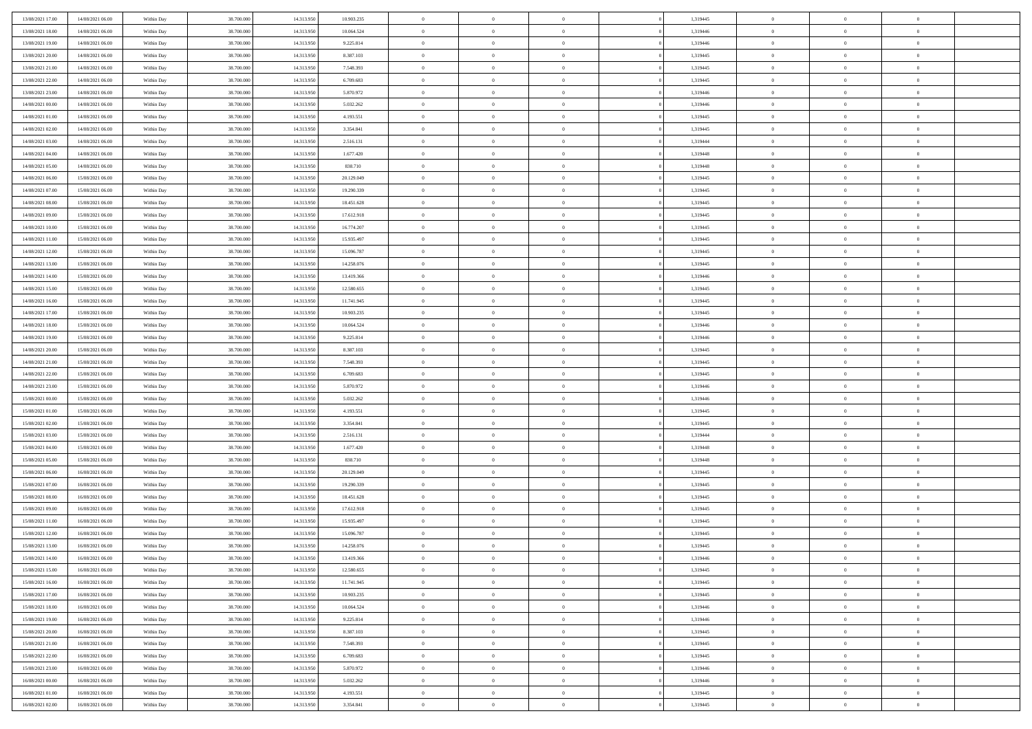| 13/08/2021 17:00<br>14/08/2021 06:00<br>38,700,000<br>14.313.950<br>Within Day<br>10.903.235<br>$\bf{0}$<br>$\overline{0}$<br>$\overline{0}$       | 1,319445 | $\bf{0}$       | $\overline{0}$ | $\bf{0}$       |  |
|----------------------------------------------------------------------------------------------------------------------------------------------------|----------|----------------|----------------|----------------|--|
| 13/08/2021 18:00<br>14/08/2021 06:00<br>38.700.000<br>14.313.950<br>10.064.524<br>$\overline{0}$<br>$\overline{0}$<br>$\overline{0}$<br>Within Day | 1,319446 | $\overline{0}$ | $\bf{0}$       | $\theta$       |  |
| 13/08/2021 19:00<br>14/08/2021 06:00<br>Within Day<br>38.700.000<br>14.313.950<br>9.225.814<br>$\overline{0}$<br>$\overline{0}$<br>$\overline{0}$  | 1,319446 | $\,$ 0 $\,$    | $\overline{0}$ | $\,0\,$        |  |
| 13/08/2021 20:00<br>38,700,000<br>14.313.950<br>8.387.103<br>14/08/2021 06:00<br>Within Day<br>$\overline{0}$<br>$\overline{0}$<br>$\Omega$        | 1.319445 | $\overline{0}$ | $\theta$       | $\overline{0}$ |  |
| 13/08/2021 21:00<br>14/08/2021 06:00<br>38.700.000<br>14.313.950<br>7.548.393<br>$\mathbf{0}$<br>$\overline{0}$<br>$\overline{0}$<br>Within Day    | 1,319445 | $\mathbf{0}$   | $\bf{0}$       | $\overline{0}$ |  |
| 13/08/2021 22:00<br>14/08/2021 06:00<br>38.700.000<br>14.313.950<br>6.709.683<br>$\,$ 0<br>$\overline{0}$<br>Within Day<br>$\overline{0}$          | 1,319445 | $\,$ 0 $\,$    | $\overline{0}$ | $\,0\,$        |  |
| 13/08/2021 23:00<br>38,700,000<br>14.313.950<br>5.870.972<br>14/08/2021 06:00<br>Within Day<br>$\bf{0}$<br>$\overline{0}$<br>$\Omega$              | 1,319446 | $\bf{0}$       | $\theta$       | $\overline{0}$ |  |
| 14/08/2021 00:00<br>14/08/2021 06:00<br>38.700.000<br>14.313.950<br>5.032.262<br>$\overline{0}$<br>$\overline{0}$<br>$\overline{0}$<br>Within Day  | 1,319446 | $\mathbf{0}$   | $\bf{0}$       | $\theta$       |  |
| 14/08/2021 01:00<br>14/08/2021 06:00<br>38.700.000<br>14.313.950<br>4.193.551<br>$\,$ 0<br>$\overline{0}$<br>Within Day<br>$\overline{0}$          | 1,319445 | $\,$ 0 $\,$    | $\overline{0}$ | $\,0\,$        |  |
| 14/08/2021 02:00<br>38,700,000<br>14.313.950<br>14/08/2021 06:00<br>Within Day<br>3.354.841<br>$\overline{0}$<br>$\overline{0}$<br>$\Omega$        | 1,319445 | $\overline{0}$ | $\theta$       | $\overline{0}$ |  |
| 14/08/2021 03:00<br>14/08/2021 06:00<br>38.700.000<br>14.313.950<br>2.516.131<br>$\mathbf{0}$<br>$\overline{0}$<br>$\overline{0}$<br>Within Day    | 1,319444 | $\mathbf{0}$   | $\bf{0}$       | $\theta$       |  |
| 14/08/2021 04:00<br>14/08/2021 06:00<br>Within Day<br>38.700.000<br>14.313.950<br>1.677.420<br>$\overline{0}$<br>$\overline{0}$<br>$\overline{0}$  | 1,319448 | $\,$ 0 $\,$    | $\overline{0}$ | $\,0\,$        |  |
| 14/08/2021 05:00<br>38,700,000<br>14.313.950<br>838.710<br>14/08/2021 06:00<br>Within Day<br>$\overline{0}$<br>$\overline{0}$<br>$\Omega$          | 1.319448 | $\overline{0}$ | $\theta$       | $\overline{0}$ |  |
| 14/08/2021 06:00<br>15/08/2021 06:00<br>38.700.000<br>14.313.950<br>20.129.049<br>$\mathbf{0}$<br>$\overline{0}$<br>$\overline{0}$<br>Within Day   | 1,319445 | $\mathbf{0}$   | $\bf{0}$       | $\theta$       |  |
| 14/08/2021 07:00<br>15/08/2021 06:00<br>38.700.000<br>14.313.950<br>19.290.339<br>$\,$ 0<br>$\,$ 0 $\,$<br>Within Day<br>$\overline{0}$            | 1,319445 | $\,$ 0 $\,$    | $\overline{0}$ | $\,0\,$        |  |
| 14/08/2021 08:00<br>38,700,000<br>14.313.950<br>15/08/2021 06:00<br>Within Day<br>18.451.628<br>$\bf{0}$<br>$\overline{0}$<br>$\Omega$             | 1,319445 | $\overline{0}$ | $\theta$       | $\bf{0}$       |  |
| 14/08/2021 09:00<br>15/08/2021 06:00<br>38.700.000<br>14.313.950<br>17.612.918<br>$\overline{0}$<br>$\overline{0}$<br>$\overline{0}$<br>Within Day | 1,319445 | $\overline{0}$ | $\bf{0}$       | $\theta$       |  |
| 14/08/2021 10:00<br>15/08/2021 06:00<br>38.700.000<br>14.313.950<br>16.774.207<br>$\overline{0}$<br>$\overline{0}$<br>Within Day<br>$\overline{0}$ | 1,319445 | $\,$ 0 $\,$    | $\overline{0}$ | $\,0\,$        |  |
| 14/08/2021 11:00<br>38,700,000<br>14.313.950<br>15/08/2021 06:00<br>Within Day<br>15.935.497<br>$\overline{0}$<br>$\overline{0}$<br>$\Omega$       | 1.319445 | $\overline{0}$ | $\theta$       | $\overline{0}$ |  |
| 14/08/2021 12:00<br>15/08/2021 06:00<br>38.700.000<br>14.313.950<br>15.096.787<br>$\overline{0}$<br>$\overline{0}$<br>$\overline{0}$<br>Within Day | 1,319445 | $\overline{0}$ | $\bf{0}$       | $\theta$       |  |
| 14/08/2021 13:00<br>15/08/2021 06:00<br>Within Day<br>38.700.000<br>14.313.950<br>14.258.076<br>$\,$ 0<br>$\overline{0}$<br>$\overline{0}$         | 1,319445 | $\,$ 0 $\,$    | $\overline{0}$ | $\,$ 0 $\,$    |  |
| 14/08/2021 14:00<br>38,700,000<br>14.313.950<br>13.419.366<br>15/08/2021 06:00<br>Within Day<br>$\overline{0}$<br>$\overline{0}$<br>$\Omega$       | 1,319446 | $\overline{0}$ | $\theta$       | $\overline{0}$ |  |
| 14/08/2021 15:00<br>15/08/2021 06:00<br>38.700.000<br>14.313.950<br>12.580.655<br>$\mathbf{0}$<br>$\overline{0}$<br>Within Day<br>$\overline{0}$   | 1,319445 | $\mathbf{0}$   | $\bf{0}$       | $\theta$       |  |
| 14/08/2021 16:00<br>15/08/2021 06:00<br>38.700.000<br>14.313.950<br>11.741.945<br>$\overline{0}$<br>$\overline{0}$<br>Within Day<br>$\overline{0}$ | 1,319445 | $\,$ 0 $\,$    | $\overline{0}$ | $\,$ 0 $\,$    |  |
| 14/08/2021 17:00<br>38,700,000<br>14.313.950<br>15/08/2021 06:00<br>Within Day<br>10.903.235<br>$\bf{0}$<br>$\overline{0}$<br>$\Omega$             | 1,319445 | $\bf{0}$       | $\theta$       | $\bf{0}$       |  |
| 14/08/2021 18:00<br>15/08/2021 06:00<br>38.700.000<br>14.313.950<br>10.064.524<br>$\overline{0}$<br>$\overline{0}$<br>$\overline{0}$<br>Within Day | 1,319446 | $\overline{0}$ | $\bf{0}$       | $\theta$       |  |
| 14/08/2021 19:00<br>15/08/2021 06:00<br>38.700.000<br>14.313.950<br>9.225.814<br>$\,$ 0<br>$\overline{0}$<br>Within Day<br>$\overline{0}$          | 1,319446 | $\,$ 0 $\,$    | $\overline{0}$ | $\,$ 0 $\,$    |  |
| 14/08/2021 20:00<br>38,700,000<br>14.313.950<br>8.387.103<br>15/08/2021 06:00<br>Within Day<br>$\overline{0}$<br>$\overline{0}$<br>$\Omega$        | 1,319445 | $\overline{0}$ | $\theta$       | $\overline{0}$ |  |
| 14/08/2021 21:00<br>15/08/2021 06:00<br>38.700.000<br>14.313.950<br>7.548.393<br>$\mathbf{0}$<br>$\overline{0}$<br>$\overline{0}$<br>Within Day    | 1,319445 | $\mathbf{0}$   | $\bf{0}$       | $\overline{0}$ |  |
| 14/08/2021 22:00<br>15/08/2021 06:00<br>38.700.000<br>14.313.950<br>6.709.683<br>$\,$ 0<br>$\overline{0}$<br>Within Day<br>$\overline{0}$          | 1,319445 | $\,$ 0 $\,$    | $\overline{0}$ | $\,$ 0 $\,$    |  |
| 14/08/2021 23:00<br>15/08/2021 06:00<br>Within Day<br>38.700.000<br>14.313.950<br>5.870.972<br>$\bf{0}$<br>$\overline{0}$<br>$\Omega$              | 1,319446 | $\bf{0}$       | $\overline{0}$ | $\bf{0}$       |  |
| 15/08/2021 00:00<br>15/08/2021 06:00<br>38.700.000<br>14.313.950<br>5.032.262<br>$\mathbf{0}$<br>$\overline{0}$<br>Within Day<br>$\overline{0}$    | 1,319446 | $\overline{0}$ | $\bf{0}$       | $\theta$       |  |
| 15/08/2021 01:00<br>15/08/2021 06:00<br>38.700.000<br>14.313.950<br>4.193.551<br>$\,$ 0<br>$\overline{0}$<br>Within Day<br>$\overline{0}$          | 1,319445 | $\,$ 0 $\,$    | $\overline{0}$ | $\,$ 0 $\,$    |  |
| 15/08/2021 02:00<br>15/08/2021 06:00<br>Within Day<br>38.700.000<br>14.313.950<br>3.354.841<br>$\bf{0}$<br>$\overline{0}$<br>$\overline{0}$        | 1,319445 | $\mathbf{0}$   | $\overline{0}$ | $\bf{0}$       |  |
| 15/08/2021 03:00<br>15/08/2021 06:00<br>38.700.000<br>14.313.950<br>2.516.131<br>$\mathbf{0}$<br>$\overline{0}$<br>Within Day<br>$\overline{0}$    | 1,319444 | $\overline{0}$ | $\bf{0}$       | $\theta$       |  |
| 15/08/2021 04:00<br>15/08/2021 06:00<br>38.700.000<br>14.313.950<br>1.677.420<br>$\overline{0}$<br>$\overline{0}$<br>Within Day<br>$\overline{0}$  | 1,319448 | $\,$ 0 $\,$    | $\overline{0}$ | $\,$ 0 $\,$    |  |
| 15/08/2021 05:00<br>15/08/2021 06:00<br>Within Day<br>38.700.000<br>14.313.950<br>838.710<br>$\bf{0}$<br>$\overline{0}$<br>$\Omega$                | 1,319448 | $\bf{0}$       | $\theta$       | $\bf{0}$       |  |
| 15/08/2021 06:00<br>16/08/2021 06:00<br>38.700.000<br>14.313.950<br>20.129.049<br>$\mathbf{0}$<br>$\overline{0}$<br>$\overline{0}$<br>Within Day   | 1,319445 | $\mathbf{0}$   | $\bf{0}$       | $\overline{0}$ |  |
| 15/08/2021 07:00<br>16/08/2021 06:00<br>Within Day<br>38.700.000<br>14.313.950<br>19.290.339<br>$\,$ 0<br>$\overline{0}$<br>$\overline{0}$         | 1,319445 | $\,$ 0 $\,$    | $\overline{0}$ | $\,$ 0 $\,$    |  |
| 15/08/2021 08:00<br>16/08/2021 06:00<br>Within Day<br>38.700.000<br>14.313.950<br>18.451.628<br>$\bf{0}$<br>$\overline{0}$<br>$\Omega$             | 1,319445 | $\bf{0}$       | $\overline{0}$ | $\bf{0}$       |  |
| 15/08/2021 09:00<br>16/08/2021 06:00<br>38.700.000<br>14.313.950<br>17.612.918<br>$\mathbf{0}$<br>$\overline{0}$<br>Within Day<br>$\overline{0}$   | 1,319445 | $\overline{0}$ | $\overline{0}$ | $\theta$       |  |
| 15/08/2021 11:00<br>16/08/2021 06:00<br>38.700.000<br>14.313.950<br>15.935.497<br>$\,$ 0<br>$\overline{0}$<br>Within Day<br>$\overline{0}$         | 1,319445 | $\,$ 0 $\,$    | $\overline{0}$ | $\,$ 0 $\,$    |  |
| 15/08/2021 12:00<br>16/08/2021 06:00<br>Within Day<br>38.700.000<br>14.313.950<br>15.096.787<br>$\bf{0}$<br>$\overline{0}$<br>$\overline{0}$       | 1,319445 | $\bf{0}$       | $\overline{0}$ | $\bf{0}$       |  |
| 15/08/2021 13:00<br>16/08/2021 06:00<br>38.700.000<br>14.313.950<br>14.258.076<br>$\mathbf{0}$<br>$\overline{0}$<br>$\overline{0}$<br>Within Day   | 1,319445 | $\overline{0}$ | $\bf{0}$       | $\theta$       |  |
| 15/08/2021 14:00<br>16/08/2021 06:00<br>Within Day<br>38.700.000<br>14.313.950<br>13.419.366<br>$\theta$<br>$\overline{0}$<br>$\theta$             | 1,319446 | $\overline{0}$ | $\overline{0}$ | $\overline{0}$ |  |
| 15/08/2021 15:00<br>16/08/2021 06:00<br>Within Day<br>38.700.000<br>14.313.950<br>12.580.655<br>$\bf{0}$<br>$\overline{0}$<br>$\overline{0}$       | 1,319445 | $\mathbf{0}$   | $\overline{0}$ | $\bf{0}$       |  |
| 38.700.000<br>14.313.950<br>$\overline{0}$<br>$\overline{0}$<br>15/08/2021 16:00<br>16/08/2021 06:00<br>Within Day<br>11.741.945<br>$\overline{0}$ | 1,319445 | $\,$ 0 $\,$    | $\overline{0}$ | $\overline{0}$ |  |
| 15/08/2021 17:00<br>16/08/2021 06:00<br>Within Day<br>38.700.000<br>14.313.950<br>10.903.235<br>$\,$ 0 $\,$<br>$\overline{0}$<br>$\overline{0}$    | 1,319445 | $\,$ 0 $\,$    | $\,$ 0 $\,$    | $\theta$       |  |
| 15/08/2021 18:00<br>16/08/2021 06:00<br>Within Day<br>38.700.000<br>14.313.950<br>10.064.524<br>$\mathbf{0}$<br>$\overline{0}$<br>$\overline{0}$   | 1,319446 | $\mathbf{0}$   | $\overline{0}$ | $\mathbf{0}$   |  |
| $\overline{0}$<br>15/08/2021 19:00<br>16/08/2021 06:00<br>38.700.000<br>14.313.950<br>9.225.814<br>$\mathbf{0}$<br>$\overline{0}$<br>Within Day    | 1,319446 | $\,$ 0 $\,$    | $\bf{0}$       | $\overline{0}$ |  |
| 15/08/2021 20:00<br>16/08/2021 06:00<br>Within Day<br>38.700.000<br>14.313.950<br>8.387.103<br>$\,$ 0 $\,$<br>$\overline{0}$<br>$\overline{0}$     | 1,319445 | $\,$ 0 $\,$    | $\overline{0}$ | $\theta$       |  |
| 15/08/2021 21:00<br>16/08/2021 06:00<br>Within Day<br>38.700.000<br>14.313.950<br>7.548.393<br>$\mathbf{0}$<br>$\overline{0}$<br>$\overline{0}$    |          |                |                |                |  |
| 14.313.950<br>$\,$ 0 $\,$<br>$\overline{0}$<br>$\overline{0}$<br>15/08/2021 22:00<br>16/08/2021 06:00<br>Within Day<br>38.700.000<br>6.709.683     | 1,319445 | $\mathbf{0}$   | $\overline{0}$ | $\overline{0}$ |  |
|                                                                                                                                                    | 1,319445 | $\,$ 0 $\,$    | $\bf{0}$       | $\overline{0}$ |  |
| 15/08/2021 23:00<br>16/08/2021 06:00<br>Within Day<br>38.700.000<br>14.313.950<br>5.870.972<br>$\,$ 0 $\,$<br>$\overline{0}$<br>$\overline{0}$     | 1,319446 | $\,$ 0 $\,$    | $\,$ 0         | $\theta$       |  |
| 16/08/2021 00:00<br>16/08/2021 06:00<br>Within Day<br>38.700.000<br>14.313.950<br>5.032.262<br>$\bf{0}$<br>$\overline{0}$<br>$\overline{0}$        | 1,319446 | $\mathbf{0}$   | $\overline{0}$ | $\mathbf{0}$   |  |
| $\overline{0}$<br>16/08/2021 01:00<br>16/08/2021 06:00<br>Within Day<br>38.700.000<br>14.313.950<br>4.193.551<br>$\mathbf{0}$<br>$\overline{0}$    | 1,319445 | $\mathbf{0}$   | $\bf{0}$       | $\overline{0}$ |  |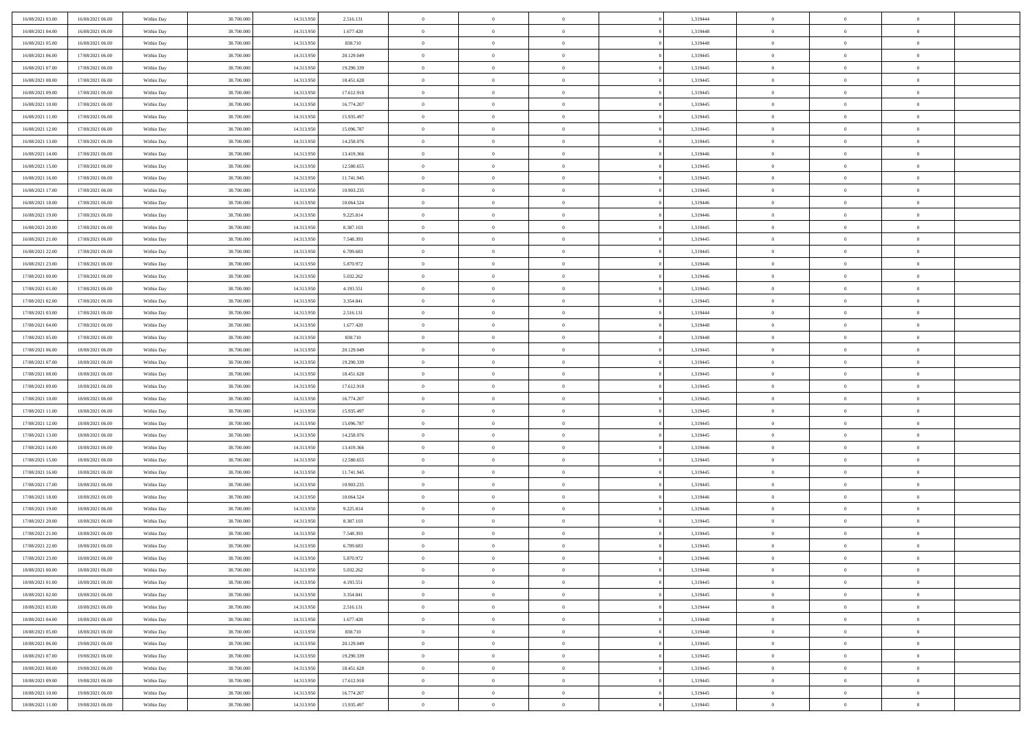| 16/08/2021 03:00 | 16/08/2021 06:00 | Within Day | 38.700.000 | 14.313.950 | 2.516.131  | $\bf{0}$       | $\overline{0}$ | $\Omega$       | 1,319444 | $\bf{0}$       | $\overline{0}$ | $\bf{0}$       |  |
|------------------|------------------|------------|------------|------------|------------|----------------|----------------|----------------|----------|----------------|----------------|----------------|--|
| 16/08/2021 04:00 | 16/08/2021 06:00 | Within Day | 38,700,000 | 14.313.95  | 1.677.420  | $\overline{0}$ | $\overline{0}$ | $\Omega$       | 1,319448 | $\overline{0}$ | $\theta$       | $\theta$       |  |
| 16/08/2021 05:00 | 16/08/2021 06:00 | Within Day | 38.700.000 | 14.313.950 | 838.710    | $\overline{0}$ | $\overline{0}$ | $\overline{0}$ | 1,319448 | $\mathbf{0}$   | $\overline{0}$ | $\theta$       |  |
| 16/08/2021 06:00 | 17/08/2021 06:00 | Within Day | 38.700.000 | 14.313.950 | 20.129.049 | $\bf{0}$       | $\overline{0}$ | $\overline{0}$ | 1,319445 | $\mathbf{0}$   | $\overline{0}$ | $\bf{0}$       |  |
| 16/08/2021 07:00 | 17/08/2021 06:00 | Within Day | 38,700,000 | 14.313.950 | 19.290.339 | $\bf{0}$       | $\overline{0}$ | $\overline{0}$ | 1,319445 | $\bf{0}$       | $\overline{0}$ | $\bf{0}$       |  |
| 16/08/2021 08:00 | 17/08/2021 06:00 | Within Day | 38.700.000 | 14.313.950 | 18.451.628 | $\overline{0}$ | $\overline{0}$ | $\overline{0}$ | 1,319445 | $\mathbf{0}$   | $\overline{0}$ | $\theta$       |  |
| 16/08/2021 09:00 | 17/08/2021 06:00 | Within Day | 38.700.000 | 14.313.950 | 17.612.918 | $\bf{0}$       | $\overline{0}$ | $\overline{0}$ | 1,319445 | $\bf{0}$       | $\overline{0}$ | $\bf{0}$       |  |
| 16/08/2021 10:00 | 17/08/2021 06:00 | Within Day | 38,700,000 | 14.313.950 | 16.774.207 | $\overline{0}$ | $\overline{0}$ | $\overline{0}$ | 1,319445 | $\mathbf{0}$   | $\theta$       | $\theta$       |  |
| 16/08/2021 11:00 | 17/08/2021 06:00 | Within Day | 38.700.000 | 14.313.950 | 15.935.497 | $\overline{0}$ | $\overline{0}$ | $\overline{0}$ | 1,319445 | $\mathbf{0}$   | $\overline{0}$ | $\theta$       |  |
| 16/08/2021 12:00 | 17/08/2021 06:00 | Within Day | 38.700.000 | 14.313.950 | 15.096.787 | $\bf{0}$       | $\overline{0}$ | $\Omega$       | 1,319445 | $\bf{0}$       | $\overline{0}$ | $\bf{0}$       |  |
| 16/08/2021 13:00 | 17/08/2021 06:00 | Within Day | 38,700,000 | 14.313.950 | 14.258.076 | $\bf{0}$       | $\overline{0}$ | $\overline{0}$ | 1,319445 | $\mathbf{0}$   | $\theta$       | $\overline{0}$ |  |
| 16/08/2021 14:00 | 17/08/2021 06:00 | Within Day | 38.700.000 | 14.313.950 | 13.419.366 | $\overline{0}$ | $\overline{0}$ | $\overline{0}$ | 1,319446 | $\mathbf{0}$   | $\overline{0}$ | $\theta$       |  |
| 16/08/2021 15:00 | 17/08/2021 06:00 | Within Day | 38.700.000 | 14.313.950 | 12.580.655 | $\bf{0}$       | $\overline{0}$ | $\overline{0}$ | 1,319445 | $\mathbf{0}$   | $\overline{0}$ | $\bf{0}$       |  |
| 16/08/2021 16:00 | 17/08/2021 06:00 | Within Day | 38.700.000 | 14.313.950 | 11.741.945 | $\bf{0}$       | $\overline{0}$ | $\overline{0}$ | 1,319445 | $\bf{0}$       | $\theta$       | $\bf{0}$       |  |
| 16/08/2021 17:00 | 17/08/2021 06:00 | Within Day | 38.700.000 | 14.313.950 | 10.903.235 | $\overline{0}$ | $\overline{0}$ | $\overline{0}$ | 1,319445 | $\mathbf{0}$   | $\overline{0}$ | $\theta$       |  |
| 16/08/2021 18:00 | 17/08/2021 06:00 | Within Day | 38.700.000 | 14.313.950 | 10.064.524 | $\bf{0}$       | $\overline{0}$ | $\Omega$       | 1,319446 | $\bf{0}$       | $\overline{0}$ | $\bf{0}$       |  |
| 16/08/2021 19:00 | 17/08/2021 06:00 | Within Day | 38,700,000 | 14.313.950 | 9.225.814  | $\,$ 0 $\,$    | $\overline{0}$ | $\overline{0}$ | 1,319446 | $\mathbf{0}$   | $\theta$       | $\overline{0}$ |  |
| 16/08/2021 20:00 | 17/08/2021 06:00 | Within Day | 38.700.000 | 14.313.950 | 8.387.103  | $\overline{0}$ | $\overline{0}$ | $\overline{0}$ | 1,319445 | $\mathbf{0}$   | $\overline{0}$ | $\theta$       |  |
| 16/08/2021 21:00 | 17/08/2021 06:00 | Within Day | 38.700.000 | 14.313.950 | 7.548.393  | $\bf{0}$       | $\overline{0}$ | $\Omega$       | 1,319445 | $\bf{0}$       | $\overline{0}$ | $\bf{0}$       |  |
| 16/08/2021 22:00 | 17/08/2021 06:00 | Within Day | 38,700,000 | 14.313.950 | 6.709.683  | $\bf{0}$       | $\overline{0}$ | $\overline{0}$ | 1,319445 | $\mathbf{0}$   | $\mathbf{0}$   | $\overline{0}$ |  |
| 16/08/2021 23:00 | 17/08/2021 06:00 | Within Day | 38.700.000 | 14.313.950 | 5.870.972  | $\overline{0}$ | $\overline{0}$ | $\overline{0}$ | 1,319446 | $\mathbf{0}$   | $\overline{0}$ | $\theta$       |  |
| 17/08/2021 00:00 | 17/08/2021 06:00 | Within Day | 38.700.000 | 14.313.950 | 5.032.262  | $\bf{0}$       | $\overline{0}$ | $\overline{0}$ | 1,319446 | $\mathbf{0}$   | $\overline{0}$ | $\bf{0}$       |  |
| 17/08/2021 01:00 | 17/08/2021 06:00 | Within Day | 38,700,000 | 14.313.950 | 4.193.551  | $\bf{0}$       | $\overline{0}$ | $\overline{0}$ | 1,319445 | $\,$ 0 $\,$    | $\overline{0}$ | $\bf{0}$       |  |
| 17/08/2021 02:00 | 17/08/2021 06:00 | Within Day | 38.700.000 | 14.313.950 | 3.354.841  | $\overline{0}$ | $\overline{0}$ | $\overline{0}$ | 1,319445 | $\mathbf{0}$   | $\overline{0}$ | $\theta$       |  |
| 17/08/2021 03:00 | 17/08/2021 06:00 | Within Day | 38.700.000 | 14.313.950 | 2.516.131  | $\bf{0}$       | $\overline{0}$ | $\overline{0}$ | 1,319444 | $\bf{0}$       | $\overline{0}$ | $\bf{0}$       |  |
| 17/08/2021 04:00 | 17/08/2021 06:00 | Within Day | 38,700,000 | 14.313.950 | 1.677.420  | $\bf{0}$       | $\overline{0}$ | $\overline{0}$ | 1,319448 | $\mathbf{0}$   | $\overline{0}$ | $\overline{0}$ |  |
| 17/08/2021 05:00 | 17/08/2021 06:00 | Within Day | 38.700.000 | 14.313.950 | 838.710    | $\overline{0}$ | $\overline{0}$ | $\overline{0}$ | 1,319448 | $\mathbf{0}$   | $\overline{0}$ | $\theta$       |  |
| 17/08/2021 06:00 | 18/08/2021 06:00 | Within Day | 38.700.000 | 14.313.950 | 20.129.049 | $\bf{0}$       | $\overline{0}$ | $\Omega$       | 1,319445 | $\mathbf{0}$   | $\overline{0}$ | $\bf{0}$       |  |
| 17/08/2021 07:00 | 18/08/2021 06:00 | Within Day | 38,700,000 | 14.313.950 | 19.290.339 | $\bf{0}$       | $\overline{0}$ | $\overline{0}$ | 1,319445 | $\mathbf{0}$   | $\theta$       | $\overline{0}$ |  |
| 17/08/2021 08:00 | 18/08/2021 06:00 | Within Day | 38.700.000 | 14.313.950 | 18.451.628 | $\overline{0}$ | $\overline{0}$ | $\overline{0}$ | 1,319445 | $\mathbf{0}$   | $\overline{0}$ | $\theta$       |  |
| 17/08/2021 09:00 | 18/08/2021 06:00 | Within Day | 38.700.000 | 14.313.950 | 17.612.918 | $\,$ 0         | $\overline{0}$ | $\overline{0}$ | 1,319445 | $\,$ 0 $\,$    | $\overline{0}$ | $\,0\,$        |  |
| 17/08/2021 10:00 | 18/08/2021 06:00 | Within Day | 38.700.000 | 14.313.950 | 16.774.207 | $\bf{0}$       | $\overline{0}$ | $\overline{0}$ | 1,319445 | $\bf{0}$       | $\overline{0}$ | $\bf{0}$       |  |
| 17/08/2021 11:00 | 18/08/2021 06:00 | Within Day | 38.700.000 | 14.313.950 | 15.935.497 | $\overline{0}$ | $\overline{0}$ | $\overline{0}$ | 1,319445 | $\mathbf{0}$   | $\overline{0}$ | $\theta$       |  |
| 17/08/2021 12:00 | 18/08/2021 06:00 | Within Day | 38.700.000 | 14.313.950 | 15.096.787 | $\,$ 0         | $\overline{0}$ | $\theta$       | 1,319445 | $\,$ 0         | $\overline{0}$ | $\mathbf{0}$   |  |
| 17/08/2021 13:00 | 18/08/2021 06:00 | Within Day | 38,700,000 | 14.313.950 | 14.258.076 | $\bf{0}$       | $\overline{0}$ | $\overline{0}$ | 1,319445 | $\mathbf{0}$   | $\overline{0}$ | $\overline{0}$ |  |
| 17/08/2021 14:00 | 18/08/2021 06:00 | Within Day | 38.700.000 | 14.313.950 | 13.419.366 | $\overline{0}$ | $\overline{0}$ | $\overline{0}$ | 1,319446 | $\mathbf{0}$   | $\overline{0}$ | $\theta$       |  |
| 17/08/2021 15:00 | 18/08/2021 06:00 | Within Day | 38.700.000 | 14.313.950 | 12.580.655 | $\,$ 0         | $\overline{0}$ | $\overline{0}$ | 1,319445 | $\,$ 0 $\,$    | $\overline{0}$ | $\mathbf{0}$   |  |
| 17/08/2021 16:00 | 18/08/2021 06:00 | Within Day | 38,700,000 | 14.313.950 | 11.741.945 | $\bf{0}$       | $\overline{0}$ | $\overline{0}$ | 1,319445 | $\mathbf{0}$   | $\mathbf{0}$   | $\bf{0}$       |  |
| 17/08/2021 17:00 | 18/08/2021 06:00 | Within Day | 38.700.000 | 14.313.950 | 10.903.235 | $\overline{0}$ | $\overline{0}$ | $\overline{0}$ | 1,319445 | $\mathbf{0}$   | $\overline{0}$ | $\theta$       |  |
| 17/08/2021 18:00 | 18/08/2021 06:00 | Within Day | 38.700.000 | 14.313.950 | 10.064.524 | $\,$ 0         | $\overline{0}$ | $\overline{0}$ | 1,319446 | $\,$ 0 $\,$    | $\overline{0}$ | $\,0\,$        |  |
| 17/08/2021 19:00 | 18/08/2021 06:00 | Within Day | 38,700,000 | 14.313.950 | 9.225.814  | $\bf{0}$       | $\,$ 0 $\,$    | $\overline{0}$ | 1,319446 | $\,$ 0 $\,$    | $\overline{0}$ | $\bf{0}$       |  |
| 17/08/2021 20:00 | 18/08/2021 06:00 | Within Day | 38.700.000 | 14.313.950 | 8.387.103  | $\overline{0}$ | $\overline{0}$ | $\overline{0}$ | 1,319445 | $\mathbf{0}$   | $\overline{0}$ | $\theta$       |  |
| 17/08/2021 21:00 | 18/08/2021 06:00 | Within Day | 38.700.000 | 14.313.950 | 7.548.393  | $\overline{0}$ | $\overline{0}$ | $\overline{0}$ | 1,319445 | $\overline{0}$ | $\overline{0}$ | $\mathbf{0}$   |  |
| 17/08/2021 22.00 | 18/08/2021 06:00 | Within Day | 38,700,000 | 14.313.950 | 6.709.683  | $\bf{0}$       | $\overline{0}$ | $\overline{0}$ | 1,319445 | $\mathbf{0}$   | $\overline{0}$ | $\bf{0}$       |  |
| 17/08/2021 23:00 | 18/08/2021 06:00 | Within Day | 38.700.000 | 14.313.950 | 5.870.972  | $\overline{0}$ | $\theta$       |                | 1,319446 | $\overline{0}$ | $\Omega$       | $\overline{0}$ |  |
| 18/08/2021 00:00 | 18/08/2021 06:00 | Within Day | 38.700.000 | 14.313.950 | 5.032.262  | $\,$ 0 $\,$    | $\overline{0}$ | $\overline{0}$ | 1,319446 | $\,$ 0 $\,$    | $\bf{0}$       | $\mathbf{0}$   |  |
| 18/08/2021 01:00 | 18/08/2021 06:00 | Within Day | 38.700.000 | 14.313.950 | 4.193.551  | $\mathbf{0}$   | $\overline{0}$ | $\overline{0}$ | 1,319445 | $\,$ 0 $\,$    | $\overline{0}$ | $\overline{0}$ |  |
| 18/08/2021 02:00 | 18/08/2021 06:00 | Within Day | 38.700.000 | 14.313.950 | 3.354.841  | $\mathbf{0}$   | $\overline{0}$ | $\overline{0}$ | 1,319445 | $\mathbf{0}$   | $\bf{0}$       | $\overline{0}$ |  |
| 18/08/2021 03:00 | 18/08/2021 06:00 | Within Day | 38.700.000 | 14.313.950 | 2.516.131  | $\,$ 0 $\,$    | $\overline{0}$ | $\overline{0}$ | 1,319444 | $\,$ 0 $\,$    | $\bf{0}$       | $\theta$       |  |
| 18/08/2021 04:00 | 18/08/2021 06:00 | Within Day | 38.700.000 | 14.313.950 | 1.677.420  | $\,$ 0 $\,$    | $\,$ 0 $\,$    | $\overline{0}$ | 1,319448 | $\,$ 0 $\,$    | $\overline{0}$ | $\overline{0}$ |  |
| 18/08/2021 05:00 | 18/08/2021 06:00 | Within Day | 38.700.000 | 14.313.950 | 838.710    | $\mathbf{0}$   | $\overline{0}$ | $\overline{0}$ | 1,319448 | $\mathbf{0}$   | $\bf{0}$       | $\overline{0}$ |  |
| 18/08/2021 06:00 | 19/08/2021 06:00 | Within Day | 38.700.000 | 14.313.950 | 20.129.049 | $\,$ 0 $\,$    | $\overline{0}$ | $\overline{0}$ | 1,319445 | $\,$ 0 $\,$    | $\mathbf{0}$   | $\theta$       |  |
| 18/08/2021 07:00 | 19/08/2021 06:00 | Within Day | 38,700,000 | 14.313.950 | 19.290.339 | $\mathbf{0}$   | $\overline{0}$ | $\overline{0}$ | 1,319445 | $\,$ 0 $\,$    | $\overline{0}$ | $\overline{0}$ |  |
| 18/08/2021 08:00 | 19/08/2021 06:00 | Within Day | 38.700.000 | 14.313.950 | 18.451.628 | $\mathbf{0}$   | $\overline{0}$ | $\overline{0}$ | 1,319445 | $\mathbf{0}$   | $\bf{0}$       | $\overline{0}$ |  |
| 18/08/2021 09:00 | 19/08/2021 06:00 | Within Day | 38.700.000 | 14.313.950 | 17.612.918 | $\,$ 0 $\,$    | $\overline{0}$ | $\overline{0}$ | 1,319445 | $\,$ 0 $\,$    | $\mathbf{0}$   | $\theta$       |  |
| 18/08/2021 10:00 | 19/08/2021 06:00 | Within Day | 38,700,000 | 14.313.950 | 16.774.207 | $\mathbf{0}$   | $\overline{0}$ | $\overline{0}$ | 1,319445 | $\,$ 0 $\,$    | $\overline{0}$ | $\overline{0}$ |  |
| 18/08/2021 11:00 | 19/08/2021 06:00 | Within Day | 38.700.000 | 14.313.950 | 15.935.497 | $\mathbf{0}$   | $\overline{0}$ | $\overline{0}$ | 1,319445 | $\mathbf{0}$   | $\mathbf{0}$   | $\overline{0}$ |  |
|                  |                  |            |            |            |            |                |                |                |          |                |                |                |  |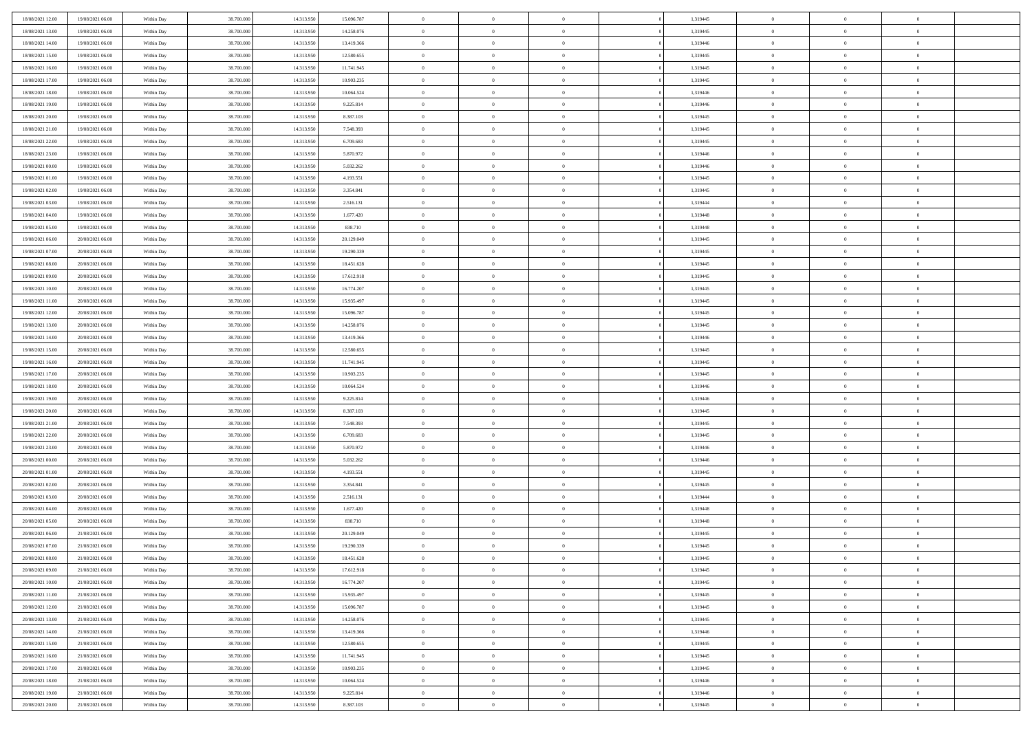| 18/08/2021 12:00 | 19/08/2021 06:00 | Within Day | 38,700,000 | 14.313.950 | 15.096.787 | $\bf{0}$                   | $\overline{0}$ | $\theta$       | 1,319445 | $\theta$       | $\overline{0}$ | $\overline{0}$             |  |
|------------------|------------------|------------|------------|------------|------------|----------------------------|----------------|----------------|----------|----------------|----------------|----------------------------|--|
| 18/08/2021 13:00 | 19/08/2021 06:00 | Within Day | 38.700.000 | 14.313.950 | 14.258.076 | $\mathbf{0}$               | $\overline{0}$ | $\overline{0}$ | 1,319445 | $\theta$       | $\bf{0}$       | $\theta$                   |  |
| 18/08/2021 14:00 | 19/08/2021 06:00 | Within Day | 38.700.000 | 14.313.950 | 13.419.366 | $\,$ 0                     | $\overline{0}$ | $\bf{0}$       | 1,319446 | $\,0\,$        | $\overline{0}$ | $\,$ 0 $\,$                |  |
| 18/08/2021 15:00 | 19/08/2021 06:00 | Within Day | 38,700,000 | 14.313.950 | 12.580.655 | $\bf{0}$                   | $\overline{0}$ | $\Omega$       | 1,319445 | $\overline{0}$ | $\theta$       | $\theta$                   |  |
| 18/08/2021 16:00 | 19/08/2021 06:00 | Within Day | 38.700.000 | 14.313.950 | 11.741.945 | $\mathbf{0}$               | $\overline{0}$ | $\overline{0}$ | 1,319445 | $\overline{0}$ | $\bf{0}$       | $\overline{0}$             |  |
| 18/08/2021 17:00 | 19/08/2021 06:00 | Within Day | 38.700.000 | 14.313.950 | 10.903.235 | $\bf{0}$                   | $\overline{0}$ | $\bf{0}$       | 1,319445 | $\,0\,$        | $\overline{0}$ | $\,$ 0 $\,$                |  |
|                  |                  |            | 38,700,000 |            |            |                            | $\overline{0}$ | $\overline{0}$ |          | $\bf{0}$       | $\overline{0}$ | $\theta$                   |  |
| 18/08/2021 18:00 | 19/08/2021 06:00 | Within Day |            | 14.313.950 | 10.064.524 | $\bf{0}$                   |                |                | 1,319446 |                |                |                            |  |
| 18/08/2021 19:00 | 19/08/2021 06:00 | Within Day | 38.700.000 | 14.313.950 | 9.225.814  | $\overline{0}$             | $\overline{0}$ | $\overline{0}$ | 1,319446 | $\mathbf{0}$   | $\overline{0}$ | $\theta$                   |  |
| 18/08/2021 20:00 | 19/08/2021 06:00 | Within Day | 38.700.000 | 14.313.950 | 8.387.103  | $\bf{0}$                   | $\overline{0}$ | $\bf{0}$       | 1,319445 | $\,0\,$        | $\overline{0}$ | $\,$ 0 $\,$                |  |
| 18/08/2021 21:00 | 19/08/2021 06:00 | Within Day | 38,700,000 | 14.313.950 | 7.548.393  | $\bf{0}$                   | $\overline{0}$ | $\overline{0}$ | 1,319445 | $\theta$       | $\overline{0}$ | $\overline{0}$             |  |
| 18/08/2021 22:00 | 19/08/2021 06:00 | Within Day | 38.700.000 | 14.313.950 | 6.709.683  | $\overline{0}$             | $\overline{0}$ | $\overline{0}$ | 1,319445 | $\mathbf{0}$   | $\overline{0}$ | $\overline{0}$             |  |
| 18/08/2021 23:00 | 19/08/2021 06:00 | Within Day | 38.700.000 | 14.313.950 | 5.870.972  | $\bf{0}$                   | $\overline{0}$ | $\bf{0}$       | 1,319446 | $\,0\,$        | $\overline{0}$ | $\,$ 0 $\,$                |  |
| 19/08/2021 00:00 | 19/08/2021 06:00 | Within Day | 38,700,000 | 14.313.950 | 5.032.262  | $\bf{0}$                   | $\overline{0}$ | $\Omega$       | 1,319446 | $\theta$       | $\theta$       | $\theta$                   |  |
| 19/08/2021 01:00 | 19/08/2021 06:00 | Within Day | 38.700.000 | 14.313.950 | 4.193.551  | $\overline{0}$             | $\overline{0}$ | $\overline{0}$ | 1,319445 | $\mathbf{0}$   | $\overline{0}$ | $\overline{0}$             |  |
| 19/08/2021 02:00 | 19/08/2021 06:00 | Within Day | 38.700.000 | 14.313.950 | 3.354.841  | $\bf{0}$                   | $\overline{0}$ | $\bf{0}$       | 1,319445 | $\,0\,$        | $\overline{0}$ | $\,$ 0 $\,$                |  |
| 19/08/2021 03:00 | 19/08/2021 06:00 | Within Day | 38,700,000 | 14.313.950 | 2.516.131  | $\bf{0}$                   | $\overline{0}$ | $\overline{0}$ | 1,319444 | $\theta$       | $\overline{0}$ | $\overline{0}$             |  |
| 19/08/2021 04:00 | 19/08/2021 06:00 | Within Dav | 38.700.000 | 14.313.950 | 1.677.420  | $\overline{0}$             | $\overline{0}$ | $\overline{0}$ | 1,319448 | $\mathbf{0}$   | $\overline{0}$ | $\theta$                   |  |
| 19/08/2021 05:00 | 19/08/2021 06:00 | Within Day | 38.700.000 | 14.313.950 | 838.710    | $\bf{0}$                   | $\overline{0}$ | $\bf{0}$       | 1,319448 | $\,0\,$        | $\overline{0}$ | $\,$ 0 $\,$                |  |
| 19/08/2021 06:00 | 20/08/2021 06:00 | Within Day | 38,700,000 | 14.313.950 | 20.129.049 | $\bf{0}$                   | $\overline{0}$ | $\overline{0}$ | 1,319445 | $\theta$       | $\theta$       | $\overline{0}$             |  |
| 19/08/2021 07:00 | 20/08/2021 06:00 | Within Dav | 38.700.000 | 14.313.950 | 19.290.339 | $\overline{0}$             | $\overline{0}$ | $\overline{0}$ | 1,319445 | $\mathbf{0}$   | $\overline{0}$ | $\theta$                   |  |
| 19/08/2021 08:00 | 20/08/2021 06:00 | Within Day | 38.700.000 | 14.313.950 | 18.451.628 | $\bf{0}$                   | $\overline{0}$ | $\bf{0}$       | 1,319445 | $\,0\,$        | $\overline{0}$ | $\,$ 0 $\,$                |  |
| 19/08/2021 09:00 | 20/08/2021 06:00 | Within Day | 38.700.000 | 14.313.950 | 17.612.918 | $\bf{0}$                   | $\overline{0}$ | $\Omega$       | 1,319445 | $\overline{0}$ | $\theta$       | $\theta$                   |  |
| 19/08/2021 10:00 | 20/08/2021 06:00 | Within Dav | 38.700.000 | 14.313.950 | 16.774.207 | $\overline{0}$             | $\overline{0}$ | $\overline{0}$ | 1,319445 | $\mathbf{0}$   | $\overline{0}$ | $\overline{0}$             |  |
| 19/08/2021 11:00 | 20/08/2021 06:00 | Within Day | 38.700.000 | 14.313.950 | 15.935.497 | $\bf{0}$                   | $\overline{0}$ | $\bf{0}$       | 1,319445 | $\,0\,$        | $\overline{0}$ | $\,$ 0 $\,$                |  |
| 19/08/2021 12:00 | 20/08/2021 06:00 | Within Day | 38,700,000 | 14.313.950 | 15.096.787 | $\bf{0}$                   | $\overline{0}$ | $\overline{0}$ | 1,319445 | $\bf{0}$       | $\overline{0}$ | $\overline{0}$             |  |
| 19/08/2021 13:00 | 20/08/2021 06:00 | Within Dav | 38.700.000 | 14.313.950 | 14.258.076 | $\overline{0}$             | $\overline{0}$ | $\overline{0}$ | 1,319445 | $\mathbf{0}$   | $\bf{0}$       | $\theta$                   |  |
| 19/08/2021 14:00 | 20/08/2021 06:00 | Within Day | 38.700.000 | 14.313.950 | 13.419.366 | $\bf{0}$                   | $\overline{0}$ | $\bf{0}$       | 1,319446 | $\,0\,$        | $\overline{0}$ | $\,$ 0 $\,$                |  |
| 19/08/2021 15:00 | 20/08/2021 06:00 | Within Day | 38,700,000 | 14.313.950 | 12.580.655 | $\bf{0}$                   | $\overline{0}$ | $\Omega$       | 1,319445 | $\theta$       | $\theta$       | $\overline{0}$             |  |
| 19/08/2021 16:00 | 20/08/2021 06:00 | Within Dav | 38.700.000 | 14.313.950 | 11.741.945 | $\overline{0}$             | $\overline{0}$ | $\overline{0}$ | 1,319445 | $\mathbf{0}$   | $\bf{0}$       | $\overline{0}$             |  |
|                  |                  |            |            |            |            | $\bf{0}$                   |                |                |          | $\,0\,$        | $\overline{0}$ |                            |  |
| 19/08/2021 17:00 | 20/08/2021 06:00 | Within Day | 38.700.000 | 14.313.950 | 10.903.235 |                            | $\overline{0}$ | $\bf{0}$       | 1,319445 |                |                | $\,$ 0 $\,$                |  |
| 19/08/2021 18:00 | 20/08/2021 06:00 | Within Day | 38.700.000 | 14.313.950 | 10.064.524 | $\bf{0}$<br>$\overline{0}$ | $\bf{0}$       | $\overline{0}$ | 1,319446 | $\bf{0}$       | $\overline{0}$ | $\theta$<br>$\overline{0}$ |  |
| 19/08/2021 19:00 | 20/08/2021 06:00 | Within Dav | 38.700.000 | 14.313.950 | 9.225.814  |                            | $\overline{0}$ | $\overline{0}$ | 1,319446 | $\mathbf{0}$   | $\overline{0}$ |                            |  |
| 19/08/2021 20:00 | 20/08/2021 06:00 | Within Day | 38.700.000 | 14.313.950 | 8.387.103  | $\bf{0}$                   | $\overline{0}$ | $\bf{0}$       | 1,319445 | $\,0\,$        | $\overline{0}$ | $\,$ 0 $\,$                |  |
| 19/08/2021 21:00 | 20/08/2021 06:00 | Within Day | 38.700.000 | 14.313.950 | 7.548.393  | $\bf{0}$                   | $\bf{0}$       | $\bf{0}$       | 1,319445 | $\bf{0}$       | $\overline{0}$ | $\bf{0}$                   |  |
| 19/08/2021 22:00 | 20/08/2021 06:00 | Within Dav | 38.700.000 | 14.313.950 | 6.709.683  | $\overline{0}$             | $\overline{0}$ | $\overline{0}$ | 1,319445 | $\theta$       | $\overline{0}$ | $\theta$                   |  |
| 19/08/2021 23:00 | 20/08/2021 06:00 | Within Day | 38.700.000 | 14.313.950 | 5.870.972  | $\bf{0}$                   | $\overline{0}$ | $\bf{0}$       | 1,319446 | $\,0\,$        | $\overline{0}$ | $\bf{0}$                   |  |
| 20/08/2021 00:00 | 20/08/2021 06:00 | Within Day | 38.700.000 | 14.313.950 | 5.032.262  | $\bf{0}$                   | $\bf{0}$       | $\overline{0}$ | 1,319446 | $\bf{0}$       | $\overline{0}$ | $\theta$                   |  |
| 20/08/2021 01:00 | 20/08/2021 06:00 | Within Dav | 38.700.000 | 14.313.950 | 4.193.551  | $\overline{0}$             | $\overline{0}$ | $\overline{0}$ | 1,319445 | $\mathbf{0}$   | $\overline{0}$ | $\overline{0}$             |  |
| 20/08/2021 02:00 | 20/08/2021 06:00 | Within Day | 38.700.000 | 14.313.950 | 3.354.841  | $\bf{0}$                   | $\overline{0}$ | $\bf{0}$       | 1,319445 | $\,0\,$        | $\overline{0}$ | $\,$ 0 $\,$                |  |
| 20/08/2021 03:00 | 20/08/2021 06:00 | Within Day | 38.700.000 | 14.313.950 | 2.516.131  | $\bf{0}$                   | $\bf{0}$       | $\overline{0}$ | 1,319444 | $\bf{0}$       | $\overline{0}$ | $\theta$                   |  |
| 20/08/2021 04:00 | 20/08/2021 06:00 | Within Dav | 38.700.000 | 14.313.950 | 1.677.420  | $\overline{0}$             | $\overline{0}$ | $\overline{0}$ | 1,319448 | $\theta$       | $\overline{0}$ | $\theta$                   |  |
| 20/08/2021 05:00 | 20/08/2021 06:00 | Within Day | 38.700.000 | 14.313.950 | 838.710    | $\bf{0}$                   | $\overline{0}$ | $\bf{0}$       | 1,319448 | $\,0\,$        | $\overline{0}$ | $\theta$                   |  |
| 20/08/2021 06:00 | 21/08/2021 06:00 | Within Day | 38.700.000 | 14.313.950 | 20.129.049 | $\bf{0}$                   | $\bf{0}$       | $\bf{0}$       | 1,319445 | $\bf{0}$       | $\overline{0}$ | $\bf{0}$                   |  |
| 20/08/2021 07:00 | 21/08/2021 06:00 | Within Dav | 38.700.000 | 14.313.950 | 19.290.339 | $\mathbf{0}$               | $\overline{0}$ | $\overline{0}$ | 1,319445 | $\theta$       | $\bf{0}$       | $\theta$                   |  |
| 20/08/2021 08:00 | 21/08/2021 06:00 | Within Day | 38.700.000 | 14.313.950 | 18.451.628 | $\bf{0}$                   | $\overline{0}$ | $\theta$       | 1,319445 | $\bf{0}$       | $\overline{0}$ | $\theta$                   |  |
| 20/08/2021 09:00 | 21/08/2021 06:00 | Within Day | 38.700.000 | 14.313.950 | 17.612.918 | $\bf{0}$                   | $\overline{0}$ | $\bf{0}$       | 1,319445 | $\bf{0}$       | $\overline{0}$ | $\bf{0}$                   |  |
| 20/08/2021 10:00 | 21/08/2021 06:00 | Within Day | 38.700.000 | 14.313.950 | 16.774.207 | $\overline{0}$             | $\overline{0}$ | $\overline{0}$ | 1,319445 | $\overline{0}$ | $\overline{0}$ | $\overline{0}$             |  |
| 20/08/2021 11:00 | 21/08/2021 06:00 | Within Day | 38.700.000 | 14.313.950 | 15.935.497 | $\,$ 0 $\,$                | $\overline{0}$ | $\overline{0}$ | 1,319445 | $\,$ 0 $\,$    | $\,$ 0 $\,$    | $\,0\,$                    |  |
| 20/08/2021 12:00 | 21/08/2021 06:00 | Within Day | 38.700.000 | 14.313.950 | 15.096.787 | $\bf{0}$                   | $\overline{0}$ | $\overline{0}$ | 1,319445 | $\mathbf{0}$   | $\overline{0}$ | $\bf{0}$                   |  |
| 20/08/2021 13:00 | 21/08/2021 06:00 | Within Day | 38.700.000 | 14.313.950 | 14.258.076 | $\,$ 0 $\,$                | $\overline{0}$ | $\overline{0}$ | 1,319445 | $\mathbf{0}$   | $\bf{0}$       | $\overline{0}$             |  |
| 20/08/2021 14:00 | 21/08/2021 06:00 | Within Day | 38.700.000 | 14.313.950 | 13.419.366 | $\,$ 0 $\,$                | $\overline{0}$ | $\overline{0}$ | 1,319446 | $\,$ 0 $\,$    | $\bf{0}$       | $\,$ 0                     |  |
| 20/08/2021 15:00 | 21/08/2021 06:00 | Within Day | 38.700.000 | 14.313.950 | 12.580.655 | $\bf{0}$                   | $\overline{0}$ | $\overline{0}$ | 1,319445 | $\overline{0}$ | $\overline{0}$ | $\bf{0}$                   |  |
| 20/08/2021 16:00 | 21/08/2021 06:00 | Within Day | 38.700.000 | 14.313.950 | 11.741.945 | $\,$ 0 $\,$                | $\overline{0}$ | $\overline{0}$ | 1,319445 | $\overline{0}$ | $\bf{0}$       | $\overline{0}$             |  |
| 20/08/2021 17:00 | 21/08/2021 06:00 | Within Day | 38.700.000 | 14.313.950 | 10.903.235 | $\,$ 0 $\,$                | $\overline{0}$ | $\overline{0}$ | 1,319445 | $\,$ 0 $\,$    | $\,$ 0 $\,$    | $\,$ 0                     |  |
| 20/08/2021 18:00 | 21/08/2021 06:00 | Within Day | 38.700.000 | 14.313.950 | 10.064.524 | $\bf{0}$                   | $\overline{0}$ | $\overline{0}$ | 1,319446 | $\mathbf{0}$   | $\overline{0}$ | $\bf{0}$                   |  |
| 20/08/2021 19:00 | 21/08/2021 06:00 | Within Day | 38.700.000 | 14.313.950 | 9.225.814  | $\overline{0}$             | $\overline{0}$ | $\overline{0}$ | 1,319446 | $\overline{0}$ | $\overline{0}$ | $\overline{0}$             |  |
| 20/08/2021 20:00 | 21/08/2021 06:00 | Within Day | 38.700.000 | 14.313.950 | 8.387.103  | $\,0\,$                    | $\overline{0}$ | $\overline{0}$ | 1,319445 | $\,0\,$        | $\overline{0}$ | $\,0\,$                    |  |
|                  |                  |            |            |            |            |                            |                |                |          |                |                |                            |  |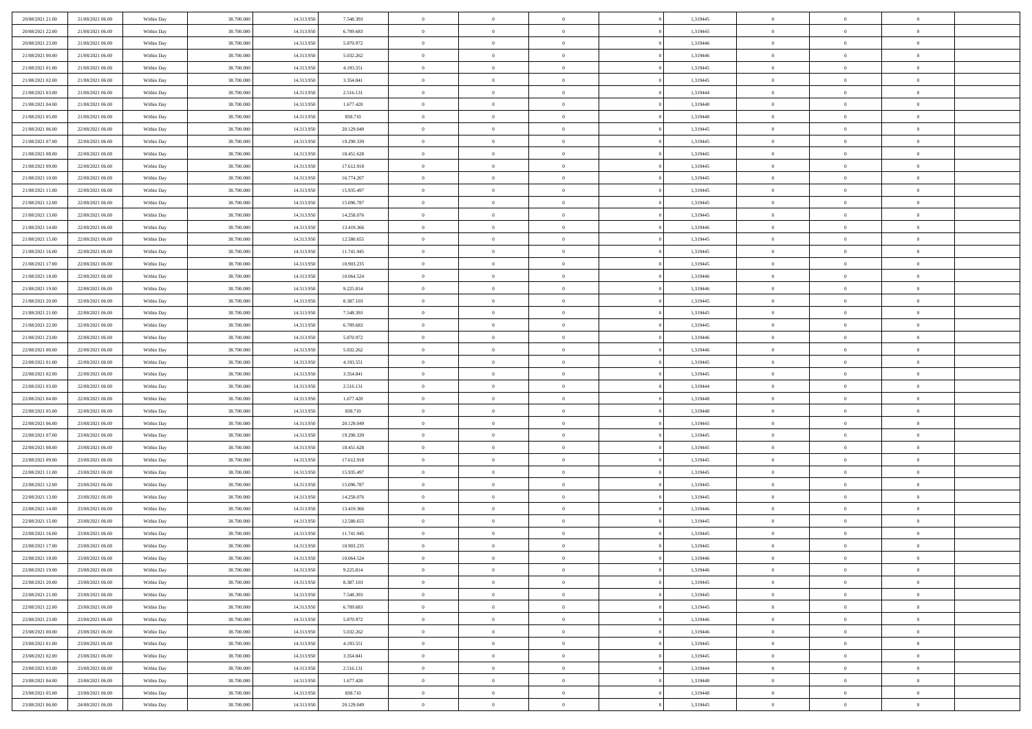| 20/08/2021 21:00 | 21/08/2021 06:00 | Within Day | 38.700.000 | 14.313.950 | 7.548.393  | $\,$ 0 $\,$    | $\overline{0}$ | $\overline{0}$           |          | 1,319445 | $\bf{0}$       | $\overline{0}$ | $\,0\,$        |  |
|------------------|------------------|------------|------------|------------|------------|----------------|----------------|--------------------------|----------|----------|----------------|----------------|----------------|--|
| 20/08/2021 22:00 | 21/08/2021 06:00 | Within Day | 38,700,000 | 14.313.950 | 6.709.683  | $\overline{0}$ | $\overline{0}$ | $\mathbf{0}$             |          | 1,319445 | $\theta$       | $\overline{0}$ | $\theta$       |  |
| 20/08/2021 23:00 | 21/08/2021 06:00 | Within Dav | 38.700.000 | 14.313.950 | 5.870.972  | $\theta$       | $\overline{0}$ | $\overline{0}$           |          | 1,319446 | $\mathbf{0}$   | $\overline{0}$ | $\overline{0}$ |  |
| 21/08/2021 00:00 | 21/08/2021 06:00 | Within Day | 38.700.000 | 14.313.950 | 5.032.262  | $\,$ 0 $\,$    | $\overline{0}$ | $\overline{0}$           |          | 1,319446 | $\bf{0}$       | $\overline{0}$ | $\bf{0}$       |  |
| 21/08/2021 01:00 | 21/08/2021 06:00 | Within Day | 38.700.000 | 14.313.950 | 4.193.551  | $\,$ 0         | $\overline{0}$ | $\mathbf{0}$             |          | 1,319445 | $\bf{0}$       | $\theta$       | $\,0\,$        |  |
| 21/08/2021 02:00 | 21/08/2021 06:00 | Within Dav | 38.700.000 | 14.313.950 | 3.354.841  | $\theta$       | $\overline{0}$ | $\mathbf{0}$             |          | 1,319445 | $\mathbf{0}$   | $\overline{0}$ | $\overline{0}$ |  |
| 21/08/2021 03:00 | 21/08/2021 06:00 | Within Day | 38.700.000 | 14.313.950 | 2.516.131  | $\,$ 0 $\,$    | $\overline{0}$ | $\overline{0}$           |          | 1,319444 | $\bf{0}$       | $\overline{0}$ | $\bf{0}$       |  |
|                  |                  |            |            |            |            | $\,$ 0         | $\overline{0}$ | $\mathbf{0}$             |          |          | $\,$ 0 $\,$    | $\overline{0}$ | $\theta$       |  |
| 21/08/2021 04:00 | 21/08/2021 06:00 | Within Day | 38.700.000 | 14.313.950 | 1.677.420  | $\theta$       |                |                          |          | 1,319448 | $\mathbf{0}$   |                | $\overline{0}$ |  |
| 21/08/2021 05:00 | 21/08/2021 06:00 | Within Day | 38.700.000 | 14.313.950 | 838.710    |                | $\overline{0}$ | $\mathbf{0}$<br>$\Omega$ |          | 1,319448 |                | $\overline{0}$ |                |  |
| 21/08/2021 06:00 | 22/08/2021 06:00 | Within Day | 38.700.000 | 14.313.950 | 20.129.049 | $\,$ 0 $\,$    | $\overline{0}$ |                          |          | 1,319445 | $\bf{0}$       | $\overline{0}$ | $\bf{0}$       |  |
| 21/08/2021 07:00 | 22/08/2021 06:00 | Within Day | 38,700,000 | 14.313.950 | 19.290.339 | $\bf{0}$       | $\overline{0}$ | $\mathbf{0}$             |          | 1,319445 | $\bf{0}$       | $\mathbf{0}$   | $\theta$       |  |
| 21/08/2021 08:00 | 22/08/2021 06:00 | Within Dav | 38.700.000 | 14.313.950 | 18.451.628 | $\theta$       | $\overline{0}$ | $\overline{0}$           |          | 1,319445 | $\mathbf{0}$   | $\overline{0}$ | $\overline{0}$ |  |
| 21/08/2021 09:00 | 22/08/2021 06:00 | Within Day | 38.700.000 | 14.313.950 | 17.612.918 | $\,$ 0 $\,$    | $\overline{0}$ | $\overline{0}$           |          | 1,319445 | $\bf{0}$       | $\overline{0}$ | $\bf{0}$       |  |
| 21/08/2021 10:00 | 22/08/2021 06:00 | Within Day | 38.700.000 | 14.313.950 | 16.774.207 | $\bf{0}$       | $\overline{0}$ | $\mathbf{0}$             |          | 1,319445 | $\bf{0}$       | $\theta$       | $\,0\,$        |  |
| 21/08/2021 11:00 | 22/08/2021 06:00 | Within Dav | 38.700.000 | 14.313.950 | 15.935.497 | $\theta$       | $\overline{0}$ | $\mathbf{0}$             |          | 1,319445 | $\mathbf{0}$   | $\overline{0}$ | $\overline{0}$ |  |
| 21/08/2021 12:00 | 22/08/2021 06:00 | Within Day | 38.700.000 | 14.313.950 | 15.096.787 | $\,$ 0 $\,$    | $\overline{0}$ | $\Omega$                 |          | 1,319445 | $\bf{0}$       | $\overline{0}$ | $\bf{0}$       |  |
| 21/08/2021 13:00 | 22/08/2021 06:00 | Within Day | 38,700,000 | 14.313.950 | 14.258.076 | $\,$ 0         | $\overline{0}$ | $\mathbf{0}$             |          | 1,319445 | $\bf{0}$       | $\overline{0}$ | $\theta$       |  |
| 21/08/2021 14:00 | 22/08/2021 06:00 | Within Day | 38.700.000 | 14.313.950 | 13.419.366 | $\theta$       | $\overline{0}$ | $\mathbf{0}$             |          | 1,319446 | $\mathbf{0}$   | $\overline{0}$ | $\overline{0}$ |  |
| 21/08/2021 15:00 | 22/08/2021 06:00 | Within Day | 38.700.000 | 14.313.950 | 12.580.655 | $\,$ 0 $\,$    | $\overline{0}$ | $\Omega$                 |          | 1,319445 | $\bf{0}$       | $\overline{0}$ | $\,0\,$        |  |
| 21/08/2021 16:00 | 22/08/2021 06:00 | Within Day | 38.700.000 | 14.313.950 | 11.741.945 | $\bf{0}$       | $\overline{0}$ | $\mathbf{0}$             |          | 1,319445 | $\bf{0}$       | $\mathbf{0}$   | $\theta$       |  |
| 21/08/2021 17:00 | 22/08/2021 06:00 | Within Dav | 38.700.000 | 14.313.950 | 10.903.235 | $\theta$       | $\overline{0}$ | $\mathbf{0}$             |          | 1,319445 | $\mathbf{0}$   | $\overline{0}$ | $\overline{0}$ |  |
| 21/08/2021 18:00 | 22/08/2021 06:00 | Within Day | 38.700.000 | 14.313.950 | 10.064.524 | $\,$ 0 $\,$    | $\overline{0}$ | $\overline{0}$           |          | 1,319446 | $\bf{0}$       | $\overline{0}$ | $\bf{0}$       |  |
| 21/08/2021 19:00 | 22/08/2021 06:00 | Within Day | 38,700,000 | 14.313.950 | 9.225.814  | $\,$ 0         | $\overline{0}$ | $\mathbf{0}$             |          | 1,319446 | $\bf{0}$       | $\overline{0}$ | $\,0\,$        |  |
| 21/08/2021 20:00 | 22/08/2021 06:00 | Within Dav | 38.700.000 | 14.313.950 | 8.387.103  | $\theta$       | $\overline{0}$ | $\mathbf{0}$             |          | 1,319445 | $\mathbf{0}$   | $\overline{0}$ | $\overline{0}$ |  |
| 21/08/2021 21:00 | 22/08/2021 06:00 | Within Day | 38.700.000 | 14.313.950 | 7.548.393  | $\,$ 0 $\,$    | $\overline{0}$ | $\overline{0}$           |          | 1,319445 | $\bf{0}$       | $\overline{0}$ | $\bf{0}$       |  |
| 21/08/2021 22:00 | 22/08/2021 06:00 | Within Day | 38.700.000 | 14.313.950 | 6.709.683  | $\,$ 0 $\,$    | $\overline{0}$ | $\mathbf{0}$             |          | 1,319445 | $\mathbf{0}$   | $\overline{0}$ | $\theta$       |  |
| 21/08/2021 23:00 | 22/08/2021 06:00 | Within Dav | 38.700.000 | 14.313.950 | 5.870.972  | $\theta$       | $\overline{0}$ | $\overline{0}$           |          | 1,319446 | $\mathbf{0}$   | $\overline{0}$ | $\overline{0}$ |  |
| 22/08/2021 00:00 | 22/08/2021 06:00 | Within Day | 38.700.000 | 14.313.950 | 5.032.262  | $\,$ 0 $\,$    | $\overline{0}$ | $\Omega$                 |          | 1,319446 | $\bf{0}$       | $\overline{0}$ | $\bf{0}$       |  |
| 22/08/2021 01:00 | 22/08/2021 06:00 | Within Day | 38,700,000 | 14.313.950 | 4.193.551  | $\bf{0}$       | $\overline{0}$ | $\mathbf{0}$             |          | 1,319445 | $\bf{0}$       | $\mathbf{0}$   | $\overline{0}$ |  |
| 22/08/2021 02:00 | 22/08/2021 06:00 | Within Dav | 38.700.000 | 14.313.950 | 3.354.841  | $\theta$       | $\overline{0}$ | $\overline{0}$           |          | 1,319445 | $\mathbf{0}$   | $\overline{0}$ | $\overline{0}$ |  |
| 22/08/2021 03:00 | 22/08/2021 06:00 | Within Day | 38.700.000 | 14.313.950 | 2.516.131  | $\,$ 0 $\,$    | $\overline{0}$ | $\overline{0}$           |          | 1,319444 | $\,$ 0         | $\overline{0}$ | $\,$ 0 $\,$    |  |
| 22/08/2021 04:00 | 22/08/2021 06:00 | Within Day | 38.700.000 | 14.313.950 | 1.677.420  | $\,$ 0         | $\overline{0}$ | $\mathbf{0}$             |          | 1,319448 | $\bf{0}$       | $\mathbf{0}$   | $\bf{0}$       |  |
| 22/08/2021 05:00 | 22/08/2021 06:00 | Within Dav | 38.700.000 | 14.313.950 | 838.710    | $\theta$       | $\overline{0}$ | $\mathbf{0}$             |          | 1,319448 | $\mathbf{0}$   | $\overline{0}$ | $\overline{0}$ |  |
| 22/08/2021 06:00 | 23/08/2021 06:00 | Within Day | 38.700.000 | 14.313.950 | 20.129.049 | $\theta$       | $\overline{0}$ | $\overline{0}$           |          | 1,319445 | $\,$ 0         | $\overline{0}$ | $\theta$       |  |
| 22/08/2021 07:00 | 23/08/2021 06:00 | Within Day | 38,700,000 | 14.313.950 | 19.290.339 | $\bf{0}$       | $\overline{0}$ | $\mathbf{0}$             |          | 1,319445 | $\mathbf{0}$   | $\overline{0}$ | $\overline{0}$ |  |
| 22/08/2021 08:00 | 23/08/2021 06:00 | Within Day | 38.700.000 | 14.313.950 | 18.451.628 | $\theta$       | $\overline{0}$ | $\mathbf{0}$             |          | 1,319445 | $\mathbf{0}$   | $\overline{0}$ | $\overline{0}$ |  |
| 22/08/2021 09:00 | 23/08/2021 06:00 | Within Day | 38.700.000 | 14.313.950 | 17.612.918 | $\theta$       | $\overline{0}$ | $\overline{0}$           |          | 1,319445 | $\,$ 0         | $\overline{0}$ | $\theta$       |  |
| 22/08/2021 11:00 | 23/08/2021 06:00 | Within Day | 38.700.000 | 14.313.950 | 15.935.497 | $\bf{0}$       | $\overline{0}$ | $\mathbf{0}$             |          | 1,319445 | $\bf{0}$       | $\mathbf{0}$   | $\bf{0}$       |  |
| 22/08/2021 12:00 | 23/08/2021 06:00 | Within Dav | 38.700.000 | 14.313.950 | 15.096.787 | $\theta$       | $\overline{0}$ | $\overline{0}$           |          | 1,319445 | $\mathbf{0}$   | $\overline{0}$ | $\overline{0}$ |  |
| 22/08/2021 13:00 | 23/08/2021 06:00 | Within Day | 38.700.000 | 14.313.950 | 14.258.076 | $\,$ 0 $\,$    | $\overline{0}$ | $\overline{0}$           |          | 1,319445 | $\,$ 0         | $\overline{0}$ | $\,$ 0 $\,$    |  |
| 22/08/2021 14:00 | 23/08/2021 06:00 | Within Day | 38.700.000 | 14.313.950 | 13.419.366 | $\bf{0}$       | $\,$ 0 $\,$    | $\overline{0}$           |          | 1,319446 | $\,$ 0 $\,$    | $\overline{0}$ | $\overline{0}$ |  |
| 22/08/2021 15:00 | 23/08/2021 06:00 | Within Dav | 38.700.000 | 14.313.950 | 12.580.655 | $\theta$       | $\overline{0}$ | $\mathbf{0}$             |          | 1,319445 | $\mathbf{0}$   | $\overline{0}$ | $\theta$       |  |
| 22/08/2021 16:00 | 23/08/2021 06:00 | Within Day | 38.700.000 | 14.313.950 | 11.741.945 | $\theta$       | $\overline{0}$ | $\overline{0}$           |          | 1,319445 | $\,$ 0         | $\overline{0}$ | $\theta$       |  |
| 22/08/2021 17:00 | 23/08/2021 06:00 | Within Day | 38.700.000 | 14.313.950 | 10.903.235 | $\bf{0}$       | $\overline{0}$ | $\mathbf{0}$             |          | 1,319445 | $\mathbf{0}$   | $\overline{0}$ | $\overline{0}$ |  |
| 22/08/2021 18:00 | 23/08/2021 06:00 | Within Day | 38.700.000 | 14.313.950 | 10.064.524 | $\overline{0}$ | $\theta$       |                          |          | 1,319446 | $\overline{0}$ | $\theta$       | $\theta$       |  |
| 22/08/2021 19:00 | 23/08/2021 06:00 | Within Day | 38.700.000 | 14.313.950 | 9.225.814  | $\,$ 0 $\,$    | $\overline{0}$ | $\overline{0}$           |          | 1,319446 | $\,$ 0 $\,$    | $\bf{0}$       | $\theta$       |  |
| 22/08/2021 20:00 | 23/08/2021 06:00 | Within Day | 38.700.000 | 14.313.950 | 8.387.103  | $\overline{0}$ | $\,$ 0 $\,$    | $\overline{0}$           |          | 1,319445 | $\,$ 0 $\,$    | $\overline{0}$ | $\overline{0}$ |  |
| 22/08/2021 21:00 | 23/08/2021 06:00 | Within Day | 38.700.000 | 14.313.950 | 7.548.393  | $\mathbf{0}$   | $\overline{0}$ | $\overline{0}$           |          | 1,319445 | $\,$ 0 $\,$    | $\bf{0}$       | $\mathbf{0}$   |  |
| 22/08/2021 22:00 | 23/08/2021 06:00 | Within Day | 38.700.000 | 14.313.950 | 6.709.683  | $\,$ 0 $\,$    | $\overline{0}$ | $\overline{0}$           | $\theta$ | 1,319445 | $\,$ 0 $\,$    | $\bf{0}$       | $\,$ 0 $\,$    |  |
| 22/08/2021 23:00 | 23/08/2021 06:00 | Within Day | 38.700.000 | 14.313.950 | 5.870.972  | $\,$ 0 $\,$    | $\,$ 0 $\,$    | $\overline{0}$           |          | 1,319446 | $\,$ 0 $\,$    | $\overline{0}$ | $\overline{0}$ |  |
| 23/08/2021 00:00 | 23/08/2021 06:00 | Within Day | 38.700.000 | 14.313.950 | 5.032.262  | $\overline{0}$ | $\overline{0}$ | $\overline{0}$           |          | 1,319446 | $\mathbf{0}$   | $\bf{0}$       | $\overline{0}$ |  |
|                  |                  |            |            |            |            | $\,$ 0 $\,$    |                | $\overline{0}$           |          |          |                | $\overline{0}$ | $\,$ 0 $\,$    |  |
| 23/08/2021 01:00 | 23/08/2021 06:00 | Within Day | 38.700.000 | 14.313.950 | 4.193.551  |                | $\overline{0}$ |                          |          | 1,319445 | $\,$ 0 $\,$    |                |                |  |
| 23/08/2021 02:00 | 23/08/2021 06:00 | Within Day | 38.700.000 | 14.313.950 | 3.354.841  | $\bf{0}$       | $\overline{0}$ | $\overline{0}$           |          | 1,319445 | $\,$ 0 $\,$    | $\overline{0}$ | $\overline{0}$ |  |
| 23/08/2021 03:00 | 23/08/2021 06:00 | Within Day | 38.700.000 | 14.313.950 | 2.516.131  | $\mathbf{0}$   | $\overline{0}$ | $\overline{0}$           |          | 1,319444 | $\mathbf{0}$   | $\bf{0}$       | $\overline{0}$ |  |
| 23/08/2021 04:00 | 23/08/2021 06:00 | Within Day | 38.700.000 | 14.313.950 | 1.677.420  | $\,$ 0 $\,$    | $\overline{0}$ | $\overline{0}$           |          | 1,319448 | $\,$ 0 $\,$    | $\overline{0}$ | $\,$ 0 $\,$    |  |
| 23/08/2021 05:00 | 23/08/2021 06:00 | Within Day | 38.700.000 | 14.313.950 | 838.710    | $\,$ 0 $\,$    | $\,$ 0 $\,$    | $\overline{0}$           |          | 1,319448 | $\,$ 0 $\,$    | $\overline{0}$ | $\overline{0}$ |  |
| 23/08/2021 06:00 | 24/08/2021 06:00 | Within Day | 38.700.000 | 14.313.950 | 20.129.049 | $\theta$       | $\overline{0}$ | $\overline{0}$           |          | 1,319445 | $\,$ 0 $\,$    | $\mathbf{0}$   | $\overline{0}$ |  |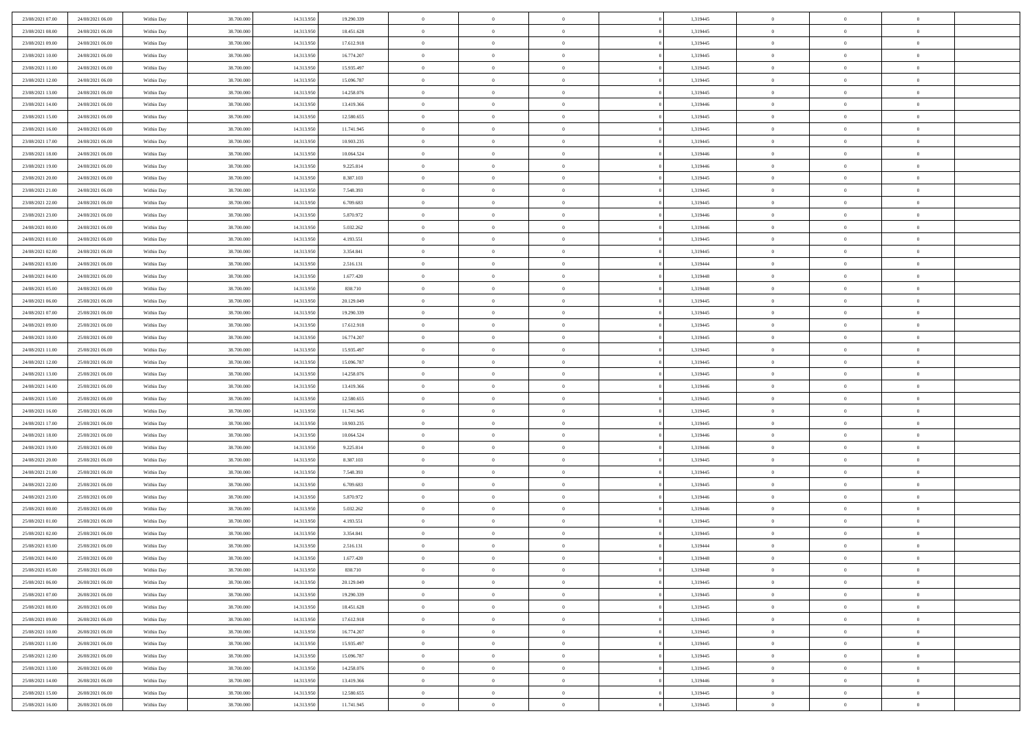| 23/08/2021 07:00 | 24/08/2021 06:00 | Within Day | 38,700,000 | 14.313.950 | 19.290.339 | $\bf{0}$       | $\overline{0}$ | $\Omega$       | 1,319445 | $\theta$       | $\overline{0}$ | $\overline{0}$ |  |
|------------------|------------------|------------|------------|------------|------------|----------------|----------------|----------------|----------|----------------|----------------|----------------|--|
| 23/08/2021 08:00 | 24/08/2021 06:00 | Within Dav | 38.700.000 | 14.313.950 | 18.451.628 | $\mathbf{0}$   | $\overline{0}$ | $\overline{0}$ | 1,319445 | $\theta$       | $\overline{0}$ | $\theta$       |  |
| 23/08/2021 09:00 | 24/08/2021 06:00 | Within Day | 38.700.000 | 14.313.950 | 17.612.918 | $\,$ 0         | $\overline{0}$ | $\bf{0}$       | 1,319445 | $\,0\,$        | $\overline{0}$ | $\,$ 0 $\,$    |  |
| 23/08/2021 10:00 | 24/08/2021 06:00 | Within Day | 38,700,000 | 14.313.950 | 16.774.207 | $\bf{0}$       | $\overline{0}$ | $\Omega$       | 1,319445 | $\theta$       | $\theta$       | $\theta$       |  |
| 23/08/2021 11:00 | 24/08/2021 06:00 | Within Dav | 38.700.000 | 14.313.950 | 15.935.497 | $\mathbf{0}$   | $\overline{0}$ | $\overline{0}$ | 1,319445 | $\overline{0}$ | $\overline{0}$ | $\overline{0}$ |  |
| 23/08/2021 12:00 | 24/08/2021 06:00 | Within Day | 38.700.000 | 14.313.950 | 15.096.787 | $\bf{0}$       | $\overline{0}$ | $\bf{0}$       | 1,319445 | $\,0\,$        | $\overline{0}$ | $\,$ 0 $\,$    |  |
| 23/08/2021 13:00 | 24/08/2021 06:00 | Within Day | 38,700,000 | 14.313.950 | 14.258.076 | $\bf{0}$       | $\overline{0}$ | $\overline{0}$ | 1,319445 | $\bf{0}$       | $\overline{0}$ | $\theta$       |  |
| 23/08/2021 14:00 | 24/08/2021 06:00 | Within Dav | 38.700.000 | 14.313.950 | 13.419.366 | $\overline{0}$ | $\overline{0}$ | $\overline{0}$ | 1,319446 | $\mathbf{0}$   | $\overline{0}$ | $\theta$       |  |
| 23/08/2021 15:00 | 24/08/2021 06:00 | Within Day | 38.700.000 | 14.313.950 | 12.580.655 | $\bf{0}$       | $\overline{0}$ | $\bf{0}$       | 1,319445 | $\,0\,$        | $\overline{0}$ | $\,$ 0 $\,$    |  |
| 23/08/2021 16:00 | 24/08/2021 06:00 | Within Day | 38,700,000 | 14.313.950 | 11.741.945 | $\bf{0}$       | $\overline{0}$ | $\overline{0}$ | 1,319445 | $\theta$       | $\overline{0}$ | $\overline{0}$ |  |
| 23/08/2021 17:00 | 24/08/2021 06:00 | Within Dav | 38.700.000 | 14.313.950 | 10.903.235 | $\overline{0}$ | $\overline{0}$ | $\overline{0}$ | 1,319445 | $\mathbf{0}$   | $\overline{0}$ | $\theta$       |  |
| 23/08/2021 18:00 | 24/08/2021 06:00 | Within Day | 38.700.000 | 14.313.950 | 10.064.524 | $\bf{0}$       | $\overline{0}$ | $\bf{0}$       | 1,319446 | $\,0\,$        | $\overline{0}$ | $\,$ 0 $\,$    |  |
| 23/08/2021 19:00 | 24/08/2021 06:00 | Within Day | 38,700,000 | 14.313.950 | 9.225.814  | $\bf{0}$       | $\overline{0}$ | $\Omega$       | 1,319446 | $\theta$       | $\theta$       | $\theta$       |  |
| 23/08/2021 20:00 | 24/08/2021 06:00 | Within Dav | 38.700.000 | 14.313.950 | 8.387.103  | $\overline{0}$ | $\overline{0}$ | $\overline{0}$ | 1,319445 | $\overline{0}$ | $\overline{0}$ | $\overline{0}$ |  |
| 23/08/2021 21:00 | 24/08/2021 06:00 | Within Day | 38.700.000 | 14.313.950 | 7.548.393  | $\bf{0}$       | $\overline{0}$ | $\bf{0}$       | 1,319445 | $\,0\,$        | $\overline{0}$ | $\,$ 0 $\,$    |  |
| 23/08/2021 22:00 | 24/08/2021 06:00 | Within Day | 38,700,000 | 14.313.950 | 6.709.683  | $\bf{0}$       | $\overline{0}$ | $\overline{0}$ | 1,319445 | $\theta$       | $\overline{0}$ | $\overline{0}$ |  |
| 23/08/2021 23:00 | 24/08/2021 06:00 | Within Dav | 38.700.000 | 14.313.950 | 5.870.972  | $\overline{0}$ | $\overline{0}$ | $\overline{0}$ | 1,319446 | $\overline{0}$ | $\overline{0}$ | $\theta$       |  |
| 24/08/2021 00:00 | 24/08/2021 06:00 | Within Day | 38.700.000 | 14.313.950 | 5.032.262  | $\bf{0}$       | $\overline{0}$ | $\bf{0}$       | 1,319446 | $\,0\,$        | $\overline{0}$ | $\,$ 0 $\,$    |  |
| 24/08/2021 01:00 | 24/08/2021 06:00 | Within Day | 38,700,000 | 14.313.950 | 4.193.551  | $\bf{0}$       | $\overline{0}$ | $\overline{0}$ | 1,319445 | $\theta$       | $\theta$       | $\overline{0}$ |  |
| 24/08/2021 02:00 | 24/08/2021 06:00 | Within Dav | 38.700.000 | 14.313.950 | 3.354.841  | $\overline{0}$ | $\overline{0}$ | $\overline{0}$ | 1,319445 | $\overline{0}$ | $\overline{0}$ | $\theta$       |  |
| 24/08/2021 03:00 | 24/08/2021 06:00 | Within Day | 38.700.000 | 14.313.950 | 2.516.131  | $\bf{0}$       | $\overline{0}$ | $\bf{0}$       | 1,319444 | $\,0\,$        | $\overline{0}$ | $\,$ 0 $\,$    |  |
| 24/08/2021 04:00 | 24/08/2021 06:00 | Within Day | 38,700,000 | 14.313.950 | 1.677.420  | $\bf{0}$       | $\overline{0}$ | $\Omega$       | 1,319448 | $\overline{0}$ | $\theta$       | $\theta$       |  |
| 24/08/2021 05:00 | 24/08/2021 06:00 | Within Dav | 38.700.000 | 14.313.950 | 838.710    | $\overline{0}$ | $\overline{0}$ | $\overline{0}$ | 1,319448 | $\overline{0}$ | $\overline{0}$ | $\overline{0}$ |  |
| 24/08/2021 06:00 | 25/08/2021 06:00 | Within Day | 38.700.000 | 14.313.950 | 20.129.049 | $\bf{0}$       | $\overline{0}$ | $\bf{0}$       | 1,319445 | $\,0\,$        | $\overline{0}$ | $\,$ 0 $\,$    |  |
| 24/08/2021 07:00 | 25/08/2021 06:00 | Within Day | 38,700,000 | 14.313.950 | 19.290.339 | $\bf{0}$       | $\overline{0}$ | $\overline{0}$ | 1,319445 | $\bf{0}$       | $\overline{0}$ | $\overline{0}$ |  |
| 24/08/2021 09:00 | 25/08/2021 06:00 | Within Dav | 38.700.000 | 14.313.950 | 17.612.918 | $\overline{0}$ | $\overline{0}$ | $\overline{0}$ | 1,319445 | $\mathbf{0}$   | $\overline{0}$ | $\theta$       |  |
| 24/08/2021 10:00 | 25/08/2021 06:00 | Within Day | 38.700.000 | 14.313.950 | 16.774.207 | $\bf{0}$       | $\overline{0}$ | $\bf{0}$       | 1,319445 | $\,0\,$        | $\overline{0}$ | $\,$ 0 $\,$    |  |
| 24/08/2021 11:00 | 25/08/2021 06:00 | Within Day | 38,700,000 | 14.313.950 | 15.935.497 | $\bf{0}$       | $\overline{0}$ | $\Omega$       | 1,319445 | $\theta$       | $\theta$       | $\overline{0}$ |  |
| 24/08/2021 12:00 | 25/08/2021 06:00 | Within Dav | 38.700.000 | 14.313.950 | 15.096.787 | $\overline{0}$ | $\overline{0}$ | $\overline{0}$ | 1,319445 | $\mathbf{0}$   | $\overline{0}$ | $\overline{0}$ |  |
| 24/08/2021 13:00 | 25/08/2021 06:00 | Within Day | 38.700.000 | 14.313.950 | 14.258.076 | $\bf{0}$       | $\overline{0}$ | $\bf{0}$       | 1,319445 | $\,0\,$        | $\overline{0}$ | $\,$ 0 $\,$    |  |
| 24/08/2021 14:00 | 25/08/2021 06:00 | Within Day | 38.700.000 | 14.313.950 | 13.419.366 | $\,$ 0         | $\bf{0}$       | $\overline{0}$ | 1,319446 | $\bf{0}$       | $\overline{0}$ | $\theta$       |  |
| 24/08/2021 15:00 | 25/08/2021 06:00 | Within Dav | 38.700.000 | 14.313.950 | 12.580.655 | $\overline{0}$ | $\overline{0}$ | $\overline{0}$ | 1,319445 | $\mathbf{0}$   | $\overline{0}$ | $\overline{0}$ |  |
| 24/08/2021 16:00 | 25/08/2021 06:00 | Within Day | 38.700.000 | 14.313.950 | 11.741.945 | $\bf{0}$       | $\overline{0}$ | $\bf{0}$       | 1,319445 | $\,0\,$        | $\overline{0}$ | $\,$ 0 $\,$    |  |
| 24/08/2021 17:00 | 25/08/2021 06:00 | Within Day | 38.700.000 | 14.313.950 | 10.903.235 | $\bf{0}$       | $\bf{0}$       | $\bf{0}$       | 1,319445 | $\bf{0}$       | $\overline{0}$ | $\bf{0}$       |  |
| 24/08/2021 18:00 | 25/08/2021 06:00 | Within Dav | 38.700.000 | 14.313.950 | 10.064.524 | $\overline{0}$ | $\overline{0}$ | $\overline{0}$ | 1,319446 | $\theta$       | $\overline{0}$ | $\theta$       |  |
| 24/08/2021 19:00 | 25/08/2021 06:00 | Within Day | 38.700.000 | 14.313.950 | 9.225.814  | $\bf{0}$       | $\overline{0}$ | $\bf{0}$       | 1,319446 | $\,0\,$        | $\overline{0}$ | $\,$ 0 $\,$    |  |
| 24/08/2021 20:00 | 25/08/2021 06:00 | Within Day | 38.700.000 | 14.313.950 | 8.387.103  | $\bf{0}$       | $\bf{0}$       | $\overline{0}$ | 1,319445 | $\bf{0}$       | $\overline{0}$ | $\theta$       |  |
| 24/08/2021 21:00 | 25/08/2021 06:00 | Within Dav | 38.700.000 | 14.313.950 | 7.548.393  | $\overline{0}$ | $\overline{0}$ | $\overline{0}$ | 1,319445 | $\overline{0}$ | $\bf{0}$       | $\overline{0}$ |  |
| 24/08/2021 22:00 | 25/08/2021 06:00 | Within Day | 38.700.000 | 14.313.950 | 6.709.683  | $\bf{0}$       | $\overline{0}$ | $\bf{0}$       | 1,319445 | $\,0\,$        | $\overline{0}$ | $\,$ 0 $\,$    |  |
| 24/08/2021 23:00 | 25/08/2021 06:00 | Within Day | 38.700.000 | 14.313.950 | 5.870.972  | $\bf{0}$       | $\overline{0}$ | $\overline{0}$ | 1,319446 | $\bf{0}$       | $\overline{0}$ | $\theta$       |  |
| 25/08/2021 00:00 | 25/08/2021 06:00 | Within Dav | 38.700.000 | 14.313.950 | 5.032.262  | $\overline{0}$ | $\overline{0}$ | $\overline{0}$ | 1,319446 | $\theta$       | $\overline{0}$ | $\theta$       |  |
| 25/08/2021 01:00 | 25/08/2021 06:00 | Within Day | 38.700.000 | 14.313.950 | 4.193.551  | $\bf{0}$       | $\overline{0}$ | $\bf{0}$       | 1,319445 | $\,0\,$        | $\overline{0}$ | $\theta$       |  |
| 25/08/2021 02:00 | 25/08/2021 06:00 | Within Day | 38.700.000 | 14.313.950 | 3.354.841  | $\bf{0}$       | $\overline{0}$ | $\bf{0}$       | 1,319445 | $\bf{0}$       | $\overline{0}$ | $\bf{0}$       |  |
| 25/08/2021 03:00 | 25/08/2021 06:00 | Within Dav | 38.700.000 | 14.313.950 | 2.516.131  | $\mathbf{0}$   | $\overline{0}$ | $\overline{0}$ | 1,319444 | $\theta$       | $\bf{0}$       | $\theta$       |  |
| 25/08/2021 04:00 | 25/08/2021 06:00 | Within Day | 38.700.000 | 14.313.950 | 1.677.420  | $\bf{0}$       | $\overline{0}$ | $\theta$       | 1,319448 | $\bf{0}$       | $\overline{0}$ | $\theta$       |  |
| 25/08/2021 05:00 | 25/08/2021 06:00 | Within Day | 38.700.000 | 14.313.950 | 838.710    | $\bf{0}$       | $\overline{0}$ | $\bf{0}$       | 1,319448 | $\bf{0}$       | $\overline{0}$ | $\bf{0}$       |  |
| 25/08/2021 06:00 | 26/08/2021 06:00 | Within Day | 38.700.000 | 14.313.950 | 20.129.049 | $\overline{0}$ | $\overline{0}$ | $\overline{0}$ | 1,319445 | $\overline{0}$ | $\overline{0}$ | $\overline{0}$ |  |
| 25/08/2021 07:00 | 26/08/2021 06:00 | Within Day | 38.700.000 | 14.313.950 | 19.290.339 | $\,$ 0 $\,$    | $\overline{0}$ | $\overline{0}$ | 1,319445 | $\,$ 0 $\,$    | $\,$ 0 $\,$    | $\,0\,$        |  |
| 25/08/2021 08:00 | 26/08/2021 06:00 | Within Day | 38.700.000 | 14.313.950 | 18.451.628 | $\bf{0}$       | $\overline{0}$ | $\overline{0}$ | 1,319445 | $\mathbf{0}$   | $\overline{0}$ | $\bf{0}$       |  |
| 25/08/2021 09:00 | 26/08/2021 06:00 | Within Day | 38.700.000 | 14.313.950 | 17.612.918 | $\,$ 0 $\,$    | $\overline{0}$ | $\overline{0}$ | 1,319445 | $\mathbf{0}$   | $\bf{0}$       | $\overline{0}$ |  |
| 25/08/2021 10:00 | 26/08/2021 06:00 | Within Day | 38.700.000 | 14.313.950 | 16.774.207 | $\,$ 0 $\,$    | $\overline{0}$ | $\overline{0}$ | 1,319445 | $\,$ 0 $\,$    | $\overline{0}$ | $\,$ 0         |  |
| 25/08/2021 11:00 | 26/08/2021 06:00 | Within Day | 38.700.000 | 14.313.950 | 15.935.497 | $\bf{0}$       | $\overline{0}$ | $\overline{0}$ | 1,319445 | $\overline{0}$ | $\overline{0}$ | $\bf{0}$       |  |
| 25/08/2021 12:00 | 26/08/2021 06:00 | Within Day | 38.700.000 | 14.313.950 | 15.096.787 | $\,$ 0 $\,$    | $\overline{0}$ | $\overline{0}$ | 1,319445 | $\overline{0}$ | $\bf{0}$       | $\overline{0}$ |  |
| 25/08/2021 13:00 | 26/08/2021 06:00 | Within Day | 38.700.000 | 14.313.950 | 14.258.076 | $\,$ 0 $\,$    | $\overline{0}$ | $\overline{0}$ | 1,319445 | $\,$ 0 $\,$    | $\bf{0}$       | $\,$ 0         |  |
| 25/08/2021 14:00 | 26/08/2021 06:00 | Within Day | 38.700.000 | 14.313.950 | 13.419.366 | $\bf{0}$       | $\bf{0}$       | $\overline{0}$ | 1,319446 | $\mathbf{0}$   | $\overline{0}$ | $\bf{0}$       |  |
| 25/08/2021 15:00 | 26/08/2021 06:00 | Within Day | 38.700.000 | 14.313.950 | 12.580.655 | $\,$ 0 $\,$    | $\overline{0}$ | $\overline{0}$ | 1,319445 | $\overline{0}$ | $\overline{0}$ | $\overline{0}$ |  |
| 25/08/2021 16:00 | 26/08/2021 06:00 | Within Day | 38.700.000 | 14.313.950 | 11.741.945 | $\,0\,$        | $\overline{0}$ | $\overline{0}$ | 1,319445 | $\,0\,$        | $\overline{0}$ | $\,0\,$        |  |
|                  |                  |            |            |            |            |                |                |                |          |                |                |                |  |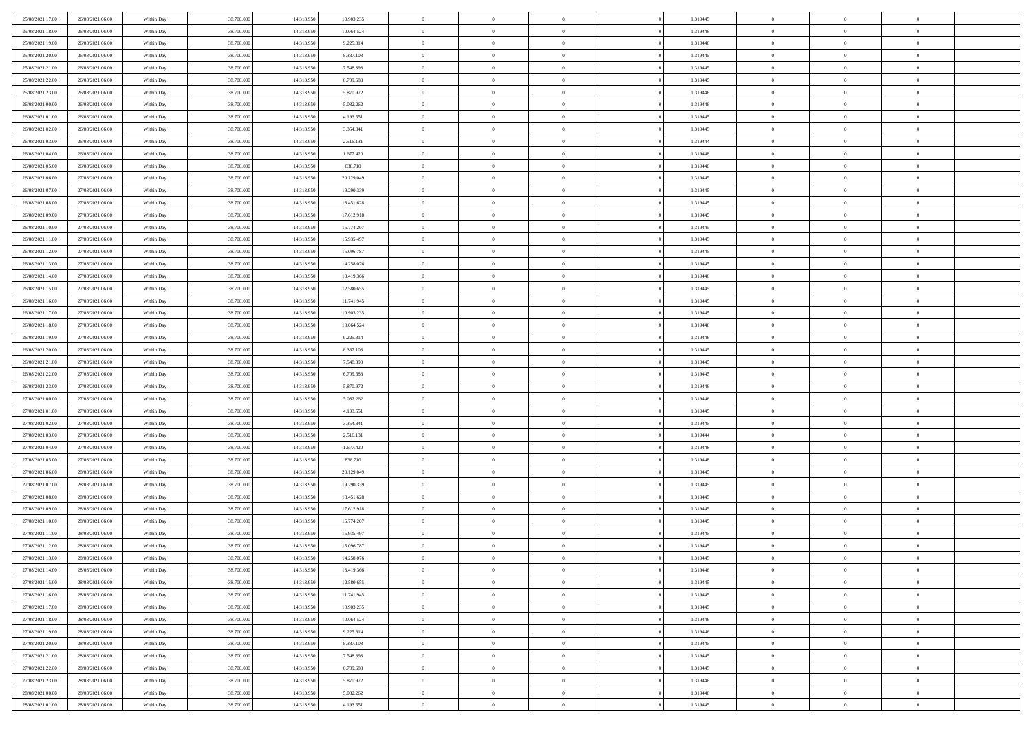| 25/08/2021 17:00 | 26/08/2021 06:00 | Within Day | 38,700,000 | 14.313.950 | 10.903.235 | $\overline{0}$ | $\overline{0}$ | $\Omega$       | 1,319445 | $\bf{0}$       | $\mathbf{0}$   | $\bf{0}$       |  |
|------------------|------------------|------------|------------|------------|------------|----------------|----------------|----------------|----------|----------------|----------------|----------------|--|
| 25/08/2021 18:00 | 26/08/2021 06:00 | Within Day | 38.700.000 | 14.313.950 | 10.064.524 | $\mathbf{0}$   | $\overline{0}$ | $\overline{0}$ | 1,319446 | $\overline{0}$ | $\overline{0}$ | $\overline{0}$ |  |
| 25/08/2021 19:00 | 26/08/2021 06:00 | Within Day | 38.700.000 | 14.313.950 | 9.225.814  | $\,$ 0         | $\overline{0}$ | $\bf{0}$       | 1,319446 | $\,$ 0         | $\overline{0}$ | $\,$ 0 $\,$    |  |
| 25/08/2021 20:00 | 26/08/2021 06:00 | Within Day | 38,700,000 | 14.313.950 | 8.387.103  | $\bf{0}$       | $\overline{0}$ | $\Omega$       | 1,319445 | $\bf{0}$       | $\mathbf{0}$   | $\theta$       |  |
| 25/08/2021 21:00 | 26/08/2021 06:00 | Within Day | 38.700.000 | 14.313.950 | 7.548.393  | $\bf{0}$       | $\overline{0}$ | $\overline{0}$ | 1,319445 | $\overline{0}$ | $\overline{0}$ | $\overline{0}$ |  |
| 25/08/2021 22:00 | 26/08/2021 06:00 | Within Day | 38.700.000 | 14.313.950 | 6.709.683  | $\bf{0}$       | $\overline{0}$ | $\bf{0}$       | 1,319445 | $\,$ 0         | $\overline{0}$ | $\,$ 0 $\,$    |  |
| 25/08/2021 23:00 | 26/08/2021 06:00 | Within Day | 38,700,000 | 14.313.950 | 5.870.972  | $\bf{0}$       | $\overline{0}$ | $\overline{0}$ | 1,319446 | $\theta$       | $\overline{0}$ | $\theta$       |  |
| 26/08/2021 00:00 | 26/08/2021 06:00 | Within Day | 38.700.000 | 14.313.950 | 5.032.262  | $\overline{0}$ | $\overline{0}$ | $\overline{0}$ | 1,319446 | $\mathbf{0}$   | $\overline{0}$ | $\overline{0}$ |  |
| 26/08/2021 01:00 | 26/08/2021 06:00 | Within Day | 38.700.000 | 14.313.950 | 4.193.551  | $\bf{0}$       | $\overline{0}$ | $\bf{0}$       | 1,319445 | $\,$ 0         | $\overline{0}$ | $\,$ 0 $\,$    |  |
| 26/08/2021 02:00 | 26/08/2021 06:00 | Within Day | 38,700,000 | 14.313.950 | 3.354.841  | $\bf{0}$       | $\overline{0}$ | $\Omega$       | 1,319445 | $\theta$       | $\mathbf{0}$   | $\theta$       |  |
| 26/08/2021 03:00 | 26/08/2021 06:00 | Within Day | 38.700.000 | 14.313.950 | 2.516.131  | $\overline{0}$ | $\overline{0}$ | $\overline{0}$ | 1,319444 | $\mathbf{0}$   | $\overline{0}$ | $\overline{0}$ |  |
| 26/08/2021 04:00 | 26/08/2021 06:00 | Within Day | 38.700.000 | 14.313.950 | 1.677.420  | $\bf{0}$       | $\overline{0}$ | $\bf{0}$       | 1,319448 | $\,$ 0         | $\overline{0}$ | $\,$ 0 $\,$    |  |
| 26/08/2021 05:00 | 26/08/2021 06:00 | Within Day | 38,700,000 | 14.313.950 | 838.710    | $\bf{0}$       | $\overline{0}$ | $\Omega$       | 1,319448 | $\bf{0}$       | $\mathbf{0}$   | $\theta$       |  |
| 26/08/2021 06:00 | 27/08/2021 06:00 | Within Day | 38.700.000 | 14.313.950 | 20.129.049 | $\overline{0}$ | $\overline{0}$ | $\overline{0}$ | 1,319445 | $\mathbf{0}$   | $\overline{0}$ | $\overline{0}$ |  |
| 26/08/2021 07:00 | 27/08/2021 06:00 | Within Day | 38.700.000 | 14.313.950 | 19.290.339 | $\bf{0}$       | $\overline{0}$ | $\bf{0}$       | 1,319445 | $\,$ 0         | $\overline{0}$ | $\,$ 0 $\,$    |  |
| 26/08/2021 08:00 | 27/08/2021 06:00 | Within Day | 38,700,000 | 14.313.950 | 18.451.628 | $\bf{0}$       | $\overline{0}$ | $\overline{0}$ | 1,319445 | $\theta$       | $\mathbf{0}$   | $\bf{0}$       |  |
| 26/08/2021 09:00 | 27/08/2021 06:00 | Within Day | 38.700.000 | 14.313.950 | 17.612.918 | $\overline{0}$ | $\overline{0}$ | $\overline{0}$ | 1,319445 | $\mathbf{0}$   | $\overline{0}$ | $\overline{0}$ |  |
| 26/08/2021 10:00 | 27/08/2021 06:00 | Within Day | 38.700.000 | 14.313.950 | 16.774.207 | $\bf{0}$       | $\overline{0}$ | $\bf{0}$       | 1,319445 | $\,$ 0         | $\overline{0}$ | $\,$ 0 $\,$    |  |
| 26/08/2021 11:00 | 27/08/2021 06:00 | Within Day | 38,700,000 | 14.313.950 | 15.935.497 | $\bf{0}$       | $\overline{0}$ | $\Omega$       | 1,319445 | $\theta$       | $\mathbf{0}$   | $\theta$       |  |
| 26/08/2021 12:00 | 27/08/2021 06:00 | Within Day | 38.700.000 | 14.313.950 | 15.096.787 | $\overline{0}$ | $\overline{0}$ | $\overline{0}$ | 1,319445 | $\mathbf{0}$   | $\overline{0}$ | $\overline{0}$ |  |
| 26/08/2021 13:00 | 27/08/2021 06:00 | Within Day | 38.700.000 | 14.313.950 | 14.258.076 | $\bf{0}$       | $\overline{0}$ | $\bf{0}$       | 1,319445 | $\,$ 0         | $\overline{0}$ | $\,$ 0 $\,$    |  |
| 26/08/2021 14:00 | 27/08/2021 06:00 | Within Day | 38,700,000 | 14.313.950 | 13.419.366 | $\bf{0}$       | $\overline{0}$ | $\Omega$       | 1,319446 | $\bf{0}$       | $\mathbf{0}$   | $\theta$       |  |
| 26/08/2021 15:00 | 27/08/2021 06:00 | Within Day | 38.700.000 | 14.313.950 | 12.580.655 | $\overline{0}$ | $\overline{0}$ | $\overline{0}$ | 1,319445 | $\mathbf{0}$   | $\overline{0}$ | $\overline{0}$ |  |
| 26/08/2021 16:00 | 27/08/2021 06:00 | Within Day | 38.700.000 | 14.313.950 | 11.741.945 | $\bf{0}$       | $\overline{0}$ | $\bf{0}$       | 1,319445 | $\,$ 0         | $\overline{0}$ | $\,$ 0 $\,$    |  |
| 26/08/2021 17:00 | 27/08/2021 06:00 | Within Day | 38,700,000 | 14.313.950 | 10.903.235 | $\bf{0}$       | $\overline{0}$ | $\overline{0}$ | 1,319445 | $\bf{0}$       | $\overline{0}$ | $\bf{0}$       |  |
| 26/08/2021 18:00 | 27/08/2021 06:00 | Within Day | 38.700.000 | 14.313.950 | 10.064.524 | $\overline{0}$ | $\overline{0}$ | $\overline{0}$ | 1,319446 | $\mathbf{0}$   | $\overline{0}$ | $\overline{0}$ |  |
| 26/08/2021 19:00 | 27/08/2021 06:00 | Within Day | 38.700.000 | 14.313.950 | 9.225.814  | $\bf{0}$       | $\overline{0}$ | $\bf{0}$       | 1,319446 | $\,$ 0         | $\overline{0}$ | $\,$ 0 $\,$    |  |
| 26/08/2021 20:00 | 27/08/2021 06:00 | Within Day | 38,700,000 | 14.313.950 | 8.387.103  | $\bf{0}$       | $\overline{0}$ | $\Omega$       | 1,319445 | $\theta$       | $\mathbf{0}$   | $\theta$       |  |
| 26/08/2021 21:00 | 27/08/2021 06:00 | Within Day | 38.700.000 | 14.313.950 | 7.548.393  | $\overline{0}$ | $\overline{0}$ | $\overline{0}$ | 1,319445 | $\mathbf{0}$   | $\overline{0}$ | $\overline{0}$ |  |
| 26/08/2021 22:00 | 27/08/2021 06:00 | Within Day | 38.700.000 | 14.313.950 | 6.709.683  | $\bf{0}$       | $\overline{0}$ | $\bf{0}$       | 1,319445 | $\,$ 0         | $\overline{0}$ | $\,$ 0 $\,$    |  |
| 26/08/2021 23:00 | 27/08/2021 06:00 | Within Day | 38.700.000 | 14.313.950 | 5.870.972  | $\bf{0}$       | $\overline{0}$ | $\overline{0}$ | 1,319446 | $\bf{0}$       | $\overline{0}$ | $\,0\,$        |  |
| 27/08/2021 00:00 | 27/08/2021 06:00 | Within Day | 38.700.000 | 14.313.950 | 5.032.262  | $\overline{0}$ | $\overline{0}$ | $\overline{0}$ | 1,319446 | $\mathbf{0}$   | $\overline{0}$ | $\overline{0}$ |  |
| 27/08/2021 01:00 | 27/08/2021 06:00 | Within Day | 38.700.000 | 14.313.950 | 4.193.551  | $\bf{0}$       | $\overline{0}$ | $\bf{0}$       | 1,319445 | $\,$ 0         | $\overline{0}$ | $\,$ 0 $\,$    |  |
| 27/08/2021 02:00 | 27/08/2021 06:00 | Within Day | 38.700.000 | 14.313.950 | 3.354.841  | $\bf{0}$       | $\overline{0}$ | $\bf{0}$       | 1,319445 | $\bf{0}$       | $\overline{0}$ | $\,0\,$        |  |
| 27/08/2021 03:00 | 27/08/2021 06:00 | Within Day | 38.700.000 | 14.313.950 | 2.516.131  | $\overline{0}$ | $\overline{0}$ | $\overline{0}$ | 1,319444 | $\overline{0}$ | $\overline{0}$ | $\overline{0}$ |  |
| 27/08/2021 04:00 | 27/08/2021 06:00 | Within Day | 38.700.000 | 14.313.950 | 1.677.420  | $\bf{0}$       | $\overline{0}$ | $\bf{0}$       | 1,319448 | $\,$ 0         | $\overline{0}$ | $\,$ 0 $\,$    |  |
| 27/08/2021 05:00 | 27/08/2021 06:00 | Within Day | 38.700.000 | 14.313.950 | 838.710    | $\bf{0}$       | $\overline{0}$ | $\overline{0}$ | 1,319448 | $\bf{0}$       | $\overline{0}$ | $\,0\,$        |  |
| 27/08/2021 06:00 | 28/08/2021 06:00 | Within Day | 38.700.000 | 14.313.950 | 20.129.049 | $\overline{0}$ | $\overline{0}$ | $\overline{0}$ | 1,319445 | $\mathbf{0}$   | $\overline{0}$ | $\overline{0}$ |  |
| 27/08/2021 07:00 | 28/08/2021 06:00 | Within Day | 38.700.000 | 14.313.950 | 19.290.339 | $\bf{0}$       | $\overline{0}$ | $\bf{0}$       | 1,319445 | $\,$ 0         | $\overline{0}$ | $\,$ 0 $\,$    |  |
| 27/08/2021 08:00 | 28/08/2021 06:00 | Within Day | 38.700.000 | 14.313.950 | 18.451.628 | $\bf{0}$       | $\overline{0}$ | $\overline{0}$ | 1,319445 | $\bf{0}$       | $\overline{0}$ | $\,0\,$        |  |
| 27/08/2021 09:00 | 28/08/2021 06:00 | Within Day | 38.700.000 | 14.313.950 | 17.612.918 | $\overline{0}$ | $\overline{0}$ | $\overline{0}$ | 1,319445 | $\overline{0}$ | $\overline{0}$ | $\overline{0}$ |  |
| 27/08/2021 10:00 | 28/08/2021 06:00 | Within Day | 38.700.000 | 14.313.950 | 16.774.207 | $\bf{0}$       | $\overline{0}$ | $\bf{0}$       | 1,319445 | $\,$ 0         | $\overline{0}$ | $\,$ 0 $\,$    |  |
| 27/08/2021 11:00 | 28/08/2021 06:00 | Within Day | 38.700.000 | 14.313.950 | 15.935.497 | $\bf{0}$       | $\overline{0}$ | $\bf{0}$       | 1,319445 | $\bf{0}$       | $\overline{0}$ | $\,0\,$        |  |
| 27/08/2021 12:00 | 28/08/2021 06:00 | Within Dav | 38.700.000 | 14.313.950 | 15.096.787 | $\mathbf{0}$   | $\overline{0}$ | $\overline{0}$ | 1,319445 | $\mathbf{0}$   | $\overline{0}$ | $\overline{0}$ |  |
| 27/08/2021 13:00 | 28/08/2021 06:00 | Within Day | 38.700.000 | 14.313.950 | 14.258.076 | $\bf{0}$       | $\overline{0}$ | $\overline{0}$ | 1,319445 | $\overline{0}$ | $\theta$       | $\theta$       |  |
| 27/08/2021 14:00 | 28/08/2021 06:00 | Within Day | 38.700.000 | 14.313.950 | 13.419.366 | $\bf{0}$       | $\overline{0}$ | $\bf{0}$       | 1,319446 | $\bf{0}$       | $\overline{0}$ | $\bf{0}$       |  |
| 27/08/2021 15:00 | 28/08/2021 06:00 | Within Day | 38.700.000 | 14.313.950 | 12.580.655 | $\overline{0}$ | $\overline{0}$ | $\overline{0}$ | 1,319445 | $\overline{0}$ | $\bf{0}$       | $\overline{0}$ |  |
| 27/08/2021 16:00 | 28/08/2021 06:00 | Within Day | 38.700.000 | 14.313.950 | 11.741.945 | $\,$ 0 $\,$    | $\overline{0}$ | $\overline{0}$ | 1,319445 | $\mathbf{0}$   | $\,$ 0 $\,$    | $\,$ 0 $\,$    |  |
| 27/08/2021 17:00 | 28/08/2021 06:00 | Within Day | 38.700.000 | 14.313.950 | 10.903.235 | $\bf{0}$       | $\overline{0}$ | $\overline{0}$ | 1,319445 | $\bf{0}$       | $\overline{0}$ | $\bf{0}$       |  |
| 27/08/2021 18:00 | 28/08/2021 06:00 | Within Day | 38.700.000 | 14.313.950 | 10.064.524 | $\bf{0}$       | $\overline{0}$ | $\overline{0}$ | 1,319446 | $\overline{0}$ | $\bf{0}$       | $\overline{0}$ |  |
| 27/08/2021 19:00 | 28/08/2021 06:00 | Within Day | 38.700.000 | 14.313.950 | 9.225.814  | $\,$ 0 $\,$    | $\overline{0}$ | $\overline{0}$ | 1,319446 | $\mathbf{0}$   | $\overline{0}$ | $\,$ 0 $\,$    |  |
| 27/08/2021 20:00 | 28/08/2021 06:00 | Within Day | 38.700.000 | 14.313.950 | 8.387.103  | $\bf{0}$       | $\overline{0}$ | $\overline{0}$ | 1,319445 | $\bf{0}$       | $\overline{0}$ | $\overline{0}$ |  |
| 27/08/2021 21:00 | 28/08/2021 06:00 | Within Day | 38.700.000 | 14.313.950 | 7.548.393  | $\overline{0}$ | $\overline{0}$ | $\overline{0}$ | 1,319445 | $\overline{0}$ | $\bf{0}$       | $\overline{0}$ |  |
| 27/08/2021 22:00 | 28/08/2021 06:00 | Within Day | 38.700.000 | 14.313.950 | 6.709.683  | $\,$ 0 $\,$    | $\overline{0}$ | $\overline{0}$ | 1,319445 | $\mathbf{0}$   | $\,$ 0 $\,$    | $\,$ 0 $\,$    |  |
| 27/08/2021 23:00 | 28/08/2021 06:00 | Within Day | 38.700.000 | 14.313.950 | 5.870.972  | $\bf{0}$       | $\overline{0}$ | $\overline{0}$ | 1,319446 | $\bf{0}$       | $\overline{0}$ | $\bf{0}$       |  |
| 28/08/2021 00:00 | 28/08/2021 06:00 | Within Day | 38.700.000 | 14.313.950 | 5.032.262  | $\bf{0}$       | $\overline{0}$ | $\overline{0}$ | 1,319446 | $\mathbf{0}$   | $\bf{0}$       | $\overline{0}$ |  |
| 28/08/2021 01:00 | 28/08/2021 06:00 | Within Day | 38.700.000 | 14.313.950 | 4.193.551  | $\,0\,$        | $\overline{0}$ | $\overline{0}$ | 1,319445 | $\,$ 0         | $\overline{0}$ | $\,$ 0 $\,$    |  |
|                  |                  |            |            |            |            |                |                |                |          |                |                |                |  |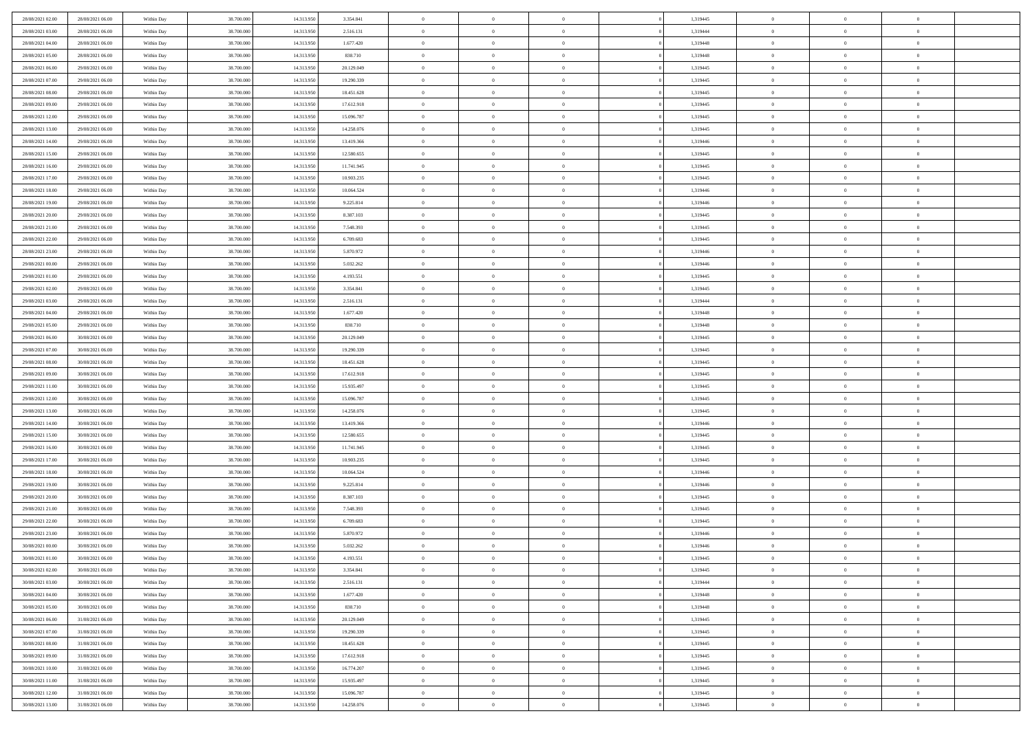| 28/08/2021 02:00 | 28/08/2021 06:00 | Within Day | 38,700,000 | 14.313.950 | 3.354.841  | $\overline{0}$ | $\overline{0}$ | $\Omega$       | 1,319445 | $\bf{0}$       | $\mathbf{0}$   | $\bf{0}$       |  |
|------------------|------------------|------------|------------|------------|------------|----------------|----------------|----------------|----------|----------------|----------------|----------------|--|
| 28/08/2021 03:00 | 28/08/2021 06:00 | Within Day | 38.700.000 | 14.313.950 | 2.516.131  | $\mathbf{0}$   | $\overline{0}$ | $\overline{0}$ | 1,319444 | $\overline{0}$ | $\overline{0}$ | $\theta$       |  |
| 28/08/2021 04:00 | 28/08/2021 06:00 | Within Day | 38.700.000 | 14.313.950 | 1.677.420  | $\,$ 0         | $\overline{0}$ | $\bf{0}$       | 1,319448 | $\,$ 0         | $\overline{0}$ | $\,$ 0 $\,$    |  |
| 28/08/2021 05:00 | 28/08/2021 06:00 | Within Day | 38,700,000 | 14.313.950 | 838.710    | $\bf{0}$       | $\overline{0}$ | $\Omega$       | 1,319448 | $\bf{0}$       | $\mathbf{0}$   | $\theta$       |  |
| 28/08/2021 06:00 | 29/08/2021 06:00 | Within Day | 38.700.000 | 14.313.950 | 20.129.049 | $\bf{0}$       | $\overline{0}$ | $\overline{0}$ | 1,319445 | $\mathbf{0}$   | $\overline{0}$ | $\overline{0}$ |  |
| 28/08/2021 07:00 | 29/08/2021 06:00 | Within Day | 38.700.000 | 14.313.950 | 19.290.339 | $\bf{0}$       | $\overline{0}$ | $\bf{0}$       | 1,319445 | $\,$ 0         | $\overline{0}$ | $\,$ 0 $\,$    |  |
| 28/08/2021 08:00 | 29/08/2021 06:00 | Within Day | 38,700,000 | 14.313.950 | 18.451.628 | $\bf{0}$       | $\overline{0}$ | $\Omega$       | 1,319445 | $\theta$       | $\mathbf{0}$   | $\theta$       |  |
| 28/08/2021 09:00 | 29/08/2021 06:00 | Within Day | 38.700.000 | 14.313.950 | 17.612.918 | $\overline{0}$ | $\overline{0}$ | $\overline{0}$ | 1,319445 | $\mathbf{0}$   | $\overline{0}$ | $\overline{0}$ |  |
| 28/08/2021 12:00 | 29/08/2021 06:00 | Within Day | 38.700.000 | 14.313.950 | 15.096.787 | $\bf{0}$       | $\overline{0}$ | $\bf{0}$       | 1,319445 | $\,$ 0         | $\overline{0}$ | $\,$ 0 $\,$    |  |
| 28/08/2021 13:00 | 29/08/2021 06:00 | Within Day | 38,700,000 | 14.313.950 | 14.258.076 | $\bf{0}$       | $\overline{0}$ | $\Omega$       | 1,319445 | $\theta$       | $\mathbf{0}$   | $\theta$       |  |
| 28/08/2021 14:00 | 29/08/2021 06:00 | Within Day | 38.700.000 | 14.313.950 | 13.419.366 | $\overline{0}$ | $\overline{0}$ | $\overline{0}$ | 1,319446 | $\mathbf{0}$   | $\overline{0}$ | $\overline{0}$ |  |
| 28/08/2021 15:00 | 29/08/2021 06:00 | Within Day | 38.700.000 | 14.313.950 | 12.580.655 | $\bf{0}$       | $\overline{0}$ | $\bf{0}$       | 1,319445 | $\,$ 0         | $\overline{0}$ | $\,$ 0 $\,$    |  |
| 28/08/2021 16:00 | 29/08/2021 06:00 | Within Day | 38,700,000 | 14.313.950 | 11.741.945 | $\bf{0}$       | $\overline{0}$ | $\Omega$       | 1,319445 | $\overline{0}$ | $\mathbf{0}$   | $\theta$       |  |
| 28/08/2021 17:00 | 29/08/2021 06:00 | Within Day | 38.700.000 | 14.313.950 | 10.903.235 | $\overline{0}$ | $\overline{0}$ | $\overline{0}$ | 1,319445 | $\mathbf{0}$   | $\overline{0}$ | $\overline{0}$ |  |
| 28/08/2021 18:00 | 29/08/2021 06:00 | Within Day | 38.700.000 | 14.313.950 | 10.064.524 | $\bf{0}$       | $\overline{0}$ | $\bf{0}$       | 1,319446 | $\,$ 0         | $\overline{0}$ | $\,$ 0 $\,$    |  |
| 28/08/2021 19:00 | 29/08/2021 06:00 | Within Day | 38,700,000 | 14.313.950 | 9.225.814  | $\bf{0}$       | $\overline{0}$ | $\overline{0}$ | 1,319446 | $\bf{0}$       | $\mathbf{0}$   | $\bf{0}$       |  |
| 28/08/2021 20:00 | 29/08/2021 06:00 | Within Day | 38.700.000 | 14.313.950 | 8.387.103  | $\overline{0}$ | $\overline{0}$ | $\overline{0}$ | 1,319445 | $\mathbf{0}$   | $\overline{0}$ | $\overline{0}$ |  |
| 28/08/2021 21:00 | 29/08/2021 06:00 | Within Day | 38.700.000 | 14.313.950 | 7.548.393  | $\bf{0}$       | $\overline{0}$ | $\bf{0}$       | 1,319445 | $\,$ 0         | $\overline{0}$ | $\,$ 0 $\,$    |  |
| 28/08/2021 22:00 | 29/08/2021 06:00 | Within Day | 38,700,000 | 14.313.950 | 6.709.683  | $\bf{0}$       | $\overline{0}$ | $\Omega$       | 1,319445 | $\theta$       | $\mathbf{0}$   | $\theta$       |  |
| 28/08/2021 23:00 | 29/08/2021 06:00 | Within Day | 38.700.000 | 14.313.950 | 5.870.972  | $\overline{0}$ | $\overline{0}$ | $\overline{0}$ | 1,319446 | $\mathbf{0}$   | $\overline{0}$ | $\overline{0}$ |  |
| 29/08/2021 00:00 | 29/08/2021 06:00 | Within Day | 38.700.000 | 14.313.950 | 5.032.262  | $\bf{0}$       | $\overline{0}$ | $\bf{0}$       | 1,319446 | $\,$ 0         | $\overline{0}$ | $\,$ 0 $\,$    |  |
| 29/08/2021 01:00 | 29/08/2021 06:00 | Within Day | 38,700,000 | 14.313.950 | 4.193.551  | $\bf{0}$       | $\overline{0}$ | $\Omega$       | 1,319445 | $\bf{0}$       | $\mathbf{0}$   | $\theta$       |  |
| 29/08/2021 02:00 | 29/08/2021 06:00 | Within Day | 38.700.000 | 14.313.950 | 3.354.841  | $\overline{0}$ | $\overline{0}$ | $\overline{0}$ | 1,319445 | $\mathbf{0}$   | $\overline{0}$ | $\overline{0}$ |  |
| 29/08/2021 03:00 | 29/08/2021 06:00 | Within Day | 38.700.000 | 14.313.950 | 2.516.131  | $\bf{0}$       | $\overline{0}$ | $\bf{0}$       | 1,319444 | $\,$ 0         | $\overline{0}$ | $\,$ 0 $\,$    |  |
| 29/08/2021 04:00 | 29/08/2021 06:00 | Within Day | 38,700,000 | 14.313.950 | 1.677.420  | $\bf{0}$       | $\overline{0}$ | $\overline{0}$ | 1,319448 | $\bf{0}$       | $\overline{0}$ | $\bf{0}$       |  |
| 29/08/2021 05:00 | 29/08/2021 06:00 | Within Day | 38.700.000 | 14.313.950 | 838.710    | $\overline{0}$ | $\overline{0}$ | $\overline{0}$ | 1,319448 | $\mathbf{0}$   | $\overline{0}$ | $\overline{0}$ |  |
| 29/08/2021 06:00 | 30/08/2021 06:00 | Within Day | 38.700.000 | 14.313.950 | 20.129.049 | $\bf{0}$       | $\overline{0}$ | $\bf{0}$       | 1,319445 | $\,$ 0         | $\overline{0}$ | $\,$ 0 $\,$    |  |
| 29/08/2021 07:00 | 30/08/2021 06:00 | Within Day | 38,700,000 | 14.313.950 | 19.290.339 | $\bf{0}$       | $\overline{0}$ | $\Omega$       | 1,319445 | $\theta$       | $\mathbf{0}$   | $\theta$       |  |
| 29/08/2021 08:00 | 30/08/2021 06:00 | Within Day | 38.700.000 | 14.313.950 | 18.451.628 | $\overline{0}$ | $\overline{0}$ | $\overline{0}$ | 1,319445 | $\mathbf{0}$   | $\overline{0}$ | $\overline{0}$ |  |
| 29/08/2021 09:00 | 30/08/2021 06:00 | Within Day | 38.700.000 | 14.313.950 | 17.612.918 | $\bf{0}$       | $\overline{0}$ | $\bf{0}$       | 1,319445 | $\,$ 0         | $\overline{0}$ | $\,$ 0 $\,$    |  |
| 29/08/2021 11:00 | 30/08/2021 06:00 | Within Day | 38.700.000 | 14.313.950 | 15.935.497 | $\,$ 0         | $\bf{0}$       | $\overline{0}$ | 1,319445 | $\bf{0}$       | $\overline{0}$ | $\,0\,$        |  |
| 29/08/2021 12:00 | 30/08/2021 06:00 | Within Dav | 38.700.000 | 14.313.950 | 15.096.787 | $\overline{0}$ | $\overline{0}$ | $\overline{0}$ | 1,319445 | $\mathbf{0}$   | $\overline{0}$ | $\overline{0}$ |  |
| 29/08/2021 13:00 | 30/08/2021 06:00 | Within Day | 38.700.000 | 14.313.950 | 14.258.076 | $\bf{0}$       | $\overline{0}$ | $\bf{0}$       | 1,319445 | $\,$ 0         | $\overline{0}$ | $\,$ 0 $\,$    |  |
| 29/08/2021 14:00 | 30/08/2021 06:00 | Within Day | 38.700.000 | 14.313.950 | 13.419.366 | $\bf{0}$       | $\bf{0}$       | $\bf{0}$       | 1,319446 | $\bf{0}$       | $\overline{0}$ | $\,0\,$        |  |
| 29/08/2021 15:00 | 30/08/2021 06:00 | Within Day | 38.700.000 | 14.313.950 | 12.580.655 | $\overline{0}$ | $\overline{0}$ | $\overline{0}$ | 1,319445 | $\overline{0}$ | $\overline{0}$ | $\overline{0}$ |  |
| 29/08/2021 16:00 | 30/08/2021 06:00 | Within Day | 38.700.000 | 14.313.950 | 11.741.945 | $\bf{0}$       | $\overline{0}$ | $\bf{0}$       | 1,319445 | $\,$ 0         | $\overline{0}$ | $\,$ 0 $\,$    |  |
| 29/08/2021 17:00 | 30/08/2021 06:00 | Within Day | 38.700.000 | 14.313.950 | 10.903.235 | $\bf{0}$       | $\bf{0}$       | $\overline{0}$ | 1,319445 | $\bf{0}$       | $\overline{0}$ | $\,0\,$        |  |
| 29/08/2021 18:00 | 30/08/2021 06:00 | Within Day | 38.700.000 | 14.313.950 | 10.064.524 | $\overline{0}$ | $\overline{0}$ | $\overline{0}$ | 1,319446 | $\mathbf{0}$   | $\overline{0}$ | $\overline{0}$ |  |
| 29/08/2021 19:00 | 30/08/2021 06:00 | Within Day | 38.700.000 | 14.313.950 | 9.225.814  | $\bf{0}$       | $\overline{0}$ | $\bf{0}$       | 1,319446 | $\,$ 0         | $\overline{0}$ | $\,$ 0 $\,$    |  |
| 29/08/2021 20:00 | 30/08/2021 06:00 | Within Day | 38.700.000 | 14.313.950 | 8.387.103  | $\bf{0}$       | $\overline{0}$ | $\overline{0}$ | 1,319445 | $\bf{0}$       | $\overline{0}$ | $\,0\,$        |  |
| 29/08/2021 21:00 | 30/08/2021 06:00 | Within Day | 38.700.000 | 14.313.950 | 7.548.393  | $\overline{0}$ | $\overline{0}$ | $\overline{0}$ | 1,319445 | $\overline{0}$ | $\overline{0}$ | $\overline{0}$ |  |
| 29/08/2021 22:00 | 30/08/2021 06:00 | Within Day | 38.700.000 | 14.313.950 | 6.709.683  | $\bf{0}$       | $\overline{0}$ | $\bf{0}$       | 1,319445 | $\,$ 0         | $\overline{0}$ | $\,$ 0 $\,$    |  |
| 29/08/2021 23:00 | 30/08/2021 06:00 | Within Day | 38.700.000 | 14.313.950 | 5.870.972  | $\bf{0}$       | $\overline{0}$ | $\bf{0}$       | 1,319446 | $\bf{0}$       | $\overline{0}$ | $\,0\,$        |  |
| 30/08/2021 00:00 | 30/08/2021 06:00 | Within Dav | 38.700.000 | 14.313.950 | 5.032.262  | $\mathbf{0}$   | $\overline{0}$ | $\overline{0}$ | 1,319446 | $\mathbf{0}$   | $\overline{0}$ | $\overline{0}$ |  |
| 30/08/2021 01:00 | 30/08/2021 06:00 | Within Day | 38.700.000 | 14.313.950 | 4.193.551  | $\bf{0}$       | $\overline{0}$ | $\theta$       | 1,319445 | $\overline{0}$ | $\theta$       | $\theta$       |  |
| 30/08/2021 02:00 | 30/08/2021 06:00 | Within Day | 38.700.000 | 14.313.950 | 3.354.841  | $\bf{0}$       | $\overline{0}$ | $\bf{0}$       | 1,319445 | $\bf{0}$       | $\overline{0}$ | $\,0\,$        |  |
| 30/08/2021 03:00 | 30/08/2021 06:00 | Within Day | 38.700.000 | 14.313.950 | 2.516.131  | $\overline{0}$ | $\overline{0}$ | $\overline{0}$ | 1,319444 | $\overline{0}$ | $\bf{0}$       | $\overline{0}$ |  |
| 30/08/2021 04:00 | 30/08/2021 06:00 | Within Day | 38.700.000 | 14.313.950 | 1.677.420  | $\,$ 0 $\,$    | $\overline{0}$ | $\overline{0}$ | 1,319448 | $\mathbf{0}$   | $\,$ 0 $\,$    | $\,$ 0 $\,$    |  |
| 30/08/2021 05:00 | 30/08/2021 06:00 | Within Day | 38.700.000 | 14.313.950 | 838.710    | $\bf{0}$       | $\overline{0}$ | $\overline{0}$ | 1,319448 | $\bf{0}$       | $\overline{0}$ | $\bf{0}$       |  |
| 30/08/2021 06:00 | 31/08/2021 06:00 | Within Day | 38.700.000 | 14.313.950 | 20.129.049 | $\bf{0}$       | $\overline{0}$ | $\overline{0}$ | 1,319445 | $\mathbf{0}$   | $\overline{0}$ | $\overline{0}$ |  |
| 30/08/2021 07:00 | 31/08/2021 06:00 | Within Day | 38.700.000 | 14.313.950 | 19.290.339 | $\,$ 0 $\,$    | $\overline{0}$ | $\overline{0}$ | 1,319445 | $\,$ 0 $\,$    | $\overline{0}$ | $\,$ 0 $\,$    |  |
| 30/08/2021 08:00 | 31/08/2021 06:00 | Within Day | 38.700.000 | 14.313.950 | 18.451.628 | $\bf{0}$       | $\overline{0}$ | $\overline{0}$ | 1,319445 | $\bf{0}$       | $\overline{0}$ | $\overline{0}$ |  |
| 30/08/2021 09:00 | 31/08/2021 06:00 | Within Day | 38.700.000 | 14.313.950 | 17.612.918 | $\overline{0}$ | $\overline{0}$ | $\overline{0}$ | 1,319445 | $\overline{0}$ | $\bf{0}$       | $\overline{0}$ |  |
| 30/08/2021 10:00 | 31/08/2021 06:00 | Within Day | 38.700.000 | 14.313.950 | 16.774.207 | $\,$ 0 $\,$    | $\overline{0}$ | $\overline{0}$ | 1,319445 | $\,$ 0 $\,$    | $\,$ 0 $\,$    | $\,$ 0 $\,$    |  |
| 30/08/2021 11:00 | 31/08/2021 06:00 | Within Day | 38.700.000 | 14.313.950 | 15.935.497 | $\bf{0}$       | $\overline{0}$ | $\overline{0}$ | 1,319445 | $\mathbf{0}$   | $\overline{0}$ | $\bf{0}$       |  |
| 30/08/2021 12:00 | 31/08/2021 06:00 | Within Day | 38.700.000 | 14.313.950 | 15.096.787 | $\bf{0}$       | $\overline{0}$ | $\overline{0}$ | 1,319445 | $\mathbf{0}$   | $\bf{0}$       | $\overline{0}$ |  |
| 30/08/2021 13:00 | 31/08/2021 06:00 | Within Day | 38.700.000 | 14.313.950 | 14.258.076 | $\,0\,$        | $\overline{0}$ | $\overline{0}$ | 1,319445 | $\,$ 0         | $\overline{0}$ | $\,$ 0 $\,$    |  |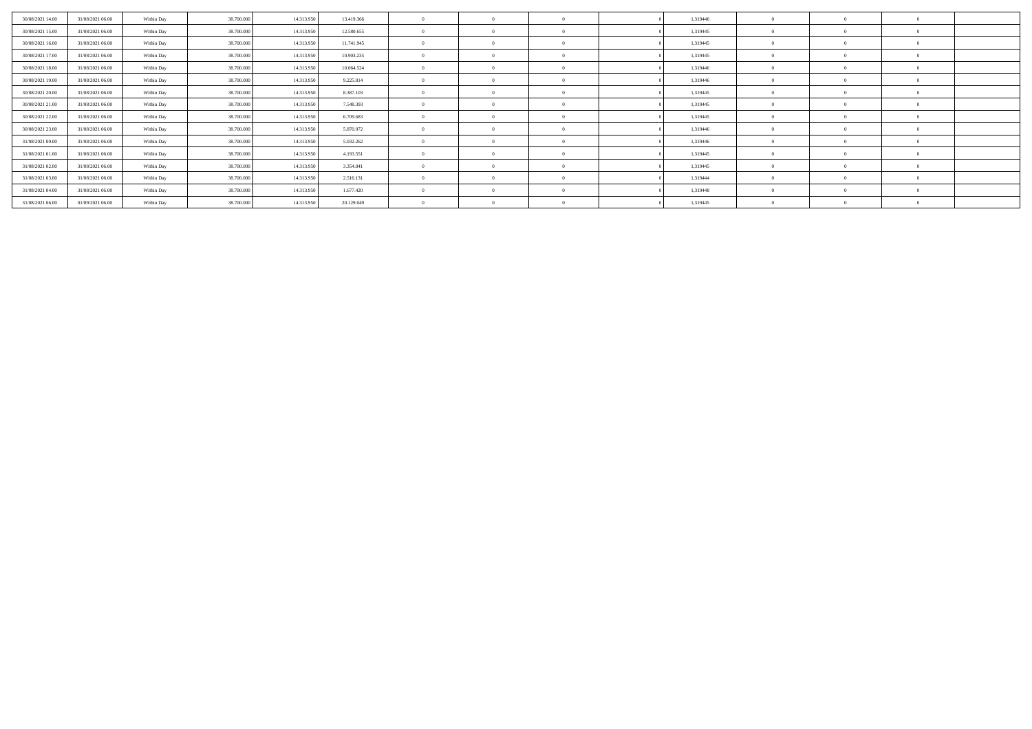| 30/08/2021 14:00 | 31/08/2021 06:00 | Within Day | 38,700,000 | 14.313.950 | 13.419.366 |          |            |  | 1,319446 |          |          |  |
|------------------|------------------|------------|------------|------------|------------|----------|------------|--|----------|----------|----------|--|
| 30/08/2021 15:00 | 31/08/2021 06:00 | Within Day | 38,700,000 | 14.313.950 | 12.580.655 |          |            |  | 1,319445 |          |          |  |
| 30/08/2021 16:00 | 31/08/2021 06:00 | Within Day | 38,700,000 | 14.313.950 | 11.741.945 |          | $\sqrt{2}$ |  | 1,319445 | $\Omega$ | - 0      |  |
| 30/08/2021 17:00 | 31/08/2021 06:00 | Within Day | 38,700,000 | 14.313.950 | 10.903.235 | $\Omega$ | $\Omega$   |  | 1,319445 | $\Omega$ | $\theta$ |  |
| 30/08/2021 18:00 | 31/08/2021 06:00 | Within Day | 38.700.000 | 14.313.950 | 10.064.524 |          |            |  | 1,319446 |          |          |  |
| 30/08/2021 19:00 | 31/08/2021 06:00 | Within Day | 38,700,000 | 14.313.950 | 9.225.814  |          |            |  | 1,319446 |          | - 0      |  |
| 30/08/2021 20:00 | 31/08/2021 06:00 | Within Day | 38,700,000 | 14.313.950 | 8.387.103  |          | $\sqrt{2}$ |  | 1,319445 |          | - 0      |  |
| 30/08/2021 21:00 | 31/08/2021 06:00 | Within Day | 38,700,000 | 14.313.950 | 7.548.393  |          | $\sqrt{2}$ |  | 1,319445 | $\Omega$ | - 0      |  |
| 30/08/2021 22:00 | 31/08/2021 06:00 | Within Day | 38,700,000 | 14.313.950 | 6.709.683  |          | $\sqrt{2}$ |  | 1,319445 |          | - 0      |  |
| 30/08/2021 23:00 | 31/08/2021 06:00 | Within Day | 38.700.000 | 14.313.950 | 5.870.972  |          |            |  | 1,319446 |          |          |  |
| 31/08/2021 00:00 | 31/08/2021 06:00 | Within Day | 38,700,000 | 14.313.950 | 5.032.262  |          | $\Omega$   |  | 1,319446 |          | - 0      |  |
| 31/08/2021 01:00 | 31/08/2021 06:00 | Within Day | 38,700,000 | 14.313.950 | 4.193.551  |          | $\Omega$   |  | 1,319445 | $\Omega$ | - 0      |  |
| 31/08/2021 02:00 | 31/08/2021 06:00 | Within Day | 38,700,000 | 14.313.950 | 3.354.841  |          | $\theta$   |  | 1,319445 |          | - 0      |  |
| 31/08/2021 03:00 | 31/08/2021 06:00 | Within Day | 38.700.000 | 14.313.950 | 2.516.131  |          |            |  | 1,319444 |          |          |  |
| 31/08/2021 04:00 | 31/08/2021 06:00 | Within Day | 38,700,000 | 14.313.950 | 1.677.420  |          |            |  | 1,319448 |          |          |  |
| 31/08/2021 06:00 | 01/09/2021 06:00 | Within Day | 38.700.000 | 14.313.950 | 20.129.049 |          |            |  | 1,319445 |          |          |  |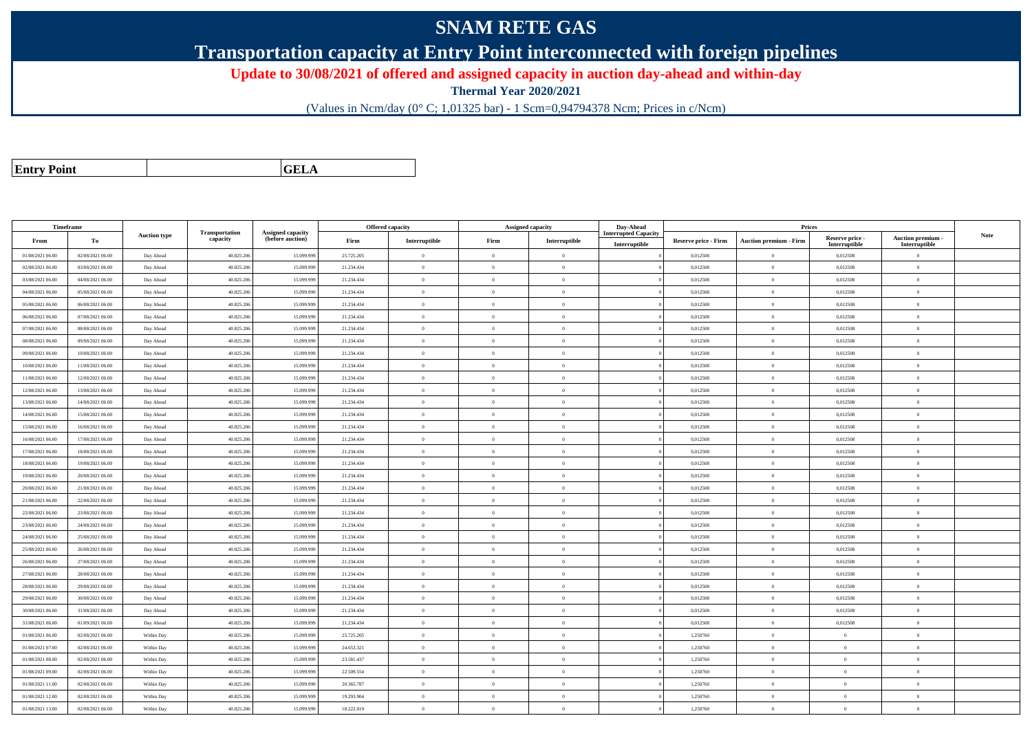## **SNAM RETE GAS**

**Transportation capacity at Entry Point interconnected with foreign pipelines**

**Update to 30/08/2021 of offered and assigned capacity in auction day-ahead and within-day**

**Thermal Year 2020/2021**

(Values in Ncm/day (0° C; 1,01325 bar) - 1 Scm=0,94794378 Ncm; Prices in c/Ncm)

| <b>Entry Point</b> |  |
|--------------------|--|
|                    |  |

**GELA**

| Timeframe        |                  |                     |                            |                                       |            | <b>Offered capacity</b> |                | Assigned capacity | Day-Ahead           |                             | <b>Prices</b>                 |                 |                 |             |
|------------------|------------------|---------------------|----------------------------|---------------------------------------|------------|-------------------------|----------------|-------------------|---------------------|-----------------------------|-------------------------------|-----------------|-----------------|-------------|
| From             | Тo               | <b>Auction type</b> | Transportation<br>capacity | Assigned capacity<br>(before auction) | Firm       | Interruptible           | Firm           | Interruptible     | iterrupted Capacity | <b>Reserve price - Firm</b> | <b>Auction premium - Firm</b> | Reserve price - | Auction premium | <b>Note</b> |
|                  |                  |                     |                            |                                       |            |                         | $\theta$       |                   | Interruptible       |                             |                               | Interruptible   | Interruptible   |             |
| 01/08/2021 06:00 | 02/08/2021 06:00 | Day Ahead           | 40.825.206                 | 15.099.99                             | 25.725.205 | $\bf{0}$                |                | $\overline{0}$    |                     | 0,012508                    | $\overline{0}$                | 0,012508        | $\overline{0}$  |             |
| 02/08/2021 06:00 | 03/08/2021 06:00 | Day Ahead           | 40.825.206                 | 15.099.99                             | 21.234.434 | $\theta$                | $\Omega$       | $\overline{0}$    |                     | 0,012508                    | $\theta$                      | 0,012508        | $\overline{0}$  |             |
| 03/08/2021 06:00 | 04/08/2021 06:00 | Day Ahead           | 40.825.20                  | 15.099.99                             | 21.234.434 | $\bf{0}$                | $\overline{0}$ | $\overline{0}$    |                     | 0,012508                    | $\overline{0}$                | 0,012508        | $\overline{0}$  |             |
| 04/08/2021 06:00 | 05/08/2021 06:00 | Day Ahead           | 40.825.206                 | 15.099.99                             | 21.234.434 | $\bf{0}$                | $\overline{0}$ | $\overline{0}$    |                     | 0,012508                    | $\overline{0}$                | 0,012508        | $\overline{0}$  |             |
| 05/08/2021 06:00 | 06/08/2021 06:00 | Day Ahead           | 40.825.20                  | 15,099,999                            | 21.234.434 | $\theta$                | $\Omega$       | $\theta$          |                     | 0.012508                    | $\theta$                      | 0,012508        | $\theta$        |             |
| 06/08/2021 06:00 | 07/08/2021 06:00 | Day Ahead           | 40.825.20                  | 15.099.99                             | 21.234.434 | $\mathbf{0}$            | $\theta$       | $\theta$          |                     | 0,012508                    | $\overline{0}$                | 0,012508        | $\overline{0}$  |             |
| 07/08/2021 06:00 | 08/08/2021 06:00 | Day Ahead           | 40.825.206                 | 15.099.999                            | 21.234.434 | $\overline{0}$          | $\overline{0}$ | $\overline{0}$    |                     | 0,012508                    | $\overline{0}$                | 0,012508        | $\overline{0}$  |             |
| 08/08/2021 06:00 | 09/08/2021 06:00 | Day Ahead           | 40.825.206                 | 15.099.999                            | 21.234.434 | $\theta$                | $\theta$       | $\theta$          |                     | 0.012508                    | $\Omega$                      | 0.012508        | $\theta$        |             |
| 09/08/2021 06:00 | 10/08/2021 06:00 | Day Ahead           | 40.825.206                 | 15.099.99                             | 21.234.434 | $\mathbf{0}$            | $\Omega$       | $\overline{0}$    |                     | 0,012508                    | $\theta$                      | 0,012508        | $\theta$        |             |
| 10/08/2021 06:00 | 11/08/2021 06:00 | Day Ahead           | 40.825.206                 | 15.099.999                            | 21.234.434 | $\bf{0}$                | $\theta$       | $\overline{0}$    |                     | 0,012508                    | $\overline{0}$                | 0,012508        | $\overline{0}$  |             |
| 11/08/2021 06:00 | 12/08/2021 06:00 | Day Ahead           | 40.825.20                  | 15.099.99                             | 21.234.434 | $\Omega$                | $\theta$       | $\Omega$          |                     | 0,012508                    | $\theta$                      | 0,012508        | $\overline{0}$  |             |
| 12/08/2021 06:00 | 13/08/2021 06:00 | Day Ahead           | 40.825.206                 | 15.099.99                             | 21.234.434 | $\mathbf{0}$            | $\theta$       | $\overline{0}$    |                     | 0,012508                    | $\overline{0}$                | 0,012508        | $\overline{0}$  |             |
| 13/08/2021 06:00 | 14/08/2021 06:00 | Day Ahead           | 40.825.206                 | 15,099.99                             | 21.234.434 | $\mathbf{0}$            | $\theta$       | $\overline{0}$    |                     | 0,012508                    | $\theta$                      | 0,012508        | $\theta$        |             |
| 14/08/2021 06:00 | 15/08/2021 06:00 | Day Ahead           | 40.825.20                  | 15.099.99                             | 21.234.434 | $\theta$                | $\theta$       | $\overline{0}$    |                     | 0,012508                    | $\theta$                      | 0,012508        | $\overline{0}$  |             |
| 15/08/2021 06:00 | 16/08/2021 06:00 | Day Ahead           | 40.825.206                 | 15.099.999                            | 21.234.434 | $\overline{0}$          | $\overline{0}$ | $\overline{0}$    |                     | 0,012508                    | $\overline{0}$                | 0,012508        | $\overline{0}$  |             |
| 16/08/2021 06:00 | 17/08/2021 06:00 | Day Ahead           | 40.825.20                  | 15.099.99                             | 21.234.434 | $\mathbf{0}$            | $\Omega$       | $\overline{0}$    |                     | 0.012508                    | $\overline{0}$                | 0.012508        | $\Omega$        |             |
| 17/08/2021 06:00 | 18/08/2021 06:00 | Day Ahead           | 40.825.20                  | 15.099.99                             | 21.234.434 | $\mathbf{0}$            | $\overline{0}$ | $\overline{0}$    |                     | 0,012508                    | $\overline{0}$                | 0,012508        | $\overline{0}$  |             |
| 18/08/2021 06:00 | 19/08/2021 06:00 | Day Ahead           | 40.825.206                 | 15.099.999                            | 21.234.434 | $\mathbf{0}$            | $\theta$       | $\overline{0}$    |                     | 0,012508                    | $\overline{0}$                | 0,012508        | $\overline{0}$  |             |
| 19/08/2021 06:00 | 20/08/2021 06:00 | Day Ahead           | 40.825.20                  | 15.099.99                             | 21.234.434 | $\theta$                | $\theta$       | $\Omega$          |                     | 0,012508                    | $\Omega$                      | 0,012508        | $\Omega$        |             |
| 20/08/2021 06:00 | 21/08/2021 06:00 | Day Ahead           | 40.825.206                 | 15.099.99                             | 21.234.434 | $\overline{0}$          | $\overline{0}$ | $\overline{0}$    |                     | 0,012508                    | $\overline{0}$                | 0,012508        | $\overline{0}$  |             |
| 21/08/2021 06:00 | 22/08/2021 06:00 | Day Ahead           | 40.825.20                  | 15.099.999                            | 21.234.434 | $\bf{0}$                | $\overline{0}$ | $\theta$          |                     | 0,012508                    | $\mathbf{0}$                  | 0,012508        | $\overline{0}$  |             |
| 22/08/2021 06:00 | 23/08/2021 06:00 | Day Ahead           | 40.825.20                  | 15.099.99                             | 21.234.434 | $\theta$                | $\theta$       | $\overline{0}$    |                     | 0,012508                    | $\overline{0}$                | 0,012508        | $\overline{0}$  |             |
| 23/08/2021 06:00 | 24/08/2021 06:00 | Day Ahead           | 40.825.206                 | 15.099.999                            | 21.234.434 | $\overline{0}$          | $\theta$       | $\overline{0}$    |                     | 0,012508                    | $\overline{0}$                | 0,012508        | $\overline{0}$  |             |
| 24/08/2021 06:00 | 25/08/2021 06:00 | Day Ahead           | 40.825.206                 | 15,099.99                             | 21.234.434 | $\mathbf{a}$            | $\theta$       | $\alpha$          |                     | 0,012508                    | $\Omega$                      | 0,012508        | $\theta$        |             |
| 25/08/2021 06:00 | 26/08/2021 06:00 | Day Ahead           | 40.825.206                 | 15.099.99                             | 21.234.434 | $\mathbf{0}$            | $\overline{0}$ | $\theta$          |                     | 0,012508                    | $\overline{0}$                | 0,012508        | $\overline{0}$  |             |
| 26/08/2021 06:00 | 27/08/2021 06:00 | Day Ahead           | 40.825.20                  | 15,099.99                             | 21.234.434 | $\mathbf{0}$            | $\theta$       | $\overline{0}$    |                     | 0,012508                    | $\overline{0}$                | 0,012508        | $\overline{0}$  |             |
| 27/08/2021 06:00 | 28/08/2021 06:00 | Day Ahead           | 40.825.206                 | 15,099.99                             | 21.234.434 | $\mathbf{0}$            | $\theta$       | $\overline{0}$    |                     | 0.012508                    | $\theta$                      | 0.012508        | $\Omega$        |             |
| 28/08/2021 06:00 | 29/08/2021 06:00 | Day Ahead           | 40.825.206                 | 15.099.999                            | 21.234.434 | $\theta$                | $\overline{0}$ | $\overline{0}$    |                     | 0,012508                    | $\theta$                      | 0,012508        | $\theta$        |             |
| 29/08/2021 06:00 | 30/08/2021 06:00 | Day Ahead           | 40.825.206                 | 15.099.999                            | 21.234.434 | $\theta$                | $\theta$       | $\overline{0}$    |                     | 0,012508                    | $\theta$                      | 0,012508        | $\theta$        |             |
| 30/08/2021 06:00 | 31/08/2021 06:00 | Day Ahead           | 40.825.20                  | 15.099.99                             | 21.234.434 | $\Omega$                | $\theta$       | $\Omega$          |                     | 0,012508                    | $\Omega$                      | 0,012508        | $\Omega$        |             |
| 31/08/2021 06:00 | 01/09/2021 06:00 | Day Ahead           | 40.825.20                  | 15.099.99                             | 21.234.434 | $\bf{0}$                | $\theta$       | $\overline{0}$    |                     | 0,012508                    | $\overline{0}$                | 0,012508        | $\overline{0}$  |             |
| 01/08/2021 06:00 | 02/08/2021 06:00 | Within Day          | 40.825.20                  | 15,099.99                             | 25.725.205 | $\theta$                | $\overline{0}$ | $\overline{0}$    |                     | 1,250760                    | $\overline{0}$                | $\bf{0}$        | $\overline{0}$  |             |
| 01/08/2021 07:00 | 02/08/2021 06:00 | Within Day          | 40.825.20                  | 15.099.99                             | 24.653.321 | $\theta$                | $\theta$       | $\overline{0}$    |                     | 1,250760                    | $\theta$                      | $\overline{0}$  | $\overline{0}$  |             |
| 01/08/2021 08:00 | 02/08/2021 06:00 | Within Day          | 40.825.20                  | 15.099.999                            | 23.581.437 | $\overline{0}$          | $\theta$       | $\overline{0}$    |                     | 1,250760                    | $\overline{0}$                | $\bf{0}$        | $\bf{0}$        |             |
| 01/08/2021 09:00 | 02/08/2021 06:00 | Within Day          | 40.825.206                 | 15.099.99                             | 22.509.554 | $\theta$                | $\theta$       | $\overline{0}$    |                     | 1.250760                    | $\theta$                      | $\overline{0}$  | $\Omega$        |             |
| 01/08/2021 11:00 | 02/08/2021 06:00 | Within Day          | 40.825.20                  | 15.099.99                             | 20.365.787 | $\mathbf{0}$            | $\theta$       | $\overline{0}$    |                     | 1,250760                    | $\overline{0}$                | $\overline{0}$  | $\overline{0}$  |             |
| 01/08/2021 12:00 | 02/08/2021 06:00 | Within Day          | 40.825.20                  | 15.099.99                             | 19.293.904 | $\bf{0}$                | $\overline{0}$ | $\overline{0}$    |                     | 1,250760                    | $\overline{0}$                | $\overline{0}$  | $\overline{0}$  |             |
| 01/08/2021 13:00 | 02/08/2021 06:00 | Within Day          | 40.825.20                  | 15.099.999                            | 18.222.019 | $\theta$                | $\theta$       | $\Omega$          |                     | 1,250760                    | $\Omega$                      | $\overline{0}$  | $\overline{0}$  |             |
|                  |                  |                     |                            |                                       |            |                         |                |                   |                     |                             |                               |                 |                 |             |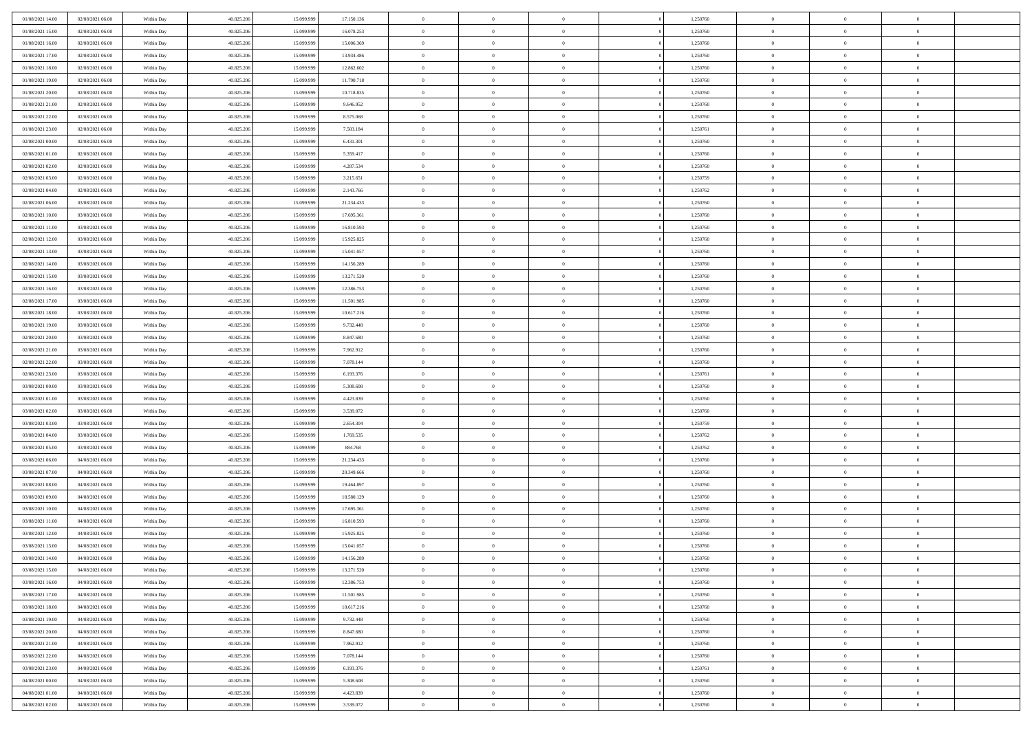| 01/08/2021 14:00 | 02/08/2021 06:00 | Within Day | 40.825.206 | 15.099.999 | 17.150.136 | $\overline{0}$ | $\overline{0}$ | $\Omega$       | 1,250760 | $\bf{0}$       | $\mathbf{0}$   | $\bf{0}$       |  |
|------------------|------------------|------------|------------|------------|------------|----------------|----------------|----------------|----------|----------------|----------------|----------------|--|
| 01/08/2021 15:00 | 02/08/2021 06:00 | Within Day | 40.825.206 | 15.099.999 | 16.078.253 | $\mathbf{0}$   | $\overline{0}$ | $\overline{0}$ | 1,250760 | $\overline{0}$ | $\overline{0}$ | $\theta$       |  |
| 01/08/2021 16:00 | 02/08/2021 06:00 | Within Day | 40.825.206 | 15.099.999 | 15.006.369 | $\,$ 0         | $\overline{0}$ | $\bf{0}$       | 1,250760 | $\,$ 0         | $\overline{0}$ | $\,$ 0 $\,$    |  |
| 01/08/2021 17:00 | 02/08/2021 06:00 | Within Day | 40.825.206 | 15.099.999 | 13.934.486 | $\bf{0}$       | $\overline{0}$ | $\Omega$       | 1,250760 | $\bf{0}$       | $\mathbf{0}$   | $\theta$       |  |
| 01/08/2021 18:00 | 02/08/2021 06:00 | Within Day | 40.825.206 | 15.099.999 | 12.862.602 | $\bf{0}$       | $\overline{0}$ | $\overline{0}$ | 1,250760 | $\mathbf{0}$   | $\overline{0}$ | $\overline{0}$ |  |
| 01/08/2021 19:00 | 02/08/2021 06:00 | Within Day | 40.825.206 | 15.099.999 | 11.790.718 | $\bf{0}$       | $\overline{0}$ | $\bf{0}$       | 1,250760 | $\,$ 0         | $\overline{0}$ | $\,$ 0 $\,$    |  |
| 01/08/2021 20:00 | 02/08/2021 06:00 | Within Day | 40.825.206 | 15.099.999 | 10.718.835 | $\bf{0}$       | $\overline{0}$ | $\Omega$       | 1,250760 | $\theta$       | $\mathbf{0}$   | $\theta$       |  |
| 01/08/2021 21:00 | 02/08/2021 06:00 | Within Day | 40.825.206 | 15.099.999 | 9.646.952  | $\overline{0}$ | $\overline{0}$ | $\overline{0}$ | 1,250760 | $\mathbf{0}$   | $\overline{0}$ | $\overline{0}$ |  |
| 01/08/2021 22.00 | 02/08/2021 06:00 | Within Day | 40.825.206 | 15.099.999 | 8.575.068  | $\bf{0}$       | $\overline{0}$ | $\bf{0}$       | 1,250760 | $\,$ 0         | $\overline{0}$ | $\,$ 0 $\,$    |  |
| 01/08/2021 23.00 | 02/08/2021 06:00 | Within Day | 40.825.206 | 15.099.999 | 7.503.184  | $\bf{0}$       | $\overline{0}$ | $\Omega$       | 1,250761 | $\bf{0}$       | $\mathbf{0}$   | $\theta$       |  |
| 02/08/2021 00:00 | 02/08/2021 06:00 | Within Day | 40.825.206 | 15.099.999 | 6.431.301  | $\overline{0}$ | $\overline{0}$ | $\overline{0}$ | 1,250760 | $\mathbf{0}$   | $\overline{0}$ | $\overline{0}$ |  |
| 02/08/2021 01:00 | 02/08/2021 06:00 | Within Day | 40.825.206 | 15.099.999 | 5.359.417  | $\bf{0}$       | $\overline{0}$ | $\bf{0}$       | 1,250760 | $\,$ 0         | $\overline{0}$ | $\,$ 0 $\,$    |  |
| 02/08/2021 02:00 | 02/08/2021 06:00 | Within Day | 40.825.206 | 15.099.999 | 4.287.534  | $\bf{0}$       | $\overline{0}$ | $\Omega$       | 1,250760 | $\overline{0}$ | $\mathbf{0}$   | $\theta$       |  |
| 02/08/2021 03:00 | 02/08/2021 06:00 | Within Dav | 40.825.206 | 15.099.999 | 3.215.651  | $\overline{0}$ | $\overline{0}$ | $\overline{0}$ | 1,250759 | $\mathbf{0}$   | $\overline{0}$ | $\overline{0}$ |  |
| 02/08/2021 04:00 | 02/08/2021 06:00 | Within Day | 40.825.206 | 15.099.999 | 2.143.766  | $\bf{0}$       | $\overline{0}$ | $\bf{0}$       | 1,250762 | $\,$ 0         | $\overline{0}$ | $\,$ 0 $\,$    |  |
| 02/08/2021 06:00 | 03/08/2021 06:00 | Within Day | 40.825.206 | 15.099.999 | 21.234.433 | $\bf{0}$       | $\overline{0}$ | $\overline{0}$ | 1,250760 | $\bf{0}$       | $\mathbf{0}$   | $\bf{0}$       |  |
| 02/08/2021 10:00 | 03/08/2021 06:00 | Within Day | 40.825.206 | 15.099.999 | 17.695.361 | $\overline{0}$ | $\overline{0}$ | $\overline{0}$ | 1,250760 | $\mathbf{0}$   | $\overline{0}$ | $\overline{0}$ |  |
| 02/08/2021 11:00 | 03/08/2021 06:00 | Within Day | 40.825.206 | 15.099.999 | 16.810.593 | $\bf{0}$       | $\overline{0}$ | $\bf{0}$       | 1,250760 | $\,$ 0         | $\overline{0}$ | $\,$ 0 $\,$    |  |
| 02/08/2021 12:00 | 03/08/2021 06:00 | Within Day | 40.825.206 | 15.099.999 | 15.925.825 | $\bf{0}$       | $\overline{0}$ | $\Omega$       | 1,250760 | $\theta$       | $\mathbf{0}$   | $\theta$       |  |
| 02/08/2021 13:00 | 03/08/2021 06:00 | Within Day | 40.825.206 | 15.099.999 | 15.041.057 | $\overline{0}$ | $\overline{0}$ | $\overline{0}$ | 1,250760 | $\mathbf{0}$   | $\overline{0}$ | $\overline{0}$ |  |
| 02/08/2021 14:00 | 03/08/2021 06:00 | Within Day | 40.825.206 | 15.099.999 | 14.156.289 | $\bf{0}$       | $\overline{0}$ | $\bf{0}$       | 1,250760 | $\,$ 0         | $\overline{0}$ | $\,$ 0 $\,$    |  |
| 02/08/2021 15:00 | 03/08/2021 06:00 | Within Day | 40.825.206 | 15.099.999 | 13.271.520 | $\bf{0}$       | $\overline{0}$ | $\Omega$       | 1,250760 | $\bf{0}$       | $\theta$       | $\theta$       |  |
| 02/08/2021 16:00 | 03/08/2021 06:00 | Within Day | 40.825.206 | 15.099.999 | 12.386.753 | $\overline{0}$ | $\overline{0}$ | $\overline{0}$ | 1,250760 | $\mathbf{0}$   | $\overline{0}$ | $\overline{0}$ |  |
| 02/08/2021 17:00 | 03/08/2021 06:00 | Within Day | 40.825.206 | 15.099.999 | 11.501.985 | $\bf{0}$       | $\overline{0}$ | $\bf{0}$       | 1,250760 | $\,$ 0         | $\overline{0}$ | $\,$ 0 $\,$    |  |
| 02/08/2021 18:00 | 03/08/2021 06:00 | Within Day | 40.825.206 | 15.099.999 | 10.617.216 | $\bf{0}$       | $\overline{0}$ | $\overline{0}$ | 1,250760 | $\bf{0}$       | $\overline{0}$ | $\bf{0}$       |  |
| 02/08/2021 19:00 | 03/08/2021 06:00 | Within Day | 40.825.206 | 15.099.999 | 9.732.448  | $\overline{0}$ | $\overline{0}$ | $\overline{0}$ | 1,250760 | $\mathbf{0}$   | $\overline{0}$ | $\overline{0}$ |  |
| 02/08/2021 20:00 | 03/08/2021 06:00 | Within Day | 40.825.206 | 15.099.999 | 8.847.680  | $\bf{0}$       | $\overline{0}$ | $\bf{0}$       | 1,250760 | $\,$ 0         | $\overline{0}$ | $\,$ 0 $\,$    |  |
| 02/08/2021 21:00 | 03/08/2021 06:00 | Within Day | 40.825.206 | 15.099.999 | 7.962.912  | $\bf{0}$       | $\overline{0}$ | $\Omega$       | 1,250760 | $\bf{0}$       | $\mathbf{0}$   | $\theta$       |  |
| 02/08/2021 22:00 | 03/08/2021 06:00 | Within Day | 40.825.206 | 15.099.999 | 7.078.144  | $\overline{0}$ | $\overline{0}$ | $\overline{0}$ | 1,250760 | $\mathbf{0}$   | $\overline{0}$ | $\overline{0}$ |  |
| 02/08/2021 23:00 | 03/08/2021 06:00 | Within Day | 40.825.206 | 15.099.999 | 6.193.376  | $\bf{0}$       | $\overline{0}$ | $\bf{0}$       | 1,250761 | $\,$ 0         | $\overline{0}$ | $\,$ 0 $\,$    |  |
| 03/08/2021 00:00 | 03/08/2021 06:00 | Within Day | 40.825.206 | 15.099.999 | 5.308.608  | $\bf{0}$       | $\bf{0}$       | $\overline{0}$ | 1,250760 | $\bf{0}$       | $\overline{0}$ | $\,0\,$        |  |
| 03/08/2021 01:00 | 03/08/2021 06:00 | Within Dav | 40.825.206 | 15.099.999 | 4.423.839  | $\overline{0}$ | $\overline{0}$ | $\overline{0}$ | 1,250760 | $\mathbf{0}$   | $\overline{0}$ | $\overline{0}$ |  |
| 03/08/2021 02:00 | 03/08/2021 06:00 | Within Day | 40.825.206 | 15.099.999 | 3.539.072  | $\bf{0}$       | $\overline{0}$ | $\bf{0}$       | 1,250760 | $\,$ 0         | $\overline{0}$ | $\,$ 0 $\,$    |  |
| 03/08/2021 03:00 | 03/08/2021 06:00 | Within Day | 40.825.206 | 15.099.999 | 2.654.304  | $\bf{0}$       | $\bf{0}$       | $\bf{0}$       | 1,250759 | $\bf{0}$       | $\overline{0}$ | $\,0\,$        |  |
| 03/08/2021 04:00 | 03/08/2021 06:00 | Within Day | 40.825.206 | 15.099.999 | 1.769.535  | $\overline{0}$ | $\overline{0}$ | $\overline{0}$ | 1,250762 | $\overline{0}$ | $\overline{0}$ | $\overline{0}$ |  |
| 03/08/2021 05:00 | 03/08/2021 06:00 | Within Day | 40.825.206 | 15.099.999 | 884.768    | $\bf{0}$       | $\overline{0}$ | $\bf{0}$       | 1,250762 | $\,$ 0         | $\overline{0}$ | $\,$ 0 $\,$    |  |
| 03/08/2021 06:00 | 04/08/2021 06:00 | Within Day | 40.825.206 | 15.099.999 | 21.234.433 | $\bf{0}$       | $\bf{0}$       | $\overline{0}$ | 1,250760 | $\bf{0}$       | $\overline{0}$ | $\,0\,$        |  |
| 03/08/2021 07:00 | 04/08/2021 06:00 | Within Day | 40.825.206 | 15.099.999 | 20.349.666 | $\overline{0}$ | $\overline{0}$ | $\overline{0}$ | 1,250760 | $\mathbf{0}$   | $\overline{0}$ | $\overline{0}$ |  |
| 03/08/2021 08:00 | 04/08/2021 06:00 | Within Day | 40.825.206 | 15.099.999 | 19.464.897 | $\bf{0}$       | $\overline{0}$ | $\bf{0}$       | 1,250760 | $\,$ 0         | $\overline{0}$ | $\,$ 0 $\,$    |  |
| 03/08/2021 09:00 | 04/08/2021 06:00 | Within Day | 40.825.206 | 15.099.999 | 18.580.129 | $\bf{0}$       | $\bf{0}$       | $\overline{0}$ | 1,250760 | $\bf{0}$       | $\overline{0}$ | $\,0\,$        |  |
| 03/08/2021 10:00 | 04/08/2021 06:00 | Within Day | 40.825.206 | 15.099.999 | 17.695.361 | $\overline{0}$ | $\overline{0}$ | $\overline{0}$ | 1,250760 | $\overline{0}$ | $\overline{0}$ | $\overline{0}$ |  |
| 03/08/2021 11:00 | 04/08/2021 06:00 | Within Day | 40.825.206 | 15.099.999 | 16.810.593 | $\bf{0}$       | $\overline{0}$ | $\bf{0}$       | 1,250760 | $\,$ 0         | $\overline{0}$ | $\,$ 0 $\,$    |  |
| 03/08/2021 12:00 | 04/08/2021 06:00 | Within Day | 40.825.206 | 15.099.999 | 15.925.825 | $\bf{0}$       | $\bf{0}$       | $\bf{0}$       | 1,250760 | $\bf{0}$       | $\overline{0}$ | $\,0\,$        |  |
| 03/08/2021 13:00 | 04/08/2021 06:00 | Within Dav | 40.825.206 | 15.099.999 | 15.041.057 | $\mathbf{0}$   | $\overline{0}$ | $\overline{0}$ | 1,250760 | $\overline{0}$ | $\overline{0}$ | $\overline{0}$ |  |
| 03/08/2021 14:00 | 04/08/2021 06:00 | Within Day | 40.825.206 | 15.099.999 | 14.156.289 | $\bf{0}$       | $\overline{0}$ | $\theta$       | 1,250760 | $\overline{0}$ | $\theta$       | $\theta$       |  |
| 03/08/2021 15:00 | 04/08/2021 06:00 | Within Day | 40.825.206 | 15.099.999 | 13.271.520 | $\bf{0}$       | $\bf{0}$       | $\bf{0}$       | 1,250760 | $\bf{0}$       | $\overline{0}$ | $\bf{0}$       |  |
| 03/08/2021 16:00 | 04/08/2021 06:00 | Within Day | 40.825.206 | 15.099.999 | 12.386.753 | $\overline{0}$ | $\overline{0}$ | $\overline{0}$ | 1,250760 | $\overline{0}$ | $\overline{0}$ | $\overline{0}$ |  |
| 03/08/2021 17:00 | 04/08/2021 06:00 | Within Day | 40.825.206 | 15.099.999 | 11.501.985 | $\,$ 0 $\,$    | $\overline{0}$ | $\overline{0}$ | 1,250760 | $\mathbf{0}$   | $\,$ 0 $\,$    | $\,$ 0 $\,$    |  |
| 03/08/2021 18:00 | 04/08/2021 06:00 | Within Day | 40.825.206 | 15.099.999 | 10.617.216 | $\bf{0}$       | $\overline{0}$ | $\overline{0}$ | 1,250760 | $\bf{0}$       | $\overline{0}$ | $\bf{0}$       |  |
| 03/08/2021 19:00 | 04/08/2021 06:00 | Within Day | 40.825.206 | 15.099.999 | 9.732.448  | $\bf{0}$       | $\overline{0}$ | $\overline{0}$ | 1,250760 | $\overline{0}$ | $\overline{0}$ | $\overline{0}$ |  |
| 03/08/2021 20:00 | 04/08/2021 06:00 | Within Day | 40.825.206 | 15.099.999 | 8.847.680  | $\,$ 0 $\,$    | $\overline{0}$ | $\overline{0}$ | 1,250760 | $\mathbf{0}$   | $\overline{0}$ | $\,$ 0 $\,$    |  |
| 03/08/2021 21:00 | 04/08/2021 06:00 | Within Day | 40.825.206 | 15.099.999 | 7.962.912  | $\overline{0}$ | $\overline{0}$ | $\overline{0}$ | 1,250760 | $\bf{0}$       | $\overline{0}$ | $\overline{0}$ |  |
| 03/08/2021 22:00 | 04/08/2021 06:00 | Within Day | 40.825.206 | 15.099.999 | 7.078.144  | $\overline{0}$ | $\overline{0}$ | $\overline{0}$ | 1,250760 | $\overline{0}$ | $\bf{0}$       | $\overline{0}$ |  |
| 03/08/2021 23:00 | 04/08/2021 06:00 | Within Day | 40.825.206 | 15.099.999 | 6.193.376  | $\,$ 0 $\,$    | $\overline{0}$ | $\overline{0}$ | 1,250761 | $\mathbf{0}$   | $\,$ 0 $\,$    | $\,$ 0 $\,$    |  |
| 04/08/2021 00:00 | 04/08/2021 06:00 | Within Day | 40.825.206 | 15.099.999 | 5.308.608  | $\bf{0}$       | $\overline{0}$ | $\overline{0}$ | 1,250760 | $\bf{0}$       | $\overline{0}$ | $\bf{0}$       |  |
| 04/08/2021 01:00 | 04/08/2021 06:00 | Within Day | 40.825.206 | 15.099.999 | 4.423.839  | $\bf{0}$       | $\overline{0}$ | $\overline{0}$ | 1,250760 | $\mathbf{0}$   | $\bf{0}$       | $\overline{0}$ |  |
| 04/08/2021 02:00 | 04/08/2021 06:00 | Within Day | 40.825.206 | 15.099.999 | 3.539.072  | $\,0\,$        | $\overline{0}$ | $\overline{0}$ | 1,250760 | $\,$ 0         | $\overline{0}$ | $\,$ 0 $\,$    |  |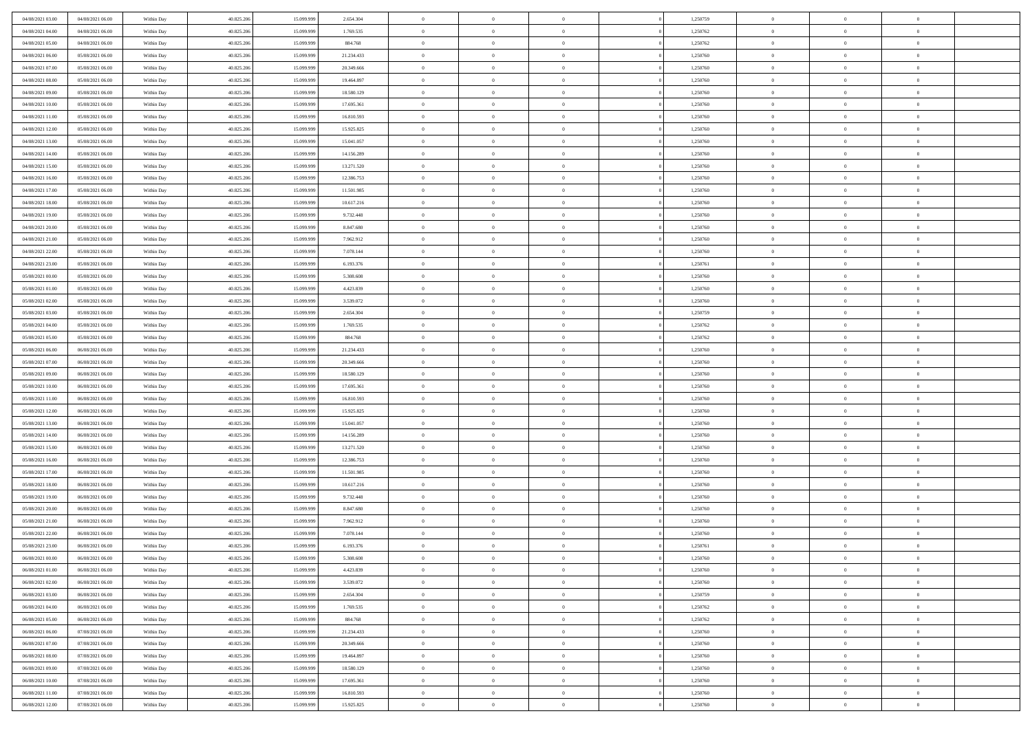| 04/08/2021 03:00                     | 04/08/2021 06:00 | Within Day               | 40.825.206 | 15.099.999 | 2.654.304                | $\,$ 0 $\,$    | $\overline{0}$ | $\overline{0}$           |          | 1,250759 | $\bf{0}$       | $\overline{0}$                   | $\,0\,$        |  |
|--------------------------------------|------------------|--------------------------|------------|------------|--------------------------|----------------|----------------|--------------------------|----------|----------|----------------|----------------------------------|----------------|--|
| 04/08/2021 04:00                     | 04/08/2021 06:00 | Within Day               | 40.825.206 | 15,099.99  | 1.769.535                | $\theta$       | $\overline{0}$ | $\mathbf{0}$             |          | 1,250762 | $\theta$       | $\overline{0}$                   | $\theta$       |  |
| 04/08/2021 05:00                     | 04/08/2021 06:00 | Within Dav               | 40.825.206 | 15.099.999 | 884.768                  | $\theta$       | $\overline{0}$ | $\overline{0}$           |          | 1,250762 | $\mathbf{0}$   | $\overline{0}$                   | $\overline{0}$ |  |
| 04/08/2021 06:00                     | 05/08/2021 06:00 | Within Day               | 40.825.206 | 15.099.999 | 21.234.433               | $\,$ 0 $\,$    | $\overline{0}$ | $\overline{0}$           |          | 1,250760 | $\bf{0}$       | $\overline{0}$                   | $\bf{0}$       |  |
| 04/08/2021 07:00                     | 05/08/2021 06:00 | Within Day               | 40.825.206 | 15.099.999 | 20.349.666               | $\bf{0}$       | $\overline{0}$ | $\mathbf{0}$             |          | 1,250760 | $\bf{0}$       | $\theta$                         | $\,0\,$        |  |
| 04/08/2021 08:00                     | 05/08/2021 06:00 | Within Dav               | 40.825.206 | 15.099.999 | 19.464.897               | $\theta$       | $\overline{0}$ | $\mathbf{0}$             |          | 1,250760 | $\mathbf{0}$   | $\overline{0}$                   | $\overline{0}$ |  |
| 04/08/2021 09:00                     | 05/08/2021 06:00 | Within Day               | 40.825.206 | 15.099.999 | 18.580.129               | $\,$ 0 $\,$    | $\overline{0}$ | $\overline{0}$           |          | 1,250760 | $\bf{0}$       | $\overline{0}$                   | $\,0\,$        |  |
| 04/08/2021 10:00                     | 05/08/2021 06:00 | Within Day               | 40.825.206 | 15.099.999 | 17.695.361               | $\overline{0}$ | $\overline{0}$ | $\mathbf{0}$             |          | 1,250760 | $\,$ 0 $\,$    | $\overline{0}$                   | $\theta$       |  |
| 04/08/2021 11:00                     | 05/08/2021 06:00 | Within Day               | 40.825.206 | 15.099.999 | 16.810.593               | $\theta$       | $\overline{0}$ | $\mathbf{0}$             |          | 1,250760 | $\mathbf{0}$   | $\bf{0}$                         | $\overline{0}$ |  |
| 04/08/2021 12:00                     | 05/08/2021 06:00 | Within Day               | 40.825.206 | 15.099.999 | 15.925.825               | $\,$ 0 $\,$    | $\overline{0}$ | $\Omega$                 |          | 1,250760 | $\bf{0}$       | $\overline{0}$                   | $\,0\,$        |  |
| 04/08/2021 13:00                     | 05/08/2021 06:00 | Within Day               | 40.825.206 | 15.099.999 | 15.041.057               | $\bf{0}$       | $\overline{0}$ | $\mathbf{0}$             |          | 1,250760 | $\bf{0}$       | $\mathbf{0}$                     | $\theta$       |  |
| 04/08/2021 14:00                     | 05/08/2021 06:00 | Within Dav               | 40.825.206 | 15.099.999 | 14.156.289               | $\theta$       | $\overline{0}$ | $\overline{0}$           |          | 1,250760 | $\mathbf{0}$   | $\overline{0}$                   | $\overline{0}$ |  |
| 04/08/2021 15:00                     | 05/08/2021 06:00 |                          | 40.825.206 | 15.099.999 | 13.271.520               | $\,$ 0 $\,$    | $\overline{0}$ | $\overline{0}$           |          | 1,250760 | $\bf{0}$       | $\overline{0}$                   | $\bf{0}$       |  |
|                                      | 05/08/2021 06:00 | Within Day               | 40.825.206 | 15.099.999 |                          | $\bf{0}$       | $\overline{0}$ | $\mathbf{0}$             |          | 1,250760 | $\bf{0}$       | $\theta$                         | $\,0\,$        |  |
| 04/08/2021 16:00<br>04/08/2021 17:00 | 05/08/2021 06:00 | Within Day<br>Within Dav | 40.825.206 | 15.099.999 | 12.386.753<br>11.501.985 | $\theta$       | $\overline{0}$ |                          |          | 1,250760 | $\mathbf{0}$   |                                  | $\overline{0}$ |  |
|                                      |                  |                          |            |            |                          |                |                | $\mathbf{0}$<br>$\Omega$ |          |          |                | $\overline{0}$<br>$\overline{0}$ |                |  |
| 04/08/2021 18:00                     | 05/08/2021 06:00 | Within Day               | 40.825.206 | 15.099.999 | 10.617.216               | $\,$ 0 $\,$    | $\overline{0}$ |                          |          | 1,250760 | $\bf{0}$       | $\overline{0}$                   | $\bf{0}$       |  |
| 04/08/2021 19:00                     | 05/08/2021 06:00 | Within Day               | 40.825.206 | 15.099.999 | 9.732.448                | $\,$ 0         | $\overline{0}$ | $\mathbf{0}$             |          | 1,250760 | $\bf{0}$       |                                  | $\theta$       |  |
| 04/08/2021 20:00                     | 05/08/2021 06:00 | Within Day               | 40.825.206 | 15.099.999 | 8.847.680                | $\theta$       | $\overline{0}$ | $\mathbf{0}$             |          | 1,250760 | $\mathbf{0}$   | $\overline{0}$                   | $\overline{0}$ |  |
| 04/08/2021 21:00                     | 05/08/2021 06:00 | Within Day               | 40.825.206 | 15.099.999 | 7.962.912                | $\,$ 0 $\,$    | $\overline{0}$ | $\Omega$                 |          | 1,250760 | $\bf{0}$       | $\overline{0}$                   | $\,0\,$        |  |
| 04/08/2021 22:00                     | 05/08/2021 06:00 | Within Day               | 40.825.206 | 15.099.999 | 7.078.144                | $\bf{0}$       | $\overline{0}$ | $\mathbf{0}$             |          | 1,250760 | $\bf{0}$       | $\mathbf{0}$                     | $\theta$       |  |
| 04/08/2021 23:00                     | 05/08/2021 06:00 | Within Dav               | 40.825.206 | 15.099.999 | 6.193.376                | $\theta$       | $\overline{0}$ | $\mathbf{0}$             |          | 1,250761 | $\mathbf{0}$   | $\overline{0}$                   | $\overline{0}$ |  |
| 05/08/2021 00:00                     | 05/08/2021 06:00 | Within Day               | 40.825.206 | 15.099.999 | 5.308.608                | $\,$ 0 $\,$    | $\overline{0}$ | $\overline{0}$           |          | 1,250760 | $\bf{0}$       | $\overline{0}$                   | $\bf{0}$       |  |
| 05/08/2021 01:00                     | 05/08/2021 06:00 | Within Day               | 40.825.206 | 15.099.999 | 4.423.839                | $\bf{0}$       | $\overline{0}$ | $\mathbf{0}$             |          | 1,250760 | $\bf{0}$       | $\theta$                         | $\,0\,$        |  |
| 05/08/2021 02:00                     | 05/08/2021 06:00 | Within Dav               | 40.825.206 | 15.099.999 | 3.539.072                | $\theta$       | $\overline{0}$ | $\mathbf{0}$             |          | 1,250760 | $\mathbf{0}$   | $\overline{0}$                   | $\overline{0}$ |  |
| 05/08/2021 03:00                     | 05/08/2021 06:00 | Within Day               | 40.825.206 | 15.099.999 | 2.654.304                | $\,$ 0 $\,$    | $\overline{0}$ | $\overline{0}$           |          | 1,250759 | $\bf{0}$       | $\overline{0}$                   | $\,0\,$        |  |
| 05/08/2021 04:00                     | 05/08/2021 06:00 | Within Day               | 40.825.206 | 15.099.999 | 1.769.535                | $\,$ 0         | $\overline{0}$ | $\mathbf{0}$             |          | 1,250762 | $\bf{0}$       | $\overline{0}$                   | $\theta$       |  |
| 05/08/2021 05:00                     | 05/08/2021 06:00 | Within Day               | 40.825.206 | 15.099.999 | 884.768                  | $\theta$       | $\overline{0}$ | $\overline{0}$           |          | 1,250762 | $\mathbf{0}$   | $\bf{0}$                         | $\overline{0}$ |  |
| 05/08/2021 06:00                     | 06/08/2021 06:00 | Within Day               | 40.825.206 | 15.099.999 | 21.234.433               | $\,$ 0 $\,$    | $\overline{0}$ | $\Omega$                 |          | 1,250760 | $\bf{0}$       | $\overline{0}$                   | $\,0\,$        |  |
| 05/08/2021 07:00                     | 06/08/2021 06:00 | Within Day               | 40.825.206 | 15,099,999 | 20.349.666               | $\bf{0}$       | $\overline{0}$ | $\mathbf{0}$             |          | 1,250760 | $\bf{0}$       | $\mathbf{0}$                     | $\overline{0}$ |  |
| 05/08/2021 09:00                     | 06/08/2021 06:00 | Within Dav               | 40.825.206 | 15.099.999 | 18.580.129               | $\theta$       | $\overline{0}$ | $\overline{0}$           |          | 1,250760 | $\mathbf{0}$   | $\overline{0}$                   | $\overline{0}$ |  |
| 05/08/2021 10:00                     | 06/08/2021 06:00 | Within Day               | 40.825.206 | 15.099.999 | 17.695.361               | $\theta$       | $\overline{0}$ | $\overline{0}$           |          | 1,250760 | $\,$ 0         | $\overline{0}$                   | $\,$ 0 $\,$    |  |
| 05/08/2021 11:00                     | 06/08/2021 06:00 | Within Day               | 40.825.206 | 15.099.999 | 16.810.593               | $\bf{0}$       | $\overline{0}$ | $\mathbf{0}$             |          | 1,250760 | $\bf{0}$       | $\mathbf{0}$                     | $\overline{0}$ |  |
| 05/08/2021 12:00                     | 06/08/2021 06:00 | Within Dav               | 40.825.206 | 15.099.999 | 15.925.825               | $\theta$       | $\overline{0}$ | $\mathbf{0}$             |          | 1,250760 | $\mathbf{0}$   | $\overline{0}$                   | $\overline{0}$ |  |
| 05/08/2021 13:00                     | 06/08/2021 06:00 | Within Day               | 40.825.206 | 15.099.999 | 15.041.057               | $\theta$       | $\overline{0}$ | $\overline{0}$           |          | 1,250760 | $\,$ 0         | $\overline{0}$                   | $\theta$       |  |
| 05/08/2021 14:00                     | 06/08/2021 06:00 | Within Day               | 40.825.206 | 15.099.999 | 14.156.289               | $\bf{0}$       | $\overline{0}$ | $\mathbf{0}$             |          | 1,250760 | $\mathbf{0}$   | $\overline{0}$                   | $\overline{0}$ |  |
| 05/08/2021 15:00                     | 06/08/2021 06:00 | Within Day               | 40.825.206 | 15.099.999 | 13.271.520               | $\theta$       | $\overline{0}$ | $\mathbf{0}$             |          | 1,250760 | $\mathbf{0}$   | $\overline{0}$                   | $\overline{0}$ |  |
| 05/08/2021 16:00                     | 06/08/2021 06:00 | Within Day               | 40.825.206 | 15.099.999 | 12.386.753               | $\theta$       | $\overline{0}$ | $\overline{0}$           |          | 1,250760 | $\,$ 0         | $\overline{0}$                   | $\theta$       |  |
| 05/08/2021 17:00                     | 06/08/2021 06:00 | Within Day               | 40.825.206 | 15.099.999 | 11.501.985               | $\bf{0}$       | $\overline{0}$ | $\mathbf{0}$             |          | 1,250760 | $\bf{0}$       | $\mathbf{0}$                     | $\overline{0}$ |  |
| 05/08/2021 18:00                     | 06/08/2021 06:00 | Within Dav               | 40.825.206 | 15.099.999 | 10.617.216               | $\theta$       | $\overline{0}$ | $\mathbf{0}$             |          | 1,250760 | $\mathbf{0}$   | $\overline{0}$                   | $\overline{0}$ |  |
| 05/08/2021 19:00                     | 06/08/2021 06:00 | Within Day               | 40.825.206 | 15.099.999 | 9.732.448                | $\,$ 0 $\,$    | $\overline{0}$ | $\overline{0}$           |          | 1,250760 | $\,$ 0         | $\overline{0}$                   | $\,$ 0 $\,$    |  |
| 05/08/2021 20:00                     | 06/08/2021 06:00 | Within Day               | 40.825.206 | 15.099.999 | 8.847.680                | $\,$ 0         | $\,$ 0 $\,$    | $\overline{0}$           |          | 1,250760 | $\,$ 0 $\,$    | $\overline{0}$                   | $\overline{0}$ |  |
| 05/08/2021 21:00                     | 06/08/2021 06:00 | Within Dav               | 40.825.206 | 15.099.999 | 7.962.912                | $\theta$       | $\overline{0}$ | $\mathbf{0}$             |          | 1,250760 | $\mathbf{0}$   | $\overline{0}$                   | $\theta$       |  |
| 05/08/2021 22:00                     | 06/08/2021 06:00 | Within Day               | 40.825.206 | 15.099.999 | 7.078.144                | $\overline{0}$ | $\overline{0}$ | $\overline{0}$           |          | 1,250760 | $\,$ 0         | $\overline{0}$                   | $\theta$       |  |
| 05/08/2021 23:00                     | 06/08/2021 06:00 | Within Day               | 40.825.206 | 15.099.999 | 6.193.376                | $\bf{0}$       | $\overline{0}$ | $\mathbf{0}$             |          | 1,250761 | $\bf{0}$       | $\overline{0}$                   | $\overline{0}$ |  |
| 06/08/2021 00:00                     | 06/08/2021 06:00 | Within Day               | 40.825.206 | 15.099.999 | 5.308.608                | $\overline{0}$ | $\theta$       |                          |          | 1,250760 | $\overline{0}$ | $\Omega$                         | $\theta$       |  |
| 06/08/2021 01:00                     | 06/08/2021 06:00 | Within Day               | 40.825.206 | 15.099.999 | 4.423.839                | $\,$ 0 $\,$    | $\overline{0}$ | $\overline{0}$           |          | 1,250760 | $\,$ 0 $\,$    | $\bf{0}$                         | $\theta$       |  |
| 06/08/2021 02:00                     | 06/08/2021 06:00 | Within Day               | 40.825.206 | 15.099.999 | 3.539.072                | $\overline{0}$ | $\,$ 0 $\,$    | $\overline{0}$           |          | 1,250760 | $\,$ 0 $\,$    | $\overline{0}$                   | $\overline{0}$ |  |
| 06/08/2021 03:00                     | 06/08/2021 06:00 | Within Day               | 40.825.206 | 15.099.999 | 2.654.304                | $\mathbf{0}$   | $\overline{0}$ | $\overline{0}$           |          | 1,250759 | $\,$ 0 $\,$    | $\bf{0}$                         | $\overline{0}$ |  |
| 06/08/2021 04:00                     | 06/08/2021 06:00 | Within Day               | 40.825.206 | 15.099.999 | 1.769.535                | $\,$ 0 $\,$    | $\overline{0}$ | $\overline{0}$           | $\theta$ | 1,250762 | $\,$ 0 $\,$    | $\bf{0}$                         | $\,$ 0 $\,$    |  |
| 06/08/2021 05:00                     | 06/08/2021 06:00 | Within Day               | 40.825.206 | 15.099.999 | 884.768                  | $\,$ 0 $\,$    | $\,$ 0 $\,$    | $\overline{0}$           |          | 1,250762 | $\,$ 0 $\,$    | $\overline{0}$                   | $\overline{0}$ |  |
| 06/08/2021 06:00                     | 07/08/2021 06:00 | Within Day               | 40.825.206 | 15.099.999 | 21.234.433               | $\mathbf{0}$   | $\overline{0}$ | $\overline{0}$           |          | 1,250760 | $\mathbf{0}$   | $\bf{0}$                         | $\overline{0}$ |  |
| 06/08/2021 07:00                     | 07/08/2021 06:00 | Within Day               | 40.825.206 | 15.099.999 | 20.349.666               | $\,$ 0 $\,$    | $\overline{0}$ | $\overline{0}$           |          | 1,250760 | $\,$ 0 $\,$    | $\mathbf{0}$                     | $\,$ 0 $\,$    |  |
| 06/08/2021 08:00                     | 07/08/2021 06:00 | Within Day               | 40.825.206 | 15.099.999 | 19.464.897               | $\overline{0}$ | $\overline{0}$ | $\overline{0}$           |          | 1,250760 | $\,$ 0 $\,$    | $\overline{0}$                   | $\overline{0}$ |  |
| 06/08/2021 09:00                     | 07/08/2021 06:00 | Within Day               | 40.825.206 | 15.099.999 | 18.580.129               | $\,$ 0 $\,$    | $\overline{0}$ | $\overline{0}$           |          | 1,250760 | $\,$ 0 $\,$    | $\bf{0}$                         | $\overline{0}$ |  |
| 06/08/2021 10:00                     | 07/08/2021 06:00 | Within Day               | 40.825.206 | 15.099.999 | 17.695.361               | $\,$ 0 $\,$    | $\overline{0}$ | $\overline{0}$           |          | 1,250760 | $\,$ 0 $\,$    | $\mathbf{0}$                     | $\,$ 0 $\,$    |  |
| 06/08/2021 11:00                     | 07/08/2021 06:00 | Within Day               | 40.825.206 | 15.099.999 | 16.810.593               | $\,$ 0 $\,$    | $\,$ 0 $\,$    | $\overline{0}$           |          | 1,250760 | $\,$ 0 $\,$    | $\overline{0}$                   | $\overline{0}$ |  |
| 06/08/2021 12:00                     | 07/08/2021 06:00 | Within Day               | 40.825.206 | 15.099.999 | 15.925.825               | $\theta$       | $\overline{0}$ | $\overline{0}$           |          | 1,250760 | $\mathbf{0}$   | $\overline{0}$                   | $\overline{0}$ |  |
|                                      |                  |                          |            |            |                          |                |                |                          |          |          |                |                                  |                |  |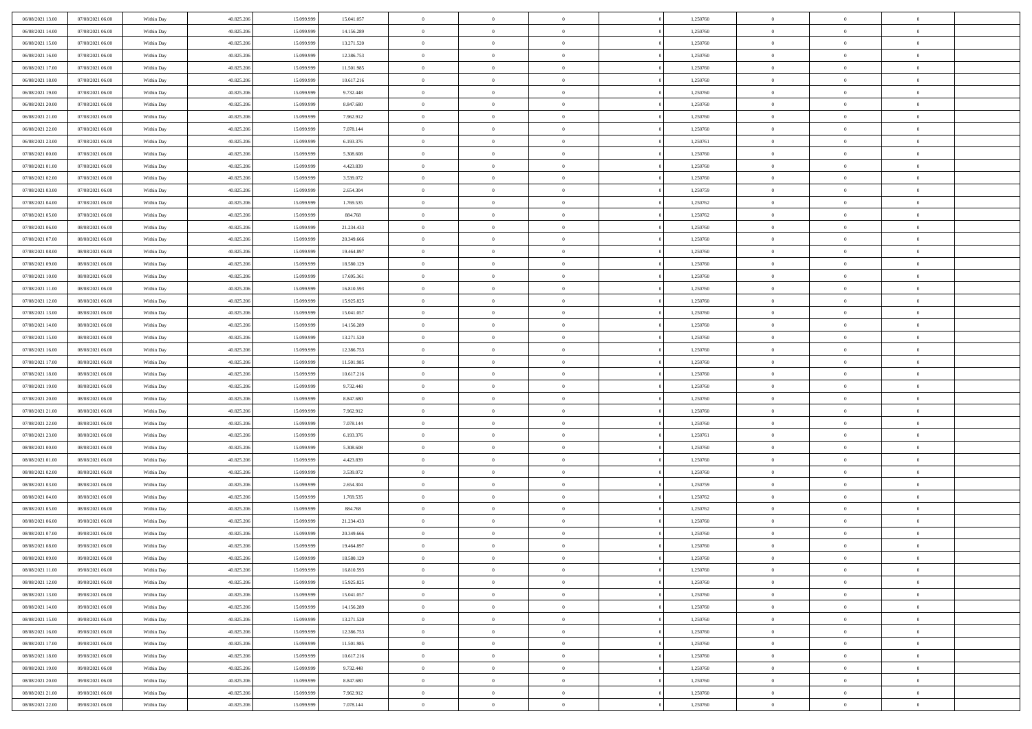| 06/08/2021 13:00                     | 07/08/2021 06:00                     | Within Day               | 40.825.206               | 15.099.999               | 15.041.057             | $\,$ 0 $\,$          | $\overline{0}$                   | $\overline{0}$                 |          | 1,250760             | $\bf{0}$                     | $\overline{0}$                   | $\,0\,$                          |  |
|--------------------------------------|--------------------------------------|--------------------------|--------------------------|--------------------------|------------------------|----------------------|----------------------------------|--------------------------------|----------|----------------------|------------------------------|----------------------------------|----------------------------------|--|
| 06/08/2021 14:00                     | 07/08/2021 06:00                     | Within Day               | 40.825.206               | 15,099.99                | 14.156.289             | $\overline{0}$       | $\overline{0}$                   | $\mathbf{0}$                   |          | 1,250760             | $\theta$                     | $\overline{0}$                   | $\theta$                         |  |
| 06/08/2021 15:00                     | 07/08/2021 06:00                     | Within Dav               | 40.825.206               | 15.099.999               | 13.271.520             | $\theta$             | $\overline{0}$                   | $\overline{0}$                 |          | 1,250760             | $\mathbf{0}$                 | $\overline{0}$                   | $\overline{0}$                   |  |
| 06/08/2021 16:00                     | 07/08/2021 06:00                     | Within Day               | 40.825.206               | 15.099.999               | 12.386.753             | $\,$ 0 $\,$          | $\overline{0}$                   | $\overline{0}$                 |          | 1,250760             | $\bf{0}$                     | $\overline{0}$                   | $\bf{0}$                         |  |
| 06/08/2021 17:00                     | 07/08/2021 06:00                     | Within Day               | 40.825.206               | 15.099.999               | 11.501.985             | $\bf{0}$             | $\overline{0}$                   | $\mathbf{0}$                   |          | 1,250760             | $\bf{0}$                     | $\theta$                         | $\,0\,$                          |  |
| 06/08/2021 18:00                     | 07/08/2021 06:00                     | Within Dav               | 40.825.206               | 15.099.999               | 10.617.216             | $\theta$             | $\overline{0}$                   | $\mathbf{0}$                   |          | 1,250760             | $\mathbf{0}$                 | $\overline{0}$                   | $\overline{0}$                   |  |
| 06/08/2021 19:00                     | 07/08/2021 06:00                     | Within Day               | 40.825.206               | 15.099.999               | 9.732.448              | $\,$ 0 $\,$          | $\overline{0}$                   | $\overline{0}$                 |          | 1,250760             | $\bf{0}$                     | $\overline{0}$                   | $\,0\,$                          |  |
| 06/08/2021 20:00                     | 07/08/2021 06:00                     | Within Day               | 40.825.206               | 15.099.999               | 8.847.680              | $\overline{0}$       | $\overline{0}$                   | $\mathbf{0}$                   |          | 1,250760             | $\,$ 0 $\,$                  | $\overline{0}$                   | $\theta$                         |  |
| 06/08/2021 21:00                     | 07/08/2021 06:00                     | Within Day               | 40.825.206               | 15.099.999               | 7.962.912              | $\theta$             | $\overline{0}$                   | $\mathbf{0}$                   |          | 1,250760             | $\mathbf{0}$                 | $\bf{0}$                         | $\overline{0}$                   |  |
| 06/08/2021 22:00                     | 07/08/2021 06:00                     | Within Day               | 40.825.206               | 15.099.999               | 7.078.144              | $\,$ 0 $\,$          | $\overline{0}$                   | $\Omega$                       |          | 1,250760             | $\bf{0}$                     | $\overline{0}$                   | $\,0\,$                          |  |
| 06/08/2021 23:00                     | 07/08/2021 06:00                     | Within Day               | 40.825.206               | 15.099.999               | 6.193.376              | $\bf{0}$             | $\overline{0}$                   | $\mathbf{0}$                   |          | 1,250761             | $\bf{0}$                     | $\mathbf{0}$                     | $\theta$                         |  |
| 07/08/2021 00:00                     | 07/08/2021 06:00                     | Within Dav               | 40.825.206               | 15.099.999               | 5.308.608              | $\theta$             | $\overline{0}$                   | $\overline{0}$                 |          | 1,250760             | $\mathbf{0}$                 | $\overline{0}$                   | $\overline{0}$                   |  |
| 07/08/2021 01:00                     | 07/08/2021 06:00                     | Within Day               | 40.825.206               | 15.099.999               | 4.423.839              | $\,$ 0 $\,$          | $\overline{0}$                   | $\overline{0}$                 |          | 1,250760             | $\bf{0}$                     | $\overline{0}$                   | $\bf{0}$                         |  |
| 07/08/2021 02:00                     | 07/08/2021 06:00                     | Within Day               | 40.825.206               | 15.099.999               | 3.539.072              | $\bf{0}$             | $\overline{0}$                   | $\mathbf{0}$                   |          | 1,250760             | $\bf{0}$                     | $\theta$                         | $\,0\,$                          |  |
| 07/08/2021 03:00                     | 07/08/2021 06:00                     | Within Dav               | 40.825.206               | 15.099.999               | 2.654.304              | $\theta$             | $\overline{0}$                   | $\mathbf{0}$                   |          | 1,250759             | $\mathbf{0}$                 | $\overline{0}$                   | $\overline{0}$                   |  |
| 07/08/2021 04:00                     | 07/08/2021 06:00                     | Within Day               | 40.825.206               | 15.099.999               | 1.769.535              | $\,$ 0 $\,$          | $\overline{0}$                   | $\Omega$                       |          | 1,250762             | $\bf{0}$                     | $\overline{0}$                   | $\bf{0}$                         |  |
| 07/08/2021 05:00                     | 07/08/2021 06:00                     |                          | 40.825.206               | 15.099.999               | 884.768                | $\,$ 0               | $\overline{0}$                   | $\mathbf{0}$                   |          | 1,250762             | $\bf{0}$                     | $\overline{0}$                   | $\theta$                         |  |
| 07/08/2021 06:00                     | 08/08/2021 06:00                     | Within Day<br>Within Day | 40.825.206               | 15.099.999               | 21.234.433             | $\theta$             | $\overline{0}$                   | $\mathbf{0}$                   |          | 1,250760             | $\mathbf{0}$                 | $\overline{0}$                   | $\overline{0}$                   |  |
| 07/08/2021 07:00                     | 08/08/2021 06:00                     | Within Day               | 40.825.206               | 15.099.999               | 20.349.666             | $\,$ 0 $\,$          | $\overline{0}$                   | $\Omega$                       |          | 1,250760             | $\bf{0}$                     | $\overline{0}$                   | $\,0\,$                          |  |
| 07/08/2021 08:00                     | 08/08/2021 06:00                     |                          | 40.825.206               | 15.099.999               | 19.464.897             | $\bf{0}$             | $\overline{0}$                   | $\mathbf{0}$                   |          | 1,250760             | $\bf{0}$                     | $\mathbf{0}$                     | $\theta$                         |  |
| 07/08/2021 09:00                     | 08/08/2021 06:00                     | Within Day<br>Within Dav | 40.825.206               | 15.099.999               | 18.580.129             | $\theta$             | $\overline{0}$                   | $\mathbf{0}$                   |          | 1,250760             | $\mathbf{0}$                 | $\overline{0}$                   | $\overline{0}$                   |  |
|                                      |                                      |                          |                          |                          |                        | $\,$ 0 $\,$          |                                  | $\overline{0}$                 |          |                      | $\bf{0}$                     | $\overline{0}$                   | $\bf{0}$                         |  |
| 07/08/2021 10:00                     | 08/08/2021 06:00                     | Within Day               | 40.825.206               | 15.099.999               | 17.695.361             |                      | $\overline{0}$                   |                                |          | 1,250760             |                              | $\theta$                         |                                  |  |
| 07/08/2021 11:00                     | 08/08/2021 06:00<br>08/08/2021 06:00 | Within Day               | 40.825.206               | 15.099.999               | 16.810.593             | $\bf{0}$<br>$\theta$ | $\overline{0}$                   | $\mathbf{0}$                   |          | 1,250760             | $\bf{0}$<br>$\mathbf{0}$     |                                  | $\,0\,$<br>$\overline{0}$        |  |
| 07/08/2021 12:00                     |                                      | Within Dav               | 40.825.206               | 15.099.999               | 15.925.825             |                      | $\overline{0}$                   | $\mathbf{0}$<br>$\overline{0}$ |          | 1,250760             |                              | $\overline{0}$<br>$\overline{0}$ |                                  |  |
| 07/08/2021 13:00                     | 08/08/2021 06:00                     | Within Day               | 40.825.206               | 15.099.999               | 15.041.057             | $\,$ 0 $\,$          | $\overline{0}$                   |                                |          | 1,250760             | $\bf{0}$                     | $\overline{0}$                   | $\,0\,$                          |  |
| 07/08/2021 14:00                     | 08/08/2021 06:00                     | Within Day               | 40.825.206               | 15.099.999               | 14.156.289             | $\,$ 0               | $\overline{0}$                   | $\mathbf{0}$                   |          | 1,250760             | $\bf{0}$                     |                                  | $\theta$                         |  |
| 07/08/2021 15:00                     | 08/08/2021 06:00                     | Within Day               | 40.825.206               | 15.099.999               | 13.271.520             | $\theta$             | $\overline{0}$                   | $\mathbf{0}$                   |          | 1,250760             | $\mathbf{0}$                 | $\bf{0}$                         | $\overline{0}$                   |  |
| 07/08/2021 16:00                     | 08/08/2021 06:00                     | Within Day               | 40.825.206               | 15.099.999               | 12.386.753             | $\,$ 0 $\,$          | $\overline{0}$                   | $\Omega$                       |          | 1,250760             | $\bf{0}$                     | $\overline{0}$                   | $\,0\,$                          |  |
| 07/08/2021 17:00                     | 08/08/2021 06:00                     | Within Day               | 40.825.206               | 15,099,999               | 11.501.985             | $\bf{0}$             | $\overline{0}$                   | $\mathbf{0}$                   |          | 1,250760             | $\bf{0}$                     | $\mathbf{0}$                     | $\overline{0}$                   |  |
| 07/08/2021 18:00                     | 08/08/2021 06:00                     | Within Dav               | 40.825.206               | 15.099.999               | 10.617.216             | $\theta$             | $\overline{0}$                   | $\overline{0}$                 |          | 1,250760             | $\mathbf{0}$                 | $\overline{0}$                   | $\overline{0}$                   |  |
| 07/08/2021 19:00                     | 08/08/2021 06:00                     | Within Day               | 40.825.206               | 15.099.999               | 9.732.448              | $\,$ 0 $\,$          | $\overline{0}$                   | $\overline{0}$                 |          | 1,250760             | $\,$ 0                       | $\overline{0}$                   | $\,$ 0 $\,$                      |  |
| 07/08/2021 20:00                     | 08/08/2021 06:00                     | Within Day               | 40.825.206               | 15.099.999               | 8.847.680              | $\bf{0}$<br>$\theta$ | $\overline{0}$                   | $\mathbf{0}$                   |          | 1,250760             | $\bf{0}$<br>$\mathbf{0}$     | $\mathbf{0}$                     | $\overline{0}$<br>$\overline{0}$ |  |
| 07/08/2021 21:00                     | 08/08/2021 06:00                     | Within Dav               | 40.825.206               | 15.099.999               | 7.962.912              |                      | $\overline{0}$<br>$\overline{0}$ | $\mathbf{0}$                   |          | 1,250760             |                              | $\overline{0}$                   | $\theta$                         |  |
| 07/08/2021 22:00                     | 08/08/2021 06:00                     | Within Day               | 40.825.206               | 15.099.999<br>15.099.999 | 7.078.144              | $\theta$             |                                  | $\overline{0}$                 |          | 1,250760             | $\,$ 0                       | $\overline{0}$<br>$\overline{0}$ | $\overline{0}$                   |  |
| 07/08/2021 23:00<br>08/08/2021 00:00 | 08/08/2021 06:00<br>08/08/2021 06:00 | Within Day<br>Within Day | 40.825.206<br>40.825.206 | 15.099.999               | 6.193.376<br>5.308.608 | $\bf{0}$<br>$\theta$ | $\overline{0}$<br>$\overline{0}$ | $\mathbf{0}$                   |          | 1,250761<br>1,250760 | $\mathbf{0}$<br>$\mathbf{0}$ | $\overline{0}$                   | $\overline{0}$                   |  |
|                                      |                                      |                          |                          |                          |                        | $\theta$             | $\overline{0}$                   | $\mathbf{0}$<br>$\overline{0}$ |          |                      | $\,$ 0                       | $\overline{0}$                   | $\theta$                         |  |
| 08/08/2021 01:00<br>08/08/2021 02:00 | 08/08/2021 06:00<br>08/08/2021 06:00 | Within Day               | 40.825.206<br>40.825.206 | 15.099.999<br>15.099.999 | 4.423.839              | $\bf{0}$             | $\overline{0}$                   | $\mathbf{0}$                   |          | 1,250760<br>1,250760 | $\bf{0}$                     | $\mathbf{0}$                     | $\overline{0}$                   |  |
| 08/08/2021 03:00                     | 08/08/2021 06:00                     | Within Day<br>Within Dav | 40.825.206               | 15.099.999               | 3.539.072<br>2.654.304 | $\theta$             | $\overline{0}$                   | $\overline{0}$                 |          | 1,250759             | $\mathbf{0}$                 | $\overline{0}$                   | $\overline{0}$                   |  |
|                                      |                                      |                          |                          |                          |                        | $\,$ 0 $\,$          |                                  | $\overline{0}$                 |          |                      | $\,$ 0                       | $\overline{0}$                   | $\,$ 0 $\,$                      |  |
| 08/08/2021 04:00<br>08/08/2021 05:00 | 08/08/2021 06:00<br>08/08/2021 06:00 | Within Day               | 40.825.206<br>40.825.206 | 15.099.999<br>15.099.999 | 1.769.535<br>884.768   | $\,$ 0               | $\overline{0}$<br>$\,$ 0 $\,$    | $\mathbf{0}$                   |          | 1,250762<br>1,250762 | $\,$ 0 $\,$                  | $\overline{0}$                   | $\overline{0}$                   |  |
| 08/08/2021 06:00                     | 09/08/2021 06:00                     | Within Day<br>Within Dav | 40.825.206               | 15.099.999               | 21.234.433             | $\theta$             | $\overline{0}$                   | $\mathbf{0}$                   |          | 1,250760             | $\mathbf{0}$                 | $\overline{0}$                   | $\theta$                         |  |
| 08/08/2021 07:00                     | 09/08/2021 06:00                     | Within Day               | 40.825.206               | 15.099.999               | 20.349.666             | $\overline{0}$       | $\overline{0}$                   | $\overline{0}$                 |          | 1,250760             | $\,$ 0                       | $\overline{0}$                   | $\theta$                         |  |
| 08/08/2021 08:00                     | 09/08/2021 06:00                     | Within Day               | 40.825.206               | 15.099.999               | 19.464.897             | $\bf{0}$             | $\overline{0}$                   | $\mathbf{0}$                   |          | 1,250760             | $\bf{0}$                     | $\overline{0}$                   | $\overline{0}$                   |  |
| 08/08/2021 09:00                     | 09/08/2021 06:00                     | Within Day               | 40.825.206               | 15.099.999               | 18.580.129             | $\overline{0}$       | $\theta$                         |                                |          | 1,250760             | $\overline{0}$               | $\Omega$                         | $\theta$                         |  |
| 08/08/2021 11:00                     | 09/08/2021 06:00                     | Within Day               | 40.825.206               | 15.099.999               | 16.810.593             | $\,$ 0 $\,$          | $\overline{0}$                   | $\overline{0}$                 |          | 1,250760             | $\,$ 0 $\,$                  | $\bf{0}$                         | $\theta$                         |  |
| 08/08/2021 12:00                     | 09/08/2021 06:00                     | Within Day               | 40.825.206               | 15.099.999               | 15.925.825             | $\overline{0}$       | $\,$ 0 $\,$                      | $\overline{0}$                 |          | 1,250760             | $\,$ 0 $\,$                  | $\overline{0}$                   | $\overline{0}$                   |  |
| 08/08/2021 13:00                     | 09/08/2021 06:00                     | Within Day               | 40.825.206               | 15.099.999               | 15.041.057             | $\,$ 0 $\,$          | $\overline{0}$                   | $\overline{0}$                 |          | 1,250760             | $\,$ 0 $\,$                  | $\bf{0}$                         | $\overline{0}$                   |  |
| 08/08/2021 14:00                     | 09/08/2021 06:00                     | Within Day               | 40.825.206               | 15.099.999               | 14.156.289             | $\,$ 0 $\,$          | $\overline{0}$                   | $\overline{0}$                 | $\theta$ | 1,250760             | $\,$ 0 $\,$                  | $\bf{0}$                         | $\,$ 0 $\,$                      |  |
| 08/08/2021 15:00                     | 09/08/2021 06:00                     | Within Day               | 40.825.206               | 15.099.999               | 13.271.520             | $\,$ 0 $\,$          | $\,$ 0 $\,$                      | $\overline{0}$                 |          | 1,250760             | $\,$ 0 $\,$                  | $\overline{0}$                   | $\overline{0}$                   |  |
| 08/08/2021 16:00                     | 09/08/2021 06:00                     | Within Day               | 40.825.206               | 15.099.999               | 12.386.753             | $\mathbf{0}$         | $\overline{0}$                   | $\overline{0}$                 |          | 1,250760             | $\mathbf{0}$                 | $\bf{0}$                         | $\overline{0}$                   |  |
| 08/08/2021 17:00                     | 09/08/2021 06:00                     | Within Day               | 40.825.206               | 15.099.999               | 11.501.985             | $\,$ 0 $\,$          | $\overline{0}$                   | $\overline{0}$                 |          | 1,250760             | $\,$ 0 $\,$                  | $\bf{0}$                         | $\,$ 0 $\,$                      |  |
| 08/08/2021 18:00                     | 09/08/2021 06:00                     | Within Day               | 40.825.206               | 15.099.999               | 10.617.216             | $\overline{0}$       | $\overline{0}$                   | $\overline{0}$                 |          | 1,250760             | $\,$ 0 $\,$                  | $\overline{0}$                   | $\overline{0}$                   |  |
| 08/08/2021 19:00                     | 09/08/2021 06:00                     | Within Day               | 40.825.206               | 15.099.999               | 9.732.448              | $\,$ 0 $\,$          | $\overline{0}$                   | $\overline{0}$                 |          | 1,250760             | $\,$ 0 $\,$                  | $\bf{0}$                         | $\overline{0}$                   |  |
| 08/08/2021 20:00                     | 09/08/2021 06:00                     | Within Day               | 40.825.206               | 15.099.999               | 8.847.680              | $\,$ 0 $\,$          | $\overline{0}$                   | $\overline{0}$                 |          | 1,250760             | $\,$ 0 $\,$                  | $\mathbf{0}$                     | $\,$ 0 $\,$                      |  |
| 08/08/2021 21:00                     | 09/08/2021 06:00                     | Within Day               | 40.825.206               | 15.099.999               | 7.962.912              | $\,$ 0 $\,$          | $\,$ 0 $\,$                      | $\overline{0}$                 |          | 1,250760             | $\,$ 0 $\,$                  | $\overline{0}$                   | $\overline{0}$                   |  |
| 08/08/2021 22:00                     | 09/08/2021 06:00                     |                          | 40.825.206               | 15.099.999               | 7.078.144              | $\theta$             | $\overline{0}$                   | $\overline{0}$                 |          | 1,250760             | $\mathbf{0}$                 | $\mathbf{0}$                     | $\overline{0}$                   |  |
|                                      |                                      | Within Day               |                          |                          |                        |                      |                                  |                                |          |                      |                              |                                  |                                  |  |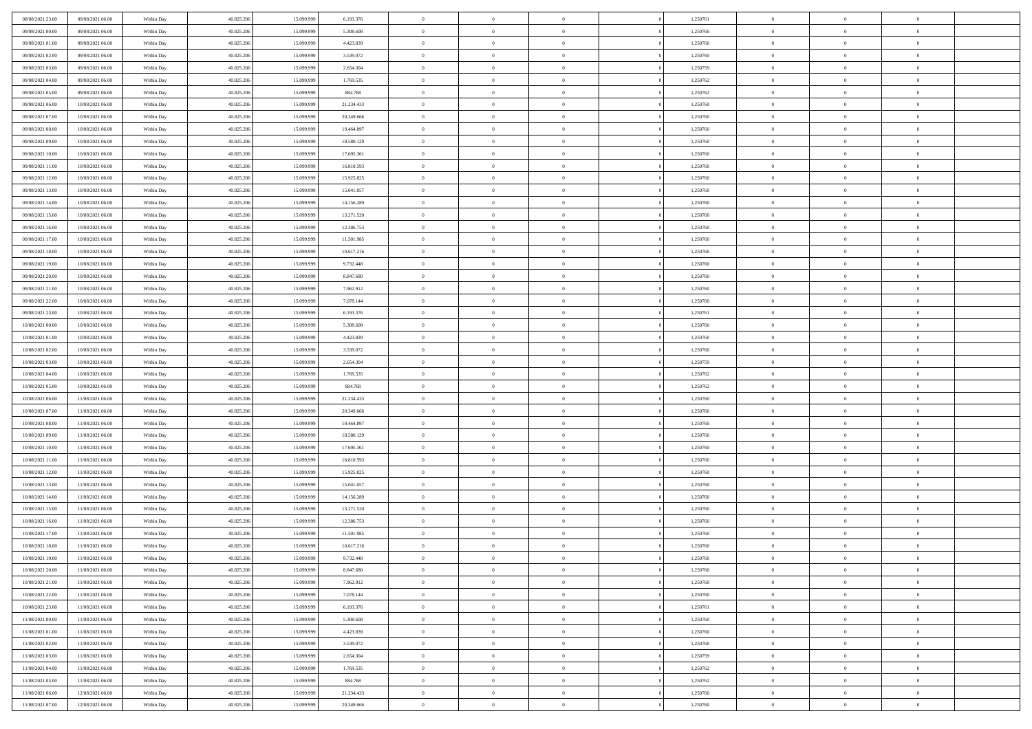| 08/08/2021 23:00                     | 09/08/2021 06:00 | Within Day | 40.825.206 | 15.099.999 | 6.193.376  | $\,$ 0 $\,$          | $\overline{0}$ | $\overline{0}$ |          | 1,250761 | $\bf{0}$                 | $\overline{0}$ | $\,0\,$        |  |
|--------------------------------------|------------------|------------|------------|------------|------------|----------------------|----------------|----------------|----------|----------|--------------------------|----------------|----------------|--|
| 09/08/2021 00:00                     | 09/08/2021 06:00 | Within Day | 40.825.206 | 15,099.99  | 5.308.608  | $\theta$             | $\overline{0}$ | $\mathbf{0}$   |          | 1,250760 | $\theta$                 | $\overline{0}$ | $\theta$       |  |
| 09/08/2021 01:00                     | 09/08/2021 06:00 | Within Dav | 40.825.206 | 15.099.999 | 4.423.839  | $\theta$             | $\overline{0}$ | $\overline{0}$ |          | 1,250760 | $\mathbf{0}$             | $\overline{0}$ | $\overline{0}$ |  |
| 09/08/2021 02:00                     | 09/08/2021 06:00 | Within Day | 40.825.206 | 15.099.999 | 3.539.072  | $\,$ 0 $\,$          | $\overline{0}$ | $\overline{0}$ |          | 1,250760 | $\bf{0}$                 | $\overline{0}$ | $\bf{0}$       |  |
| 09/08/2021 03:00                     | 09/08/2021 06:00 | Within Day | 40.825.206 | 15.099.999 | 2.654.304  | $\bf{0}$             | $\overline{0}$ | $\mathbf{0}$   |          | 1,250759 | $\bf{0}$                 | $\theta$       | $\,0\,$        |  |
| 09/08/2021 04:00                     | 09/08/2021 06:00 | Within Dav | 40.825.206 | 15.099.999 | 1.769.535  | $\theta$             | $\overline{0}$ | $\mathbf{0}$   |          | 1,250762 | $\mathbf{0}$             | $\overline{0}$ | $\overline{0}$ |  |
| 09/08/2021 05:00                     | 09/08/2021 06:00 | Within Day | 40.825.206 | 15.099.999 | 884.768    | $\,$ 0 $\,$          | $\overline{0}$ | $\overline{0}$ |          | 1,250762 | $\bf{0}$                 | $\overline{0}$ | $\,0\,$        |  |
| 09/08/2021 06:00                     | 10/08/2021 06:00 | Within Day | 40.825.206 | 15.099.999 | 21.234.433 | $\theta$             | $\overline{0}$ | $\mathbf{0}$   |          | 1,250760 | $\,$ 0 $\,$              | $\overline{0}$ | $\theta$       |  |
| 09/08/2021 07:00                     | 10/08/2021 06:00 | Within Day | 40.825.206 | 15.099.999 | 20.349.666 | $\theta$             | $\overline{0}$ | $\mathbf{0}$   |          | 1,250760 | $\mathbf{0}$             | $\bf{0}$       | $\overline{0}$ |  |
| 09/08/2021 08:00                     | 10/08/2021 06:00 |            | 40.825.206 | 15.099.999 | 19.464.897 | $\,$ 0 $\,$          | $\overline{0}$ | $\Omega$       |          | 1,250760 | $\bf{0}$                 | $\overline{0}$ | $\,0\,$        |  |
|                                      |                  | Within Day |            | 15.099.999 |            |                      |                |                |          |          |                          | $\mathbf{0}$   | $\theta$       |  |
| 09/08/2021 09:00<br>09/08/2021 10:00 | 10/08/2021 06:00 | Within Day | 40.825.206 |            | 18.580.129 | $\bf{0}$<br>$\theta$ | $\overline{0}$ | $\mathbf{0}$   |          | 1,250760 | $\bf{0}$<br>$\mathbf{0}$ |                | $\overline{0}$ |  |
|                                      | 10/08/2021 06:00 | Within Dav | 40.825.206 | 15.099.999 | 17.695.361 |                      | $\overline{0}$ | $\overline{0}$ |          | 1,250760 |                          | $\overline{0}$ |                |  |
| 09/08/2021 11:00                     | 10/08/2021 06:00 | Within Day | 40.825.206 | 15.099.999 | 16.810.593 | $\,$ 0 $\,$          | $\overline{0}$ | $\overline{0}$ |          | 1,250760 | $\bf{0}$                 | $\overline{0}$ | $\bf{0}$       |  |
| 09/08/2021 12:00                     | 10/08/2021 06:00 | Within Day | 40.825.206 | 15.099.999 | 15.925.825 | $\bf{0}$             | $\overline{0}$ | $\mathbf{0}$   |          | 1,250760 | $\bf{0}$                 | $\theta$       | $\,0\,$        |  |
| 09/08/2021 13:00                     | 10/08/2021 06:00 | Within Day | 40.825.206 | 15.099.999 | 15.041.057 | $\theta$             | $\overline{0}$ | $\mathbf{0}$   |          | 1,250760 | $\mathbf{0}$             | $\overline{0}$ | $\overline{0}$ |  |
| 09/08/2021 14:00                     | 10/08/2021 06:00 | Within Day | 40.825.206 | 15.099.999 | 14.156.289 | $\,$ 0 $\,$          | $\overline{0}$ | $\Omega$       |          | 1,250760 | $\bf{0}$                 | $\overline{0}$ | $\bf{0}$       |  |
| 09/08/2021 15:00                     | 10/08/2021 06:00 | Within Day | 40.825.206 | 15.099.999 | 13.271.520 | $\,$ 0               | $\overline{0}$ | $\mathbf{0}$   |          | 1,250760 | $\bf{0}$                 | $\overline{0}$ | $\theta$       |  |
| 09/08/2021 16:00                     | 10/08/2021 06:00 | Within Day | 40.825.206 | 15.099.999 | 12.386.753 | $\theta$             | $\overline{0}$ | $\mathbf{0}$   |          | 1,250760 | $\mathbf{0}$             | $\overline{0}$ | $\overline{0}$ |  |
| 09/08/2021 17:00                     | 10/08/2021 06:00 | Within Day | 40.825.206 | 15.099.999 | 11.501.985 | $\,$ 0 $\,$          | $\overline{0}$ | $\Omega$       |          | 1,250760 | $\bf{0}$                 | $\overline{0}$ | $\,0\,$        |  |
| 09/08/2021 18:00                     | 10/08/2021 06:00 | Within Day | 40.825.206 | 15.099.999 | 10.617.216 | $\bf{0}$             | $\overline{0}$ | $\mathbf{0}$   |          | 1,250760 | $\bf{0}$                 | $\mathbf{0}$   | $\theta$       |  |
| 09/08/2021 19:00                     | 10/08/2021 06:00 | Within Day | 40.825.206 | 15.099.999 | 9.732.448  | $\theta$             | $\overline{0}$ | $\mathbf{0}$   |          | 1,250760 | $\mathbf{0}$             | $\overline{0}$ | $\overline{0}$ |  |
| 09/08/2021 20:00                     | 10/08/2021 06:00 | Within Day | 40.825.206 | 15.099.999 | 8.847.680  | $\,$ 0 $\,$          | $\overline{0}$ | $\overline{0}$ |          | 1,250760 | $\bf{0}$                 | $\overline{0}$ | $\bf{0}$       |  |
| 09/08/2021 21:00                     | 10/08/2021 06:00 | Within Day | 40.825.206 | 15.099.999 | 7.962.912  | $\,$ 0               | $\overline{0}$ | $\mathbf{0}$   |          | 1,250760 | $\bf{0}$                 | $\bf{0}$       | $\,0\,$        |  |
| 09/08/2021 22:00                     | 10/08/2021 06:00 | Within Day | 40.825.206 | 15.099.999 | 7.078.144  | $\theta$             | $\overline{0}$ | $\mathbf{0}$   |          | 1,250760 | $\mathbf{0}$             | $\overline{0}$ | $\overline{0}$ |  |
| 09/08/2021 23:00                     | 10/08/2021 06:00 | Within Day | 40.825.206 | 15.099.999 | 6.193.376  | $\,$ 0 $\,$          | $\overline{0}$ | $\overline{0}$ |          | 1,250761 | $\bf{0}$                 | $\overline{0}$ | $\,0\,$        |  |
| 10/08/2021 00:00                     | 10/08/2021 06:00 | Within Day | 40.825.206 | 15.099.999 | 5.308.608  | $\,$ 0               | $\overline{0}$ | $\mathbf{0}$   |          | 1,250760 | $\bf{0}$                 | $\overline{0}$ | $\theta$       |  |
| 10/08/2021 01:00                     | 10/08/2021 06:00 | Within Day | 40.825.206 | 15.099.999 | 4.423.839  | $\theta$             | $\overline{0}$ | $\overline{0}$ |          | 1,250760 | $\mathbf{0}$             | $\bf{0}$       | $\overline{0}$ |  |
| 10/08/2021 02:00                     | 10/08/2021 06:00 | Within Day | 40.825.206 | 15.099.999 | 3.539.072  | $\,$ 0 $\,$          | $\overline{0}$ | $\Omega$       |          | 1,250760 | $\bf{0}$                 | $\overline{0}$ | $\,0\,$        |  |
| 10/08/2021 03:00                     | 10/08/2021 06:00 | Within Day | 40.825.206 | 15.099.999 | 2.654.304  | $\bf{0}$             | $\overline{0}$ | $\mathbf{0}$   |          | 1,250759 | $\bf{0}$                 | $\mathbf{0}$   | $\overline{0}$ |  |
| 10/08/2021 04:00                     | 10/08/2021 06:00 | Within Day | 40.825.206 | 15.099.999 | 1.769.535  | $\theta$             | $\overline{0}$ | $\overline{0}$ |          | 1,250762 | $\mathbf{0}$             | $\overline{0}$ | $\overline{0}$ |  |
| 10/08/2021 05:00                     | 10/08/2021 06:00 | Within Day | 40.825.206 | 15.099.999 | 884.768    | $\,$ 0 $\,$          | $\overline{0}$ | $\overline{0}$ |          | 1,250762 | $\,$ 0                   | $\overline{0}$ | $\,$ 0 $\,$    |  |
| 10/08/2021 06:00                     | 11/08/2021 06:00 | Within Day | 40.825.206 | 15.099.999 | 21.234.433 | $\,$ 0               | $\overline{0}$ | $\mathbf{0}$   |          | 1,250760 | $\bf{0}$                 | $\mathbf{0}$   | $\overline{0}$ |  |
| 10/08/2021 07:00                     | 11/08/2021 06:00 | Within Day | 40.825.206 | 15.099.999 | 20.349.666 | $\theta$             | $\overline{0}$ | $\mathbf{0}$   |          | 1,250760 | $\mathbf{0}$             | $\overline{0}$ | $\overline{0}$ |  |
| 10/08/2021 08:00                     | 11/08/2021 06:00 | Within Day | 40.825.206 | 15.099.999 | 19.464.897 | $\theta$             | $\overline{0}$ | $\overline{0}$ |          | 1,250760 | $\,$ 0                   | $\overline{0}$ | $\theta$       |  |
| 10/08/2021 09:00                     | 11/08/2021 06:00 | Within Day | 40.825.206 | 15.099.999 | 18.580.129 | $\bf{0}$             | $\overline{0}$ | $\mathbf{0}$   |          | 1,250760 | $\mathbf{0}$             | $\overline{0}$ | $\overline{0}$ |  |
| 10/08/2021 10:00                     | 11/08/2021 06:00 | Within Day | 40.825.206 | 15.099.999 | 17.695.361 | $\theta$             | $\overline{0}$ | $\mathbf{0}$   |          | 1,250760 | $\mathbf{0}$             | $\overline{0}$ | $\overline{0}$ |  |
| 10/08/2021 11:00                     | 11/08/2021 06:00 | Within Day | 40.825.206 | 15.099.999 | 16.810.593 | $\theta$             | $\overline{0}$ | $\overline{0}$ |          | 1,250760 | $\,$ 0                   | $\overline{0}$ | $\theta$       |  |
| 10/08/2021 12:00                     | 11/08/2021 06:00 | Within Day | 40.825.206 | 15.099.999 | 15.925.825 | $\bf{0}$             | $\overline{0}$ | $\mathbf{0}$   |          | 1,250760 | $\bf{0}$                 | $\mathbf{0}$   | $\overline{0}$ |  |
| 10/08/2021 13:00                     | 11/08/2021 06:00 | Within Day | 40.825.206 | 15.099.999 | 15.041.057 | $\theta$             | $\overline{0}$ | $\overline{0}$ |          | 1,250760 | $\mathbf{0}$             | $\overline{0}$ | $\overline{0}$ |  |
| 10/08/2021 14:00                     | 11/08/2021 06:00 | Within Day | 40.825.206 | 15.099.999 | 14.156.289 | $\,$ 0 $\,$          | $\overline{0}$ | $\overline{0}$ |          | 1,250760 | $\,$ 0                   | $\overline{0}$ | $\,$ 0 $\,$    |  |
| 10/08/2021 15:00                     | 11/08/2021 06:00 | Within Day | 40.825.206 | 15.099.999 | 13.271.520 | $\,$ 0               | $\,$ 0 $\,$    | $\overline{0}$ |          | 1,250760 | $\,$ 0 $\,$              | $\overline{0}$ | $\overline{0}$ |  |
| 10/08/2021 16:00                     | 11/08/2021 06:00 | Within Day | 40.825.206 | 15.099.999 | 12.386.753 | $\theta$             | $\overline{0}$ | $\mathbf{0}$   |          | 1,250760 | $\mathbf{0}$             | $\overline{0}$ | $\theta$       |  |
| 10/08/2021 17:00                     | 11/08/2021 06:00 | Within Day | 40.825.206 | 15.099.999 | 11.501.985 | $\overline{0}$       | $\overline{0}$ | $\overline{0}$ |          | 1,250760 | $\,$ 0                   | $\overline{0}$ | $\theta$       |  |
| 10/08/2021 18:00                     | 11/08/2021 06:00 | Within Day | 40.825.206 | 15.099.999 | 10.617.216 | $\bf{0}$             | $\overline{0}$ | $\mathbf{0}$   |          | 1,250760 | $\bf{0}$                 | $\overline{0}$ | $\overline{0}$ |  |
| 10/08/2021 19:00                     | 11/08/2021 06:00 | Within Day | 40.825.206 | 15.099.999 | 9.732.448  | $\overline{0}$       | $\theta$       |                |          | 1,250760 | $\overline{0}$           | $\Omega$       | $\theta$       |  |
| 10/08/2021 20:00                     | 11/08/2021 06:00 | Within Day | 40.825.206 | 15.099.999 | 8.847.680  | $\,$ 0 $\,$          | $\overline{0}$ | $\overline{0}$ |          | 1,250760 | $\,$ 0 $\,$              | $\bf{0}$       | $\theta$       |  |
| 10/08/2021 21:00                     | 11/08/2021 06:00 | Within Day | 40.825.206 | 15.099.999 | 7.962.912  | $\overline{0}$       | $\,$ 0 $\,$    | $\overline{0}$ |          | 1,250760 | $\,$ 0 $\,$              | $\overline{0}$ | $\overline{0}$ |  |
| 10/08/2021 22:00                     | 11/08/2021 06:00 | Within Day | 40.825.206 | 15.099.999 | 7.078.144  | $\mathbf{0}$         | $\overline{0}$ | $\overline{0}$ |          | 1,250760 | $\,$ 0 $\,$              | $\bf{0}$       | $\overline{0}$ |  |
|                                      |                  |            |            |            |            |                      |                | $\overline{0}$ | $\theta$ |          |                          | $\bf{0}$       | $\,$ 0 $\,$    |  |
| 10/08/2021 23:00                     | 11/08/2021 06:00 | Within Day | 40.825.206 | 15.099.999 | 6.193.376  | $\,$ 0 $\,$          | $\overline{0}$ |                |          | 1,250761 | $\,$ 0 $\,$              |                |                |  |
| 11/08/2021 00:00                     | 11/08/2021 06:00 | Within Day | 40.825.206 | 15.099.999 | 5.308.608  | $\,$ 0 $\,$          | $\,$ 0 $\,$    | $\overline{0}$ |          | 1,250760 | $\,$ 0 $\,$              | $\overline{0}$ | $\overline{0}$ |  |
| 11/08/2021 01:00                     | 11/08/2021 06:00 | Within Day | 40.825.206 | 15.099.999 | 4.423.839  | $\overline{0}$       | $\overline{0}$ | $\overline{0}$ |          | 1,250760 | $\mathbf{0}$             | $\bf{0}$       | $\overline{0}$ |  |
| 11/08/2021 02:00                     | 11/08/2021 06:00 | Within Day | 40.825.206 | 15.099.999 | 3.539.072  | $\,$ 0 $\,$          | $\overline{0}$ | $\overline{0}$ |          | 1,250760 | $\,$ 0 $\,$              | $\bf{0}$       | $\,$ 0 $\,$    |  |
| 11/08/2021 03:00                     | 11/08/2021 06:00 | Within Day | 40.825.206 | 15.099.999 | 2.654.304  | $\overline{0}$       | $\,$ 0 $\,$    | $\overline{0}$ |          | 1,250759 | $\,$ 0 $\,$              | $\overline{0}$ | $\overline{0}$ |  |
| 11/08/2021 04:00                     | 11/08/2021 06:00 | Within Day | 40.825.206 | 15.099.999 | 1.769.535  | $\,$ 0 $\,$          | $\overline{0}$ | $\overline{0}$ |          | 1,250762 | $\,$ 0 $\,$              | $\bf{0}$       | $\overline{0}$ |  |
| 11/08/2021 05:00                     | 11/08/2021 06:00 | Within Day | 40.825.206 | 15.099.999 | 884.768    | $\,$ 0 $\,$          | $\overline{0}$ | $\overline{0}$ |          | 1,250762 | $\,$ 0 $\,$              | $\mathbf{0}$   | $\,$ 0 $\,$    |  |
| 11/08/2021 06:00                     | 12/08/2021 06:00 | Within Day | 40.825.206 | 15.099.999 | 21.234.433 | $\,$ 0 $\,$          | $\,$ 0 $\,$    | $\overline{0}$ |          | 1,250760 | $\,$ 0 $\,$              | $\overline{0}$ | $\overline{0}$ |  |
| 11/08/2021 07:00                     | 12/08/2021 06:00 | Within Day | 40.825.206 | 15.099.999 | 20.349.666 | $\theta$             | $\overline{0}$ | $\overline{0}$ |          | 1,250760 | $\mathbf{0}$             | $\mathbf{0}$   | $\overline{0}$ |  |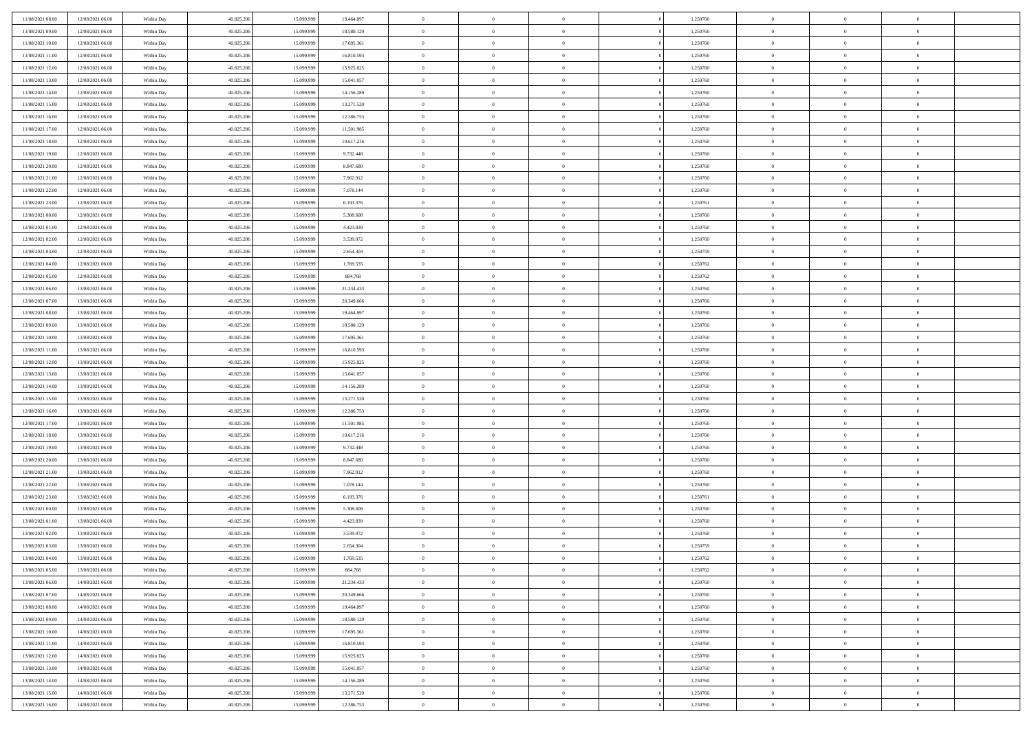| 11/08/2021 08:00 | 12/08/2021 06:00 | Within Day | 40.825.206 | 15.099.999 | 19.464.897 | $\,$ 0 $\,$    | $\overline{0}$ | $\overline{0}$ |          | 1,250760 | $\bf{0}$       | $\overline{0}$ | $\,0\,$        |  |
|------------------|------------------|------------|------------|------------|------------|----------------|----------------|----------------|----------|----------|----------------|----------------|----------------|--|
| 11/08/2021 09:00 | 12/08/2021 06:00 | Within Day | 40.825.206 | 15.099.99  | 18.580.129 | $\overline{0}$ | $\overline{0}$ | $\mathbf{0}$   |          | 1,250760 | $\theta$       | $\overline{0}$ | $\theta$       |  |
| 11/08/2021 10:00 | 12/08/2021 06:00 | Within Day | 40.825.206 | 15.099.999 | 17.695.361 | $\theta$       | $\overline{0}$ | $\overline{0}$ |          | 1,250760 | $\mathbf{0}$   | $\overline{0}$ | $\overline{0}$ |  |
| 11/08/2021 11:00 | 12/08/2021 06:00 | Within Day | 40.825.206 | 15.099.999 | 16.810.593 | $\,$ 0 $\,$    | $\overline{0}$ | $\overline{0}$ |          | 1,250760 | $\bf{0}$       | $\overline{0}$ | $\bf{0}$       |  |
| 11/08/2021 12:00 | 12/08/2021 06:00 | Within Day | 40.825.206 | 15.099.999 | 15.925.825 | $\bf{0}$       | $\overline{0}$ | $\mathbf{0}$   |          | 1,250760 | $\bf{0}$       | $\bf{0}$       | $\,0\,$        |  |
| 11/08/2021 13:00 | 12/08/2021 06:00 | Within Day | 40.825.206 | 15.099.999 | 15.041.057 | $\theta$       | $\overline{0}$ | $\mathbf{0}$   |          | 1,250760 | $\mathbf{0}$   | $\overline{0}$ | $\overline{0}$ |  |
| 11/08/2021 14:00 | 12/08/2021 06:00 | Within Day | 40.825.206 | 15.099.999 | 14.156.289 | $\,$ 0 $\,$    | $\overline{0}$ | $\overline{0}$ |          | 1,250760 | $\bf{0}$       | $\overline{0}$ | $\bf{0}$       |  |
| 11/08/2021 15:00 | 12/08/2021 06:00 | Within Day | 40.825.206 | 15.099.999 | 13.271.520 | $\,$ 0         | $\overline{0}$ | $\mathbf{0}$   |          | 1,250760 | $\,$ 0 $\,$    | $\overline{0}$ | $\theta$       |  |
| 11/08/2021 16:00 | 12/08/2021 06:00 | Within Day | 40.825.206 | 15.099.999 | 12.386.753 | $\theta$       | $\overline{0}$ | $\mathbf{0}$   |          | 1,250760 | $\mathbf{0}$   | $\overline{0}$ | $\overline{0}$ |  |
| 11/08/2021 17:00 | 12/08/2021 06:00 | Within Day | 40.825.206 | 15.099.999 | 11.501.985 | $\,$ 0 $\,$    | $\overline{0}$ | $\Omega$       |          | 1,250760 | $\bf{0}$       | $\overline{0}$ | $\bf{0}$       |  |
| 11/08/2021 18:00 | 12/08/2021 06:00 | Within Day | 40.825.206 | 15.099.999 | 10.617.216 | $\bf{0}$       | $\overline{0}$ | $\mathbf{0}$   |          | 1,250760 | $\bf{0}$       | $\mathbf{0}$   | $\theta$       |  |
| 11/08/2021 19:00 | 12/08/2021 06:00 | Within Day | 40.825.206 | 15.099.999 | 9.732.448  | $\theta$       | $\overline{0}$ | $\overline{0}$ |          | 1,250760 | $\mathbf{0}$   | $\overline{0}$ | $\overline{0}$ |  |
| 11/08/2021 20:00 | 12/08/2021 06:00 | Within Day | 40.825.206 | 15.099.999 | 8.847.680  | $\,$ 0 $\,$    | $\overline{0}$ | $\overline{0}$ |          | 1,250760 | $\bf{0}$       | $\overline{0}$ | $\bf{0}$       |  |
| 11/08/2021 21:00 | 12/08/2021 06:00 | Within Day | 40.825.206 | 15.099.999 | 7.962.912  | $\,$ 0         | $\overline{0}$ | $\mathbf{0}$   |          | 1,250760 | $\bf{0}$       | $\theta$       | $\,0\,$        |  |
| 11/08/2021 22:00 | 12/08/2021 06:00 | Within Day | 40.825.206 | 15.099.999 | 7.078.144  | $\theta$       | $\overline{0}$ | $\overline{0}$ |          | 1,250760 | $\mathbf{0}$   | $\overline{0}$ | $\overline{0}$ |  |
| 11/08/2021 23:00 | 12/08/2021 06:00 | Within Day | 40.825.206 | 15.099.999 | 6.193.376  | $\,$ 0 $\,$    | $\overline{0}$ | $\Omega$       |          | 1,250761 | $\bf{0}$       | $\overline{0}$ | $\bf{0}$       |  |
| 12/08/2021 00:00 | 12/08/2021 06:00 | Within Day | 40.825.206 | 15.099.999 | 5.308.608  | $\,$ 0 $\,$    | $\overline{0}$ | $\mathbf{0}$   |          | 1,250760 | $\bf{0}$       | $\overline{0}$ | $\theta$       |  |
| 12/08/2021 01:00 | 12/08/2021 06:00 | Within Day | 40.825.206 | 15.099.999 | 4.423.839  | $\theta$       | $\overline{0}$ | $\mathbf{0}$   |          | 1,250760 | $\mathbf{0}$   | $\overline{0}$ | $\overline{0}$ |  |
| 12/08/2021 02:00 | 12/08/2021 06:00 | Within Day | 40.825.206 | 15.099.999 | 3.539.072  | $\,$ 0 $\,$    | $\overline{0}$ | $\Omega$       |          | 1,250760 | $\bf{0}$       | $\overline{0}$ | $\,0\,$        |  |
| 12/08/2021 03:00 | 12/08/2021 06:00 | Within Day | 40.825.206 | 15.099.999 | 2.654.304  | $\bf{0}$       | $\overline{0}$ | $\mathbf{0}$   |          | 1,250759 | $\bf{0}$       | $\mathbf{0}$   | $\theta$       |  |
| 12/08/2021 04:00 | 12/08/2021 06:00 | Within Day | 40.825.206 | 15.099.999 | 1.769.535  | $\theta$       | $\overline{0}$ | $\overline{0}$ |          | 1,250762 | $\mathbf{0}$   | $\overline{0}$ | $\overline{0}$ |  |
| 12/08/2021 05:00 | 12/08/2021 06:00 | Within Day | 40.825.206 | 15.099.999 | 884.768    | $\,$ 0 $\,$    | $\overline{0}$ | $\overline{0}$ |          | 1,250762 | $\bf{0}$       | $\overline{0}$ | $\bf{0}$       |  |
| 12/08/2021 06:00 | 13/08/2021 06:00 | Within Day | 40.825.206 | 15.099.999 | 21.234.433 | $\,$ 0         | $\overline{0}$ | $\mathbf{0}$   |          | 1,250760 | $\bf{0}$       | $\overline{0}$ | $\,0\,$        |  |
| 12/08/2021 07:00 | 13/08/2021 06:00 | Within Day | 40.825.206 | 15.099.999 | 20.349.666 | $\theta$       | $\overline{0}$ | $\mathbf{0}$   |          | 1,250760 | $\mathbf{0}$   | $\overline{0}$ | $\overline{0}$ |  |
| 12/08/2021 08:00 | 13/08/2021 06:00 | Within Day | 40.825.206 | 15.099.999 | 19.464.897 | $\,$ 0 $\,$    | $\overline{0}$ | $\overline{0}$ |          | 1,250760 | $\bf{0}$       | $\overline{0}$ | $\bf{0}$       |  |
| 12/08/2021 09:00 | 13/08/2021 06:00 | Within Day | 40.825.206 | 15.099.999 | 18.580.129 | $\,$ 0         | $\overline{0}$ | $\mathbf{0}$   |          | 1,250760 | $\mathbf{0}$   | $\overline{0}$ | $\theta$       |  |
| 12/08/2021 10:00 | 13/08/2021 06:00 | Within Day | 40.825.206 | 15.099.999 | 17.695.361 | $\theta$       | $\overline{0}$ | $\mathbf{0}$   |          | 1,250760 | $\mathbf{0}$   | $\overline{0}$ | $\overline{0}$ |  |
| 12/08/2021 11:00 | 13/08/2021 06:00 | Within Day | 40.825.206 | 15.099.999 | 16.810.593 | $\,$ 0 $\,$    | $\overline{0}$ | $\overline{0}$ |          | 1,250760 | $\bf{0}$       | $\overline{0}$ | $\bf{0}$       |  |
| 12/08/2021 12:00 | 13/08/2021 06:00 | Within Day | 40.825.206 | 15.099.999 | 15.925.825 | $\bf{0}$       | $\overline{0}$ | $\mathbf{0}$   |          | 1,250760 | $\bf{0}$       | $\mathbf{0}$   | $\overline{0}$ |  |
| 12/08/2021 13:00 | 13/08/2021 06:00 | Within Day | 40.825.206 | 15.099.999 | 15.041.057 | $\theta$       | $\overline{0}$ | $\overline{0}$ |          | 1,250760 | $\mathbf{0}$   | $\overline{0}$ | $\overline{0}$ |  |
| 12/08/2021 14:00 | 13/08/2021 06:00 | Within Day | 40.825.206 | 15.099.999 | 14.156.289 | $\,$ 0 $\,$    | $\overline{0}$ | $\overline{0}$ |          | 1,250760 | $\,$ 0         | $\overline{0}$ | $\,$ 0 $\,$    |  |
| 12/08/2021 15:00 | 13/08/2021 06:00 | Within Day | 40.825.206 | 15.099.999 | 13.271.520 | $\,$ 0         | $\overline{0}$ | $\mathbf{0}$   |          | 1,250760 | $\bf{0}$       | $\mathbf{0}$   | $\bf{0}$       |  |
| 12/08/2021 16:00 | 13/08/2021 06:00 | Within Day | 40.825.206 | 15.099.999 | 12.386.753 | $\theta$       | $\overline{0}$ | $\overline{0}$ |          | 1,250760 | $\mathbf{0}$   | $\overline{0}$ | $\overline{0}$ |  |
| 12/08/2021 17:00 | 13/08/2021 06:00 | Within Day | 40.825.206 | 15.099.999 | 11.501.985 | $\theta$       | $\overline{0}$ | $\overline{0}$ |          | 1,250760 | $\,$ 0         | $\overline{0}$ | $\theta$       |  |
| 12/08/2021 18:00 | 13/08/2021 06:00 | Within Day | 40.825.206 | 15.099.999 | 10.617.216 | $\bf{0}$       | $\overline{0}$ | $\mathbf{0}$   |          | 1,250760 | $\mathbf{0}$   | $\overline{0}$ | $\overline{0}$ |  |
| 12/08/2021 19:00 | 13/08/2021 06:00 | Within Day | 40.825.206 | 15.099.999 | 9.732.448  | $\theta$       | $\overline{0}$ | $\mathbf{0}$   |          | 1,250760 | $\mathbf{0}$   | $\overline{0}$ | $\overline{0}$ |  |
| 12/08/2021 20:00 | 13/08/2021 06:00 | Within Day | 40.825.206 | 15.099.999 | 8.847.680  | $\theta$       | $\overline{0}$ | $\overline{0}$ |          | 1,250760 | $\,$ 0         | $\overline{0}$ | $\theta$       |  |
| 12/08/2021 21:00 | 13/08/2021 06:00 | Within Day | 40.825.206 | 15.099.999 | 7.962.912  | $\bf{0}$       | $\overline{0}$ | $\mathbf{0}$   |          | 1,250760 | $\bf{0}$       | $\mathbf{0}$   | $\bf{0}$       |  |
| 12/08/2021 22:00 | 13/08/2021 06:00 | Within Day | 40.825.206 | 15.099.999 | 7.078.144  | $\theta$       | $\overline{0}$ | $\overline{0}$ |          | 1,250760 | $\mathbf{0}$   | $\overline{0}$ | $\overline{0}$ |  |
| 12/08/2021 23:00 | 13/08/2021 06:00 | Within Day | 40.825.206 | 15.099.999 | 6.193.376  | $\,$ 0 $\,$    | $\overline{0}$ | $\overline{0}$ |          | 1,250761 | $\,$ 0         | $\overline{0}$ | $\,$ 0 $\,$    |  |
| 13/08/2021 00:00 | 13/08/2021 06:00 | Within Day | 40.825.206 | 15.099.999 | 5.308.608  | $\bf{0}$       | $\,$ 0 $\,$    | $\overline{0}$ |          | 1,250760 | $\,$ 0 $\,$    | $\overline{0}$ | $\bf{0}$       |  |
| 13/08/2021 01:00 | 13/08/2021 06:00 | Within Day | 40.825.206 | 15.099.999 | 4.423.839  | $\theta$       | $\overline{0}$ | $\mathbf{0}$   |          | 1,250760 | $\mathbf{0}$   | $\overline{0}$ | $\theta$       |  |
| 13/08/2021 02:00 | 13/08/2021 06:00 | Within Day | 40.825.206 | 15.099.999 | 3.539.072  | $\overline{0}$ | $\overline{0}$ | $\overline{0}$ |          | 1,250760 | $\,$ 0         | $\overline{0}$ | $\theta$       |  |
| 13/08/2021 03:00 | 13/08/2021 06:00 | Within Day | 40.825.206 | 15.099.999 | 2.654.304  | $\bf{0}$       | $\,$ 0 $\,$    | $\mathbf{0}$   |          | 1,250759 | $\mathbf{0}$   | $\overline{0}$ | $\bf{0}$       |  |
| 13/08/2021 04:00 | 13/08/2021 06:00 | Within Day | 40.825.206 | 15.099.999 | 1.769.535  | $\overline{0}$ | $\theta$       |                |          | 1,250762 | $\overline{0}$ | $\theta$       | $\theta$       |  |
| 13/08/2021 05:00 | 13/08/2021 06:00 | Within Day | 40.825.206 | 15.099.999 | 884.768    | $\,$ 0 $\,$    | $\overline{0}$ | $\overline{0}$ |          | 1,250762 | $\,$ 0 $\,$    | $\bf{0}$       | $\theta$       |  |
| 13/08/2021 06:00 | 14/08/2021 06:00 | Within Day | 40.825.206 | 15.099.999 | 21.234.433 | $\bf{0}$       | $\,$ 0 $\,$    | $\overline{0}$ |          | 1,250760 | $\,$ 0 $\,$    | $\overline{0}$ | $\overline{0}$ |  |
| 13/08/2021 07:00 | 14/08/2021 06:00 | Within Day | 40.825.206 | 15.099.999 | 20.349.666 | $\overline{0}$ | $\overline{0}$ | $\overline{0}$ |          | 1,250760 | $\,$ 0 $\,$    | $\bf{0}$       | $\overline{0}$ |  |
| 13/08/2021 08:00 | 14/08/2021 06:00 | Within Day | 40.825.206 | 15.099.999 | 19.464.897 | $\,$ 0 $\,$    | $\overline{0}$ | $\overline{0}$ | $\theta$ | 1,250760 | $\,$ 0 $\,$    | $\bf{0}$       | $\,$ 0 $\,$    |  |
| 13/08/2021 09:00 | 14/08/2021 06:00 | Within Day | 40.825.206 | 15.099.999 | 18.580.129 | $\,$ 0 $\,$    | $\,$ 0 $\,$    | $\overline{0}$ |          | 1,250760 | $\,$ 0 $\,$    | $\overline{0}$ | $\overline{0}$ |  |
| 13/08/2021 10:00 | 14/08/2021 06:00 | Within Day | 40.825.206 | 15.099.999 | 17.695.361 | $\overline{0}$ | $\overline{0}$ | $\overline{0}$ |          | 1,250760 | $\mathbf{0}$   | $\bf{0}$       | $\overline{0}$ |  |
| 13/08/2021 11:00 | 14/08/2021 06:00 | Within Day | 40.825.206 | 15.099.999 | 16.810.593 | $\,$ 0 $\,$    | $\overline{0}$ | $\overline{0}$ |          | 1,250760 | $\,$ 0 $\,$    | $\overline{0}$ | $\,$ 0 $\,$    |  |
| 13/08/2021 12:00 | 14/08/2021 06:00 | Within Day | 40.825.206 | 15.099.999 | 15.925.825 | $\bf{0}$       | $\,$ 0 $\,$    | $\overline{0}$ |          | 1,250760 | $\,$ 0 $\,$    | $\overline{0}$ | $\overline{0}$ |  |
| 13/08/2021 13:00 | 14/08/2021 06:00 | Within Day | 40.825.206 | 15.099.999 | 15.041.057 | $\overline{0}$ | $\overline{0}$ | $\overline{0}$ |          | 1,250760 | $\mathbf{0}$   | $\bf{0}$       | $\overline{0}$ |  |
| 13/08/2021 14:00 | 14/08/2021 06:00 | Within Day | 40.825.206 | 15.099.999 | 14.156.289 | $\,$ 0 $\,$    | $\overline{0}$ | $\overline{0}$ |          | 1,250760 | $\,$ 0 $\,$    | $\overline{0}$ | $\,$ 0 $\,$    |  |
| 13/08/2021 15:00 | 14/08/2021 06:00 | Within Day | 40.825.206 | 15.099.999 | 13.271.520 | $\,$ 0 $\,$    | $\,$ 0 $\,$    | $\overline{0}$ |          | 1,250760 | $\bf{0}$       | $\overline{0}$ | $\overline{0}$ |  |
| 13/08/2021 16:00 | 14/08/2021 06:00 | Within Day | 40.825.206 | 15.099.999 | 12.386.753 | $\theta$       | $\overline{0}$ | $\overline{0}$ |          | 1,250760 | $\mathbf{0}$   | $\overline{0}$ | $\overline{0}$ |  |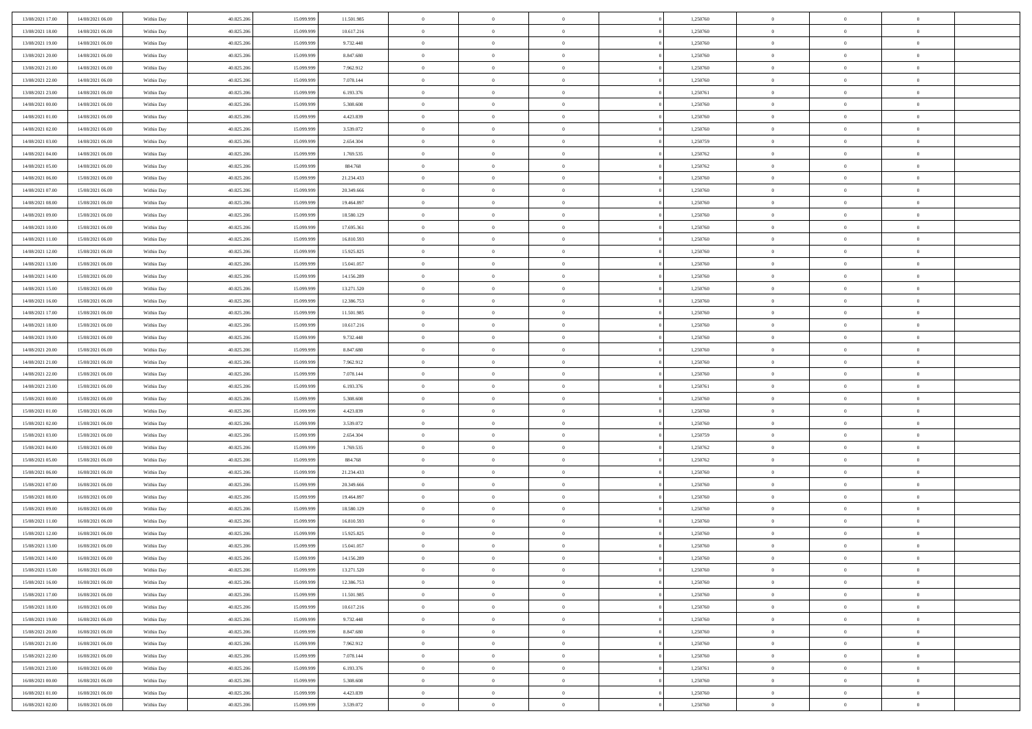| 13/08/2021 17:00                     | 14/08/2021 06:00                     | Within Day               | 40.825.206               | 15.099.999               | 11.501.985               | $\,$ 0 $\,$                   | $\overline{0}$                   | $\overline{0}$                   |          | 1,250760             | $\bf{0}$                     | $\overline{0}$                   | $\,0\,$                          |  |
|--------------------------------------|--------------------------------------|--------------------------|--------------------------|--------------------------|--------------------------|-------------------------------|----------------------------------|----------------------------------|----------|----------------------|------------------------------|----------------------------------|----------------------------------|--|
| 13/08/2021 18:00                     | 14/08/2021 06:00                     | Within Day               | 40.825.206               | 15.099.99                | 10.617.216               | $\theta$                      | $\overline{0}$                   | $\mathbf{0}$                     |          | 1,250760             | $\theta$                     | $\overline{0}$                   | $\theta$                         |  |
| 13/08/2021 19:00                     | 14/08/2021 06:00                     | Within Day               | 40.825.206               | 15.099.999               | 9.732.448                | $\theta$                      | $\overline{0}$                   | $\overline{0}$                   |          | 1,250760             | $\mathbf{0}$                 | $\overline{0}$                   | $\overline{0}$                   |  |
| 13/08/2021 20:00                     | 14/08/2021 06:00                     | Within Day               | 40.825.206               | 15.099.999               | 8.847.680                | $\,$ 0 $\,$                   | $\overline{0}$                   | $\overline{0}$                   |          | 1,250760             | $\bf{0}$                     | $\overline{0}$                   | $\bf{0}$                         |  |
| 13/08/2021 21:00                     | 14/08/2021 06:00                     | Within Day               | 40.825.206               | 15.099.999               | 7.962.912                | $\bf{0}$                      | $\overline{0}$                   | $\mathbf{0}$                     |          | 1,250760             | $\bf{0}$                     | $\bf{0}$                         | $\,0\,$                          |  |
| 13/08/2021 22:00                     | 14/08/2021 06:00                     | Within Day               | 40.825.206               | 15.099.999               | 7.078.144                | $\theta$                      | $\overline{0}$                   | $\mathbf{0}$                     |          | 1,250760             | $\mathbf{0}$                 | $\overline{0}$                   | $\overline{0}$                   |  |
| 13/08/2021 23:00                     | 14/08/2021 06:00                     | Within Day               | 40.825.206               | 15.099.999               | 6.193.376                | $\,$ 0 $\,$                   | $\overline{0}$                   | $\overline{0}$                   |          | 1,250761             | $\bf{0}$                     | $\overline{0}$                   | $\bf{0}$                         |  |
| 14/08/2021 00:00                     | 14/08/2021 06:00                     | Within Day               | 40.825.206               | 15.099.999               | 5.308.608                | $\,$ 0                        | $\overline{0}$                   | $\mathbf{0}$                     |          | 1,250760             | $\,$ 0 $\,$                  | $\overline{0}$                   | $\theta$                         |  |
| 14/08/2021 01:00                     | 14/08/2021 06:00                     | Within Day               | 40.825.206               | 15.099.999               | 4.423.839                | $\theta$                      | $\overline{0}$                   | $\mathbf{0}$                     |          | 1,250760             | $\mathbf{0}$                 | $\overline{0}$                   | $\overline{0}$                   |  |
| 14/08/2021 02:00                     | 14/08/2021 06:00                     | Within Day               | 40.825.206               | 15.099.999               | 3.539.072                | $\,$ 0 $\,$                   | $\overline{0}$                   | $\Omega$                         |          | 1,250760             | $\bf{0}$                     | $\overline{0}$                   | $\,0\,$                          |  |
| 14/08/2021 03:00                     | 14/08/2021 06:00                     | Within Day               | 40.825.206               | 15.099.999               | 2.654.304                | $\bf{0}$                      | $\overline{0}$                   | $\mathbf{0}$                     |          | 1,250759             | $\bf{0}$                     | $\mathbf{0}$                     | $\theta$                         |  |
| 14/08/2021 04:00                     | 14/08/2021 06:00                     | Within Day               | 40.825.206               | 15.099.999               | 1.769.535                | $\theta$                      | $\overline{0}$                   | $\overline{0}$                   |          | 1,250762             | $\mathbf{0}$                 | $\overline{0}$                   | $\overline{0}$                   |  |
| 14/08/2021 05:00                     | 14/08/2021 06:00                     | Within Day               | 40.825.206               | 15.099.999               | 884.768                  | $\,$ 0 $\,$                   | $\overline{0}$                   | $\overline{0}$                   |          | 1,250762             | $\bf{0}$                     | $\overline{0}$                   | $\bf{0}$                         |  |
| 14/08/2021 06:00                     | 15/08/2021 06:00                     | Within Day               | 40.825.206               | 15.099.999               | 21.234.433               | $\,$ 0                        | $\overline{0}$                   | $\mathbf{0}$                     |          | 1,250760             | $\bf{0}$                     | $\theta$                         | $\,0\,$                          |  |
| 14/08/2021 07:00                     | 15/08/2021 06:00                     | Within Day               | 40.825.206               | 15.099.999               | 20.349.666               | $\theta$                      | $\overline{0}$                   | $\overline{0}$                   |          | 1,250760             | $\mathbf{0}$                 | $\overline{0}$                   | $\overline{0}$                   |  |
| 14/08/2021 08:00                     | 15/08/2021 06:00                     | Within Day               | 40.825.206               | 15.099.999               | 19.464.897               | $\,$ 0 $\,$                   | $\overline{0}$                   | $\Omega$                         |          | 1,250760             | $\bf{0}$                     | $\overline{0}$                   | $\bf{0}$                         |  |
| 14/08/2021 09:00                     | 15/08/2021 06:00                     |                          | 40.825.206               | 15.099.999               | 18.580.129               | $\,$ 0                        | $\overline{0}$                   | $\mathbf{0}$                     |          | 1,250760             | $\bf{0}$                     | $\overline{0}$                   | $\theta$                         |  |
| 14/08/2021 10:00                     | 15/08/2021 06:00                     | Within Day<br>Within Day | 40.825.206               | 15.099.999               | 17.695.361               | $\theta$                      | $\overline{0}$                   | $\mathbf{0}$                     |          | 1,250760             | $\mathbf{0}$                 | $\overline{0}$                   | $\overline{0}$                   |  |
| 14/08/2021 11:00                     | 15/08/2021 06:00                     | Within Day               | 40.825.206               | 15.099.999               | 16.810.593               | $\,$ 0 $\,$                   | $\overline{0}$                   | $\overline{0}$                   |          | 1,250760             | $\bf{0}$                     | $\overline{0}$                   | $\,0\,$                          |  |
| 14/08/2021 12:00                     | 15/08/2021 06:00                     |                          | 40.825.206               | 15.099.999               |                          | $\bf{0}$                      | $\overline{0}$                   | $\mathbf{0}$                     |          | 1,250760             | $\bf{0}$                     | $\mathbf{0}$                     | $\theta$                         |  |
| 14/08/2021 13:00                     | 15/08/2021 06:00                     | Within Day<br>Within Day | 40.825.206               | 15.099.999               | 15.925.825<br>15.041.057 | $\theta$                      | $\overline{0}$                   | $\mathbf{0}$                     |          | 1,250760             | $\mathbf{0}$                 | $\overline{0}$                   | $\overline{0}$                   |  |
| 14/08/2021 14:00                     | 15/08/2021 06:00                     |                          |                          |                          |                          | $\,$ 0 $\,$                   |                                  |                                  |          |                      | $\bf{0}$                     |                                  | $\bf{0}$                         |  |
|                                      |                                      | Within Day               | 40.825.206               | 15.099.999               | 14.156.289               |                               | $\overline{0}$                   | $\overline{0}$                   |          | 1,250760             |                              | $\overline{0}$                   |                                  |  |
| 14/08/2021 15:00<br>14/08/2021 16:00 | 15/08/2021 06:00<br>15/08/2021 06:00 | Within Day               | 40.825.206               | 15.099.999               | 13.271.520               | $\,$ 0<br>$\theta$            | $\overline{0}$                   | $\mathbf{0}$                     |          | 1,250760             | $\bf{0}$<br>$\mathbf{0}$     | $\overline{0}$                   | $\,0\,$<br>$\overline{0}$        |  |
|                                      |                                      | Within Day               | 40.825.206               | 15.099.999               | 12.386.753               |                               | $\overline{0}$                   | $\mathbf{0}$<br>$\overline{0}$   |          | 1,250760             |                              | $\overline{0}$<br>$\overline{0}$ |                                  |  |
| 14/08/2021 17:00                     | 15/08/2021 06:00                     | Within Day               | 40.825.206               | 15.099.999               | 11.501.985               | $\,$ 0 $\,$                   | $\overline{0}$                   |                                  |          | 1,250760             | $\bf{0}$                     |                                  | $\bf{0}$                         |  |
| 14/08/2021 18:00                     | 15/08/2021 06:00                     | Within Day               | 40.825.206               | 15.099.999               | 10.617.216               | $\,$ 0                        | $\overline{0}$                   | $\mathbf{0}$                     |          | 1,250760             | $\mathbf{0}$                 | $\overline{0}$                   | $\theta$                         |  |
| 14/08/2021 19:00                     | 15/08/2021 06:00                     | Within Day               | 40.825.206               | 15.099.999               | 9.732.448                | $\theta$                      | $\overline{0}$                   | $\mathbf{0}$                     |          | 1,250760             | $\mathbf{0}$                 | $\overline{0}$                   | $\overline{0}$                   |  |
| 14/08/2021 20:00                     | 15/08/2021 06:00                     | Within Day               | 40.825.206               | 15.099.999               | 8.847.680                | $\,$ 0 $\,$                   | $\overline{0}$                   | $\overline{0}$                   |          | 1,250760             | $\bf{0}$                     | $\overline{0}$                   | $\bf{0}$                         |  |
| 14/08/2021 21:00                     | 15/08/2021 06:00                     | Within Day               | 40.825.206               | 15,099,999               | 7.962.912                | $\bf{0}$                      | $\overline{0}$                   | $\mathbf{0}$                     |          | 1,250760             | $\bf{0}$                     | $\mathbf{0}$                     | $\overline{0}$                   |  |
| 14/08/2021 22:00                     | 15/08/2021 06:00                     | Within Day               | 40.825.206               | 15.099.999               | 7.078.144                | $\theta$                      | $\overline{0}$                   | $\overline{0}$                   |          | 1,250760             | $\mathbf{0}$                 | $\overline{0}$                   | $\overline{0}$                   |  |
| 14/08/2021 23:00                     | 15/08/2021 06:00                     | Within Day               | 40.825.206               | 15.099.999               | 6.193.376                | $\,$ 0 $\,$                   | $\overline{0}$                   | $\overline{0}$                   |          | 1,250761             | $\,$ 0                       | $\overline{0}$                   | $\,$ 0 $\,$                      |  |
| 15/08/2021 00:00                     | 15/08/2021 06:00                     | Within Day               | 40.825.206               | 15.099.999               | 5.308.608                | $\,$ 0<br>$\theta$            | $\overline{0}$                   | $\mathbf{0}$                     |          | 1,250760             | $\bf{0}$<br>$\mathbf{0}$     | $\mathbf{0}$                     | $\overline{0}$<br>$\overline{0}$ |  |
| 15/08/2021 01:00                     | 15/08/2021 06:00                     | Within Day               | 40.825.206               | 15.099.999               | 4.423.839                |                               | $\overline{0}$                   | $\overline{0}$                   |          | 1,250760             |                              | $\overline{0}$                   | $\theta$                         |  |
| 15/08/2021 02:00                     | 15/08/2021 06:00                     | Within Day               | 40.825.206               | 15.099.999<br>15.099.999 | 3.539.072                | $\theta$                      | $\overline{0}$                   | $\overline{0}$                   |          | 1,250760             | $\,$ 0                       | $\overline{0}$<br>$\overline{0}$ | $\overline{0}$                   |  |
| 15/08/2021 03:00<br>15/08/2021 04:00 | 15/08/2021 06:00<br>15/08/2021 06:00 | Within Day<br>Within Day | 40.825.206<br>40.825.206 | 15.099.999               | 2.654.304<br>1.769.535   | $\bf{0}$<br>$\theta$          | $\overline{0}$<br>$\overline{0}$ | $\mathbf{0}$                     |          | 1,250759<br>1,250762 | $\mathbf{0}$<br>$\mathbf{0}$ | $\overline{0}$                   | $\overline{0}$                   |  |
|                                      |                                      |                          |                          |                          |                          | $\theta$                      | $\overline{0}$                   | $\mathbf{0}$<br>$\overline{0}$   |          |                      | $\,$ 0                       | $\overline{0}$                   | $\theta$                         |  |
| 15/08/2021 05:00<br>15/08/2021 06:00 | 15/08/2021 06:00<br>16/08/2021 06:00 | Within Day               | 40.825.206<br>40.825.206 | 15.099.999<br>15.099.999 | 884.768                  | $\bf{0}$                      | $\overline{0}$                   | $\mathbf{0}$                     |          | 1,250762<br>1,250760 | $\bf{0}$                     | $\mathbf{0}$                     | $\bf{0}$                         |  |
| 15/08/2021 07:00                     | 16/08/2021 06:00                     | Within Day<br>Within Day | 40.825.206               | 15.099.999               | 21.234.433<br>20.349.666 | $\theta$                      | $\overline{0}$                   | $\overline{0}$                   |          | 1,250760             | $\mathbf{0}$                 | $\overline{0}$                   | $\overline{0}$                   |  |
|                                      |                                      |                          |                          |                          |                          | $\,$ 0 $\,$                   |                                  | $\overline{0}$                   |          |                      | $\,$ 0                       | $\overline{0}$                   | $\,$ 0 $\,$                      |  |
| 15/08/2021 08:00<br>15/08/2021 09:00 | 16/08/2021 06:00<br>16/08/2021 06:00 | Within Day               | 40.825.206<br>40.825.206 | 15.099.999<br>15.099.999 | 19.464.897<br>18.580.129 | $\,$ 0                        | $\overline{0}$<br>$\,$ 0 $\,$    | $\overline{0}$                   |          | 1,250760<br>1,250760 | $\,$ 0 $\,$                  | $\overline{0}$                   | $\bf{0}$                         |  |
| 15/08/2021 11:00                     | 16/08/2021 06:00                     | Within Day<br>Within Day | 40.825.206               | 15.099.999               | 16.810.593               | $\theta$                      | $\overline{0}$                   | $\mathbf{0}$                     |          | 1,250760             | $\mathbf{0}$                 | $\overline{0}$                   | $\theta$                         |  |
| 15/08/2021 12:00                     | 16/08/2021 06:00                     | Within Day               | 40.825.206               | 15.099.999               | 15.925.825               | $\overline{0}$                | $\overline{0}$                   | $\overline{0}$                   |          | 1,250760             | $\,$ 0                       | $\overline{0}$                   | $\theta$                         |  |
| 15/08/2021 13:00                     | 16/08/2021 06:00                     | Within Day               | 40.825.206               | 15.099.999               | 15.041.057               | $\bf{0}$                      | $\overline{0}$                   | $\mathbf{0}$                     |          | 1,250760             | $\mathbf{0}$                 | $\overline{0}$                   | $\bf{0}$                         |  |
| 15/08/2021 14:00                     | 16/08/2021 06:00                     | Within Day               | 40.825.206               | 15.099.999               | 14.156.289               | $\overline{0}$                | $\theta$                         |                                  |          | 1,250760             | $\overline{0}$               | $\theta$                         | $\theta$                         |  |
| 15/08/2021 15:00                     | 16/08/2021 06:00                     | Within Day               | 40.825.206               | 15.099.999               | 13.271.520               | $\,$ 0 $\,$                   | $\overline{0}$                   | $\overline{0}$                   |          | 1,250760             | $\,$ 0 $\,$                  | $\bf{0}$                         | $\theta$                         |  |
| 15/08/2021 16:00                     | 16/08/2021 06:00                     | Within Day               | 40.825.206               | 15.099.999               | 12.386.753               | $\overline{0}$                | $\,$ 0 $\,$                      | $\overline{0}$                   |          | 1,250760             | $\,$ 0 $\,$                  | $\overline{0}$                   | $\overline{0}$                   |  |
| 15/08/2021 17:00                     | 16/08/2021 06:00                     | Within Day               | 40.825.206               | 15.099.999               | 11.501.985               | $\,$ 0 $\,$                   | $\overline{0}$                   | $\overline{0}$                   |          | 1,250760             | $\,$ 0 $\,$                  | $\bf{0}$                         | $\overline{0}$                   |  |
| 15/08/2021 18:00                     | 16/08/2021 06:00                     | Within Day               | 40.825.206               | 15.099.999               | 10.617.216               | $\,$ 0 $\,$                   | $\overline{0}$                   | $\overline{0}$                   | $\theta$ | 1,250760             | $\,$ 0 $\,$                  | $\bf{0}$                         | $\,$ 0 $\,$                      |  |
|                                      | 16/08/2021 06:00                     | Within Day               | 40.825.206               | 15.099.999               |                          | $\,$ 0 $\,$                   | $\,$ 0 $\,$                      | $\overline{0}$                   |          | 1,250760             | $\,$ 0 $\,$                  | $\overline{0}$                   | $\overline{0}$                   |  |
| 15/08/2021 19:00<br>15/08/2021 20:00 | 16/08/2021 06:00                     | Within Day               | 40.825.206               | 15.099.999               | 9.732.448<br>8.847.680   | $\overline{0}$                | $\overline{0}$                   | $\overline{0}$                   |          | 1,250760             | $\mathbf{0}$                 | $\bf{0}$                         | $\overline{0}$                   |  |
|                                      |                                      |                          |                          |                          |                          |                               |                                  |                                  |          |                      |                              |                                  |                                  |  |
| 15/08/2021 21:00                     | 16/08/2021 06:00                     | Within Day               | 40.825.206               | 15.099.999               | 7.962.912                | $\,$ 0 $\,$                   | $\overline{0}$                   | $\overline{0}$<br>$\overline{0}$ |          | 1,250760             | $\,$ 0 $\,$                  | $\bf{0}$<br>$\overline{0}$       | $\,$ 0 $\,$                      |  |
| 15/08/2021 22.00                     | 16/08/2021 06:00                     | Within Day               | 40.825.206               | 15.099.999               | 7.078.144                | $\overline{0}$<br>$\,$ 0 $\,$ | $\,$ 0 $\,$                      |                                  |          | 1,250760             | $\,$ 0 $\,$<br>$\,$ 0 $\,$   |                                  | $\overline{0}$                   |  |
| 15/08/2021 23:00                     | 16/08/2021 06:00                     | Within Day               | 40.825.206               | 15.099.999               | 6.193.376                |                               | $\overline{0}$                   | $\overline{0}$                   |          | 1,250761             |                              | $\bf{0}$                         | $\overline{0}$                   |  |
| 16/08/2021 00:00                     | 16/08/2021 06:00                     | Within Day               | 40.825.206               | 15.099.999               | 5.308.608                | $\,$ 0 $\,$                   | $\overline{0}$                   | $\overline{0}$                   |          | 1,250760             | $\,$ 0 $\,$                  | $\overline{0}$                   | $\,$ 0 $\,$                      |  |
| 16/08/2021 01:00                     | 16/08/2021 06:00                     | Within Day               | 40.825.206               | 15.099.999               | 4.423.839                | $\,$ 0 $\,$                   | $\,$ 0 $\,$                      | $\overline{0}$                   |          | 1,250760             | $\,$ 0 $\,$                  | $\overline{0}$                   | $\overline{0}$                   |  |
| 16/08/2021 02:00                     | 16/08/2021 06:00                     | Within Day               | 40.825.206               | 15.099.999               | 3.539.072                | $\theta$                      | $\overline{0}$                   | $\overline{0}$                   |          | 1,250760             | $\mathbf{0}$                 | $\overline{0}$                   | $\overline{0}$                   |  |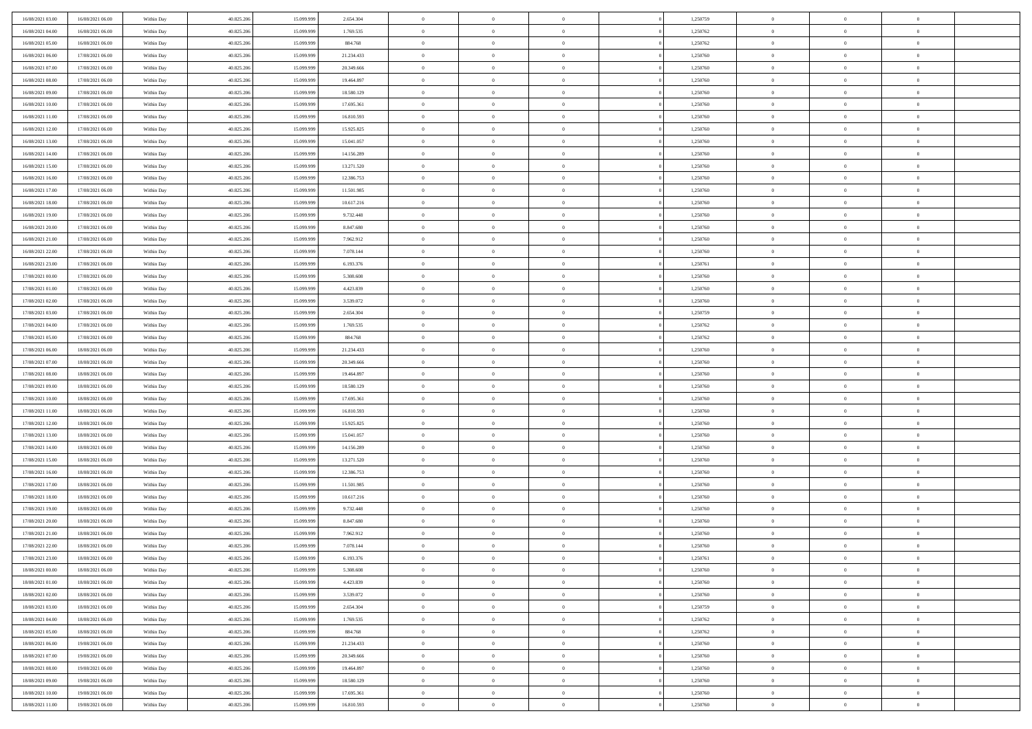| 16/08/2021 03:00 | 16/08/2021 06:00 | Within Day | 40.825.206 | 15.099.999 | 2.654.304  | $\,$ 0 $\,$    | $\overline{0}$ | $\overline{0}$ |          | 1,250759 | $\bf{0}$       | $\overline{0}$ | $\,0\,$        |  |
|------------------|------------------|------------|------------|------------|------------|----------------|----------------|----------------|----------|----------|----------------|----------------|----------------|--|
| 16/08/2021 04:00 | 16/08/2021 06:00 | Within Day | 40.825.206 | 15.099.99  | 1.769.535  | $\theta$       | $\overline{0}$ | $\mathbf{0}$   |          | 1,250762 | $\theta$       | $\overline{0}$ | $\theta$       |  |
| 16/08/2021 05:00 | 16/08/2021 06:00 | Within Day | 40.825.206 | 15.099.999 | 884.768    | $\theta$       | $\overline{0}$ | $\overline{0}$ |          | 1,250762 | $\mathbf{0}$   | $\overline{0}$ | $\overline{0}$ |  |
| 16/08/2021 06:00 | 17/08/2021 06:00 | Within Day | 40.825.206 | 15.099.999 | 21.234.433 | $\,$ 0 $\,$    | $\overline{0}$ | $\overline{0}$ |          | 1,250760 | $\bf{0}$       | $\overline{0}$ | $\bf{0}$       |  |
| 16/08/2021 07:00 | 17/08/2021 06:00 | Within Day | 40.825.206 | 15.099.999 | 20.349.666 | $\bf{0}$       | $\overline{0}$ | $\mathbf{0}$   |          | 1,250760 | $\bf{0}$       | $\bf{0}$       | $\,0\,$        |  |
| 16/08/2021 08:00 | 17/08/2021 06:00 | Within Day | 40.825.206 | 15.099.999 | 19.464.897 | $\theta$       | $\overline{0}$ | $\mathbf{0}$   |          | 1,250760 | $\mathbf{0}$   | $\overline{0}$ | $\overline{0}$ |  |
| 16/08/2021 09:00 | 17/08/2021 06:00 | Within Day | 40.825.206 | 15.099.999 | 18.580.129 | $\,$ 0 $\,$    | $\overline{0}$ | $\overline{0}$ |          | 1,250760 | $\bf{0}$       | $\overline{0}$ | $\bf{0}$       |  |
| 16/08/2021 10:00 | 17/08/2021 06:00 | Within Day | 40.825.206 | 15.099.999 | 17.695.361 | $\,$ 0         | $\overline{0}$ | $\mathbf{0}$   |          | 1,250760 | $\,$ 0 $\,$    | $\overline{0}$ | $\theta$       |  |
| 16/08/2021 11:00 | 17/08/2021 06:00 | Within Day | 40.825.206 | 15.099.999 | 16.810.593 | $\theta$       | $\overline{0}$ | $\mathbf{0}$   |          | 1,250760 | $\mathbf{0}$   | $\bf{0}$       | $\overline{0}$ |  |
| 16/08/2021 12:00 | 17/08/2021 06:00 | Within Day | 40.825.206 | 15.099.999 | 15.925.825 | $\,$ 0 $\,$    | $\overline{0}$ | $\Omega$       |          | 1,250760 | $\bf{0}$       | $\overline{0}$ | $\,0\,$        |  |
| 16/08/2021 13:00 | 17/08/2021 06:00 | Within Day | 40.825.206 | 15.099.999 | 15.041.057 | $\bf{0}$       | $\overline{0}$ | $\mathbf{0}$   |          | 1,250760 | $\bf{0}$       | $\mathbf{0}$   | $\theta$       |  |
| 16/08/2021 14:00 | 17/08/2021 06:00 | Within Day | 40.825.206 | 15.099.999 | 14.156.289 | $\theta$       | $\overline{0}$ | $\overline{0}$ |          | 1,250760 | $\mathbf{0}$   | $\overline{0}$ | $\overline{0}$ |  |
| 16/08/2021 15:00 | 17/08/2021 06:00 | Within Day | 40.825.206 | 15.099.999 | 13.271.520 | $\,$ 0 $\,$    | $\overline{0}$ | $\overline{0}$ |          | 1,250760 | $\bf{0}$       | $\overline{0}$ | $\bf{0}$       |  |
| 16/08/2021 16:00 | 17/08/2021 06:00 | Within Day | 40.825.206 | 15.099.999 | 12.386.753 | $\bf{0}$       | $\overline{0}$ | $\mathbf{0}$   |          | 1,250760 | $\bf{0}$       | $\theta$       | $\,0\,$        |  |
| 16/08/2021 17:00 | 17/08/2021 06:00 | Within Day | 40.825.206 | 15.099.999 | 11.501.985 | $\theta$       | $\overline{0}$ | $\mathbf{0}$   |          | 1,250760 | $\mathbf{0}$   | $\overline{0}$ | $\overline{0}$ |  |
| 16/08/2021 18:00 | 17/08/2021 06:00 | Within Day | 40.825.206 | 15.099.999 | 10.617.216 | $\,$ 0 $\,$    | $\overline{0}$ | $\Omega$       |          | 1,250760 | $\bf{0}$       | $\overline{0}$ | $\bf{0}$       |  |
|                  |                  |            |            | 15.099.999 |            | $\,$ 0         | $\overline{0}$ | $\mathbf{0}$   |          |          | $\bf{0}$       | $\overline{0}$ | $\theta$       |  |
| 16/08/2021 19:00 | 17/08/2021 06:00 | Within Day | 40.825.206 |            | 9.732.448  | $\theta$       |                |                |          | 1,250760 | $\mathbf{0}$   |                | $\overline{0}$ |  |
| 16/08/2021 20:00 | 17/08/2021 06:00 | Within Day | 40.825.206 | 15.099.999 | 8.847.680  |                | $\overline{0}$ | $\mathbf{0}$   |          | 1,250760 |                | $\overline{0}$ |                |  |
| 16/08/2021 21:00 | 17/08/2021 06:00 | Within Day | 40.825.206 | 15.099.999 | 7.962.912  | $\,$ 0 $\,$    | $\overline{0}$ | $\overline{0}$ |          | 1,250760 | $\bf{0}$       | $\overline{0}$ | $\,0\,$        |  |
| 16/08/2021 22:00 | 17/08/2021 06:00 | Within Day | 40.825.206 | 15.099.999 | 7.078.144  | $\bf{0}$       | $\overline{0}$ | $\mathbf{0}$   |          | 1,250760 | $\bf{0}$       | $\mathbf{0}$   | $\theta$       |  |
| 16/08/2021 23:00 | 17/08/2021 06:00 | Within Day | 40.825.206 | 15.099.999 | 6.193.376  | $\theta$       | $\overline{0}$ | $\mathbf{0}$   |          | 1,250761 | $\mathbf{0}$   | $\overline{0}$ | $\overline{0}$ |  |
| 17/08/2021 00:00 | 17/08/2021 06:00 | Within Day | 40.825.206 | 15.099.999 | 5.308.608  | $\,$ 0 $\,$    | $\overline{0}$ | $\overline{0}$ |          | 1,250760 | $\bf{0}$       | $\overline{0}$ | $\bf{0}$       |  |
| 17/08/2021 01:00 | 17/08/2021 06:00 | Within Day | 40.825.206 | 15.099.999 | 4.423.839  | $\,$ 0         | $\overline{0}$ | $\mathbf{0}$   |          | 1,250760 | $\bf{0}$       | $\overline{0}$ | $\,0\,$        |  |
| 17/08/2021 02:00 | 17/08/2021 06:00 | Within Day | 40.825.206 | 15.099.999 | 3.539.072  | $\theta$       | $\overline{0}$ | $\mathbf{0}$   |          | 1,250760 | $\mathbf{0}$   | $\overline{0}$ | $\overline{0}$ |  |
| 17/08/2021 03:00 | 17/08/2021 06:00 | Within Day | 40.825.206 | 15.099.999 | 2.654.304  | $\,$ 0 $\,$    | $\overline{0}$ | $\overline{0}$ |          | 1,250759 | $\bf{0}$       | $\overline{0}$ | $\,0\,$        |  |
| 17/08/2021 04:00 | 17/08/2021 06:00 | Within Day | 40.825.206 | 15.099.999 | 1.769.535  | $\,$ 0         | $\overline{0}$ | $\mathbf{0}$   |          | 1,250762 | $\mathbf{0}$   | $\overline{0}$ | $\theta$       |  |
| 17/08/2021 05:00 | 17/08/2021 06:00 | Within Day | 40.825.206 | 15.099.999 | 884.768    | $\theta$       | $\overline{0}$ | $\mathbf{0}$   |          | 1,250762 | $\mathbf{0}$   | $\bf{0}$       | $\overline{0}$ |  |
| 17/08/2021 06:00 | 18/08/2021 06:00 | Within Day | 40.825.206 | 15.099.999 | 21.234.433 | $\,$ 0 $\,$    | $\overline{0}$ | $\overline{0}$ |          | 1,250760 | $\bf{0}$       | $\overline{0}$ | $\bf{0}$       |  |
| 17/08/2021 07:00 | 18/08/2021 06:00 | Within Day | 40.825.206 | 15.099.999 | 20.349.666 | $\bf{0}$       | $\overline{0}$ | $\mathbf{0}$   |          | 1,250760 | $\bf{0}$       | $\mathbf{0}$   | $\overline{0}$ |  |
| 17/08/2021 08:00 | 18/08/2021 06:00 | Within Day | 40.825.206 | 15.099.999 | 19,464,897 | $\theta$       | $\overline{0}$ | $\overline{0}$ |          | 1,250760 | $\mathbf{0}$   | $\overline{0}$ | $\overline{0}$ |  |
| 17/08/2021 09:00 | 18/08/2021 06:00 | Within Day | 40.825.206 | 15.099.999 | 18.580.129 | $\,$ 0 $\,$    | $\overline{0}$ | $\overline{0}$ |          | 1,250760 | $\,$ 0         | $\overline{0}$ | $\,$ 0 $\,$    |  |
| 17/08/2021 10:00 | 18/08/2021 06:00 | Within Day | 40.825.206 | 15.099.999 | 17.695.361 | $\bf{0}$       | $\overline{0}$ | $\mathbf{0}$   |          | 1,250760 | $\bf{0}$       | $\mathbf{0}$   | $\bf{0}$       |  |
| 17/08/2021 11:00 | 18/08/2021 06:00 | Within Day | 40.825.206 | 15.099.999 | 16.810.593 | $\theta$       | $\overline{0}$ | $\mathbf{0}$   |          | 1,250760 | $\mathbf{0}$   | $\overline{0}$ | $\overline{0}$ |  |
| 17/08/2021 12:00 | 18/08/2021 06:00 | Within Day | 40.825.206 | 15.099.999 | 15.925.825 | $\theta$       | $\overline{0}$ | $\overline{0}$ |          | 1,250760 | $\,$ 0         | $\overline{0}$ | $\theta$       |  |
| 17/08/2021 13:00 | 18/08/2021 06:00 | Within Day | 40.825.206 | 15.099.999 | 15.041.057 | $\bf{0}$       | $\overline{0}$ | $\mathbf{0}$   |          | 1,250760 | $\mathbf{0}$   | $\overline{0}$ | $\overline{0}$ |  |
| 17/08/2021 14:00 | 18/08/2021 06:00 | Within Day | 40.825.206 | 15.099.999 | 14.156.289 | $\theta$       | $\overline{0}$ | $\mathbf{0}$   |          | 1,250760 | $\mathbf{0}$   | $\overline{0}$ | $\overline{0}$ |  |
| 17/08/2021 15:00 | 18/08/2021 06:00 | Within Day | 40.825.206 | 15.099.999 | 13.271.520 | $\theta$       | $\overline{0}$ | $\overline{0}$ |          | 1,250760 | $\,$ 0         | $\overline{0}$ | $\theta$       |  |
| 17/08/2021 16:00 | 18/08/2021 06:00 | Within Day | 40.825.206 | 15.099.999 | 12.386.753 | $\bf{0}$       | $\overline{0}$ | $\mathbf{0}$   |          | 1,250760 | $\bf{0}$       | $\mathbf{0}$   | $\overline{0}$ |  |
| 17/08/2021 17:00 | 18/08/2021 06:00 | Within Day | 40.825.206 | 15.099.999 | 11.501.985 | $\theta$       | $\overline{0}$ | $\overline{0}$ |          | 1,250760 | $\mathbf{0}$   | $\overline{0}$ | $\overline{0}$ |  |
| 17/08/2021 18:00 | 18/08/2021 06:00 | Within Day | 40.825.206 | 15.099.999 | 10.617.216 | $\,$ 0 $\,$    | $\overline{0}$ | $\overline{0}$ |          | 1,250760 | $\,$ 0         | $\overline{0}$ | $\,$ 0 $\,$    |  |
| 17/08/2021 19:00 | 18/08/2021 06:00 | Within Day | 40.825.206 | 15.099.999 | 9.732.448  | $\bf{0}$       | $\,$ 0 $\,$    | $\overline{0}$ |          | 1,250760 | $\,$ 0 $\,$    | $\overline{0}$ | $\overline{0}$ |  |
| 17/08/2021 20:00 | 18/08/2021 06:00 | Within Day | 40.825.206 | 15.099.999 | 8.847.680  | $\theta$       | $\overline{0}$ | $\mathbf{0}$   |          | 1,250760 | $\mathbf{0}$   | $\overline{0}$ | $\theta$       |  |
| 17/08/2021 21:00 | 18/08/2021 06:00 | Within Day | 40.825.206 | 15.099.999 | 7.962.912  | $\theta$       | $\overline{0}$ | $\overline{0}$ |          | 1,250760 | $\,$ 0         | $\overline{0}$ | $\theta$       |  |
| 17/08/2021 22:00 | 18/08/2021 06:00 | Within Day | 40.825.206 | 15.099.999 | 7.078.144  | $\bf{0}$       | $\overline{0}$ | $\mathbf{0}$   |          | 1,250760 | $\mathbf{0}$   | $\overline{0}$ | $\overline{0}$ |  |
| 17/08/2021 23:00 | 18/08/2021 06:00 | Within Day | 40.825.206 | 15.099.999 | 6.193.376  | $\overline{0}$ | $\theta$       |                |          | 1,250761 | $\overline{0}$ | $\theta$       | $\theta$       |  |
| 18/08/2021 00:00 | 18/08/2021 06:00 | Within Day | 40.825.206 | 15.099.999 | 5.308.608  | $\,$ 0 $\,$    | $\overline{0}$ | $\overline{0}$ |          | 1,250760 | $\,$ 0 $\,$    | $\bf{0}$       | $\theta$       |  |
| 18/08/2021 01:00 | 18/08/2021 06:00 | Within Day | 40.825.206 | 15.099.999 | 4.423.839  | $\overline{0}$ | $\,$ 0 $\,$    | $\overline{0}$ |          | 1,250760 | $\,$ 0 $\,$    | $\overline{0}$ | $\overline{0}$ |  |
| 18/08/2021 02:00 | 18/08/2021 06:00 | Within Day | 40.825.206 | 15.099.999 | 3.539.072  | $\,$ 0 $\,$    | $\overline{0}$ | $\overline{0}$ |          | 1,250760 | $\,$ 0 $\,$    | $\bf{0}$       | $\overline{0}$ |  |
| 18/08/2021 03:00 | 18/08/2021 06:00 | Within Day | 40.825.206 | 15.099.999 | 2.654.304  | $\,$ 0 $\,$    | $\overline{0}$ | $\overline{0}$ | $\theta$ | 1,250759 | $\,$ 0 $\,$    | $\bf{0}$       | $\,$ 0 $\,$    |  |
| 18/08/2021 04:00 | 18/08/2021 06:00 | Within Day | 40.825.206 | 15.099.999 | 1.769.535  | $\,$ 0 $\,$    | $\,$ 0 $\,$    | $\overline{0}$ |          | 1,250762 | $\,$ 0 $\,$    | $\overline{0}$ | $\overline{0}$ |  |
| 18/08/2021 05:00 | 18/08/2021 06:00 | Within Day | 40.825.206 | 15.099.999 | 884.768    | $\mathbf{0}$   | $\overline{0}$ | $\overline{0}$ |          | 1,250762 | $\mathbf{0}$   | $\bf{0}$       | $\overline{0}$ |  |
| 18/08/2021 06:00 | 19/08/2021 06:00 | Within Day | 40.825.206 | 15.099.999 | 21.234.433 | $\,$ 0 $\,$    | $\overline{0}$ | $\overline{0}$ |          | 1,250760 | $\,$ 0 $\,$    | $\bf{0}$       | $\,$ 0 $\,$    |  |
| 18/08/2021 07:00 | 19/08/2021 06:00 | Within Day | 40.825.206 | 15.099.999 | 20.349.666 | $\bf{0}$       | $\,$ 0 $\,$    | $\overline{0}$ |          | 1,250760 | $\,$ 0 $\,$    | $\overline{0}$ | $\overline{0}$ |  |
| 18/08/2021 08:00 | 19/08/2021 06:00 | Within Day | 40.825.206 | 15.099.999 | 19.464.897 | $\,$ 0 $\,$    | $\overline{0}$ | $\overline{0}$ |          | 1,250760 | $\,$ 0 $\,$    | $\bf{0}$       | $\overline{0}$ |  |
| 18/08/2021 09:00 | 19/08/2021 06:00 | Within Day | 40.825.206 | 15.099.999 | 18.580.129 | $\,$ 0 $\,$    | $\overline{0}$ | $\overline{0}$ |          | 1,250760 | $\,$ 0 $\,$    | $\mathbf{0}$   | $\,$ 0 $\,$    |  |
| 18/08/2021 10:00 | 19/08/2021 06:00 | Within Day | 40.825.206 | 15.099.999 | 17.695.361 | $\,$ 0 $\,$    | $\,$ 0 $\,$    | $\overline{0}$ |          | 1,250760 | $\,$ 0 $\,$    | $\overline{0}$ | $\overline{0}$ |  |
| 18/08/2021 11:00 | 19/08/2021 06:00 | Within Day | 40.825.206 | 15.099.999 | 16.810.593 | $\theta$       | $\overline{0}$ | $\overline{0}$ |          | 1,250760 | $\mathbf{0}$   | $\overline{0}$ | $\overline{0}$ |  |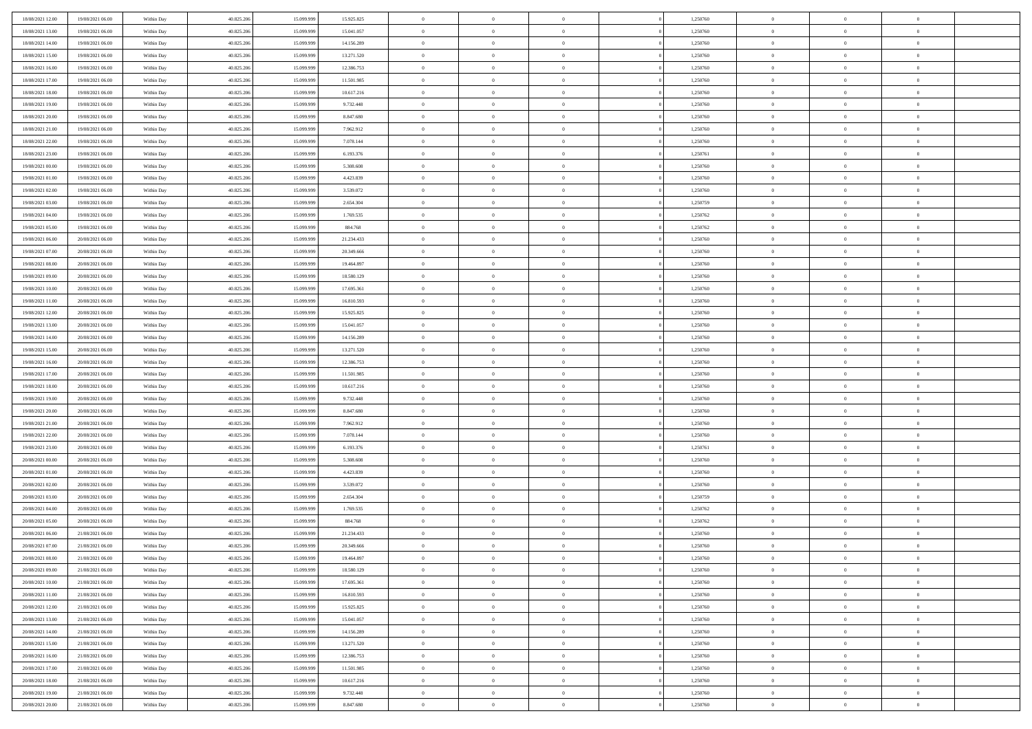| 18/08/2021 12:00 | 19/08/2021 06:00 | Within Day | 40.825.206 | 15.099.999 | 15.925.825 | $\,$ 0 $\,$    | $\overline{0}$ | $\overline{0}$ |          | 1,250760 | $\bf{0}$       | $\overline{0}$ | $\,0\,$        |  |
|------------------|------------------|------------|------------|------------|------------|----------------|----------------|----------------|----------|----------|----------------|----------------|----------------|--|
| 18/08/2021 13:00 | 19/08/2021 06:00 | Within Day | 40.825.206 | 15,099.99  | 15.041.057 | $\overline{0}$ | $\overline{0}$ | $\mathbf{0}$   |          | 1,250760 | $\theta$       | $\overline{0}$ | $\theta$       |  |
| 18/08/2021 14:00 | 19/08/2021 06:00 | Within Day | 40.825.206 | 15.099.999 | 14.156.289 | $\theta$       | $\overline{0}$ | $\overline{0}$ |          | 1,250760 | $\mathbf{0}$   | $\overline{0}$ | $\overline{0}$ |  |
| 18/08/2021 15:00 | 19/08/2021 06:00 | Within Day | 40.825.206 | 15.099.999 | 13.271.520 | $\,$ 0 $\,$    | $\overline{0}$ | $\overline{0}$ |          | 1,250760 | $\bf{0}$       | $\overline{0}$ | $\bf{0}$       |  |
| 18/08/2021 16:00 | 19/08/2021 06:00 | Within Day | 40.825.206 | 15.099.999 | 12.386.753 | $\bf{0}$       | $\overline{0}$ | $\mathbf{0}$   |          | 1,250760 | $\bf{0}$       | $\bf{0}$       | $\,0\,$        |  |
| 18/08/2021 17:00 | 19/08/2021 06:00 | Within Day | 40.825.206 | 15.099.999 | 11.501.985 | $\theta$       | $\overline{0}$ | $\mathbf{0}$   |          | 1,250760 | $\mathbf{0}$   | $\overline{0}$ | $\overline{0}$ |  |
| 18/08/2021 18:00 | 19/08/2021 06:00 | Within Day | 40.825.206 | 15.099.999 | 10.617.216 | $\,$ 0 $\,$    | $\overline{0}$ | $\overline{0}$ |          | 1,250760 | $\bf{0}$       | $\overline{0}$ | $\bf{0}$       |  |
| 18/08/2021 19:00 | 19/08/2021 06:00 | Within Day | 40.825.206 | 15.099.999 | 9.732.448  | $\,$ 0         | $\overline{0}$ | $\mathbf{0}$   |          | 1,250760 | $\,$ 0 $\,$    | $\overline{0}$ | $\theta$       |  |
| 18/08/2021 20:00 | 19/08/2021 06:00 | Within Day | 40.825.206 | 15.099.999 | 8.847.680  | $\theta$       | $\overline{0}$ | $\mathbf{0}$   |          | 1,250760 | $\mathbf{0}$   | $\bf{0}$       | $\overline{0}$ |  |
| 18/08/2021 21:00 | 19/08/2021 06:00 | Within Day | 40.825.206 | 15.099.999 | 7.962.912  | $\,$ 0 $\,$    | $\overline{0}$ | $\Omega$       |          | 1,250760 | $\bf{0}$       | $\overline{0}$ | $\,0\,$        |  |
| 18/08/2021 22:00 | 19/08/2021 06:00 | Within Day | 40.825.206 | 15.099.999 | 7.078.144  | $\bf{0}$       | $\overline{0}$ | $\mathbf{0}$   |          | 1,250760 | $\bf{0}$       | $\mathbf{0}$   | $\theta$       |  |
| 18/08/2021 23:00 | 19/08/2021 06:00 | Within Day | 40.825.206 | 15.099.999 | 6.193.376  | $\theta$       | $\overline{0}$ | $\overline{0}$ |          | 1,250761 | $\mathbf{0}$   | $\overline{0}$ | $\overline{0}$ |  |
| 19/08/2021 00:00 | 19/08/2021 06:00 | Within Day | 40.825.206 | 15.099.999 | 5.308.608  | $\,$ 0 $\,$    | $\overline{0}$ | $\overline{0}$ |          | 1,250760 | $\bf{0}$       | $\overline{0}$ | $\bf{0}$       |  |
| 19/08/2021 01:00 | 19/08/2021 06:00 | Within Day | 40.825.206 | 15.099.999 | 4.423.839  | $\,$ 0         | $\overline{0}$ | $\mathbf{0}$   |          | 1,250760 | $\bf{0}$       | $\theta$       | $\,0\,$        |  |
| 19/08/2021 02:00 | 19/08/2021 06:00 | Within Day | 40.825.206 | 15.099.999 | 3.539.072  | $\theta$       | $\overline{0}$ | $\mathbf{0}$   |          | 1,250760 | $\mathbf{0}$   | $\overline{0}$ | $\overline{0}$ |  |
| 19/08/2021 03:00 | 19/08/2021 06:00 | Within Day | 40.825.206 | 15.099.999 | 2.654.304  | $\,$ 0 $\,$    | $\overline{0}$ | $\Omega$       |          | 1,250759 | $\bf{0}$       | $\overline{0}$ | $\bf{0}$       |  |
| 19/08/2021 04:00 | 19/08/2021 06:00 | Within Day | 40.825.206 | 15.099.999 | 1.769.535  | $\,$ 0 $\,$    | $\overline{0}$ | $\mathbf{0}$   |          | 1,250762 | $\bf{0}$       | $\overline{0}$ | $\theta$       |  |
| 19/08/2021 05:00 | 19/08/2021 06:00 | Within Day | 40.825.206 | 15.099.999 | 884.768    | $\theta$       | $\overline{0}$ | $\mathbf{0}$   |          | 1,250762 | $\mathbf{0}$   | $\overline{0}$ | $\overline{0}$ |  |
| 19/08/2021 06:00 | 20/08/2021 06:00 | Within Day | 40.825.206 | 15.099.999 | 21.234.433 | $\,$ 0 $\,$    | $\overline{0}$ | $\Omega$       |          | 1,250760 | $\bf{0}$       | $\overline{0}$ | $\,0\,$        |  |
| 19/08/2021 07:00 | 20/08/2021 06:00 | Within Day | 40.825.206 | 15.099.999 | 20.349.666 | $\bf{0}$       | $\overline{0}$ | $\mathbf{0}$   |          | 1,250760 | $\bf{0}$       | $\mathbf{0}$   | $\theta$       |  |
| 19/08/2021 08:00 | 20/08/2021 06:00 | Within Day | 40.825.206 | 15.099.999 | 19,464,897 | $\theta$       | $\overline{0}$ | $\mathbf{0}$   |          | 1,250760 | $\mathbf{0}$   | $\overline{0}$ | $\overline{0}$ |  |
| 19/08/2021 09:00 | 20/08/2021 06:00 | Within Day | 40.825.206 | 15.099.999 | 18.580.129 | $\,$ 0 $\,$    | $\overline{0}$ | $\overline{0}$ |          | 1,250760 | $\bf{0}$       | $\overline{0}$ | $\bf{0}$       |  |
| 19/08/2021 10:00 | 20/08/2021 06:00 | Within Day | 40.825.206 | 15.099.999 | 17.695.361 | $\,$ 0         | $\overline{0}$ | $\mathbf{0}$   |          | 1,250760 | $\bf{0}$       | $\overline{0}$ | $\,0\,$        |  |
| 19/08/2021 11:00 | 20/08/2021 06:00 | Within Day | 40.825.206 | 15.099.999 | 16.810.593 | $\theta$       | $\overline{0}$ | $\mathbf{0}$   |          | 1,250760 | $\mathbf{0}$   | $\overline{0}$ | $\overline{0}$ |  |
| 19/08/2021 12:00 | 20/08/2021 06:00 | Within Day | 40.825.206 | 15.099.999 | 15.925.825 | $\,$ 0 $\,$    | $\overline{0}$ | $\overline{0}$ |          | 1,250760 | $\bf{0}$       | $\overline{0}$ | $\,0\,$        |  |
| 19/08/2021 13:00 | 20/08/2021 06:00 | Within Day | 40.825.206 | 15.099.999 | 15.041.057 | $\,$ 0         | $\overline{0}$ | $\mathbf{0}$   |          | 1,250760 | $\mathbf{0}$   | $\overline{0}$ | $\theta$       |  |
| 19/08/2021 14:00 | 20/08/2021 06:00 | Within Day | 40.825.206 | 15.099.999 | 14.156.289 | $\theta$       | $\overline{0}$ | $\mathbf{0}$   |          | 1,250760 | $\mathbf{0}$   | $\bf{0}$       | $\overline{0}$ |  |
| 19/08/2021 15:00 | 20/08/2021 06:00 | Within Day | 40.825.206 | 15.099.999 | 13.271.520 | $\,$ 0 $\,$    | $\overline{0}$ | $\Omega$       |          | 1,250760 | $\bf{0}$       | $\overline{0}$ | $\bf{0}$       |  |
| 19/08/2021 16:00 | 20/08/2021 06:00 | Within Day | 40.825.206 | 15,099,999 | 12.386.753 | $\bf{0}$       | $\overline{0}$ | $\mathbf{0}$   |          | 1,250760 | $\bf{0}$       | $\mathbf{0}$   | $\overline{0}$ |  |
| 19/08/2021 17:00 | 20/08/2021 06:00 | Within Day | 40.825.206 | 15.099.999 | 11.501.985 | $\theta$       | $\overline{0}$ | $\overline{0}$ |          | 1,250760 | $\mathbf{0}$   | $\overline{0}$ | $\overline{0}$ |  |
| 19/08/2021 18:00 | 20/08/2021 06:00 | Within Day | 40.825.206 | 15.099.999 | 10.617.216 | $\,$ 0 $\,$    | $\overline{0}$ | $\overline{0}$ |          | 1,250760 | $\,$ 0         | $\overline{0}$ | $\,$ 0 $\,$    |  |
| 19/08/2021 19:00 | 20/08/2021 06:00 | Within Day | 40.825.206 | 15.099.999 | 9.732.448  | $\,$ 0         | $\overline{0}$ | $\mathbf{0}$   |          | 1,250760 | $\bf{0}$       | $\mathbf{0}$   | $\overline{0}$ |  |
| 19/08/2021 20:00 | 20/08/2021 06:00 | Within Day | 40.825.206 | 15.099.999 | 8.847.680  | $\theta$       | $\overline{0}$ | $\mathbf{0}$   |          | 1,250760 | $\mathbf{0}$   | $\overline{0}$ | $\overline{0}$ |  |
| 19/08/2021 21:00 | 20/08/2021 06:00 | Within Day | 40.825.206 | 15.099.999 | 7.962.912  | $\theta$       | $\overline{0}$ | $\overline{0}$ |          | 1,250760 | $\,$ 0         | $\overline{0}$ | $\theta$       |  |
| 19/08/2021 22:00 | 20/08/2021 06:00 | Within Day | 40.825.206 | 15.099.999 | 7.078.144  | $\bf{0}$       | $\overline{0}$ | $\mathbf{0}$   |          | 1,250760 | $\mathbf{0}$   | $\overline{0}$ | $\overline{0}$ |  |
| 19/08/2021 23:00 | 20/08/2021 06:00 | Within Day | 40.825.206 | 15.099.999 | 6.193.376  | $\theta$       | $\overline{0}$ | $\mathbf{0}$   |          | 1,250761 | $\mathbf{0}$   | $\overline{0}$ | $\overline{0}$ |  |
| 20/08/2021 00:00 | 20/08/2021 06:00 | Within Day | 40.825.206 | 15.099.999 | 5.308.608  | $\theta$       | $\overline{0}$ | $\overline{0}$ |          | 1,250760 | $\,$ 0         | $\overline{0}$ | $\theta$       |  |
| 20/08/2021 01:00 | 20/08/2021 06:00 | Within Day | 40.825.206 | 15.099.999 | 4.423.839  | $\bf{0}$       | $\overline{0}$ | $\mathbf{0}$   |          | 1,250760 | $\bf{0}$       | $\mathbf{0}$   | $\overline{0}$ |  |
| 20/08/2021 02:00 | 20/08/2021 06:00 | Within Day | 40.825.206 | 15.099.999 | 3.539.072  | $\theta$       | $\overline{0}$ | $\overline{0}$ |          | 1,250760 | $\mathbf{0}$   | $\overline{0}$ | $\overline{0}$ |  |
| 20/08/2021 03:00 | 20/08/2021 06:00 | Within Day | 40.825.206 | 15.099.999 | 2.654.304  | $\,$ 0 $\,$    | $\overline{0}$ | $\overline{0}$ |          | 1,250759 | $\,$ 0         | $\overline{0}$ | $\,$ 0 $\,$    |  |
| 20/08/2021 04:00 | 20/08/2021 06:00 | Within Day | 40.825.206 | 15.099.999 | 1.769.535  | $\bf{0}$       | $\,$ 0 $\,$    | $\overline{0}$ |          | 1,250762 | $\,$ 0 $\,$    | $\overline{0}$ | $\overline{0}$ |  |
| 20/08/2021 05:00 | 20/08/2021 06:00 | Within Day | 40.825.206 | 15.099.999 | 884.768    | $\theta$       | $\overline{0}$ | $\mathbf{0}$   |          | 1,250762 | $\mathbf{0}$   | $\overline{0}$ | $\theta$       |  |
| 20/08/2021 06:00 | 21/08/2021 06:00 | Within Day | 40.825.206 | 15.099.999 | 21.234.433 | $\overline{0}$ | $\overline{0}$ | $\overline{0}$ |          | 1,250760 | $\,$ 0         | $\overline{0}$ | $\theta$       |  |
| 20/08/2021 07:00 | 21/08/2021 06:00 | Within Day | 40.825.206 | 15.099.999 | 20.349.666 | $\bf{0}$       | $\overline{0}$ | $\mathbf{0}$   |          | 1,250760 | $\mathbf{0}$   | $\overline{0}$ | $\overline{0}$ |  |
| 20/08/2021 08:00 | 21/08/2021 06:00 | Within Day | 40.825.206 | 15.099.999 | 19.464.897 | $\overline{0}$ | $\theta$       |                |          | 1,250760 | $\overline{0}$ | $^{\circ}$     | $\theta$       |  |
| 20/08/2021 09:00 | 21/08/2021 06:00 | Within Day | 40.825.206 | 15.099.999 | 18.580.129 | $\,$ 0 $\,$    | $\overline{0}$ | $\overline{0}$ |          | 1,250760 | $\,$ 0 $\,$    | $\bf{0}$       | $\theta$       |  |
| 20/08/2021 10:00 | 21/08/2021 06:00 | Within Day | 40.825.206 | 15.099.999 | 17.695.361 | $\overline{0}$ | $\,$ 0 $\,$    | $\overline{0}$ |          | 1,250760 | $\,$ 0 $\,$    | $\overline{0}$ | $\overline{0}$ |  |
| 20/08/2021 11:00 | 21/08/2021 06:00 | Within Day | 40.825.206 | 15.099.999 | 16.810.593 | $\,$ 0 $\,$    | $\overline{0}$ | $\overline{0}$ |          | 1,250760 | $\,$ 0 $\,$    | $\bf{0}$       | $\overline{0}$ |  |
| 20/08/2021 12:00 | 21/08/2021 06:00 | Within Day | 40.825.206 | 15.099.999 | 15.925.825 | $\,$ 0 $\,$    | $\overline{0}$ | $\overline{0}$ | $\theta$ | 1,250760 | $\,$ 0 $\,$    | $\bf{0}$       | $\,$ 0 $\,$    |  |
| 20/08/2021 13:00 | 21/08/2021 06:00 | Within Day | 40.825.206 | 15.099.999 | 15.041.057 | $\,$ 0 $\,$    | $\,$ 0 $\,$    | $\overline{0}$ |          | 1,250760 | $\,$ 0 $\,$    | $\overline{0}$ | $\overline{0}$ |  |
| 20/08/2021 14:00 | 21/08/2021 06:00 | Within Day | 40.825.206 | 15.099.999 | 14.156.289 | $\mathbf{0}$   | $\overline{0}$ | $\overline{0}$ |          | 1,250760 | $\mathbf{0}$   | $\bf{0}$       | $\overline{0}$ |  |
| 20/08/2021 15:00 | 21/08/2021 06:00 | Within Day | 40.825.206 | 15.099.999 | 13.271.520 | $\,$ 0 $\,$    | $\overline{0}$ | $\overline{0}$ |          | 1,250760 | $\,$ 0 $\,$    | $\bf{0}$       | $\,$ 0 $\,$    |  |
| 20/08/2021 16:00 | 21/08/2021 06:00 | Within Day | 40.825.206 | 15.099.999 | 12.386.753 | $\overline{0}$ | $\,$ 0 $\,$    | $\overline{0}$ |          | 1,250760 | $\,$ 0 $\,$    | $\overline{0}$ | $\overline{0}$ |  |
| 20/08/2021 17:00 | 21/08/2021 06:00 | Within Day | 40.825.206 | 15.099.999 | 11.501.985 | $\,$ 0 $\,$    | $\overline{0}$ | $\overline{0}$ |          | 1,250760 | $\,$ 0 $\,$    | $\bf{0}$       | $\overline{0}$ |  |
| 20/08/2021 18:00 | 21/08/2021 06:00 | Within Day | 40.825.206 | 15.099.999 | 10.617.216 | $\,$ 0 $\,$    | $\overline{0}$ | $\overline{0}$ |          | 1,250760 | $\,$ 0 $\,$    | $\mathbf{0}$   | $\,$ 0 $\,$    |  |
| 20/08/2021 19:00 | 21/08/2021 06:00 | Within Day | 40.825.206 | 15.099.999 | 9.732.448  | $\,$ 0 $\,$    | $\,$ 0 $\,$    | $\overline{0}$ |          | 1,250760 | $\,$ 0 $\,$    | $\overline{0}$ | $\overline{0}$ |  |
| 20/08/2021 20:00 | 21/08/2021 06:00 | Within Day | 40.825.206 | 15.099.999 | 8.847.680  | $\theta$       | $\overline{0}$ | $\overline{0}$ |          | 1,250760 | $\,$ 0 $\,$    | $\overline{0}$ | $\overline{0}$ |  |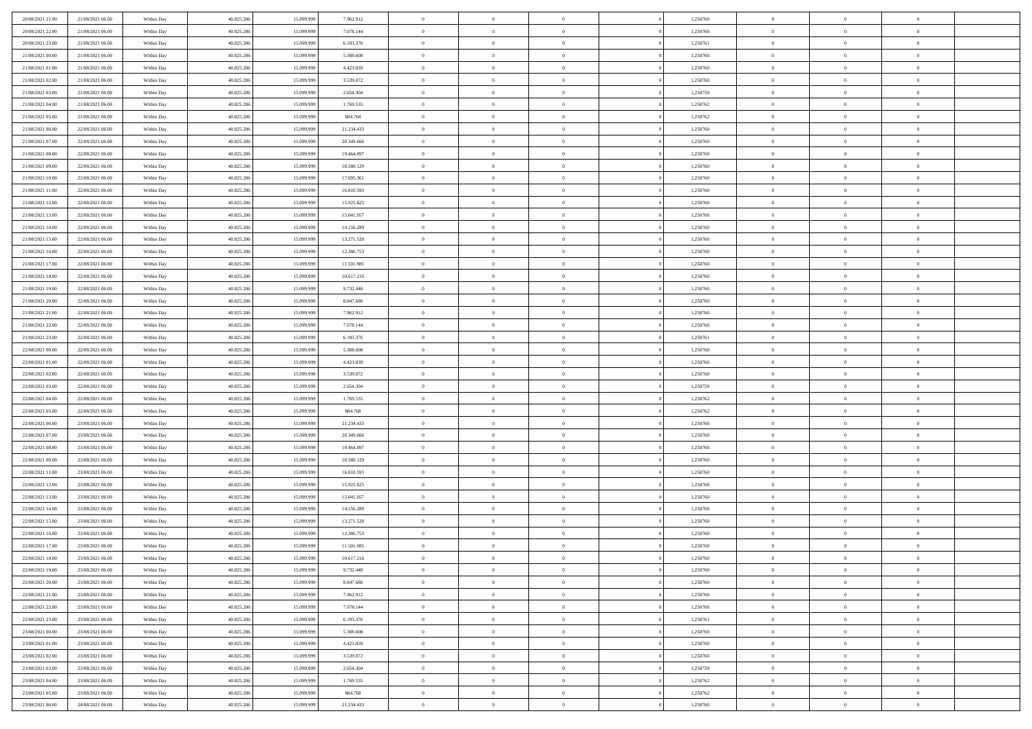| 20/08/2021 21:00 | 21/08/2021 06:00 | Within Day | 40.825.206 | 15.099.99  | 7.962.912  | $\bf{0}$                   | $\overline{0}$                   | $\overline{0}$ | 1,250760 | $\bf{0}$       | $\overline{0}$ | $\bf{0}$       |  |
|------------------|------------------|------------|------------|------------|------------|----------------------------|----------------------------------|----------------|----------|----------------|----------------|----------------|--|
| 20/08/2021 22:00 | 21/08/2021 06:00 | Within Day | 40.825.206 | 15.099.99  | 7.078.144  | $\overline{0}$             | $\overline{0}$                   | $\overline{0}$ | 1,250760 | $\overline{0}$ | $\theta$       | $\overline{0}$ |  |
| 20/08/2021 23:00 | 21/08/2021 06:00 | Within Day | 40.825.206 | 15.099.999 | 6.193.376  | $\overline{0}$             | $\overline{0}$                   | $\overline{0}$ | 1,250761 | $\bf{0}$       | $\overline{0}$ | $\overline{0}$ |  |
| 21/08/2021 00:00 | 21/08/2021 06:00 | Within Day | 40.825.206 | 15.099.999 | 5.308.608  | $\bf{0}$                   | $\overline{0}$                   | $\overline{0}$ | 1,250760 | $\bf{0}$       | $\bf{0}$       | $\bf{0}$       |  |
| 21/08/2021 01:00 | 21/08/2021 06:00 | Within Day | 40.825.206 | 15.099.999 | 4.423.839  | $\bf{0}$                   | $\overline{0}$                   | $\overline{0}$ | 1,250760 | $\bf{0}$       | $\bf{0}$       | $\bf{0}$       |  |
| 21/08/2021 02:00 | 21/08/2021 06:00 | Within Day | 40.825.206 | 15.099.999 | 3.539.072  | $\overline{0}$             | $\overline{0}$                   | $\overline{0}$ | 1,250760 | $\bf{0}$       | $\bf{0}$       | $\overline{0}$ |  |
| 21/08/2021 03:00 | 21/08/2021 06:00 | Within Day | 40.825.206 | 15.099.999 | 2.654.304  | $\bf{0}$                   | $\overline{0}$                   | $\overline{0}$ | 1,250759 | $\bf{0}$       | $\bf{0}$       | $\bf{0}$       |  |
| 21/08/2021 04:00 | 21/08/2021 06:00 | Within Day | 40.825.206 | 15.099.999 | 1.769.535  | $\,$ 0                     | $\overline{0}$                   | $\overline{0}$ | 1,250762 | $\bf{0}$       | $\theta$       | $\overline{0}$ |  |
| 21/08/2021 05:00 | 21/08/2021 06:00 | Within Day | 40.825.206 | 15.099.999 | 884.768    | $\overline{0}$             | $\overline{0}$                   | $\overline{0}$ | 1,250762 | $\bf{0}$       | $\overline{0}$ | $\overline{0}$ |  |
| 21/08/2021 06:00 | 22/08/2021 06:00 |            | 40.825.206 | 15.099.999 | 21.234.433 | $\bf{0}$                   | $\overline{0}$                   | $\Omega$       | 1,250760 | $\bf{0}$       | $\bf{0}$       | $\bf{0}$       |  |
|                  |                  | Within Day |            | 15,099.99  |            |                            |                                  |                |          |                | $\bf{0}$       | $\theta$       |  |
| 21/08/2021 07:00 | 22/08/2021 06:00 | Within Day | 40.825.206 |            | 20.349.666 | $\bf{0}$<br>$\overline{0}$ | $\overline{0}$<br>$\overline{0}$ | $\overline{0}$ | 1,250760 | $\bf{0}$       |                | $\overline{0}$ |  |
| 21/08/2021 08:00 | 22/08/2021 06:00 | Within Day | 40.825.206 | 15.099.999 | 19,464,897 |                            |                                  | $\overline{0}$ | 1,250760 | $\bf{0}$       | $\overline{0}$ |                |  |
| 21/08/2021 09:00 | 22/08/2021 06:00 | Within Day | 40.825.206 | 15.099.999 | 18.580.129 | $\bf{0}$                   | $\overline{0}$                   | $\overline{0}$ | 1,250760 | $\bf{0}$       | $\overline{0}$ | $\bf{0}$       |  |
| 21/08/2021 10:00 | 22/08/2021 06:00 | Within Day | 40.825.206 | 15.099.999 | 17.695.361 | $\bf{0}$                   | $\overline{0}$                   | $\overline{0}$ | 1,250760 | $\bf{0}$       | $\bf{0}$       | $\bf{0}$       |  |
| 21/08/2021 11:00 | 22/08/2021 06:00 | Within Day | 40.825.206 | 15.099.999 | 16.810.593 | $\overline{0}$             | $\overline{0}$                   | $\overline{0}$ | 1,250760 | $\overline{0}$ | $\overline{0}$ | $\overline{0}$ |  |
| 21/08/2021 12:00 | 22/08/2021 06:00 | Within Day | 40.825.206 | 15.099.999 | 15.925.825 | $\bf{0}$                   | $\overline{0}$                   | $\Omega$       | 1,250760 | $\bf{0}$       | $\bf{0}$       | $\bf{0}$       |  |
| 21/08/2021 13:00 | 22/08/2021 06:00 | Within Day | 40.825.206 | 15,099.99  | 15.041.057 | $\,$ 0 $\,$                | $\overline{0}$                   | $\overline{0}$ | 1,250760 | $\bf{0}$       | $\theta$       | $\overline{0}$ |  |
| 21/08/2021 14:00 | 22/08/2021 06:00 | Within Day | 40.825.206 | 15.099.999 | 14.156.289 | $\overline{0}$             | $\overline{0}$                   | $\overline{0}$ | 1,250760 | $\bf{0}$       | $\overline{0}$ | $\overline{0}$ |  |
| 21/08/2021 15:00 | 22/08/2021 06:00 | Within Day | 40.825.206 | 15.099.999 | 13.271.520 | $\bf{0}$                   | $\overline{0}$                   | $\Omega$       | 1,250760 | $\bf{0}$       | $\bf{0}$       | $\bf{0}$       |  |
| 21/08/2021 16:00 | 22/08/2021 06:00 | Within Day | 40.825.206 | 15.099.999 | 12.386.753 | $\bf{0}$                   | $\overline{0}$                   | $\overline{0}$ | 1,250760 | $\bf{0}$       | $\bf{0}$       | $\bf{0}$       |  |
| 21/08/2021 17:00 | 22/08/2021 06:00 | Within Day | 40.825.206 | 15.099.999 | 11.501.985 | $\overline{0}$             | $\overline{0}$                   | $\overline{0}$ | 1,250760 | $\bf{0}$       | $\overline{0}$ | $\overline{0}$ |  |
| 21/08/2021 18:00 | 22/08/2021 06:00 | Within Day | 40.825.206 | 15.099.999 | 10.617.216 | $\bf{0}$                   | $\overline{0}$                   | $\overline{0}$ | 1,250760 | $\bf{0}$       | $\bf{0}$       | $\bf{0}$       |  |
| 21/08/2021 19:00 | 22/08/2021 06:00 | Within Day | 40.825.206 | 15.099.999 | 9.732.448  | $\bf{0}$                   | $\overline{0}$                   | $\overline{0}$ | 1,250760 | $\bf{0}$       | $\bf{0}$       | $\bf{0}$       |  |
| 21/08/2021 20:00 | 22/08/2021 06:00 | Within Day | 40.825.206 | 15.099.999 | 8.847.680  | $\overline{0}$             | $\overline{0}$                   | $\overline{0}$ | 1,250760 | $\overline{0}$ | $\bf{0}$       | $\overline{0}$ |  |
| 21/08/2021 21:00 | 22/08/2021 06:00 | Within Day | 40.825.206 | 15.099.999 | 7.962.912  | $\bf{0}$                   | $\overline{0}$                   | $\overline{0}$ | 1,250760 | $\bf{0}$       | $\bf{0}$       | $\bf{0}$       |  |
| 21/08/2021 22:00 | 22/08/2021 06:00 | Within Day | 40.825.206 | 15.099.999 | 7.078.144  | $\,$ 0 $\,$                | $\overline{0}$                   | $\overline{0}$ | 1,250760 | $\bf{0}$       | $\bf{0}$       | $\,0\,$        |  |
| 21/08/2021 23:00 | 22/08/2021 06:00 | Within Day | 40.825.206 | 15.099.999 | 6.193.376  | $\overline{0}$             | $\overline{0}$                   | $\overline{0}$ | 1,250761 | $\bf{0}$       | $\overline{0}$ | $\overline{0}$ |  |
| 22/08/2021 00:00 | 22/08/2021 06:00 | Within Day | 40.825.206 | 15.099.999 | 5.308.608  | $\bf{0}$                   | $\overline{0}$                   | $\Omega$       | 1,250760 | $\bf{0}$       | $\bf{0}$       | $\bf{0}$       |  |
| 22/08/2021 01:00 | 22/08/2021 06:00 | Within Day | 40.825.206 | 15,099.99  | 4.423.839  | $\bf{0}$                   | $\overline{0}$                   | $\overline{0}$ | 1,250760 | $\bf{0}$       | $\bf{0}$       | $\bf{0}$       |  |
| 22/08/2021 02:00 | 22/08/2021 06:00 | Within Day | 40.825.206 | 15.099.999 | 3.539.072  | $\overline{0}$             | $\overline{0}$                   | $\overline{0}$ | 1,250760 | $\bf{0}$       | $\overline{0}$ | $\overline{0}$ |  |
| 22/08/2021 03:00 | 22/08/2021 06:00 | Within Day | 40.825.206 | 15.099.999 | 2.654.304  | $\,$ 0                     | $\overline{0}$                   | $\overline{0}$ | 1,250759 | $\bf{0}$       | $\overline{0}$ | $\,$ 0         |  |
| 22/08/2021 04:00 | 22/08/2021 06:00 | Within Day | 40.825.206 | 15.099.999 | 1.769.535  | $\,$ 0                     | $\overline{0}$                   | $\overline{0}$ | 1,250762 | $\bf{0}$       | $\bf{0}$       | $\bf{0}$       |  |
| 22/08/2021 05:00 | 22/08/2021 06:00 | Within Day | 40.825.206 | 15.099.999 | 884.768    | $\overline{0}$             | $\overline{0}$                   | $\overline{0}$ | 1,250762 | $\bf{0}$       | $\overline{0}$ | $\overline{0}$ |  |
| 22/08/2021 06:00 | 23/08/2021 06:00 | Within Day | 40.825.206 | 15.099.999 | 21.234.433 | $\overline{0}$             | $\overline{0}$                   | $\overline{0}$ | 1,250760 | $\bf{0}$       | $\overline{0}$ | $\,$ 0         |  |
| 22/08/2021 07:00 | 23/08/2021 06:00 | Within Day | 40.825.206 | 15.099.999 | 20.349.666 | $\bf{0}$                   | $\overline{0}$                   | $\overline{0}$ | 1,250760 | $\mathbf{0}$   | $\bf{0}$       | $\mathbf{0}$   |  |
| 22/08/2021 08:00 | 23/08/2021 06:00 | Within Day | 40.825.206 | 15.099.999 | 19.464.897 | $\overline{0}$             | $\overline{0}$                   | $\overline{0}$ | 1,250760 | $\bf{0}$       | $\overline{0}$ | $\overline{0}$ |  |
| 22/08/2021 09:00 | 23/08/2021 06:00 | Within Day | 40.825.206 | 15.099.999 | 18.580.129 | $\overline{0}$             | $\overline{0}$                   | $\overline{0}$ | 1,250760 | $\bf{0}$       | $\overline{0}$ | $\,$ 0         |  |
| 22/08/2021 11:00 | 23/08/2021 06:00 | Within Day | 40.825.206 | 15.099.999 | 16.810.593 | $\bf{0}$                   | $\overline{0}$                   | $\overline{0}$ | 1,250760 | $\bf{0}$       | $\bf{0}$       | $\bf{0}$       |  |
| 22/08/2021 12:00 | 23/08/2021 06:00 | Within Day | 40.825.206 | 15.099.999 | 15.925.825 | $\overline{0}$             | $\overline{0}$                   | $\overline{0}$ | 1,250760 | $\bf{0}$       | $\overline{0}$ | $\overline{0}$ |  |
| 22/08/2021 13:00 | 23/08/2021 06:00 | Within Day | 40.825.206 | 15.099.999 | 15.041.057 | $\,$ 0                     | $\overline{0}$                   | $\overline{0}$ | 1,250760 | $\bf{0}$       | $\overline{0}$ | $\,0\,$        |  |
| 22/08/2021 14:00 | 23/08/2021 06:00 | Within Day | 40.825.206 | 15.099.999 | 14.156.289 | $\bf{0}$                   | $\,$ 0 $\,$                      | $\overline{0}$ | 1,250760 | $\bf{0}$       | $\overline{0}$ | $\bf{0}$       |  |
| 22/08/2021 15:00 | 23/08/2021 06:00 | Within Day | 40.825.206 | 15.099.999 | 13.271.520 | $\overline{0}$             | $\overline{0}$                   | $\overline{0}$ | 1,250760 | $\overline{0}$ | $\bf{0}$       | $\overline{0}$ |  |
| 22/08/2021 16:00 | 23/08/2021 06:00 | Within Day | 40.825.206 | 15.099.999 | 12.386.753 | $\overline{0}$             | $\overline{0}$                   | $\overline{0}$ | 1,250760 | $\bf{0}$       | $\overline{0}$ | $\,$ 0         |  |
| 22/08/2021 17:00 | 23/08/2021 06:00 | Within Day | 40.825.206 | 15.099.999 | 11.501.985 | $\,$ 0 $\,$                | $\overline{0}$                   | $\overline{0}$ | 1,250760 | $\bf{0}$       | $\bf{0}$       | $\mathbf{0}$   |  |
| 22/08/2021 18:00 | 23/08/2021 06:00 | Within Day | 40.825.206 | 15.099.999 | 10.617.216 | $\overline{0}$             | $\theta$                         |                | 1,250760 | $\bf{0}$       | $\overline{0}$ | $\overline{0}$ |  |
| 22/08/2021 19:00 | 23/08/2021 06:00 |            | 40.825.206 | 15.099.999 | 9.732.448  | $\,$ 0                     | $\overline{0}$                   | $\overline{0}$ | 1,250760 | $\bf{0}$       | $\bf{0}$       | $\,$ 0         |  |
|                  |                  | Within Day |            |            |            |                            |                                  |                |          |                |                |                |  |
| 22/08/2021 20:00 | 23/08/2021 06:00 | Within Day | 40.825.206 | 15.099.999 | 8.847.680  | $\mathbf{0}$               | $\,$ 0 $\,$                      | $\overline{0}$ | 1,250760 | $\bf{0}$       | $\overline{0}$ | $\overline{0}$ |  |
| 22/08/2021 21:00 | 23/08/2021 06:00 | Within Day | 40.825.206 | 15.099.999 | 7.962.912  | $\mathbf{0}$               | $\overline{0}$                   | $\overline{0}$ | 1,250760 | $\overline{0}$ | $\bf{0}$       | $\mathbf{0}$   |  |
| 22/08/2021 22:00 | 23/08/2021 06:00 | Within Day | 40.825.206 | 15.099.999 | 7.078.144  | $\,$ 0 $\,$                | $\overline{0}$                   | $\overline{0}$ | 1,250760 | $\,$ 0 $\,$    | $\overline{0}$ | $\,0\,$        |  |
| 22/08/2021 23:00 | 23/08/2021 06:00 | Within Day | 40.825.206 | 15.099.999 | 6.193.376  | $\,$ 0 $\,$                | $\,$ 0 $\,$                      | $\overline{0}$ | 1,250761 | $\bf{0}$       | $\overline{0}$ | $\overline{0}$ |  |
| 23/08/2021 00:00 | 23/08/2021 06:00 | Within Day | 40.825.206 | 15.099.999 | 5.308.608  | $\mathbf{0}$               | $\overline{0}$                   | $\overline{0}$ | 1,250760 | $\overline{0}$ | $\bf{0}$       | $\mathbf{0}$   |  |
| 23/08/2021 01:00 | 23/08/2021 06:00 | Within Day | 40.825.206 | 15.099.999 | 4.423.839  | $\,$ 0 $\,$                | $\overline{0}$                   | $\overline{0}$ | 1,250760 | $\bf{0}$       | $\bf{0}$       | $\,0\,$        |  |
| 23/08/2021 02:00 | 23/08/2021 06:00 | Within Day | 40.825.206 | 15.099.999 | 3.539.072  | $\mathbf{0}$               | $\overline{0}$                   | $\overline{0}$ | 1,250760 | $\,$ 0 $\,$    | $\mathbf{0}$   | $\overline{0}$ |  |
| 23/08/2021 03:00 | 23/08/2021 06:00 | Within Day | 40.825.206 | 15.099.999 | 2.654.304  | $\mathbf{0}$               | $\overline{0}$                   | $\overline{0}$ | 1,250759 | $\overline{0}$ | $\bf{0}$       | $\mathbf{0}$   |  |
| 23/08/2021 04:00 | 23/08/2021 06:00 | Within Day | 40.825.206 | 15.099.999 | 1.769.535  | $\,$ 0 $\,$                | $\overline{0}$                   | $\overline{0}$ | 1,250762 | $\bf{0}$       | $\bf{0}$       | $\,0\,$        |  |
| 23/08/2021 05:00 | 23/08/2021 06:00 | Within Day | 40.825.206 | 15.099.999 | 884.768    | $\bf{0}$                   | $\overline{0}$                   | $\overline{0}$ | 1,250762 | $\bf{0}$       | $\overline{0}$ | $\overline{0}$ |  |
| 23/08/2021 06:00 | 24/08/2021 06:00 | Within Day | 40.825.206 | 15.099.999 | 21.234.433 | $\overline{0}$             | $\overline{0}$                   | $\overline{0}$ | 1,250760 | $\bf{0}$       | $\bf{0}$       | $\overline{0}$ |  |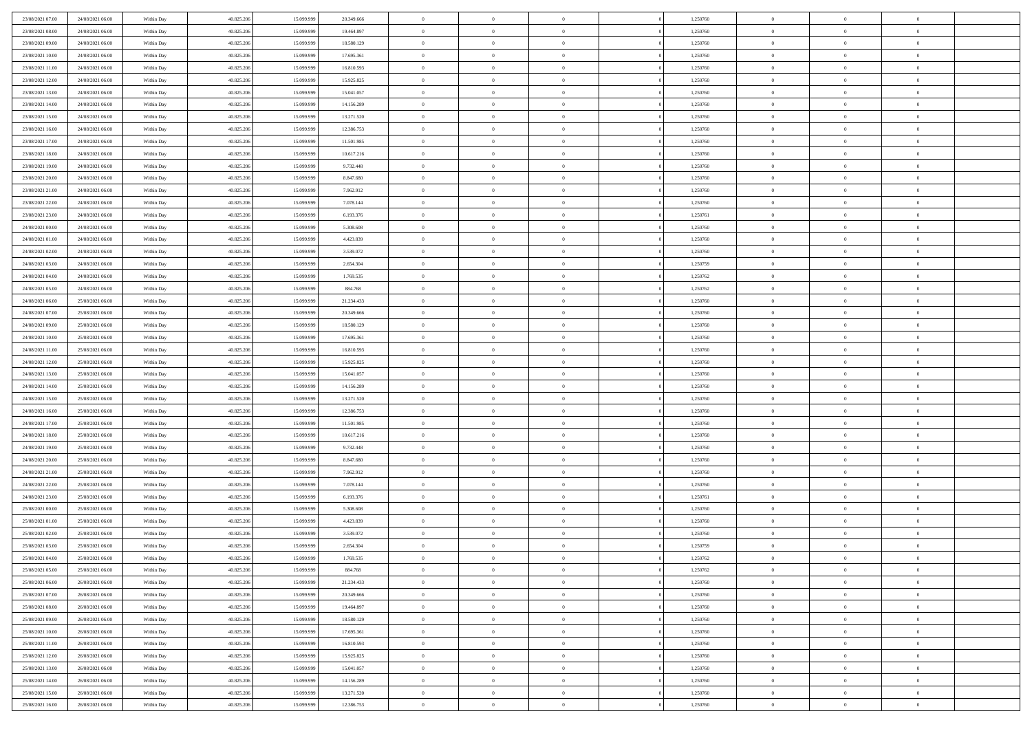| 23/08/2021 07:00 | 24/08/2021 06:00 | Within Day               | 40.825.206 | 15.099.999 | 20.349.666 | $\bf{0}$       | $\overline{0}$ | $\overline{0}$ |          | 1,250760 | $\bf{0}$       | $\overline{0}$ | $\,0\,$        |  |
|------------------|------------------|--------------------------|------------|------------|------------|----------------|----------------|----------------|----------|----------|----------------|----------------|----------------|--|
| 23/08/2021 08:00 | 24/08/2021 06:00 | Within Day               | 40.825.206 | 15,099,999 | 19.464.897 | $\overline{0}$ | $\overline{0}$ | $\mathbf{0}$   |          | 1,250760 | $\theta$       | $\overline{0}$ | $\theta$       |  |
| 23/08/2021 09:00 | 24/08/2021 06:00 | Within Day               | 40.825.206 | 15.099.999 | 18.580.129 | $\theta$       | $\overline{0}$ | $\overline{0}$ |          | 1,250760 | $\mathbf{0}$   | $\overline{0}$ | $\overline{0}$ |  |
| 23/08/2021 10:00 | 24/08/2021 06:00 | Within Day               | 40.825.206 | 15.099.999 | 17.695.361 | $\,$ 0 $\,$    | $\overline{0}$ | $\overline{0}$ |          | 1,250760 | $\bf{0}$       | $\overline{0}$ | $\bf{0}$       |  |
| 23/08/2021 11:00 | 24/08/2021 06:00 | Within Day               | 40.825.206 | 15.099.999 | 16.810.593 | $\bf{0}$       | $\overline{0}$ | $\mathbf{0}$   |          | 1,250760 | $\bf{0}$       | $\bf{0}$       | $\,0\,$        |  |
| 23/08/2021 12:00 | 24/08/2021 06:00 | Within Day               | 40.825.206 | 15.099.999 | 15.925.825 | $\theta$       | $\overline{0}$ | $\mathbf{0}$   |          | 1,250760 | $\mathbf{0}$   | $\overline{0}$ | $\overline{0}$ |  |
| 23/08/2021 13:00 | 24/08/2021 06:00 | Within Day               | 40.825.206 | 15.099.999 | 15.041.057 | $\,$ 0 $\,$    | $\overline{0}$ | $\overline{0}$ |          | 1,250760 | $\bf{0}$       | $\overline{0}$ | $\bf{0}$       |  |
| 23/08/2021 14:00 | 24/08/2021 06:00 | Within Day               | 40.825.206 | 15.099.999 | 14.156.289 | $\,$ 0         | $\overline{0}$ | $\mathbf{0}$   |          | 1,250760 | $\,$ 0 $\,$    | $\overline{0}$ | $\theta$       |  |
| 23/08/2021 15:00 | 24/08/2021 06:00 | Within Day               | 40.825.206 | 15.099.999 | 13.271.520 | $\theta$       | $\overline{0}$ | $\mathbf{0}$   |          | 1,250760 | $\mathbf{0}$   | $\overline{0}$ | $\overline{0}$ |  |
| 23/08/2021 16:00 | 24/08/2021 06:00 | Within Day               | 40.825.206 | 15.099.999 | 12.386.753 | $\,$ 0 $\,$    | $\overline{0}$ | $\Omega$       |          | 1,250760 | $\bf{0}$       | $\overline{0}$ | $\,0\,$        |  |
| 23/08/2021 17:00 | 24/08/2021 06:00 |                          | 40.825.206 | 15.099.999 | 11.501.985 | $\bf{0}$       | $\overline{0}$ | $\mathbf{0}$   |          | 1,250760 | $\bf{0}$       | $\mathbf{0}$   | $\theta$       |  |
| 23/08/2021 18:00 | 24/08/2021 06:00 | Within Day<br>Within Day | 40.825.206 | 15.099.999 | 10.617.216 | $\theta$       | $\overline{0}$ | $\overline{0}$ |          | 1,250760 | $\mathbf{0}$   | $\overline{0}$ | $\overline{0}$ |  |
| 23/08/2021 19:00 | 24/08/2021 06:00 |                          |            |            |            | $\,$ 0 $\,$    |                |                |          |          | $\bf{0}$       |                | $\bf{0}$       |  |
|                  |                  | Within Day               | 40.825.206 | 15.099.999 | 9.732.448  |                | $\overline{0}$ | $\overline{0}$ |          | 1,250760 |                | $\overline{0}$ |                |  |
| 23/08/2021 20:00 | 24/08/2021 06:00 | Within Day               | 40.825.206 | 15.099.999 | 8.847.680  | $\,$ 0         | $\overline{0}$ | $\mathbf{0}$   |          | 1,250760 | $\bf{0}$       | $\theta$       | $\,0\,$        |  |
| 23/08/2021 21:00 | 24/08/2021 06:00 | Within Day               | 40.825.206 | 15.099.999 | 7.962.912  | $\theta$       | $\overline{0}$ | $\mathbf{0}$   |          | 1,250760 | $\mathbf{0}$   | $\overline{0}$ | $\overline{0}$ |  |
| 23/08/2021 22:00 | 24/08/2021 06:00 | Within Day               | 40.825.206 | 15.099.999 | 7.078.144  | $\,$ 0 $\,$    | $\overline{0}$ | $\Omega$       |          | 1,250760 | $\bf{0}$       | $\overline{0}$ | $\bf{0}$       |  |
| 23/08/2021 23:00 | 24/08/2021 06:00 | Within Day               | 40.825.206 | 15.099.999 | 6.193.376  | $\,$ 0 $\,$    | $\overline{0}$ | $\mathbf{0}$   |          | 1,250761 | $\bf{0}$       | $\overline{0}$ | $\theta$       |  |
| 24/08/2021 00:00 | 24/08/2021 06:00 | Within Day               | 40.825.206 | 15.099.999 | 5.308.608  | $\theta$       | $\overline{0}$ | $\mathbf{0}$   |          | 1,250760 | $\mathbf{0}$   | $\overline{0}$ | $\overline{0}$ |  |
| 24/08/2021 01:00 | 24/08/2021 06:00 | Within Day               | 40.825.206 | 15.099.999 | 4.423.839  | $\,$ 0 $\,$    | $\overline{0}$ | $\Omega$       |          | 1,250760 | $\bf{0}$       | $\overline{0}$ | $\,0\,$        |  |
| 24/08/2021 02:00 | 24/08/2021 06:00 | Within Day               | 40.825.206 | 15.099.999 | 3.539.072  | $\bf{0}$       | $\overline{0}$ | $\mathbf{0}$   |          | 1,250760 | $\bf{0}$       | $\mathbf{0}$   | $\theta$       |  |
| 24/08/2021 03:00 | 24/08/2021 06:00 | Within Day               | 40.825.206 | 15.099.999 | 2.654.304  | $\theta$       | $\overline{0}$ | $\mathbf{0}$   |          | 1,250759 | $\mathbf{0}$   | $\overline{0}$ | $\overline{0}$ |  |
| 24/08/2021 04:00 | 24/08/2021 06:00 | Within Day               | 40.825.206 | 15.099.999 | 1.769.535  | $\,$ 0 $\,$    | $\overline{0}$ | $\overline{0}$ |          | 1,250762 | $\bf{0}$       | $\overline{0}$ | $\bf{0}$       |  |
| 24/08/2021 05:00 | 24/08/2021 06:00 | Within Day               | 40.825.206 | 15.099.999 | 884.768    | $\,$ 0         | $\overline{0}$ | $\mathbf{0}$   |          | 1,250762 | $\bf{0}$       | $\bf{0}$       | $\,0\,$        |  |
| 24/08/2021 06:00 | 25/08/2021 06:00 | Within Day               | 40.825.206 | 15.099.999 | 21.234.433 | $\theta$       | $\overline{0}$ | $\mathbf{0}$   |          | 1,250760 | $\mathbf{0}$   | $\overline{0}$ | $\overline{0}$ |  |
| 24/08/2021 07:00 | 25/08/2021 06:00 | Within Day               | 40.825.206 | 15.099.999 | 20.349.666 | $\,$ 0 $\,$    | $\overline{0}$ | $\overline{0}$ |          | 1,250760 | $\bf{0}$       | $\overline{0}$ | $\,0\,$        |  |
| 24/08/2021 09:00 | 25/08/2021 06:00 | Within Day               | 40.825.206 | 15.099.999 | 18.580.129 | $\,$ 0         | $\overline{0}$ | $\mathbf{0}$   |          | 1,250760 | $\mathbf{0}$   | $\overline{0}$ | $\theta$       |  |
| 24/08/2021 10:00 | 25/08/2021 06:00 | Within Day               | 40.825.206 | 15.099.999 | 17.695.361 | $\theta$       | $\overline{0}$ | $\overline{0}$ |          | 1,250760 | $\mathbf{0}$   | $\overline{0}$ | $\overline{0}$ |  |
| 24/08/2021 11:00 | 25/08/2021 06:00 | Within Day               | 40.825.206 | 15.099.999 | 16.810.593 | $\,$ 0 $\,$    | $\overline{0}$ | $\overline{0}$ |          | 1,250760 | $\bf{0}$       | $\overline{0}$ | $\bf{0}$       |  |
| 24/08/2021 12:00 | 25/08/2021 06:00 | Within Day               | 40.825.206 | 15.099.999 | 15.925.825 | $\bf{0}$       | $\overline{0}$ | $\mathbf{0}$   |          | 1,250760 | $\bf{0}$       | $\mathbf{0}$   | $\overline{0}$ |  |
| 24/08/2021 13:00 | 25/08/2021 06:00 | Within Day               | 40.825.206 | 15.099.999 | 15.041.057 | $\theta$       | $\overline{0}$ | $\overline{0}$ |          | 1,250760 | $\mathbf{0}$   | $\overline{0}$ | $\overline{0}$ |  |
| 24/08/2021 14:00 | 25/08/2021 06:00 | Within Day               | 40.825.206 | 15.099.999 | 14.156.289 | $\theta$       | $\overline{0}$ | $\overline{0}$ |          | 1,250760 | $\,$ 0         | $\overline{0}$ | $\,$ 0 $\,$    |  |
| 24/08/2021 15:00 | 25/08/2021 06:00 | Within Day               | 40.825.206 | 15.099.999 | 13.271.520 | $\,$ 0         | $\overline{0}$ | $\mathbf{0}$   |          | 1,250760 | $\bf{0}$       | $\mathbf{0}$   | $\bf{0}$       |  |
| 24/08/2021 16:00 | 25/08/2021 06:00 | Within Day               | 40.825.206 | 15.099.999 | 12.386.753 | $\theta$       | $\overline{0}$ | $\mathbf{0}$   |          | 1,250760 | $\mathbf{0}$   | $\overline{0}$ | $\overline{0}$ |  |
| 24/08/2021 17:00 | 25/08/2021 06:00 | Within Day               | 40.825.206 | 15.099.999 | 11.501.985 | $\theta$       | $\overline{0}$ | $\overline{0}$ |          | 1,250760 | $\,$ 0         | $\overline{0}$ | $\theta$       |  |
| 24/08/2021 18:00 | 25/08/2021 06:00 | Within Day               | 40.825.206 | 15.099.999 | 10.617.216 | $\bf{0}$       | $\overline{0}$ | $\mathbf{0}$   |          | 1,250760 | $\mathbf{0}$   | $\overline{0}$ | $\overline{0}$ |  |
| 24/08/2021 19:00 | 25/08/2021 06:00 | Within Day               | 40.825.206 | 15.099.999 | 9.732.448  | $\theta$       | $\overline{0}$ | $\mathbf{0}$   |          | 1,250760 | $\mathbf{0}$   | $\overline{0}$ | $\overline{0}$ |  |
| 24/08/2021 20:00 | 25/08/2021 06:00 | Within Day               | 40.825.206 | 15.099.999 | 8.847.680  | $\theta$       | $\overline{0}$ | $\overline{0}$ |          | 1,250760 | $\,$ 0         | $\overline{0}$ | $\theta$       |  |
| 24/08/2021 21:00 | 25/08/2021 06:00 | Within Day               | 40.825.206 | 15.099.999 | 7.962.912  | $\bf{0}$       | $\overline{0}$ | $\mathbf{0}$   |          | 1,250760 | $\bf{0}$       | $\mathbf{0}$   | $\overline{0}$ |  |
| 24/08/2021 22:00 | 25/08/2021 06:00 | Within Day               | 40.825.206 | 15.099.999 | 7.078.144  | $\theta$       | $\overline{0}$ | $\overline{0}$ |          | 1,250760 | $\mathbf{0}$   | $\overline{0}$ | $\overline{0}$ |  |
| 24/08/2021 23:00 | 25/08/2021 06:00 | Within Day               | 40.825.206 | 15.099.999 | 6.193.376  | $\,$ 0 $\,$    | $\overline{0}$ | $\overline{0}$ |          | 1,250761 | $\,$ 0         | $\overline{0}$ | $\,$ 0 $\,$    |  |
| 25/08/2021 00:00 | 25/08/2021 06:00 | Within Day               | 40.825.206 | 15.099.999 | 5.308.608  | $\bf{0}$       | $\,$ 0 $\,$    | $\overline{0}$ |          | 1,250760 | $\,$ 0 $\,$    | $\bf{0}$       | $\overline{0}$ |  |
| 25/08/2021 01:00 | 25/08/2021 06:00 | Within Day               | 40.825.206 | 15.099.999 | 4.423.839  | $\theta$       | $\overline{0}$ | $\mathbf{0}$   |          | 1,250760 | $\mathbf{0}$   | $\overline{0}$ | $\theta$       |  |
| 25/08/2021 02:00 | 25/08/2021 06:00 | Within Day               | 40.825.206 | 15.099.999 | 3.539.072  | $\theta$       | $\overline{0}$ | $\overline{0}$ |          | 1,250760 | $\,$ 0         | $\overline{0}$ | $\theta$       |  |
| 25/08/2021 03:00 | 25/08/2021 06:00 | Within Day               | 40.825.206 | 15.099.999 | 2.654.304  | $\bf{0}$       | $\,$ 0 $\,$    | $\mathbf{0}$   |          | 1,250759 | $\mathbf{0}$   | $\overline{0}$ | $\overline{0}$ |  |
| 25/08/2021 04:00 | 25/08/2021 06:00 | Within Day               | 40.825.206 | 15.099.999 | 1.769.535  | $\overline{0}$ | $\theta$       |                |          | 1,250762 | $\overline{0}$ | $\theta$       | $\theta$       |  |
| 25/08/2021 05:00 | 25/08/2021 06:00 | Within Day               | 40.825.206 | 15.099.999 | 884.768    | $\,$ 0 $\,$    | $\overline{0}$ | $\overline{0}$ |          | 1,250762 | $\,$ 0 $\,$    | $\bf{0}$       | $\theta$       |  |
| 25/08/2021 06:00 | 26/08/2021 06:00 | Within Day               | 40.825.206 | 15.099.999 | 21.234.433 | $\overline{0}$ | $\,$ 0 $\,$    | $\overline{0}$ |          | 1,250760 | $\,$ 0 $\,$    | $\overline{0}$ | $\overline{0}$ |  |
| 25/08/2021 07:00 | 26/08/2021 06:00 | Within Day               | 40.825.206 | 15.099.999 | 20.349.666 | $\mathbf{0}$   | $\overline{0}$ | $\overline{0}$ |          | 1,250760 | $\,$ 0 $\,$    | $\bf{0}$       | $\mathbf{0}$   |  |
| 25/08/2021 08:00 | 26/08/2021 06:00 | Within Day               | 40.825.206 | 15.099.999 | 19.464.897 | $\,$ 0 $\,$    | $\overline{0}$ | $\overline{0}$ | $\theta$ | 1,250760 | $\,$ 0 $\,$    | $\bf{0}$       | $\,$ 0 $\,$    |  |
| 25/08/2021 09:00 | 26/08/2021 06:00 | Within Day               | 40.825.206 | 15.099.999 | 18.580.129 | $\,$ 0 $\,$    | $\,$ 0 $\,$    | $\overline{0}$ |          | 1,250760 | $\,$ 0 $\,$    | $\overline{0}$ | $\overline{0}$ |  |
| 25/08/2021 10:00 | 26/08/2021 06:00 | Within Day               | 40.825.206 | 15.099.999 | 17.695.361 | $\mathbf{0}$   | $\overline{0}$ | $\overline{0}$ |          | 1,250760 | $\mathbf{0}$   | $\bf{0}$       | $\overline{0}$ |  |
| 25/08/2021 11:00 | 26/08/2021 06:00 | Within Day               | 40.825.206 | 15.099.999 | 16.810.593 | $\,$ 0 $\,$    | $\overline{0}$ | $\overline{0}$ |          | 1,250760 | $\,$ 0 $\,$    | $\mathbf{0}$   | $\,$ 0 $\,$    |  |
| 25/08/2021 12:00 | 26/08/2021 06:00 | Within Day               | 40.825.206 | 15.099.999 | 15.925.825 | $\overline{0}$ | $\overline{0}$ | $\overline{0}$ |          | 1,250760 | $\,$ 0 $\,$    | $\overline{0}$ | $\overline{0}$ |  |
| 25/08/2021 13:00 | 26/08/2021 06:00 | Within Day               | 40.825.206 | 15.099.999 | 15.041.057 | $\,$ 0 $\,$    | $\overline{0}$ | $\overline{0}$ |          | 1,250760 | $\mathbf{0}$   | $\bf{0}$       | $\overline{0}$ |  |
|                  |                  |                          |            |            |            | $\,$ 0 $\,$    |                | $\overline{0}$ |          |          |                | $\mathbf{0}$   | $\,$ 0 $\,$    |  |
| 25/08/2021 14:00 | 26/08/2021 06:00 | Within Day               | 40.825.206 | 15.099.999 | 14.156.289 |                | $\overline{0}$ |                |          | 1,250760 | $\,$ 0 $\,$    |                |                |  |
| 25/08/2021 15:00 | 26/08/2021 06:00 | Within Day               | 40.825.206 | 15.099.999 | 13.271.520 | $\,$ 0 $\,$    | $\,$ 0 $\,$    | $\overline{0}$ |          | 1,250760 | $\,$ 0 $\,$    | $\overline{0}$ | $\overline{0}$ |  |
| 25/08/2021 16:00 | 26/08/2021 06:00 | Within Day               | 40.825.206 | 15.099.999 | 12.386.753 | $\theta$       | $\overline{0}$ | $\overline{0}$ |          | 1,250760 | $\mathbf{0}$   | $\overline{0}$ | $\overline{0}$ |  |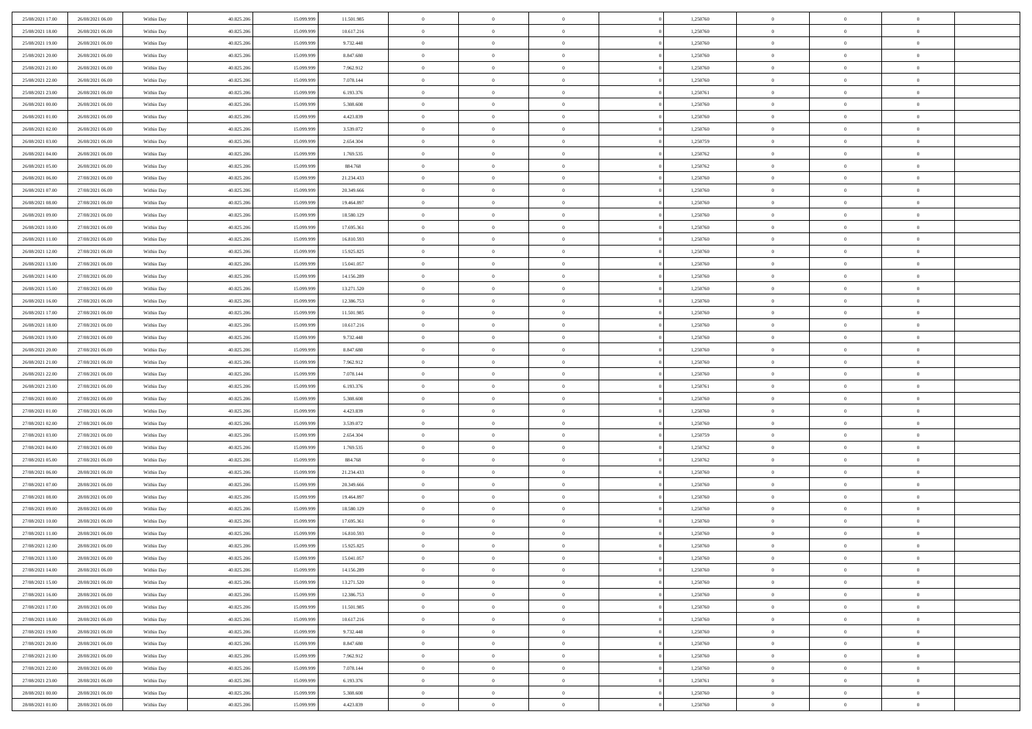| 25/08/2021 17:00                     | 26/08/2021 06:00                     | Within Day               | 40.825.206               | 15.099.999               | 11.501.985               | $\bf{0}$                      | $\overline{0}$                   | $\Omega$                         | 1,250760             | $\bf{0}$                 | $\overline{0}$             | $\theta$                  |  |
|--------------------------------------|--------------------------------------|--------------------------|--------------------------|--------------------------|--------------------------|-------------------------------|----------------------------------|----------------------------------|----------------------|--------------------------|----------------------------|---------------------------|--|
| 25/08/2021 18:00                     | 26/08/2021 06:00                     | Within Day               | 40.825.206               | 15.099.999               | 10.617.216               | $\theta$                      | $\overline{0}$                   | $\overline{0}$                   | 1,250760             | $\mathbf{0}$             | $\bf{0}$                   | $\overline{0}$            |  |
| 25/08/2021 19:00                     | 26/08/2021 06:00                     | Within Day               | 40.825.206               | 15.099.999               | 9.732.448                | $\theta$                      | $\overline{0}$                   | $\overline{0}$                   | 1,250760             | $\,$ 0                   | $\overline{0}$             | $\,$ 0 $\,$               |  |
| 25/08/2021 20:00                     | 26/08/2021 06:00                     | Within Day               | 40.825.206               | 15.099.999               | 8.847.680                | $\mathbf{0}$                  | $\overline{0}$                   | $\mathbf{0}$                     | 1,250760             | $\bf{0}$                 | $\mathbf{0}$               | $\theta$                  |  |
| 25/08/2021 21:00                     | 26/08/2021 06:00                     | Within Day               | 40.825.206               | 15.099.999               | 7.962.912                | $\mathbf{0}$                  | $\overline{0}$                   | $\overline{0}$                   | 1,250760             | $\mathbf{0}$             | $\bf{0}$                   | $\overline{0}$            |  |
| 25/08/2021 22:00                     | 26/08/2021 06:00                     | Within Day               | 40.825.206               | 15.099.999               | 7.078.144                | $\theta$                      | $\overline{0}$                   | $\bf{0}$                         | 1,250760             | $\,$ 0                   | $\overline{0}$             | $\,$ 0 $\,$               |  |
| 25/08/2021 23:00                     | 26/08/2021 06:00                     | Within Day               | 40.825.206               | 15.099.999               | 6.193.376                | $\,$ 0 $\,$                   | $\overline{0}$                   | $\Omega$                         | 1,250761             | $\bf{0}$                 | $\overline{0}$             | $\theta$                  |  |
| 26/08/2021 00:00                     | 26/08/2021 06:00                     | Within Day               | 40.825.206               | 15.099.999               | 5.308.608                | $\overline{0}$                | $\overline{0}$                   | $\overline{0}$                   | 1,250760             | $\mathbf{0}$             | $\bf{0}$                   | $\overline{0}$            |  |
| 26/08/2021 01:00                     | 26/08/2021 06:00                     | Within Day               | 40.825.206               | 15.099.999               | 4.423.839                | $\theta$                      | $\overline{0}$                   | $\bf{0}$                         | 1,250760             | $\,$ 0                   | $\overline{0}$             | $\,$ 0 $\,$               |  |
| 26/08/2021 02:00                     | 26/08/2021 06:00                     | Within Day               | 40.825.206               | 15.099.999               | 3.539.072                | $\mathbf{0}$                  | $\overline{0}$                   | $\mathbf{0}$                     | 1,250760             | $\bf{0}$                 | $\mathbf{0}$               | $\theta$                  |  |
| 26/08/2021 03:00                     | 26/08/2021 06:00                     | Within Day               | 40.825.206               | 15.099.999               | 2.654.304                | $\mathbf{0}$                  | $\overline{0}$                   | $\overline{0}$                   | 1,250759             | $\mathbf{0}$             | $\bf{0}$                   | $\overline{0}$            |  |
| 26/08/2021 04:00                     | 26/08/2021 06:00                     | Within Day               | 40.825.206               | 15.099.999               | 1.769.535                | $\theta$                      | $\overline{0}$                   | $\bf{0}$                         | 1,250762             | $\,$ 0                   | $\overline{0}$             | $\,$ 0 $\,$               |  |
| 26/08/2021 05:00                     | 26/08/2021 06:00                     | Within Day               | 40.825.206               | 15.099.999               | 884.768                  | $\theta$                      | $\overline{0}$                   | $\mathbf{0}$                     | 1,250762             | $\bf{0}$                 | $\mathbf{0}$               | $\theta$                  |  |
| 26/08/2021 06:00                     | 27/08/2021 06:00                     | Within Day               | 40.825.206               | 15.099.999               | 21.234.433               | $\overline{0}$                | $\overline{0}$                   | $\overline{0}$                   | 1,250760             | $\mathbf{0}$             | $\bf{0}$                   | $\overline{0}$            |  |
| 26/08/2021 07:00                     | 27/08/2021 06:00                     | Within Day               | 40.825.206               | 15.099.999               | 20.349.666               | $\theta$                      | $\overline{0}$                   | $\overline{0}$                   | 1,250760             | $\,$ 0                   | $\overline{0}$             | $\,$ 0 $\,$               |  |
| 26/08/2021 08:00                     | 27/08/2021 06:00                     | Within Day               | 40.825.206               | 15.099.999               | 19,464,897               | $\bf{0}$                      | $\overline{0}$                   | $\mathbf{0}$                     | 1,250760             | $\bf{0}$                 | $\mathbf{0}$               | $\bf{0}$                  |  |
| 26/08/2021 09:00                     | 27/08/2021 06:00                     | Within Day               | 40.825.206               | 15.099.999               | 18.580.129               | $\overline{0}$                | $\overline{0}$                   | $\overline{0}$                   | 1,250760             | $\mathbf{0}$             | $\bf{0}$                   | $\overline{0}$            |  |
| 26/08/2021 10:00                     | 27/08/2021 06:00                     | Within Day               | 40.825.206               | 15.099.999               | 17.695.361               | $\theta$                      | $\overline{0}$                   | $\bf{0}$                         | 1,250760             | $\,$ 0                   | $\overline{0}$             | $\,$ 0 $\,$               |  |
| 26/08/2021 11:00                     | 27/08/2021 06:00                     | Within Day               | 40.825.206               | 15.099.999               | 16.810.593               | $\mathbf{0}$                  | $\overline{0}$                   | $\mathbf{0}$                     | 1.250760             | $\theta$                 | $\mathbf{0}$               | $\theta$                  |  |
| 26/08/2021 12:00                     | 27/08/2021 06:00                     | Within Day               | 40.825.206               | 15.099.999               | 15.925.825               | $\overline{0}$                | $\overline{0}$                   | $\overline{0}$                   | 1,250760             | $\mathbf{0}$             | $\bf{0}$                   | $\overline{0}$            |  |
| 26/08/2021 13:00                     | 27/08/2021 06:00                     | Within Day               | 40.825.206               | 15.099.999               | 15.041.057               | $\theta$                      | $\overline{0}$                   | $\bf{0}$                         | 1,250760             | $\,$ 0                   | $\overline{0}$             | $\,$ 0 $\,$               |  |
| 26/08/2021 14:00                     | 27/08/2021 06:00                     | Within Day               | 40.825.206               | 15.099.999               | 14.156.289               | $\overline{0}$                | $\overline{0}$                   | $\mathbf{0}$                     | 1,250760             | $\bf{0}$                 | $\mathbf{0}$               | $\theta$                  |  |
| 26/08/2021 15:00                     | 27/08/2021 06:00                     | Within Day               | 40.825.206               | 15.099.999               | 13.271.520               | $\overline{0}$                | $\overline{0}$                   | $\overline{0}$                   | 1,250760             | $\mathbf{0}$             | $\bf{0}$                   | $\overline{0}$            |  |
| 26/08/2021 16:00                     | 27/08/2021 06:00                     | Within Day               | 40.825.206               | 15.099.999               | 12.386.753               | $\theta$                      | $\overline{0}$                   | $\bf{0}$                         | 1,250760             | $\,$ 0                   | $\overline{0}$             | $\,$ 0 $\,$               |  |
| 26/08/2021 17:00                     | 27/08/2021 06:00                     | Within Day               | 40.825.206               | 15.099.999               | 11.501.985               | $\,$ 0 $\,$                   | $\overline{0}$                   | $\mathbf{0}$                     | 1,250760             | $\bf{0}$                 | $\overline{0}$             | $\bf{0}$                  |  |
| 26/08/2021 18:00                     | 27/08/2021 06:00                     | Within Day               | 40.825.206               | 15.099.999               | 10.617.216               | $\overline{0}$                | $\overline{0}$                   | $\overline{0}$                   | 1,250760             | $\mathbf{0}$             | $\bf{0}$                   | $\overline{0}$            |  |
| 26/08/2021 19:00                     | 27/08/2021 06:00                     | Within Day               | 40.825.206               | 15.099.999               | 9.732.448                | $\theta$                      | $\overline{0}$                   | $\bf{0}$                         | 1,250760             | $\,$ 0                   | $\overline{0}$             | $\,$ 0 $\,$               |  |
| 26/08/2021 20:00                     | 27/08/2021 06:00                     | Within Day               | 40.825.206               | 15.099.999               | 8.847.680                | $\overline{0}$                | $\overline{0}$                   | $\mathbf{0}$                     | 1,250760             | $\bf{0}$                 | $\mathbf{0}$               | $\theta$                  |  |
| 26/08/2021 21:00                     | 27/08/2021 06:00                     | Within Day               | 40.825.206               | 15.099.999               | 7.962.912                | $\overline{0}$                | $\overline{0}$                   | $\overline{0}$                   | 1,250760             | $\mathbf{0}$             | $\bf{0}$                   | $\overline{0}$            |  |
| 26/08/2021 22:00                     | 27/08/2021 06:00                     | Within Day               | 40.825.206               | 15.099.999               | 7.078.144                | $\theta$                      | $\overline{0}$                   | $\bf{0}$                         | 1,250760             | $\,$ 0                   | $\overline{0}$             | $\,$ 0 $\,$               |  |
| 26/08/2021 23:00                     | 27/08/2021 06:00                     | Within Day               | 40.825.206               | 15.099.999               | 6.193.376                | $\,$ 0 $\,$                   | $\overline{0}$                   | $\overline{0}$                   | 1,250761             | $\bf{0}$                 | $\overline{0}$             | $\,0\,$                   |  |
| 27/08/2021 00:00                     | 27/08/2021 06:00                     | Within Day               | 40.825.206               | 15.099.999               | 5.308.608                | $\overline{0}$                | $\overline{0}$                   | $\overline{0}$                   | 1,250760             | $\mathbf{0}$             | $\bf{0}$                   | $\overline{0}$            |  |
| 27/08/2021 01:00                     | 27/08/2021 06:00                     | Within Day               | 40.825.206               | 15.099.999               | 4.423.839                | $\theta$                      | $\overline{0}$                   | $\overline{0}$                   | 1,250760             | $\,$ 0                   | $\overline{0}$             | $\,$ 0 $\,$               |  |
| 27/08/2021 02:00                     | 27/08/2021 06:00                     | Within Day               | 40.825.206               | 15.099.999               | 3.539.072                | $\,$ 0 $\,$                   | $\overline{0}$                   | $\overline{0}$                   | 1,250760             | $\bf{0}$                 | $\overline{0}$             | $\bf{0}$                  |  |
| 27/08/2021 03:00                     | 27/08/2021 06:00                     | Within Day               | 40.825.206               | 15.099.999               | 2.654.304                | $\theta$                      | $\overline{0}$                   | $\overline{0}$                   | 1,250759             | $\mathbf{0}$             | $\bf{0}$                   | $\overline{0}$            |  |
| 27/08/2021 04:00                     | 27/08/2021 06:00                     | Within Day               | 40.825.206               | 15.099.999               | 1.769.535                | $\theta$                      | $\overline{0}$                   | $\bf{0}$                         | 1,250762             | $\,$ 0                   | $\overline{0}$             | $\,$ 0 $\,$               |  |
| 27/08/2021 05:00<br>27/08/2021 06:00 | 27/08/2021 06:00<br>28/08/2021 06:00 | Within Day<br>Within Day | 40.825.206<br>40.825.206 | 15.099.999<br>15.099.999 | 884.768<br>21.234.433    | $\,$ 0 $\,$<br>$\overline{0}$ | $\overline{0}$<br>$\overline{0}$ | $\overline{0}$<br>$\overline{0}$ | 1,250762<br>1,250760 | $\bf{0}$<br>$\mathbf{0}$ | $\overline{0}$<br>$\bf{0}$ | $\,0\,$<br>$\overline{0}$ |  |
| 27/08/2021 07:00                     | 28/08/2021 06:00                     |                          | 40.825.206               | 15.099.999               | 20.349.666               | $\theta$                      | $\overline{0}$                   | $\bf{0}$                         | 1,250760             | $\,$ 0                   | $\overline{0}$             | $\,$ 0 $\,$               |  |
|                                      |                                      | Within Day               |                          |                          |                          |                               |                                  | $\overline{0}$                   |                      |                          | $\overline{0}$             |                           |  |
| 27/08/2021 08:00<br>27/08/2021 09:00 | 28/08/2021 06:00<br>28/08/2021 06:00 | Within Day<br>Within Day | 40.825.206<br>40.825.206 | 15.099.999<br>15.099.999 | 19.464.897<br>18.580.129 | $\,$ 0 $\,$<br>$\theta$       | $\overline{0}$<br>$\overline{0}$ | $\overline{0}$                   | 1,250760<br>1,250760 | $\bf{0}$<br>$\mathbf{0}$ | $\bf{0}$                   | $\,0\,$<br>$\overline{0}$ |  |
| 27/08/2021 10:00                     | 28/08/2021 06:00                     | Within Day               | 40.825.206               | 15.099.999               | 17.695.361               | $\theta$                      | $\overline{0}$                   | $\bf{0}$                         | 1,250760             | $\,$ 0                   | $\overline{0}$             | $\,$ 0 $\,$               |  |
| 27/08/2021 11:00                     | 28/08/2021 06:00                     | Within Day               | 40.825.206               | 15.099.999               | 16.810.593               | $\,$ 0 $\,$                   | $\overline{0}$                   | $\overline{0}$                   | 1,250760             | $\bf{0}$                 | $\overline{0}$             | $\,0\,$                   |  |
| 27/08/2021 12:00                     | 28/08/2021 06:00                     | Within Dav               | 40.825.206               | 15.099.999               | 15.925.825               | $\theta$                      | $\overline{0}$                   | $\overline{0}$                   | 1,250760             | $\mathbf{0}$             | $\bf{0}$                   | $\overline{0}$            |  |
| 27/08/2021 13:00                     | 28/08/2021 06:00                     | Within Day               | 40.825.206               | 15.099.999               | 15.041.057               | $\overline{0}$                | $\overline{0}$                   | $\overline{0}$                   | 1,250760             | $\overline{0}$           | $\overline{0}$             | $\theta$                  |  |
| 27/08/2021 14:00                     | 28/08/2021 06:00                     | Within Day               | 40.825.206               | 15.099.999               | 14.156.289               | $\bf{0}$                      | $\overline{0}$                   | $\overline{0}$                   | 1,250760             | $\mathbf{0}$             | $\overline{0}$             | $\bf{0}$                  |  |
| 27/08/2021 15:00                     | 28/08/2021 06:00                     | Within Day               | 40.825.206               | 15.099.999               | 13.271.520               | $\overline{0}$                | $\overline{0}$                   | $\overline{0}$                   | 1,250760             | $\overline{0}$           | $\overline{0}$             | $\overline{0}$            |  |
| 27/08/2021 16:00                     | 28/08/2021 06:00                     | Within Day               | 40.825.206               | 15.099.999               | 12.386.753               | $\,$ 0                        | $\overline{0}$                   | $\overline{0}$                   | 1,250760             | $\,$ 0 $\,$              | $\,$ 0 $\,$                | $\,$ 0 $\,$               |  |
| 27/08/2021 17:00                     | 28/08/2021 06:00                     | Within Day               | 40.825.206               | 15.099.999               | 11.501.985               | $\bf{0}$                      | $\overline{0}$                   | $\overline{0}$                   | 1,250760             | $\mathbf{0}$             | $\overline{0}$             | $\bf{0}$                  |  |
| 27/08/2021 18:00                     | 28/08/2021 06:00                     | Within Day               | 40.825.206               | 15.099.999               | 10.617.216               | $\mathbf{0}$                  | $\overline{0}$                   | $\overline{0}$                   | 1,250760             | $\,$ 0 $\,$              | $\bf{0}$                   | $\overline{0}$            |  |
| 27/08/2021 19:00                     | 28/08/2021 06:00                     | Within Day               | 40.825.206               | 15.099.999               | 9.732.448                | $\,$ 0                        | $\overline{0}$                   | $\overline{0}$                   | 1,250760             | $\,$ 0 $\,$              | $\overline{0}$             | $\,$ 0 $\,$               |  |
| 27/08/2021 20:00                     | 28/08/2021 06:00                     | Within Day               | 40.825.206               | 15.099.999               | 8.847.680                | $\bf{0}$                      | $\overline{0}$                   | $\overline{0}$                   | 1,250760             | $\overline{0}$           | $\overline{0}$             | $\overline{0}$            |  |
| 27/08/2021 21:00                     | 28/08/2021 06:00                     | Within Day               | 40.825.206               | 15.099.999               | 7.962.912                | $\mathbf{0}$                  | $\overline{0}$                   | $\overline{0}$                   | 1,250760             | $\,$ 0 $\,$              | $\overline{0}$             | $\overline{0}$            |  |
| 27/08/2021 22:00                     | 28/08/2021 06:00                     | Within Day               | 40.825.206               | 15.099.999               | 7.078.144                | $\,$ 0                        | $\overline{0}$                   | $\overline{0}$                   | 1,250760             | $\,$ 0 $\,$              | $\,$ 0 $\,$                | $\,$ 0 $\,$               |  |
| 27/08/2021 23:00                     | 28/08/2021 06:00                     | Within Day               | 40.825.206               | 15.099.999               | 6.193.376                | $\bf{0}$                      | $\overline{0}$                   | $\overline{0}$                   | 1,250761             | $\mathbf{0}$             | $\overline{0}$             | $\bf{0}$                  |  |
| 28/08/2021 00:00                     | 28/08/2021 06:00                     | Within Day               | 40.825.206               | 15.099.999               | 5.308.608                | $\mathbf{0}$                  | $\overline{0}$                   | $\overline{0}$                   | 1,250760             | $\overline{0}$           | $\bf{0}$                   | $\overline{0}$            |  |
| 28/08/2021 01:00                     | 28/08/2021 06:00                     | Within Day               | 40.825.206               | 15.099.999               | 4.423.839                | $\,$ 0 $\,$                   | $\overline{0}$                   | $\overline{0}$                   | 1,250760             | $\,$ 0 $\,$              | $\overline{0}$             | $\,$ 0 $\,$               |  |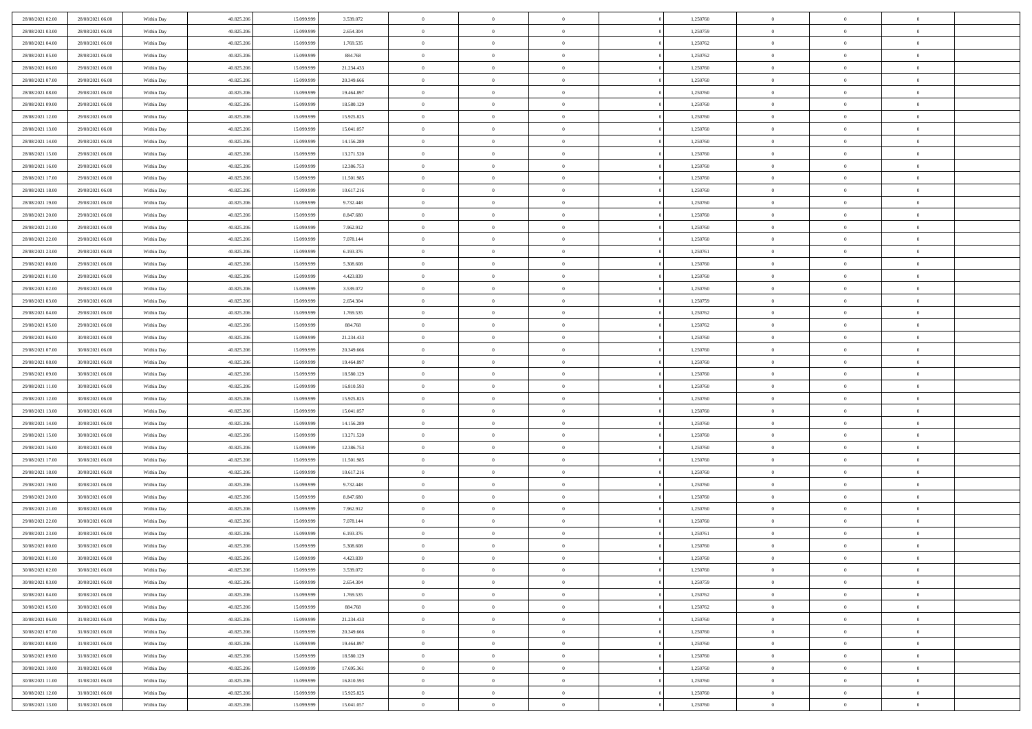| 28/08/2021 02:00 | 28/08/2021 06:00 | Within Day               | 40.825.206 | 15.099.999 | 3.539.072                | $\,$ 0 $\,$    | $\overline{0}$ | $\overline{0}$ |          | 1,250760 | $\bf{0}$       | $\overline{0}$ | $\,0\,$        |  |
|------------------|------------------|--------------------------|------------|------------|--------------------------|----------------|----------------|----------------|----------|----------|----------------|----------------|----------------|--|
| 28/08/2021 03:00 | 28/08/2021 06:00 | Within Day               | 40.825.206 | 15,099.99  | 2.654.304                | $\theta$       | $\overline{0}$ | $\mathbf{0}$   |          | 1,250759 | $\theta$       | $\overline{0}$ | $\theta$       |  |
| 28/08/2021 04:00 | 28/08/2021 06:00 | Within Day               | 40.825.206 | 15.099.999 | 1.769.535                | $\theta$       | $\overline{0}$ | $\overline{0}$ |          | 1,250762 | $\mathbf{0}$   | $\overline{0}$ | $\overline{0}$ |  |
| 28/08/2021 05:00 | 28/08/2021 06:00 | Within Day               | 40.825.206 | 15.099.999 | 884.768                  | $\,$ 0 $\,$    | $\overline{0}$ | $\overline{0}$ |          | 1,250762 | $\bf{0}$       | $\overline{0}$ | $\bf{0}$       |  |
| 28/08/2021 06:00 | 29/08/2021 06:00 | Within Day               | 40.825.206 | 15.099.999 | 21.234.433               | $\bf{0}$       | $\overline{0}$ | $\mathbf{0}$   |          | 1,250760 | $\bf{0}$       | $\theta$       | $\,0\,$        |  |
| 28/08/2021 07:00 | 29/08/2021 06:00 | Within Day               | 40.825.206 | 15.099.999 | 20.349.666               | $\theta$       | $\overline{0}$ | $\mathbf{0}$   |          | 1,250760 | $\mathbf{0}$   | $\overline{0}$ | $\overline{0}$ |  |
| 28/08/2021 08:00 | 29/08/2021 06:00 | Within Day               | 40.825.206 | 15.099.999 | 19.464.897               | $\,$ 0 $\,$    | $\overline{0}$ | $\overline{0}$ |          | 1,250760 | $\bf{0}$       | $\overline{0}$ | $\,0\,$        |  |
| 28/08/2021 09:00 | 29/08/2021 06:00 | Within Day               | 40.825.206 | 15.099.999 | 18.580.129               | $\,$ 0 $\,$    | $\overline{0}$ | $\mathbf{0}$   |          | 1,250760 | $\,$ 0 $\,$    | $\overline{0}$ | $\theta$       |  |
| 28/08/2021 12:00 | 29/08/2021 06:00 | Within Day               | 40.825.206 | 15.099.999 | 15.925.825               | $\theta$       | $\overline{0}$ | $\mathbf{0}$   |          | 1,250760 | $\mathbf{0}$   | $\bf{0}$       | $\overline{0}$ |  |
| 28/08/2021 13:00 | 29/08/2021 06:00 | Within Day               | 40.825.206 | 15.099.999 | 15.041.057               | $\,$ 0 $\,$    | $\overline{0}$ | $\Omega$       |          | 1,250760 | $\bf{0}$       | $\overline{0}$ | $\,0\,$        |  |
| 28/08/2021 14:00 | 29/08/2021 06:00 |                          | 40.825.206 | 15.099.999 |                          | $\bf{0}$       | $\overline{0}$ | $\mathbf{0}$   |          | 1,250760 | $\bf{0}$       | $\mathbf{0}$   | $\theta$       |  |
| 28/08/2021 15:00 | 29/08/2021 06:00 | Within Day<br>Within Day | 40.825.206 | 15.099.999 | 14.156.289<br>13.271.520 | $\theta$       | $\overline{0}$ | $\overline{0}$ |          | 1,250760 | $\mathbf{0}$   | $\overline{0}$ | $\overline{0}$ |  |
| 28/08/2021 16:00 | 29/08/2021 06:00 |                          | 40.825.206 | 15.099.999 | 12.386.753               | $\,$ 0 $\,$    | $\overline{0}$ | $\overline{0}$ |          | 1,250760 | $\bf{0}$       | $\overline{0}$ | $\bf{0}$       |  |
|                  |                  | Within Day               |            |            |                          | $\bf{0}$       |                | $\mathbf{0}$   |          |          | $\bf{0}$       | $\theta$       | $\,0\,$        |  |
| 28/08/2021 17:00 | 29/08/2021 06:00 | Within Day               | 40.825.206 | 15.099.999 | 11.501.985               |                | $\overline{0}$ |                |          | 1,250760 |                |                |                |  |
| 28/08/2021 18:00 | 29/08/2021 06:00 | Within Day               | 40.825.206 | 15.099.999 | 10.617.216               | $\theta$       | $\overline{0}$ | $\mathbf{0}$   |          | 1,250760 | $\mathbf{0}$   | $\overline{0}$ | $\overline{0}$ |  |
| 28/08/2021 19:00 | 29/08/2021 06:00 | Within Day               | 40.825.206 | 15.099.999 | 9.732.448                | $\,$ 0 $\,$    | $\overline{0}$ | $\Omega$       |          | 1,250760 | $\bf{0}$       | $\overline{0}$ | $\bf{0}$       |  |
| 28/08/2021 20:00 | 29/08/2021 06:00 | Within Day               | 40.825.206 | 15.099.999 | 8.847.680                | $\,$ 0         | $\overline{0}$ | $\mathbf{0}$   |          | 1,250760 | $\bf{0}$       | $\overline{0}$ | $\theta$       |  |
| 28/08/2021 21:00 | 29/08/2021 06:00 | Within Day               | 40.825.206 | 15.099.999 | 7.962.912                | $\theta$       | $\overline{0}$ | $\mathbf{0}$   |          | 1,250760 | $\mathbf{0}$   | $\overline{0}$ | $\overline{0}$ |  |
| 28/08/2021 22:00 | 29/08/2021 06:00 | Within Day               | 40.825.206 | 15.099.999 | 7.078.144                | $\,$ 0 $\,$    | $\overline{0}$ | $\Omega$       |          | 1,250760 | $\bf{0}$       | $\overline{0}$ | $\,0\,$        |  |
| 28/08/2021 23:00 | 29/08/2021 06:00 | Within Day               | 40.825.206 | 15.099.999 | 6.193.376                | $\bf{0}$       | $\overline{0}$ | $\mathbf{0}$   |          | 1,250761 | $\bf{0}$       | $\mathbf{0}$   | $\theta$       |  |
| 29/08/2021 00:00 | 29/08/2021 06:00 | Within Day               | 40.825.206 | 15.099.999 | 5.308.608                | $\theta$       | $\overline{0}$ | $\mathbf{0}$   |          | 1,250760 | $\mathbf{0}$   | $\overline{0}$ | $\overline{0}$ |  |
| 29/08/2021 01:00 | 29/08/2021 06:00 | Within Day               | 40.825.206 | 15.099.999 | 4.423.839                | $\,$ 0 $\,$    | $\overline{0}$ | $\overline{0}$ |          | 1,250760 | $\bf{0}$       | $\overline{0}$ | $\bf{0}$       |  |
| 29/08/2021 02:00 | 29/08/2021 06:00 | Within Day               | 40.825.206 | 15.099.999 | 3.539.072                | $\,$ 0         | $\overline{0}$ | $\mathbf{0}$   |          | 1,250760 | $\bf{0}$       | $\bf{0}$       | $\,0\,$        |  |
| 29/08/2021 03:00 | 29/08/2021 06:00 | Within Day               | 40.825.206 | 15.099.999 | 2.654.304                | $\theta$       | $\overline{0}$ | $\mathbf{0}$   |          | 1,250759 | $\mathbf{0}$   | $\overline{0}$ | $\overline{0}$ |  |
| 29/08/2021 04:00 | 29/08/2021 06:00 | Within Day               | 40.825.206 | 15.099.999 | 1.769.535                | $\,$ 0 $\,$    | $\overline{0}$ | $\overline{0}$ |          | 1,250762 | $\bf{0}$       | $\overline{0}$ | $\,0\,$        |  |
| 29/08/2021 05:00 | 29/08/2021 06:00 | Within Day               | 40.825.206 | 15.099.999 | 884.768                  | $\,$ 0         | $\overline{0}$ | $\mathbf{0}$   |          | 1,250762 | $\mathbf{0}$   | $\overline{0}$ | $\theta$       |  |
| 29/08/2021 06:00 | 30/08/2021 06:00 | Within Day               | 40.825.206 | 15.099.999 | 21.234.433               | $\theta$       | $\overline{0}$ | $\overline{0}$ |          | 1,250760 | $\mathbf{0}$   | $\bf{0}$       | $\overline{0}$ |  |
| 29/08/2021 07:00 | 30/08/2021 06:00 | Within Day               | 40.825.206 | 15.099.999 | 20.349.666               | $\,$ 0 $\,$    | $\overline{0}$ | $\Omega$       |          | 1,250760 | $\bf{0}$       | $\overline{0}$ | $\bf{0}$       |  |
| 29/08/2021 08:00 | 30/08/2021 06:00 | Within Day               | 40.825.206 | 15.099.999 | 19.464.897               | $\bf{0}$       | $\overline{0}$ | $\mathbf{0}$   |          | 1,250760 | $\bf{0}$       | $\mathbf{0}$   | $\overline{0}$ |  |
| 29/08/2021 09:00 | 30/08/2021 06:00 | Within Day               | 40.825.206 | 15.099.999 | 18.580.129               | $\theta$       | $\overline{0}$ | $\overline{0}$ |          | 1,250760 | $\mathbf{0}$   | $\overline{0}$ | $\overline{0}$ |  |
| 29/08/2021 11:00 | 30/08/2021 06:00 | Within Day               | 40.825.206 | 15.099.999 | 16.810.593               | $\,$ 0 $\,$    | $\overline{0}$ | $\overline{0}$ |          | 1,250760 | $\,$ 0         | $\overline{0}$ | $\,$ 0 $\,$    |  |
| 29/08/2021 12:00 | 30/08/2021 06:00 | Within Day               | 40.825.206 | 15.099.999 | 15.925.825               | $\,$ 0         | $\overline{0}$ | $\mathbf{0}$   |          | 1,250760 | $\bf{0}$       | $\mathbf{0}$   | $\overline{0}$ |  |
| 29/08/2021 13:00 | 30/08/2021 06:00 | Within Day               | 40.825.206 | 15.099.999 | 15.041.057               | $\theta$       | $\overline{0}$ | $\mathbf{0}$   |          | 1,250760 | $\mathbf{0}$   | $\overline{0}$ | $\overline{0}$ |  |
| 29/08/2021 14:00 | 30/08/2021 06:00 | Within Day               | 40.825.206 | 15.099.999 | 14.156.289               | $\theta$       | $\overline{0}$ | $\overline{0}$ |          | 1,250760 | $\,$ 0         | $\overline{0}$ | $\theta$       |  |
| 29/08/2021 15:00 | 30/08/2021 06:00 | Within Day               | 40.825.206 | 15.099.999 | 13.271.520               | $\bf{0}$       | $\overline{0}$ | $\mathbf{0}$   |          | 1,250760 | $\mathbf{0}$   | $\overline{0}$ | $\overline{0}$ |  |
| 29/08/2021 16:00 | 30/08/2021 06:00 | Within Day               | 40.825.206 | 15.099.999 | 12.386.753               | $\theta$       | $\overline{0}$ | $\mathbf{0}$   |          | 1,250760 | $\mathbf{0}$   | $\overline{0}$ | $\overline{0}$ |  |
| 29/08/2021 17:00 | 30/08/2021 06:00 | Within Day               | 40.825.206 | 15.099.999 | 11.501.985               | $\theta$       | $\overline{0}$ | $\overline{0}$ |          | 1,250760 | $\,$ 0         | $\overline{0}$ | $\theta$       |  |
| 29/08/2021 18:00 | 30/08/2021 06:00 | Within Day               | 40.825.206 | 15.099.999 | 10.617.216               | $\bf{0}$       | $\overline{0}$ | $\mathbf{0}$   |          | 1,250760 | $\bf{0}$       | $\mathbf{0}$   | $\overline{0}$ |  |
| 29/08/2021 19:00 | 30/08/2021 06:00 | Within Day               | 40.825.206 | 15.099.999 | 9.732.448                | $\theta$       | $\overline{0}$ | $\overline{0}$ |          | 1,250760 | $\mathbf{0}$   | $\overline{0}$ | $\overline{0}$ |  |
| 29/08/2021 20:00 | 30/08/2021 06:00 | Within Day               | 40.825.206 | 15.099.999 | 8.847.680                | $\,$ 0 $\,$    | $\overline{0}$ | $\overline{0}$ |          | 1,250760 | $\,$ 0         | $\overline{0}$ | $\,$ 0 $\,$    |  |
| 29/08/2021 21:00 | 30/08/2021 06:00 | Within Day               | 40.825.206 | 15.099.999 | 7.962.912                | $\bf{0}$       | $\,$ 0 $\,$    | $\overline{0}$ |          | 1,250760 | $\,$ 0 $\,$    | $\bf{0}$       | $\overline{0}$ |  |
| 29/08/2021 22:00 | 30/08/2021 06:00 | Within Day               | 40.825.206 | 15.099.999 | 7.078.144                | $\theta$       | $\overline{0}$ | $\mathbf{0}$   |          | 1,250760 | $\mathbf{0}$   | $\overline{0}$ | $\theta$       |  |
| 29/08/2021 23:00 | 30/08/2021 06:00 | Within Day               | 40.825.206 | 15.099.999 | 6.193.376                | $\theta$       | $\overline{0}$ | $\overline{0}$ |          | 1,250761 | $\,$ 0         | $\overline{0}$ | $\theta$       |  |
| 30/08/2021 00:00 | 30/08/2021 06:00 | Within Day               | 40.825.206 | 15.099.999 | 5.308.608                | $\bf{0}$       | $\,$ 0 $\,$    | $\mathbf{0}$   |          | 1,250760 | $\mathbf{0}$   | $\overline{0}$ | $\overline{0}$ |  |
| 30/08/2021 01:00 | 30/08/2021 06:00 | Within Day               | 40.825.206 | 15.099.999 | 4.423.839                | $\overline{0}$ | $\theta$       |                |          | 1,250760 | $\overline{0}$ | $\theta$       | $\theta$       |  |
| 30/08/2021 02:00 | 30/08/2021 06:00 | Within Day               | 40.825.206 | 15.099.999 | 3.539.072                | $\,$ 0 $\,$    | $\overline{0}$ | $\overline{0}$ |          | 1,250760 | $\,$ 0 $\,$    | $\bf{0}$       | $\theta$       |  |
| 30/08/2021 03:00 | 30/08/2021 06:00 | Within Day               | 40.825.206 | 15.099.999 | 2.654.304                | $\overline{0}$ | $\,$ 0 $\,$    | $\overline{0}$ |          | 1,250759 | $\,$ 0 $\,$    | $\overline{0}$ | $\overline{0}$ |  |
| 30/08/2021 04:00 | 30/08/2021 06:00 | Within Day               | 40.825.206 | 15.099.999 | 1.769.535                | $\,$ 0 $\,$    | $\overline{0}$ | $\overline{0}$ |          | 1,250762 | $\,$ 0 $\,$    | $\bf{0}$       | $\overline{0}$ |  |
| 30/08/2021 05:00 | 30/08/2021 06:00 | Within Day               | 40.825.206 | 15.099.999 | 884.768                  | $\,0\,$        | $\overline{0}$ | $\overline{0}$ | $\theta$ | 1,250762 | $\,$ 0 $\,$    | $\bf{0}$       | $\,$ 0 $\,$    |  |
| 30/08/2021 06:00 | 31/08/2021 06:00 | Within Day               | 40.825.206 | 15.099.999 | 21.234.433               | $\,$ 0 $\,$    | $\,$ 0 $\,$    | $\overline{0}$ |          | 1,250760 | $\,$ 0 $\,$    | $\overline{0}$ | $\overline{0}$ |  |
| 30/08/2021 07:00 | 31/08/2021 06:00 | Within Day               | 40.825.206 | 15.099.999 | 20.349.666               | $\mathbf{0}$   | $\overline{0}$ | $\overline{0}$ |          | 1,250760 | $\mathbf{0}$   | $\bf{0}$       | $\overline{0}$ |  |
| 30/08/2021 08:00 | 31/08/2021 06:00 | Within Day               | 40.825.206 | 15.099.999 | 19.464.897               | $\,$ 0 $\,$    | $\overline{0}$ | $\overline{0}$ |          | 1,250760 | $\,$ 0 $\,$    | $\bf{0}$       | $\,$ 0 $\,$    |  |
| 30/08/2021 09:00 | 31/08/2021 06:00 | Within Day               | 40.825.206 | 15.099.999 | 18.580.129               | $\overline{0}$ | $\,$ 0 $\,$    | $\overline{0}$ |          | 1,250760 | $\,$ 0 $\,$    | $\overline{0}$ | $\overline{0}$ |  |
| 30/08/2021 10:00 | 31/08/2021 06:00 | Within Day               | 40.825.206 | 15.099.999 | 17.695.361               | $\,$ 0 $\,$    | $\overline{0}$ | $\overline{0}$ |          | 1,250760 | $\,$ 0 $\,$    | $\bf{0}$       | $\overline{0}$ |  |
| 30/08/2021 11:00 | 31/08/2021 06:00 | Within Day               | 40.825.206 | 15.099.999 | 16.810.593               | $\,0\,$        | $\overline{0}$ | $\overline{0}$ |          | 1,250760 | $\,$ 0 $\,$    | $\mathbf{0}$   | $\,$ 0 $\,$    |  |
| 30/08/2021 12:00 | 31/08/2021 06:00 | Within Day               | 40.825.206 | 15.099.999 | 15.925.825               | $\,$ 0 $\,$    | $\,$ 0 $\,$    | $\overline{0}$ |          | 1,250760 | $\,$ 0 $\,$    | $\overline{0}$ | $\overline{0}$ |  |
| 30/08/2021 13:00 | 31/08/2021 06:00 | Within Day               | 40.825.206 | 15.099.999 | 15.041.057               | $\theta$       | $\overline{0}$ | $\overline{0}$ |          | 1,250760 | $\,$ 0 $\,$    | $\mathbf{0}$   | $\overline{0}$ |  |
|                  |                  |                          |            |            |                          |                |                |                |          |          |                |                |                |  |